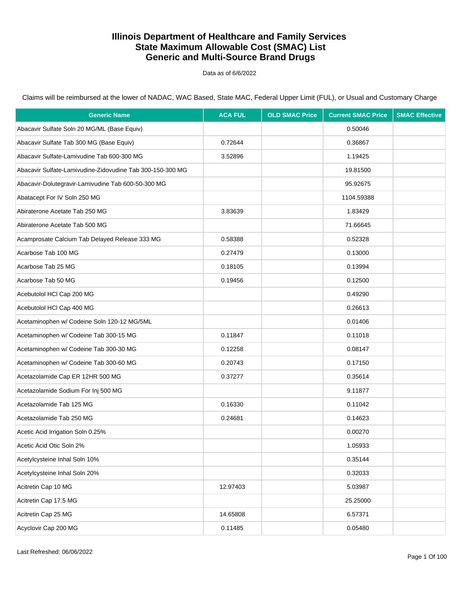Data as of 6/6/2022

| <b>Generic Name</b>                                       | <b>ACA FUL</b> | <b>OLD SMAC Price</b> | <b>Current SMAC Price</b> | <b>SMAC Effective</b> |
|-----------------------------------------------------------|----------------|-----------------------|---------------------------|-----------------------|
| Abacavir Sulfate Soln 20 MG/ML (Base Equiv)               |                |                       | 0.50046                   |                       |
| Abacavir Sulfate Tab 300 MG (Base Equiv)                  | 0.72644        |                       | 0.36867                   |                       |
| Abacavir Sulfate-Lamivudine Tab 600-300 MG                | 3.52896        |                       | 1.19425                   |                       |
| Abacavir Sulfate-Lamivudine-Zidovudine Tab 300-150-300 MG |                |                       | 19.81500                  |                       |
| Abacavir-Dolutegravir-Lamivudine Tab 600-50-300 MG        |                |                       | 95.92675                  |                       |
| Abatacept For IV Soln 250 MG                              |                |                       | 1104.59388                |                       |
| Abiraterone Acetate Tab 250 MG                            | 3.83639        |                       | 1.83429                   |                       |
| Abiraterone Acetate Tab 500 MG                            |                |                       | 71.66645                  |                       |
| Acamprosate Calcium Tab Delayed Release 333 MG            | 0.58388        |                       | 0.52328                   |                       |
| Acarbose Tab 100 MG                                       | 0.27479        |                       | 0.13000                   |                       |
| Acarbose Tab 25 MG                                        | 0.18105        |                       | 0.13994                   |                       |
| Acarbose Tab 50 MG                                        | 0.19456        |                       | 0.12500                   |                       |
| Acebutolol HCl Cap 200 MG                                 |                |                       | 0.49290                   |                       |
| Acebutolol HCl Cap 400 MG                                 |                |                       | 0.26613                   |                       |
| Acetaminophen w/ Codeine Soln 120-12 MG/5ML               |                |                       | 0.01406                   |                       |
| Acetaminophen w/ Codeine Tab 300-15 MG                    | 0.11847        |                       | 0.11018                   |                       |
| Acetaminophen w/ Codeine Tab 300-30 MG                    | 0.12258        |                       | 0.08147                   |                       |
| Acetaminophen w/ Codeine Tab 300-60 MG                    | 0.20743        |                       | 0.17150                   |                       |
| Acetazolamide Cap ER 12HR 500 MG                          | 0.37277        |                       | 0.35614                   |                       |
| Acetazolamide Sodium For Inj 500 MG                       |                |                       | 9.11877                   |                       |
| Acetazolamide Tab 125 MG                                  | 0.16330        |                       | 0.11042                   |                       |
| Acetazolamide Tab 250 MG                                  | 0.24681        |                       | 0.14623                   |                       |
| Acetic Acid Irrigation Soln 0.25%                         |                |                       | 0.00270                   |                       |
| Acetic Acid Otic Soln 2%                                  |                |                       | 1.05933                   |                       |
| Acetylcysteine Inhal Soln 10%                             |                |                       | 0.35144                   |                       |
| Acetylcysteine Inhal Soln 20%                             |                |                       | 0.32033                   |                       |
| Acitretin Cap 10 MG                                       | 12.97403       |                       | 5.03987                   |                       |
| Acitretin Cap 17.5 MG                                     |                |                       | 25.25000                  |                       |
| Acitretin Cap 25 MG                                       | 14.65808       |                       | 6.57371                   |                       |
| Acyclovir Cap 200 MG                                      | 0.11485        |                       | 0.05480                   |                       |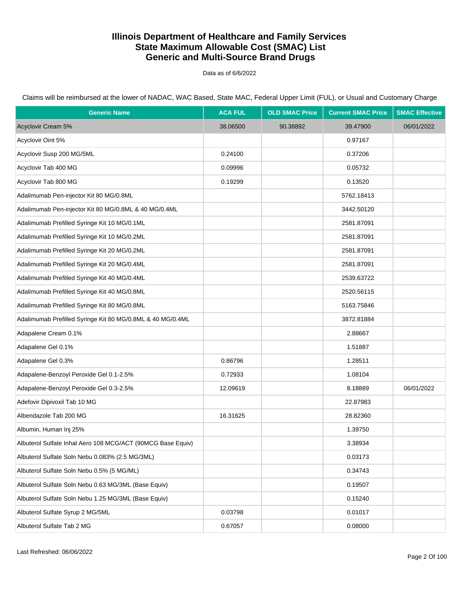Data as of 6/6/2022

| <b>Generic Name</b>                                         | <b>ACA FUL</b> | <b>OLD SMAC Price</b> | <b>Current SMAC Price</b> | <b>SMAC Effective</b> |
|-------------------------------------------------------------|----------------|-----------------------|---------------------------|-----------------------|
| Acyclovir Cream 5%                                          | 38.06500       | 90.38892              | 39.47900                  | 06/01/2022            |
| Acyclovir Oint 5%                                           |                |                       | 0.97167                   |                       |
| Acyclovir Susp 200 MG/5ML                                   | 0.24100        |                       | 0.37206                   |                       |
| Acyclovir Tab 400 MG                                        | 0.09996        |                       | 0.05732                   |                       |
| Acyclovir Tab 800 MG                                        | 0.19299        |                       | 0.13520                   |                       |
| Adalimumab Pen-injector Kit 80 MG/0.8ML                     |                |                       | 5762.18413                |                       |
| Adalimumab Pen-injector Kit 80 MG/0.8ML & 40 MG/0.4ML       |                |                       | 3442.50120                |                       |
| Adalimumab Prefilled Syringe Kit 10 MG/0.1ML                |                |                       | 2581.87091                |                       |
| Adalimumab Prefilled Syringe Kit 10 MG/0.2ML                |                |                       | 2581.87091                |                       |
| Adalimumab Prefilled Syringe Kit 20 MG/0.2ML                |                |                       | 2581.87091                |                       |
| Adalimumab Prefilled Syringe Kit 20 MG/0.4ML                |                |                       | 2581.87091                |                       |
| Adalimumab Prefilled Syringe Kit 40 MG/0.4ML                |                |                       | 2539.63722                |                       |
| Adalimumab Prefilled Syringe Kit 40 MG/0.8ML                |                |                       | 2520.56115                |                       |
| Adalimumab Prefilled Syringe Kit 80 MG/0.8ML                |                |                       | 5163.75846                |                       |
| Adalimumab Prefilled Syringe Kit 80 MG/0.8ML & 40 MG/0.4ML  |                |                       | 3872.81884                |                       |
| Adapalene Cream 0.1%                                        |                |                       | 2.88667                   |                       |
| Adapalene Gel 0.1%                                          |                |                       | 1.51887                   |                       |
| Adapalene Gel 0.3%                                          | 0.86796        |                       | 1.28511                   |                       |
| Adapalene-Benzoyl Peroxide Gel 0.1-2.5%                     | 0.72933        |                       | 1.08104                   |                       |
| Adapalene-Benzoyl Peroxide Gel 0.3-2.5%                     | 12.09619       |                       | 8.18889                   | 06/01/2022            |
| Adefovir Dipivoxil Tab 10 MG                                |                |                       | 22.87983                  |                       |
| Albendazole Tab 200 MG                                      | 16.31625       |                       | 28.82360                  |                       |
| Albumin, Human Inj 25%                                      |                |                       | 1.39750                   |                       |
| Albuterol Sulfate Inhal Aero 108 MCG/ACT (90MCG Base Equiv) |                |                       | 3.38934                   |                       |
| Albuterol Sulfate Soln Nebu 0.083% (2.5 MG/3ML)             |                |                       | 0.03173                   |                       |
| Albuterol Sulfate Soln Nebu 0.5% (5 MG/ML)                  |                |                       | 0.34743                   |                       |
| Albuterol Sulfate Soln Nebu 0.63 MG/3ML (Base Equiv)        |                |                       | 0.19507                   |                       |
| Albuterol Sulfate Soln Nebu 1.25 MG/3ML (Base Equiv)        |                |                       | 0.15240                   |                       |
| Albuterol Sulfate Syrup 2 MG/5ML                            | 0.03798        |                       | 0.01017                   |                       |
| Albuterol Sulfate Tab 2 MG                                  | 0.67057        |                       | 0.08000                   |                       |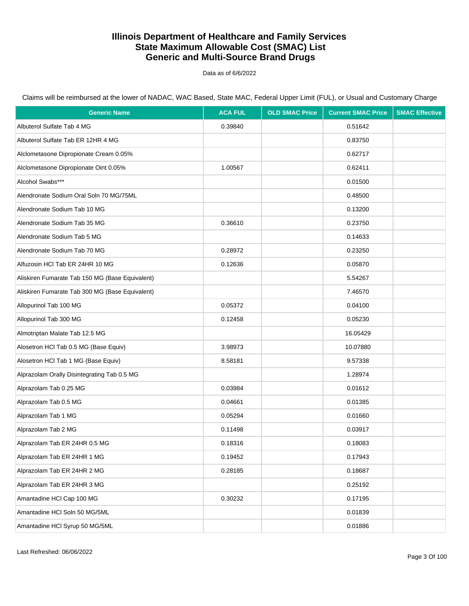Data as of 6/6/2022

| <b>Generic Name</b>                             | <b>ACA FUL</b> | <b>OLD SMAC Price</b> | <b>Current SMAC Price</b> | <b>SMAC Effective</b> |
|-------------------------------------------------|----------------|-----------------------|---------------------------|-----------------------|
| Albuterol Sulfate Tab 4 MG                      | 0.39840        |                       | 0.51642                   |                       |
| Albuterol Sulfate Tab ER 12HR 4 MG              |                |                       | 0.83750                   |                       |
| Alclometasone Dipropionate Cream 0.05%          |                |                       | 0.62717                   |                       |
| Alclometasone Dipropionate Oint 0.05%           | 1.00567        |                       | 0.62411                   |                       |
| Alcohol Swabs***                                |                |                       | 0.01500                   |                       |
| Alendronate Sodium Oral Soln 70 MG/75ML         |                |                       | 0.48500                   |                       |
| Alendronate Sodium Tab 10 MG                    |                |                       | 0.13200                   |                       |
| Alendronate Sodium Tab 35 MG                    | 0.36610        |                       | 0.23750                   |                       |
| Alendronate Sodium Tab 5 MG                     |                |                       | 0.14633                   |                       |
| Alendronate Sodium Tab 70 MG                    | 0.28972        |                       | 0.23250                   |                       |
| Alfuzosin HCI Tab ER 24HR 10 MG                 | 0.12636        |                       | 0.05870                   |                       |
| Aliskiren Fumarate Tab 150 MG (Base Equivalent) |                |                       | 5.54267                   |                       |
| Aliskiren Fumarate Tab 300 MG (Base Equivalent) |                |                       | 7.46570                   |                       |
| Allopurinol Tab 100 MG                          | 0.05372        |                       | 0.04100                   |                       |
| Allopurinol Tab 300 MG                          | 0.12458        |                       | 0.05230                   |                       |
| Almotriptan Malate Tab 12.5 MG                  |                |                       | 16.05429                  |                       |
| Alosetron HCl Tab 0.5 MG (Base Equiv)           | 3.98973        |                       | 10.07880                  |                       |
| Alosetron HCl Tab 1 MG (Base Equiv)             | 8.58181        |                       | 9.57338                   |                       |
| Alprazolam Orally Disintegrating Tab 0.5 MG     |                |                       | 1.28974                   |                       |
| Alprazolam Tab 0.25 MG                          | 0.03984        |                       | 0.01612                   |                       |
| Alprazolam Tab 0.5 MG                           | 0.04661        |                       | 0.01385                   |                       |
| Alprazolam Tab 1 MG                             | 0.05294        |                       | 0.01660                   |                       |
| Alprazolam Tab 2 MG                             | 0.11498        |                       | 0.03917                   |                       |
| Alprazolam Tab ER 24HR 0.5 MG                   | 0.18316        |                       | 0.18083                   |                       |
| Alprazolam Tab ER 24HR 1 MG                     | 0.19452        |                       | 0.17943                   |                       |
| Alprazolam Tab ER 24HR 2 MG                     | 0.28185        |                       | 0.18687                   |                       |
| Alprazolam Tab ER 24HR 3 MG                     |                |                       | 0.25192                   |                       |
| Amantadine HCl Cap 100 MG                       | 0.30232        |                       | 0.17195                   |                       |
| Amantadine HCI Soln 50 MG/5ML                   |                |                       | 0.01839                   |                       |
| Amantadine HCl Syrup 50 MG/5ML                  |                |                       | 0.01886                   |                       |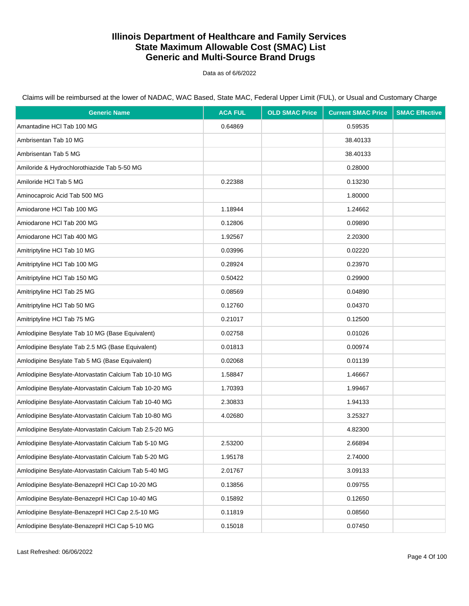Data as of 6/6/2022

Claims will be reimbursed at the lower of NADAC, WAC Based, State MAC, Federal Upper Limit (FUL), or Usual and Customary Charge

| <b>Generic Name</b>                                    | <b>ACA FUL</b> | <b>OLD SMAC Price</b> | <b>Current SMAC Price</b> | <b>SMAC Effective</b> |
|--------------------------------------------------------|----------------|-----------------------|---------------------------|-----------------------|
| Amantadine HCl Tab 100 MG                              | 0.64869        |                       | 0.59535                   |                       |
| Ambrisentan Tab 10 MG                                  |                |                       | 38.40133                  |                       |
| Ambrisentan Tab 5 MG                                   |                |                       | 38.40133                  |                       |
| Amiloride & Hydrochlorothiazide Tab 5-50 MG            |                |                       | 0.28000                   |                       |
| Amiloride HCI Tab 5 MG                                 | 0.22388        |                       | 0.13230                   |                       |
| Aminocaproic Acid Tab 500 MG                           |                |                       | 1.80000                   |                       |
| Amiodarone HCI Tab 100 MG                              | 1.18944        |                       | 1.24662                   |                       |
| Amiodarone HCI Tab 200 MG                              | 0.12806        |                       | 0.09890                   |                       |
| Amiodarone HCI Tab 400 MG                              | 1.92567        |                       | 2.20300                   |                       |
| Amitriptyline HCI Tab 10 MG                            | 0.03996        |                       | 0.02220                   |                       |
| Amitriptyline HCI Tab 100 MG                           | 0.28924        |                       | 0.23970                   |                       |
| Amitriptyline HCI Tab 150 MG                           | 0.50422        |                       | 0.29900                   |                       |
| Amitriptyline HCI Tab 25 MG                            | 0.08569        |                       | 0.04890                   |                       |
| Amitriptyline HCI Tab 50 MG                            | 0.12760        |                       | 0.04370                   |                       |
| Amitriptyline HCI Tab 75 MG                            | 0.21017        |                       | 0.12500                   |                       |
| Amlodipine Besylate Tab 10 MG (Base Equivalent)        | 0.02758        |                       | 0.01026                   |                       |
| Amlodipine Besylate Tab 2.5 MG (Base Equivalent)       | 0.01813        |                       | 0.00974                   |                       |
| Amlodipine Besylate Tab 5 MG (Base Equivalent)         | 0.02068        |                       | 0.01139                   |                       |
| Amlodipine Besylate-Atorvastatin Calcium Tab 10-10 MG  | 1.58847        |                       | 1.46667                   |                       |
| Amlodipine Besylate-Atorvastatin Calcium Tab 10-20 MG  | 1.70393        |                       | 1.99467                   |                       |
| Amlodipine Besylate-Atorvastatin Calcium Tab 10-40 MG  | 2.30833        |                       | 1.94133                   |                       |
| Amlodipine Besylate-Atorvastatin Calcium Tab 10-80 MG  | 4.02680        |                       | 3.25327                   |                       |
| Amlodipine Besylate-Atorvastatin Calcium Tab 2.5-20 MG |                |                       | 4.82300                   |                       |
| Amlodipine Besylate-Atorvastatin Calcium Tab 5-10 MG   | 2.53200        |                       | 2.66894                   |                       |
| Amlodipine Besylate-Atorvastatin Calcium Tab 5-20 MG   | 1.95178        |                       | 2.74000                   |                       |
| Amlodipine Besylate-Atorvastatin Calcium Tab 5-40 MG   | 2.01767        |                       | 3.09133                   |                       |
| Amlodipine Besylate-Benazepril HCl Cap 10-20 MG        | 0.13856        |                       | 0.09755                   |                       |
| Amlodipine Besylate-Benazepril HCl Cap 10-40 MG        | 0.15892        |                       | 0.12650                   |                       |
| Amlodipine Besylate-Benazepril HCl Cap 2.5-10 MG       | 0.11819        |                       | 0.08560                   |                       |
| Amlodipine Besylate-Benazepril HCl Cap 5-10 MG         | 0.15018        |                       | 0.07450                   |                       |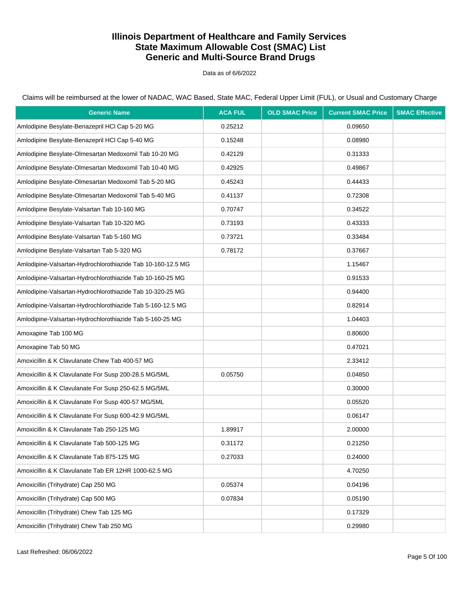Data as of 6/6/2022

Claims will be reimbursed at the lower of NADAC, WAC Based, State MAC, Federal Upper Limit (FUL), or Usual and Customary Charge

| <b>Generic Name</b>                                         | <b>ACA FUL</b> | <b>OLD SMAC Price</b> | <b>Current SMAC Price</b> | <b>SMAC Effective</b> |
|-------------------------------------------------------------|----------------|-----------------------|---------------------------|-----------------------|
| Amlodipine Besylate-Benazepril HCl Cap 5-20 MG              | 0.25212        |                       | 0.09650                   |                       |
| Amlodipine Besylate-Benazepril HCl Cap 5-40 MG              | 0.15248        |                       | 0.08980                   |                       |
| Amlodipine Besylate-Olmesartan Medoxomil Tab 10-20 MG       | 0.42129        |                       | 0.31333                   |                       |
| Amlodipine Besylate-Olmesartan Medoxomil Tab 10-40 MG       | 0.42925        |                       | 0.49867                   |                       |
| Amlodipine Besylate-Olmesartan Medoxomil Tab 5-20 MG        | 0.45243        |                       | 0.44433                   |                       |
| Amlodipine Besylate-Olmesartan Medoxomil Tab 5-40 MG        | 0.41137        |                       | 0.72308                   |                       |
| Amlodipine Besylate-Valsartan Tab 10-160 MG                 | 0.70747        |                       | 0.34522                   |                       |
| Amlodipine Besylate-Valsartan Tab 10-320 MG                 | 0.73193        |                       | 0.43333                   |                       |
| Amlodipine Besylate-Valsartan Tab 5-160 MG                  | 0.73721        |                       | 0.33484                   |                       |
| Amlodipine Besylate-Valsartan Tab 5-320 MG                  | 0.78172        |                       | 0.37667                   |                       |
| Amlodipine-Valsartan-Hydrochlorothiazide Tab 10-160-12.5 MG |                |                       | 1.15467                   |                       |
| Amlodipine-Valsartan-Hydrochlorothiazide Tab 10-160-25 MG   |                |                       | 0.91533                   |                       |
| Amlodipine-Valsartan-Hydrochlorothiazide Tab 10-320-25 MG   |                |                       | 0.94400                   |                       |
| Amlodipine-Valsartan-Hydrochlorothiazide Tab 5-160-12.5 MG  |                |                       | 0.82914                   |                       |
| Amlodipine-Valsartan-Hydrochlorothiazide Tab 5-160-25 MG    |                |                       | 1.04403                   |                       |
| Amoxapine Tab 100 MG                                        |                |                       | 0.80600                   |                       |
| Amoxapine Tab 50 MG                                         |                |                       | 0.47021                   |                       |
| Amoxicillin & K Clavulanate Chew Tab 400-57 MG              |                |                       | 2.33412                   |                       |
| Amoxicillin & K Clavulanate For Susp 200-28.5 MG/5ML        | 0.05750        |                       | 0.04850                   |                       |
| Amoxicillin & K Clavulanate For Susp 250-62.5 MG/5ML        |                |                       | 0.30000                   |                       |
| Amoxicillin & K Clavulanate For Susp 400-57 MG/5ML          |                |                       | 0.05520                   |                       |
| Amoxicillin & K Clavulanate For Susp 600-42.9 MG/5ML        |                |                       | 0.06147                   |                       |
| Amoxicillin & K Clavulanate Tab 250-125 MG                  | 1.89917        |                       | 2.00000                   |                       |
| Amoxicillin & K Clavulanate Tab 500-125 MG                  | 0.31172        |                       | 0.21250                   |                       |
| Amoxicillin & K Clavulanate Tab 875-125 MG                  | 0.27033        |                       | 0.24000                   |                       |
| Amoxicillin & K Clavulanate Tab ER 12HR 1000-62.5 MG        |                |                       | 4.70250                   |                       |
| Amoxicillin (Trihydrate) Cap 250 MG                         | 0.05374        |                       | 0.04196                   |                       |
| Amoxicillin (Trihydrate) Cap 500 MG                         | 0.07834        |                       | 0.05190                   |                       |
| Amoxicillin (Trihydrate) Chew Tab 125 MG                    |                |                       | 0.17329                   |                       |
| Amoxicillin (Trihydrate) Chew Tab 250 MG                    |                |                       | 0.29980                   |                       |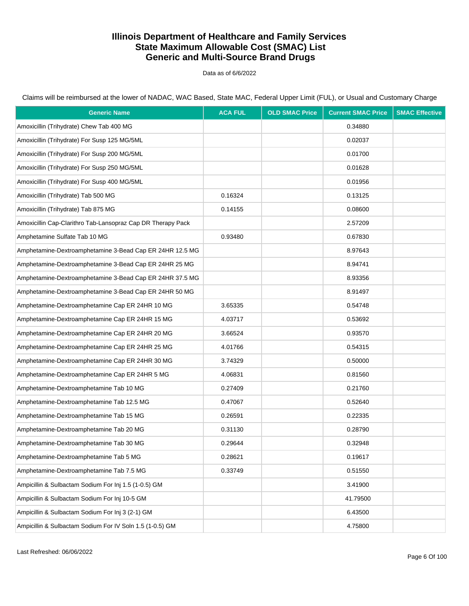Data as of 6/6/2022

Claims will be reimbursed at the lower of NADAC, WAC Based, State MAC, Federal Upper Limit (FUL), or Usual and Customary Charge

| <b>Generic Name</b>                                         | <b>ACA FUL</b> | <b>OLD SMAC Price</b> | <b>Current SMAC Price</b> | <b>SMAC Effective</b> |
|-------------------------------------------------------------|----------------|-----------------------|---------------------------|-----------------------|
| Amoxicillin (Trihydrate) Chew Tab 400 MG                    |                |                       | 0.34880                   |                       |
| Amoxicillin (Trihydrate) For Susp 125 MG/5ML                |                |                       | 0.02037                   |                       |
| Amoxicillin (Trihydrate) For Susp 200 MG/5ML                |                |                       | 0.01700                   |                       |
| Amoxicillin (Trihydrate) For Susp 250 MG/5ML                |                |                       | 0.01628                   |                       |
| Amoxicillin (Trihydrate) For Susp 400 MG/5ML                |                |                       | 0.01956                   |                       |
| Amoxicillin (Trihydrate) Tab 500 MG                         | 0.16324        |                       | 0.13125                   |                       |
| Amoxicillin (Trihydrate) Tab 875 MG                         | 0.14155        |                       | 0.08600                   |                       |
| Amoxicillin Cap-Clarithro Tab-Lansopraz Cap DR Therapy Pack |                |                       | 2.57209                   |                       |
| Amphetamine Sulfate Tab 10 MG                               | 0.93480        |                       | 0.67830                   |                       |
| Amphetamine-Dextroamphetamine 3-Bead Cap ER 24HR 12.5 MG    |                |                       | 8.97643                   |                       |
| Amphetamine-Dextroamphetamine 3-Bead Cap ER 24HR 25 MG      |                |                       | 8.94741                   |                       |
| Amphetamine-Dextroamphetamine 3-Bead Cap ER 24HR 37.5 MG    |                |                       | 8.93356                   |                       |
| Amphetamine-Dextroamphetamine 3-Bead Cap ER 24HR 50 MG      |                |                       | 8.91497                   |                       |
| Amphetamine-Dextroamphetamine Cap ER 24HR 10 MG             | 3.65335        |                       | 0.54748                   |                       |
| Amphetamine-Dextroamphetamine Cap ER 24HR 15 MG             | 4.03717        |                       | 0.53692                   |                       |
| Amphetamine-Dextroamphetamine Cap ER 24HR 20 MG             | 3.66524        |                       | 0.93570                   |                       |
| Amphetamine-Dextroamphetamine Cap ER 24HR 25 MG             | 4.01766        |                       | 0.54315                   |                       |
| Amphetamine-Dextroamphetamine Cap ER 24HR 30 MG             | 3.74329        |                       | 0.50000                   |                       |
| Amphetamine-Dextroamphetamine Cap ER 24HR 5 MG              | 4.06831        |                       | 0.81560                   |                       |
| Amphetamine-Dextroamphetamine Tab 10 MG                     | 0.27409        |                       | 0.21760                   |                       |
| Amphetamine-Dextroamphetamine Tab 12.5 MG                   | 0.47067        |                       | 0.52640                   |                       |
| Amphetamine-Dextroamphetamine Tab 15 MG                     | 0.26591        |                       | 0.22335                   |                       |
| Amphetamine-Dextroamphetamine Tab 20 MG                     | 0.31130        |                       | 0.28790                   |                       |
| Amphetamine-Dextroamphetamine Tab 30 MG                     | 0.29644        |                       | 0.32948                   |                       |
| Amphetamine-Dextroamphetamine Tab 5 MG                      | 0.28621        |                       | 0.19617                   |                       |
| Amphetamine-Dextroamphetamine Tab 7.5 MG                    | 0.33749        |                       | 0.51550                   |                       |
| Ampicillin & Sulbactam Sodium For Inj 1.5 (1-0.5) GM        |                |                       | 3.41900                   |                       |
| Ampicillin & Sulbactam Sodium For Inj 10-5 GM               |                |                       | 41.79500                  |                       |
| Ampicillin & Sulbactam Sodium For Inj 3 (2-1) GM            |                |                       | 6.43500                   |                       |
| Ampicillin & Sulbactam Sodium For IV Soln 1.5 (1-0.5) GM    |                |                       | 4.75800                   |                       |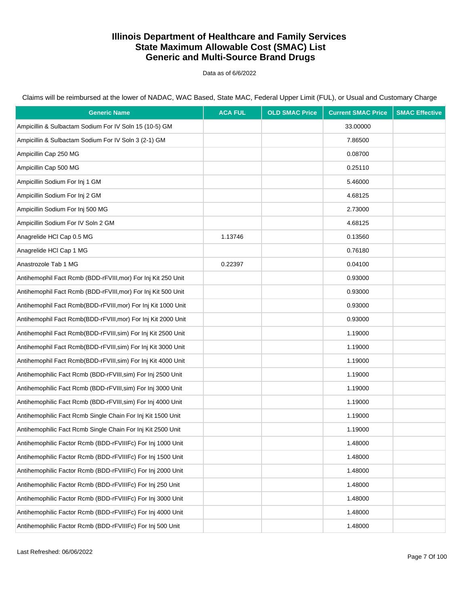Data as of 6/6/2022

| <b>Generic Name</b>                                           | <b>ACA FUL</b> | <b>OLD SMAC Price</b> | <b>Current SMAC Price</b> | <b>SMAC Effective</b> |
|---------------------------------------------------------------|----------------|-----------------------|---------------------------|-----------------------|
| Ampicillin & Sulbactam Sodium For IV Soln 15 (10-5) GM        |                |                       | 33.00000                  |                       |
| Ampicillin & Sulbactam Sodium For IV Soln 3 (2-1) GM          |                |                       | 7.86500                   |                       |
| Ampicillin Cap 250 MG                                         |                |                       | 0.08700                   |                       |
| Ampicillin Cap 500 MG                                         |                |                       | 0.25110                   |                       |
| Ampicillin Sodium For Inj 1 GM                                |                |                       | 5.46000                   |                       |
| Ampicillin Sodium For Inj 2 GM                                |                |                       | 4.68125                   |                       |
| Ampicillin Sodium For Inj 500 MG                              |                |                       | 2.73000                   |                       |
| Ampicillin Sodium For IV Soln 2 GM                            |                |                       | 4.68125                   |                       |
| Anagrelide HCI Cap 0.5 MG                                     | 1.13746        |                       | 0.13560                   |                       |
| Anagrelide HCl Cap 1 MG                                       |                |                       | 0.76180                   |                       |
| Anastrozole Tab 1 MG                                          | 0.22397        |                       | 0.04100                   |                       |
| Antihemophil Fact Rcmb (BDD-rFVIII, mor) For Inj Kit 250 Unit |                |                       | 0.93000                   |                       |
| Antihemophil Fact Rcmb (BDD-rFVIII, mor) For Inj Kit 500 Unit |                |                       | 0.93000                   |                       |
| Antihemophil Fact Rcmb(BDD-rFVIII, mor) For Inj Kit 1000 Unit |                |                       | 0.93000                   |                       |
| Antihemophil Fact Rcmb(BDD-rFVIII, mor) For Inj Kit 2000 Unit |                |                       | 0.93000                   |                       |
| Antihemophil Fact Rcmb(BDD-rFVIII, sim) For Inj Kit 2500 Unit |                |                       | 1.19000                   |                       |
| Antihemophil Fact Rcmb(BDD-rFVIII, sim) For Inj Kit 3000 Unit |                |                       | 1.19000                   |                       |
| Antihemophil Fact Rcmb(BDD-rFVIII, sim) For Inj Kit 4000 Unit |                |                       | 1.19000                   |                       |
| Antihemophilic Fact Rcmb (BDD-rFVIII, sim) For Inj 2500 Unit  |                |                       | 1.19000                   |                       |
| Antihemophilic Fact Rcmb (BDD-rFVIII, sim) For Inj 3000 Unit  |                |                       | 1.19000                   |                       |
| Antihemophilic Fact Rcmb (BDD-rFVIII, sim) For Inj 4000 Unit  |                |                       | 1.19000                   |                       |
| Antihemophilic Fact Rcmb Single Chain For Inj Kit 1500 Unit   |                |                       | 1.19000                   |                       |
| Antihemophilic Fact Rcmb Single Chain For Inj Kit 2500 Unit   |                |                       | 1.19000                   |                       |
| Antihemophilic Factor Rcmb (BDD-rFVIIIFc) For Inj 1000 Unit   |                |                       | 1.48000                   |                       |
| Antihemophilic Factor Rcmb (BDD-rFVIIIFc) For Inj 1500 Unit   |                |                       | 1.48000                   |                       |
| Antihemophilic Factor Rcmb (BDD-rFVIIIFc) For Inj 2000 Unit   |                |                       | 1.48000                   |                       |
| Antihemophilic Factor Rcmb (BDD-rFVIIIFc) For Inj 250 Unit    |                |                       | 1.48000                   |                       |
| Antihemophilic Factor Rcmb (BDD-rFVIIIFc) For Inj 3000 Unit   |                |                       | 1.48000                   |                       |
| Antihemophilic Factor Rcmb (BDD-rFVIIIFc) For Inj 4000 Unit   |                |                       | 1.48000                   |                       |
| Antihemophilic Factor Rcmb (BDD-rFVIIIFc) For Inj 500 Unit    |                |                       | 1.48000                   |                       |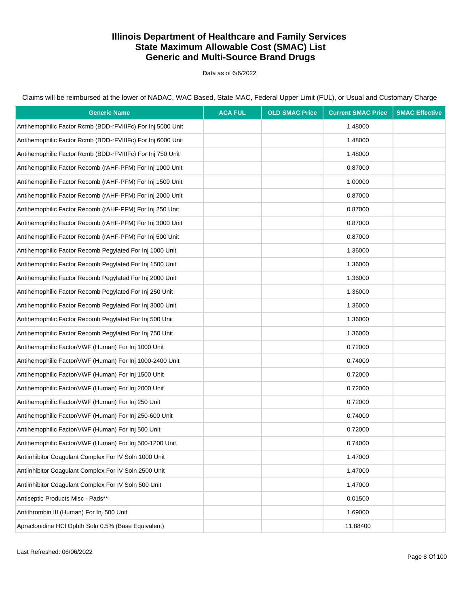Data as of 6/6/2022

Claims will be reimbursed at the lower of NADAC, WAC Based, State MAC, Federal Upper Limit (FUL), or Usual and Customary Charge

| <b>Generic Name</b>                                         | <b>ACA FUL</b> | <b>OLD SMAC Price</b> | <b>Current SMAC Price</b> | <b>SMAC Effective</b> |
|-------------------------------------------------------------|----------------|-----------------------|---------------------------|-----------------------|
| Antihemophilic Factor Rcmb (BDD-rFVIIIFc) For Inj 5000 Unit |                |                       | 1.48000                   |                       |
| Antihemophilic Factor Rcmb (BDD-rFVIIIFc) For Inj 6000 Unit |                |                       | 1.48000                   |                       |
| Antihemophilic Factor Rcmb (BDD-rFVIIIFc) For Inj 750 Unit  |                |                       | 1.48000                   |                       |
| Antihemophilic Factor Recomb (rAHF-PFM) For Inj 1000 Unit   |                |                       | 0.87000                   |                       |
| Antihemophilic Factor Recomb (rAHF-PFM) For Inj 1500 Unit   |                |                       | 1.00000                   |                       |
| Antihemophilic Factor Recomb (rAHF-PFM) For Inj 2000 Unit   |                |                       | 0.87000                   |                       |
| Antihemophilic Factor Recomb (rAHF-PFM) For Inj 250 Unit    |                |                       | 0.87000                   |                       |
| Antihemophilic Factor Recomb (rAHF-PFM) For Inj 3000 Unit   |                |                       | 0.87000                   |                       |
| Antihemophilic Factor Recomb (rAHF-PFM) For Inj 500 Unit    |                |                       | 0.87000                   |                       |
| Antihemophilic Factor Recomb Pegylated For Inj 1000 Unit    |                |                       | 1.36000                   |                       |
| Antihemophilic Factor Recomb Pegylated For Inj 1500 Unit    |                |                       | 1.36000                   |                       |
| Antihemophilic Factor Recomb Peqylated For Inj 2000 Unit    |                |                       | 1.36000                   |                       |
| Antihemophilic Factor Recomb Peqylated For Inj 250 Unit     |                |                       | 1.36000                   |                       |
| Antihemophilic Factor Recomb Pegylated For Inj 3000 Unit    |                |                       | 1.36000                   |                       |
| Antihemophilic Factor Recomb Pegylated For Inj 500 Unit     |                |                       | 1.36000                   |                       |
| Antihemophilic Factor Recomb Pegylated For Inj 750 Unit     |                |                       | 1.36000                   |                       |
| Antihemophilic Factor/VWF (Human) For Inj 1000 Unit         |                |                       | 0.72000                   |                       |
| Antihemophilic Factor/VWF (Human) For Inj 1000-2400 Unit    |                |                       | 0.74000                   |                       |
| Antihemophilic Factor/VWF (Human) For Inj 1500 Unit         |                |                       | 0.72000                   |                       |
| Antihemophilic Factor/VWF (Human) For Inj 2000 Unit         |                |                       | 0.72000                   |                       |
| Antihemophilic Factor/VWF (Human) For Inj 250 Unit          |                |                       | 0.72000                   |                       |
| Antihemophilic Factor/VWF (Human) For Inj 250-600 Unit      |                |                       | 0.74000                   |                       |
| Antihemophilic Factor/VWF (Human) For Inj 500 Unit          |                |                       | 0.72000                   |                       |
| Antihemophilic Factor/VWF (Human) For Inj 500-1200 Unit     |                |                       | 0.74000                   |                       |
| Antiinhibitor Coaqulant Complex For IV Soln 1000 Unit       |                |                       | 1.47000                   |                       |
| Antiinhibitor Coagulant Complex For IV Soln 2500 Unit       |                |                       | 1.47000                   |                       |
| Antiinhibitor Coagulant Complex For IV Soln 500 Unit        |                |                       | 1.47000                   |                       |
| Antiseptic Products Misc - Pads**                           |                |                       | 0.01500                   |                       |
| Antithrombin III (Human) For Inj 500 Unit                   |                |                       | 1.69000                   |                       |
| Apraclonidine HCl Ophth Soln 0.5% (Base Equivalent)         |                |                       | 11.88400                  |                       |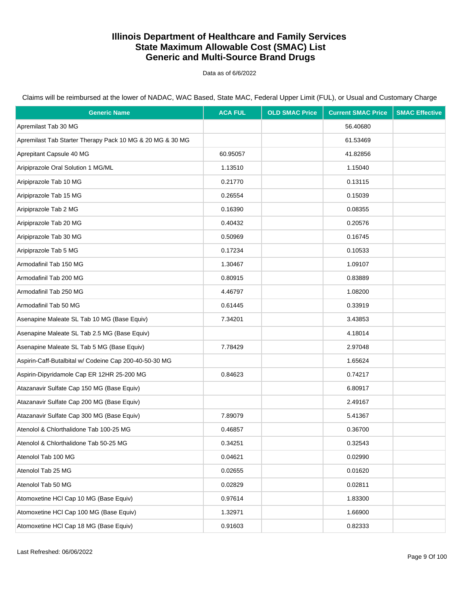Data as of 6/6/2022

| <b>Generic Name</b>                                       | <b>ACA FUL</b> | <b>OLD SMAC Price</b> | <b>Current SMAC Price</b> | <b>SMAC Effective</b> |
|-----------------------------------------------------------|----------------|-----------------------|---------------------------|-----------------------|
| Apremilast Tab 30 MG                                      |                |                       | 56.40680                  |                       |
| Apremilast Tab Starter Therapy Pack 10 MG & 20 MG & 30 MG |                |                       | 61.53469                  |                       |
| Aprepitant Capsule 40 MG                                  | 60.95057       |                       | 41.82856                  |                       |
| Aripiprazole Oral Solution 1 MG/ML                        | 1.13510        |                       | 1.15040                   |                       |
| Aripiprazole Tab 10 MG                                    | 0.21770        |                       | 0.13115                   |                       |
| Aripiprazole Tab 15 MG                                    | 0.26554        |                       | 0.15039                   |                       |
| Aripiprazole Tab 2 MG                                     | 0.16390        |                       | 0.08355                   |                       |
| Aripiprazole Tab 20 MG                                    | 0.40432        |                       | 0.20576                   |                       |
| Aripiprazole Tab 30 MG                                    | 0.50969        |                       | 0.16745                   |                       |
| Aripiprazole Tab 5 MG                                     | 0.17234        |                       | 0.10533                   |                       |
| Armodafinil Tab 150 MG                                    | 1.30467        |                       | 1.09107                   |                       |
| Armodafinil Tab 200 MG                                    | 0.80915        |                       | 0.83889                   |                       |
| Armodafinil Tab 250 MG                                    | 4.46797        |                       | 1.08200                   |                       |
| Armodafinil Tab 50 MG                                     | 0.61445        |                       | 0.33919                   |                       |
| Asenapine Maleate SL Tab 10 MG (Base Equiv)               | 7.34201        |                       | 3.43853                   |                       |
| Asenapine Maleate SL Tab 2.5 MG (Base Equiv)              |                |                       | 4.18014                   |                       |
| Asenapine Maleate SL Tab 5 MG (Base Equiv)                | 7.78429        |                       | 2.97048                   |                       |
| Aspirin-Caff-Butalbital w/ Codeine Cap 200-40-50-30 MG    |                |                       | 1.65624                   |                       |
| Aspirin-Dipyridamole Cap ER 12HR 25-200 MG                | 0.84623        |                       | 0.74217                   |                       |
| Atazanavir Sulfate Cap 150 MG (Base Equiv)                |                |                       | 6.80917                   |                       |
| Atazanavir Sulfate Cap 200 MG (Base Equiv)                |                |                       | 2.49167                   |                       |
| Atazanavir Sulfate Cap 300 MG (Base Equiv)                | 7.89079        |                       | 5.41367                   |                       |
| Atenolol & Chlorthalidone Tab 100-25 MG                   | 0.46857        |                       | 0.36700                   |                       |
| Atenolol & Chlorthalidone Tab 50-25 MG                    | 0.34251        |                       | 0.32543                   |                       |
| Atenolol Tab 100 MG                                       | 0.04621        |                       | 0.02990                   |                       |
| Atenolol Tab 25 MG                                        | 0.02655        |                       | 0.01620                   |                       |
| Atenolol Tab 50 MG                                        | 0.02829        |                       | 0.02811                   |                       |
| Atomoxetine HCI Cap 10 MG (Base Equiv)                    | 0.97614        |                       | 1.83300                   |                       |
| Atomoxetine HCl Cap 100 MG (Base Equiv)                   | 1.32971        |                       | 1.66900                   |                       |
| Atomoxetine HCI Cap 18 MG (Base Equiv)                    | 0.91603        |                       | 0.82333                   |                       |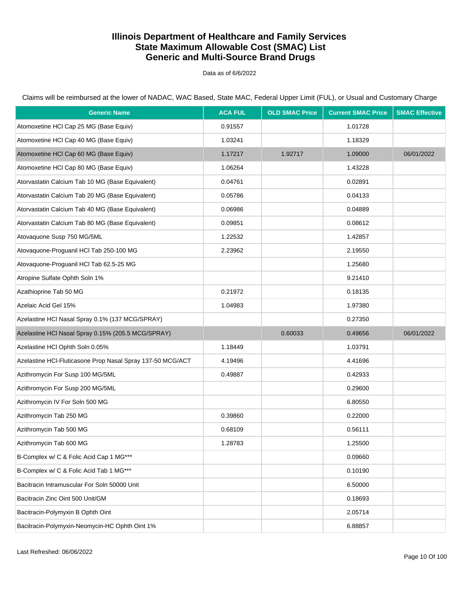Data as of 6/6/2022

Claims will be reimbursed at the lower of NADAC, WAC Based, State MAC, Federal Upper Limit (FUL), or Usual and Customary Charge

| <b>Generic Name</b>                                        | <b>ACA FUL</b> | <b>OLD SMAC Price</b> | <b>Current SMAC Price</b> | <b>SMAC Effective</b> |
|------------------------------------------------------------|----------------|-----------------------|---------------------------|-----------------------|
| Atomoxetine HCI Cap 25 MG (Base Equiv)                     | 0.91557        |                       | 1.01728                   |                       |
| Atomoxetine HCI Cap 40 MG (Base Equiv)                     | 1.03241        |                       | 1.18329                   |                       |
| Atomoxetine HCI Cap 60 MG (Base Equiv)                     | 1.17217        | 1.92717               | 1.09000                   | 06/01/2022            |
| Atomoxetine HCI Cap 80 MG (Base Equiv)                     | 1.06264        |                       | 1.43228                   |                       |
| Atorvastatin Calcium Tab 10 MG (Base Equivalent)           | 0.04761        |                       | 0.02891                   |                       |
| Atorvastatin Calcium Tab 20 MG (Base Equivalent)           | 0.05786        |                       | 0.04133                   |                       |
| Atorvastatin Calcium Tab 40 MG (Base Equivalent)           | 0.06986        |                       | 0.04889                   |                       |
| Atorvastatin Calcium Tab 80 MG (Base Equivalent)           | 0.09851        |                       | 0.08612                   |                       |
| Atovaquone Susp 750 MG/5ML                                 | 1.22532        |                       | 1.42857                   |                       |
| Atovaquone-Proguanil HCl Tab 250-100 MG                    | 2.23962        |                       | 2.19550                   |                       |
| Atovaquone-Proguanil HCl Tab 62.5-25 MG                    |                |                       | 1.25680                   |                       |
| Atropine Sulfate Ophth Soln 1%                             |                |                       | 9.21410                   |                       |
| Azathioprine Tab 50 MG                                     | 0.21972        |                       | 0.18135                   |                       |
| Azelaic Acid Gel 15%                                       | 1.04983        |                       | 1.97380                   |                       |
| Azelastine HCl Nasal Spray 0.1% (137 MCG/SPRAY)            |                |                       | 0.27350                   |                       |
| Azelastine HCl Nasal Spray 0.15% (205.5 MCG/SPRAY)         |                | 0.60033               | 0.49656                   | 06/01/2022            |
| Azelastine HCl Ophth Soln 0.05%                            | 1.18449        |                       | 1.03791                   |                       |
| Azelastine HCl-Fluticasone Prop Nasal Spray 137-50 MCG/ACT | 4.19496        |                       | 4.41696                   |                       |
| Azithromycin For Susp 100 MG/5ML                           | 0.49887        |                       | 0.42933                   |                       |
| Azithromycin For Susp 200 MG/5ML                           |                |                       | 0.29600                   |                       |
| Azithromycin IV For Soln 500 MG                            |                |                       | 6.80550                   |                       |
| Azithromycin Tab 250 MG                                    | 0.39860        |                       | 0.22000                   |                       |
| Azithromycin Tab 500 MG                                    | 0.68109        |                       | 0.56111                   |                       |
| Azithromycin Tab 600 MG                                    | 1.28783        |                       | 1.25500                   |                       |
| B-Complex w/ C & Folic Acid Cap 1 MG***                    |                |                       | 0.09660                   |                       |
| B-Complex w/ C & Folic Acid Tab 1 MG***                    |                |                       | 0.10190                   |                       |
| Bacitracin Intramuscular For Soln 50000 Unit               |                |                       | 6.50000                   |                       |
| Bacitracin Zinc Oint 500 Unit/GM                           |                |                       | 0.18693                   |                       |
| Bacitracin-Polymyxin B Ophth Oint                          |                |                       | 2.05714                   |                       |
| Bacitracin-Polymyxin-Neomycin-HC Ophth Oint 1%             |                |                       | 6.88857                   |                       |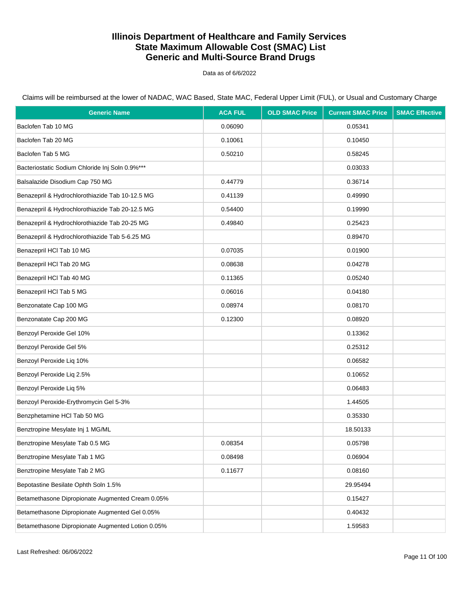Data as of 6/6/2022

| <b>Generic Name</b>                               | <b>ACA FUL</b> | <b>OLD SMAC Price</b> | <b>Current SMAC Price</b> | <b>SMAC Effective</b> |
|---------------------------------------------------|----------------|-----------------------|---------------------------|-----------------------|
| Baclofen Tab 10 MG                                | 0.06090        |                       | 0.05341                   |                       |
| Baclofen Tab 20 MG                                | 0.10061        |                       | 0.10450                   |                       |
| Baclofen Tab 5 MG                                 | 0.50210        |                       | 0.58245                   |                       |
| Bacteriostatic Sodium Chloride Inj Soln 0.9%***   |                |                       | 0.03033                   |                       |
| Balsalazide Disodium Cap 750 MG                   | 0.44779        |                       | 0.36714                   |                       |
| Benazepril & Hydrochlorothiazide Tab 10-12.5 MG   | 0.41139        |                       | 0.49990                   |                       |
| Benazepril & Hydrochlorothiazide Tab 20-12.5 MG   | 0.54400        |                       | 0.19990                   |                       |
| Benazepril & Hydrochlorothiazide Tab 20-25 MG     | 0.49840        |                       | 0.25423                   |                       |
| Benazepril & Hydrochlorothiazide Tab 5-6.25 MG    |                |                       | 0.89470                   |                       |
| Benazepril HCl Tab 10 MG                          | 0.07035        |                       | 0.01900                   |                       |
| Benazepril HCl Tab 20 MG                          | 0.08638        |                       | 0.04278                   |                       |
| Benazepril HCl Tab 40 MG                          | 0.11365        |                       | 0.05240                   |                       |
| Benazepril HCl Tab 5 MG                           | 0.06016        |                       | 0.04180                   |                       |
| Benzonatate Cap 100 MG                            | 0.08974        |                       | 0.08170                   |                       |
| Benzonatate Cap 200 MG                            | 0.12300        |                       | 0.08920                   |                       |
| Benzoyl Peroxide Gel 10%                          |                |                       | 0.13362                   |                       |
| Benzoyl Peroxide Gel 5%                           |                |                       | 0.25312                   |                       |
| Benzoyl Peroxide Liq 10%                          |                |                       | 0.06582                   |                       |
| Benzoyl Peroxide Liq 2.5%                         |                |                       | 0.10652                   |                       |
| Benzoyl Peroxide Liq 5%                           |                |                       | 0.06483                   |                       |
| Benzoyl Peroxide-Erythromycin Gel 5-3%            |                |                       | 1.44505                   |                       |
| Benzphetamine HCl Tab 50 MG                       |                |                       | 0.35330                   |                       |
| Benztropine Mesylate Inj 1 MG/ML                  |                |                       | 18.50133                  |                       |
| Benztropine Mesylate Tab 0.5 MG                   | 0.08354        |                       | 0.05798                   |                       |
| Benztropine Mesylate Tab 1 MG                     | 0.08498        |                       | 0.06904                   |                       |
| Benztropine Mesylate Tab 2 MG                     | 0.11677        |                       | 0.08160                   |                       |
| Bepotastine Besilate Ophth Soln 1.5%              |                |                       | 29.95494                  |                       |
| Betamethasone Dipropionate Augmented Cream 0.05%  |                |                       | 0.15427                   |                       |
| Betamethasone Dipropionate Augmented Gel 0.05%    |                |                       | 0.40432                   |                       |
| Betamethasone Dipropionate Augmented Lotion 0.05% |                |                       | 1.59583                   |                       |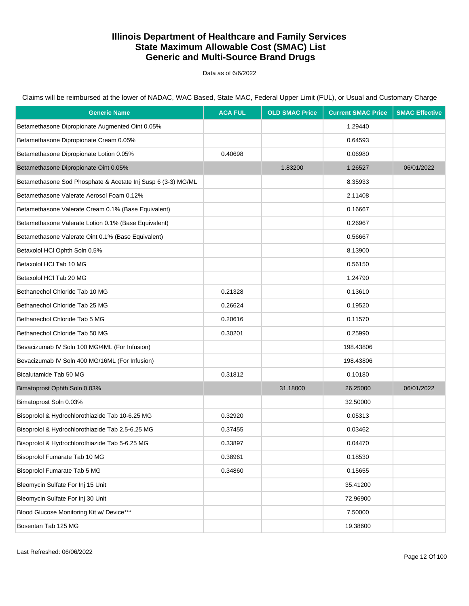Data as of 6/6/2022

Claims will be reimbursed at the lower of NADAC, WAC Based, State MAC, Federal Upper Limit (FUL), or Usual and Customary Charge

| <b>Generic Name</b>                                          | <b>ACA FUL</b> | <b>OLD SMAC Price</b> | <b>Current SMAC Price</b> | <b>SMAC Effective</b> |
|--------------------------------------------------------------|----------------|-----------------------|---------------------------|-----------------------|
| Betamethasone Dipropionate Augmented Oint 0.05%              |                |                       | 1.29440                   |                       |
| Betamethasone Dipropionate Cream 0.05%                       |                |                       | 0.64593                   |                       |
| Betamethasone Dipropionate Lotion 0.05%                      | 0.40698        |                       | 0.06980                   |                       |
| Betamethasone Dipropionate Oint 0.05%                        |                | 1.83200               | 1.26527                   | 06/01/2022            |
| Betamethasone Sod Phosphate & Acetate Inj Susp 6 (3-3) MG/ML |                |                       | 8.35933                   |                       |
| Betamethasone Valerate Aerosol Foam 0.12%                    |                |                       | 2.11408                   |                       |
| Betamethasone Valerate Cream 0.1% (Base Equivalent)          |                |                       | 0.16667                   |                       |
| Betamethasone Valerate Lotion 0.1% (Base Equivalent)         |                |                       | 0.26967                   |                       |
| Betamethasone Valerate Oint 0.1% (Base Equivalent)           |                |                       | 0.56667                   |                       |
| Betaxolol HCl Ophth Soln 0.5%                                |                |                       | 8.13900                   |                       |
| Betaxolol HCl Tab 10 MG                                      |                |                       | 0.56150                   |                       |
| Betaxolol HCl Tab 20 MG                                      |                |                       | 1.24790                   |                       |
| Bethanechol Chloride Tab 10 MG                               | 0.21328        |                       | 0.13610                   |                       |
| Bethanechol Chloride Tab 25 MG                               | 0.26624        |                       | 0.19520                   |                       |
| Bethanechol Chloride Tab 5 MG                                | 0.20616        |                       | 0.11570                   |                       |
| Bethanechol Chloride Tab 50 MG                               | 0.30201        |                       | 0.25990                   |                       |
| Bevacizumab IV Soln 100 MG/4ML (For Infusion)                |                |                       | 198.43806                 |                       |
| Bevacizumab IV Soln 400 MG/16ML (For Infusion)               |                |                       | 198.43806                 |                       |
| Bicalutamide Tab 50 MG                                       | 0.31812        |                       | 0.10180                   |                       |
| Bimatoprost Ophth Soln 0.03%                                 |                | 31.18000              | 26.25000                  | 06/01/2022            |
| Bimatoprost Soln 0.03%                                       |                |                       | 32.50000                  |                       |
| Bisoprolol & Hydrochlorothiazide Tab 10-6.25 MG              | 0.32920        |                       | 0.05313                   |                       |
| Bisoprolol & Hydrochlorothiazide Tab 2.5-6.25 MG             | 0.37455        |                       | 0.03462                   |                       |
| Bisoprolol & Hydrochlorothiazide Tab 5-6.25 MG               | 0.33897        |                       | 0.04470                   |                       |
| Bisoprolol Fumarate Tab 10 MG                                | 0.38961        |                       | 0.18530                   |                       |
| Bisoprolol Fumarate Tab 5 MG                                 | 0.34860        |                       | 0.15655                   |                       |
| Bleomycin Sulfate For Inj 15 Unit                            |                |                       | 35.41200                  |                       |
| Bleomycin Sulfate For Inj 30 Unit                            |                |                       | 72.96900                  |                       |
| Blood Glucose Monitoring Kit w/ Device***                    |                |                       | 7.50000                   |                       |
| Bosentan Tab 125 MG                                          |                |                       | 19.38600                  |                       |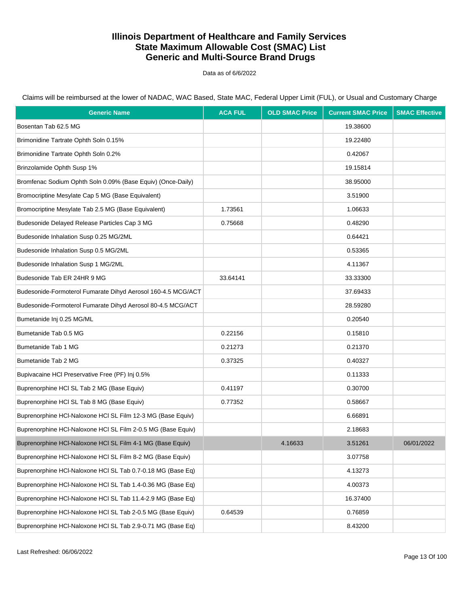Data as of 6/6/2022

Claims will be reimbursed at the lower of NADAC, WAC Based, State MAC, Federal Upper Limit (FUL), or Usual and Customary Charge

| <b>Generic Name</b>                                          | <b>ACA FUL</b> | <b>OLD SMAC Price</b> | <b>Current SMAC Price</b> | <b>SMAC Effective</b> |
|--------------------------------------------------------------|----------------|-----------------------|---------------------------|-----------------------|
| Bosentan Tab 62.5 MG                                         |                |                       | 19.38600                  |                       |
| Brimonidine Tartrate Ophth Soln 0.15%                        |                |                       | 19.22480                  |                       |
| Brimonidine Tartrate Ophth Soln 0.2%                         |                |                       | 0.42067                   |                       |
| Brinzolamide Ophth Susp 1%                                   |                |                       | 19.15814                  |                       |
| Bromfenac Sodium Ophth Soln 0.09% (Base Equiv) (Once-Daily)  |                |                       | 38.95000                  |                       |
| Bromocriptine Mesylate Cap 5 MG (Base Equivalent)            |                |                       | 3.51900                   |                       |
| Bromocriptine Mesylate Tab 2.5 MG (Base Equivalent)          | 1.73561        |                       | 1.06633                   |                       |
| Budesonide Delayed Release Particles Cap 3 MG                | 0.75668        |                       | 0.48290                   |                       |
| Budesonide Inhalation Susp 0.25 MG/2ML                       |                |                       | 0.64421                   |                       |
| Budesonide Inhalation Susp 0.5 MG/2ML                        |                |                       | 0.53365                   |                       |
| Budesonide Inhalation Susp 1 MG/2ML                          |                |                       | 4.11367                   |                       |
| Budesonide Tab ER 24HR 9 MG                                  | 33.64141       |                       | 33.33300                  |                       |
| Budesonide-Formoterol Fumarate Dihyd Aerosol 160-4.5 MCG/ACT |                |                       | 37.69433                  |                       |
| Budesonide-Formoterol Fumarate Dihyd Aerosol 80-4.5 MCG/ACT  |                |                       | 28.59280                  |                       |
| Bumetanide Inj 0.25 MG/ML                                    |                |                       | 0.20540                   |                       |
| Bumetanide Tab 0.5 MG                                        | 0.22156        |                       | 0.15810                   |                       |
| Bumetanide Tab 1 MG                                          | 0.21273        |                       | 0.21370                   |                       |
| Bumetanide Tab 2 MG                                          | 0.37325        |                       | 0.40327                   |                       |
| Bupivacaine HCI Preservative Free (PF) Inj 0.5%              |                |                       | 0.11333                   |                       |
| Buprenorphine HCI SL Tab 2 MG (Base Equiv)                   | 0.41197        |                       | 0.30700                   |                       |
| Buprenorphine HCI SL Tab 8 MG (Base Equiv)                   | 0.77352        |                       | 0.58667                   |                       |
| Buprenorphine HCI-Naloxone HCI SL Film 12-3 MG (Base Equiv)  |                |                       | 6.66891                   |                       |
| Buprenorphine HCI-Naloxone HCI SL Film 2-0.5 MG (Base Equiv) |                |                       | 2.18683                   |                       |
| Buprenorphine HCI-Naloxone HCI SL Film 4-1 MG (Base Equiv)   |                | 4.16633               | 3.51261                   | 06/01/2022            |
| Buprenorphine HCI-Naloxone HCI SL Film 8-2 MG (Base Equiv)   |                |                       | 3.07758                   |                       |
| Buprenorphine HCI-Naloxone HCI SL Tab 0.7-0.18 MG (Base Eq)  |                |                       | 4.13273                   |                       |
| Buprenorphine HCI-Naloxone HCI SL Tab 1.4-0.36 MG (Base Eq)  |                |                       | 4.00373                   |                       |
| Buprenorphine HCI-Naloxone HCI SL Tab 11.4-2.9 MG (Base Eq)  |                |                       | 16.37400                  |                       |
| Buprenorphine HCI-Naloxone HCI SL Tab 2-0.5 MG (Base Equiv)  | 0.64539        |                       | 0.76859                   |                       |
| Buprenorphine HCI-Naloxone HCI SL Tab 2.9-0.71 MG (Base Eq)  |                |                       | 8.43200                   |                       |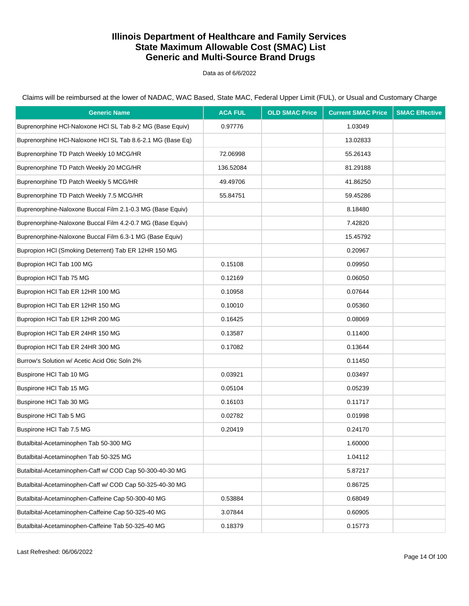Data as of 6/6/2022

Claims will be reimbursed at the lower of NADAC, WAC Based, State MAC, Federal Upper Limit (FUL), or Usual and Customary Charge

| <b>Generic Name</b>                                        | <b>ACA FUL</b> | <b>OLD SMAC Price</b> | <b>Current SMAC Price</b> | <b>SMAC Effective</b> |
|------------------------------------------------------------|----------------|-----------------------|---------------------------|-----------------------|
| Buprenorphine HCI-Naloxone HCI SL Tab 8-2 MG (Base Equiv)  | 0.97776        |                       | 1.03049                   |                       |
| Buprenorphine HCI-Naloxone HCI SL Tab 8.6-2.1 MG (Base Eq) |                |                       | 13.02833                  |                       |
| Buprenorphine TD Patch Weekly 10 MCG/HR                    | 72.06998       |                       | 55.26143                  |                       |
| Buprenorphine TD Patch Weekly 20 MCG/HR                    | 136.52084      |                       | 81.29188                  |                       |
| Buprenorphine TD Patch Weekly 5 MCG/HR                     | 49.49706       |                       | 41.86250                  |                       |
| Buprenorphine TD Patch Weekly 7.5 MCG/HR                   | 55.84751       |                       | 59.45286                  |                       |
| Buprenorphine-Naloxone Buccal Film 2.1-0.3 MG (Base Equiv) |                |                       | 8.18480                   |                       |
| Buprenorphine-Naloxone Buccal Film 4.2-0.7 MG (Base Equiv) |                |                       | 7.42820                   |                       |
| Buprenorphine-Naloxone Buccal Film 6.3-1 MG (Base Equiv)   |                |                       | 15.45792                  |                       |
| Bupropion HCI (Smoking Deterrent) Tab ER 12HR 150 MG       |                |                       | 0.20967                   |                       |
| Bupropion HCl Tab 100 MG                                   | 0.15108        |                       | 0.09950                   |                       |
| Bupropion HCl Tab 75 MG                                    | 0.12169        |                       | 0.06050                   |                       |
| Bupropion HCI Tab ER 12HR 100 MG                           | 0.10958        |                       | 0.07644                   |                       |
| Bupropion HCI Tab ER 12HR 150 MG                           | 0.10010        |                       | 0.05360                   |                       |
| Bupropion HCI Tab ER 12HR 200 MG                           | 0.16425        |                       | 0.08069                   |                       |
| Bupropion HCl Tab ER 24HR 150 MG                           | 0.13587        |                       | 0.11400                   |                       |
| Bupropion HCI Tab ER 24HR 300 MG                           | 0.17082        |                       | 0.13644                   |                       |
| Burrow's Solution w/ Acetic Acid Otic Soln 2%              |                |                       | 0.11450                   |                       |
| Buspirone HCI Tab 10 MG                                    | 0.03921        |                       | 0.03497                   |                       |
| Buspirone HCI Tab 15 MG                                    | 0.05104        |                       | 0.05239                   |                       |
| Buspirone HCI Tab 30 MG                                    | 0.16103        |                       | 0.11717                   |                       |
| Buspirone HCI Tab 5 MG                                     | 0.02782        |                       | 0.01998                   |                       |
| Buspirone HCI Tab 7.5 MG                                   | 0.20419        |                       | 0.24170                   |                       |
| Butalbital-Acetaminophen Tab 50-300 MG                     |                |                       | 1.60000                   |                       |
| Butalbital-Acetaminophen Tab 50-325 MG                     |                |                       | 1.04112                   |                       |
| Butalbital-Acetaminophen-Caff w/ COD Cap 50-300-40-30 MG   |                |                       | 5.87217                   |                       |
| Butalbital-Acetaminophen-Caff w/ COD Cap 50-325-40-30 MG   |                |                       | 0.86725                   |                       |
| Butalbital-Acetaminophen-Caffeine Cap 50-300-40 MG         | 0.53884        |                       | 0.68049                   |                       |
| Butalbital-Acetaminophen-Caffeine Cap 50-325-40 MG         | 3.07844        |                       | 0.60905                   |                       |
| Butalbital-Acetaminophen-Caffeine Tab 50-325-40 MG         | 0.18379        |                       | 0.15773                   |                       |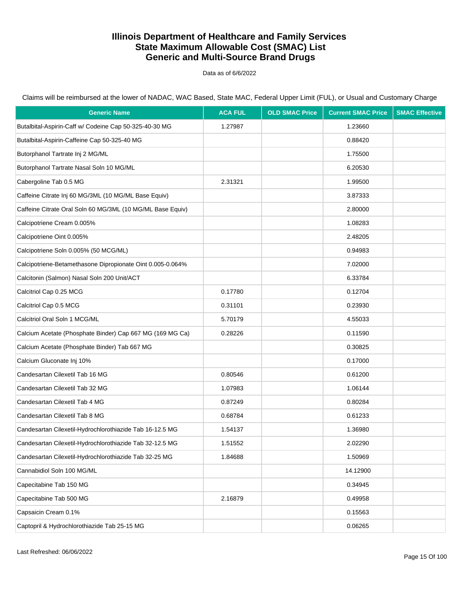Data as of 6/6/2022

| <b>Generic Name</b>                                        | <b>ACA FUL</b> | <b>OLD SMAC Price</b> | <b>Current SMAC Price</b> | <b>SMAC Effective</b> |
|------------------------------------------------------------|----------------|-----------------------|---------------------------|-----------------------|
| Butalbital-Aspirin-Caff w/ Codeine Cap 50-325-40-30 MG     | 1.27987        |                       | 1.23660                   |                       |
| Butalbital-Aspirin-Caffeine Cap 50-325-40 MG               |                |                       | 0.88420                   |                       |
| Butorphanol Tartrate Inj 2 MG/ML                           |                |                       | 1.75500                   |                       |
| Butorphanol Tartrate Nasal Soln 10 MG/ML                   |                |                       | 6.20530                   |                       |
| Cabergoline Tab 0.5 MG                                     | 2.31321        |                       | 1.99500                   |                       |
| Caffeine Citrate Inj 60 MG/3ML (10 MG/ML Base Equiv)       |                |                       | 3.87333                   |                       |
| Caffeine Citrate Oral Soln 60 MG/3ML (10 MG/ML Base Equiv) |                |                       | 2.80000                   |                       |
| Calcipotriene Cream 0.005%                                 |                |                       | 1.08283                   |                       |
| Calcipotriene Oint 0.005%                                  |                |                       | 2.48205                   |                       |
| Calcipotriene Soln 0.005% (50 MCG/ML)                      |                |                       | 0.94983                   |                       |
| Calcipotriene-Betamethasone Dipropionate Oint 0.005-0.064% |                |                       | 7.02000                   |                       |
| Calcitonin (Salmon) Nasal Soln 200 Unit/ACT                |                |                       | 6.33784                   |                       |
| Calcitriol Cap 0.25 MCG                                    | 0.17780        |                       | 0.12704                   |                       |
| Calcitriol Cap 0.5 MCG                                     | 0.31101        |                       | 0.23930                   |                       |
| Calcitriol Oral Soln 1 MCG/ML                              | 5.70179        |                       | 4.55033                   |                       |
| Calcium Acetate (Phosphate Binder) Cap 667 MG (169 MG Ca)  | 0.28226        |                       | 0.11590                   |                       |
| Calcium Acetate (Phosphate Binder) Tab 667 MG              |                |                       | 0.30825                   |                       |
| Calcium Gluconate Inj 10%                                  |                |                       | 0.17000                   |                       |
| Candesartan Cilexetil Tab 16 MG                            | 0.80546        |                       | 0.61200                   |                       |
| Candesartan Cilexetil Tab 32 MG                            | 1.07983        |                       | 1.06144                   |                       |
| Candesartan Cilexetil Tab 4 MG                             | 0.87249        |                       | 0.80284                   |                       |
| Candesartan Cilexetil Tab 8 MG                             | 0.68784        |                       | 0.61233                   |                       |
| Candesartan Cilexetil-Hydrochlorothiazide Tab 16-12.5 MG   | 1.54137        |                       | 1.36980                   |                       |
| Candesartan Cilexetil-Hydrochlorothiazide Tab 32-12.5 MG   | 1.51552        |                       | 2.02290                   |                       |
| Candesartan Cilexetil-Hydrochlorothiazide Tab 32-25 MG     | 1.84688        |                       | 1.50969                   |                       |
| Cannabidiol Soln 100 MG/ML                                 |                |                       | 14.12900                  |                       |
| Capecitabine Tab 150 MG                                    |                |                       | 0.34945                   |                       |
| Capecitabine Tab 500 MG                                    | 2.16879        |                       | 0.49958                   |                       |
| Capsaicin Cream 0.1%                                       |                |                       | 0.15563                   |                       |
| Captopril & Hydrochlorothiazide Tab 25-15 MG               |                |                       | 0.06265                   |                       |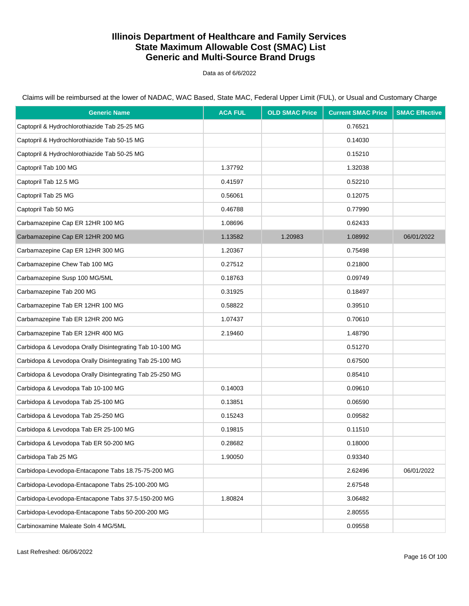Data as of 6/6/2022

Claims will be reimbursed at the lower of NADAC, WAC Based, State MAC, Federal Upper Limit (FUL), or Usual and Customary Charge

| <b>Generic Name</b>                                      | <b>ACA FUL</b> | <b>OLD SMAC Price</b> | <b>Current SMAC Price</b> | <b>SMAC Effective</b> |
|----------------------------------------------------------|----------------|-----------------------|---------------------------|-----------------------|
| Captopril & Hydrochlorothiazide Tab 25-25 MG             |                |                       | 0.76521                   |                       |
| Captopril & Hydrochlorothiazide Tab 50-15 MG             |                |                       | 0.14030                   |                       |
| Captopril & Hydrochlorothiazide Tab 50-25 MG             |                |                       | 0.15210                   |                       |
| Captopril Tab 100 MG                                     | 1.37792        |                       | 1.32038                   |                       |
| Captopril Tab 12.5 MG                                    | 0.41597        |                       | 0.52210                   |                       |
| Captopril Tab 25 MG                                      | 0.56061        |                       | 0.12075                   |                       |
| Captopril Tab 50 MG                                      | 0.46788        |                       | 0.77990                   |                       |
| Carbamazepine Cap ER 12HR 100 MG                         | 1.08696        |                       | 0.62433                   |                       |
| Carbamazepine Cap ER 12HR 200 MG                         | 1.13582        | 1.20983               | 1.08992                   | 06/01/2022            |
| Carbamazepine Cap ER 12HR 300 MG                         | 1.20367        |                       | 0.75498                   |                       |
| Carbamazepine Chew Tab 100 MG                            | 0.27512        |                       | 0.21800                   |                       |
| Carbamazepine Susp 100 MG/5ML                            | 0.18763        |                       | 0.09749                   |                       |
| Carbamazepine Tab 200 MG                                 | 0.31925        |                       | 0.18497                   |                       |
| Carbamazepine Tab ER 12HR 100 MG                         | 0.58822        |                       | 0.39510                   |                       |
| Carbamazepine Tab ER 12HR 200 MG                         | 1.07437        |                       | 0.70610                   |                       |
| Carbamazepine Tab ER 12HR 400 MG                         | 2.19460        |                       | 1.48790                   |                       |
| Carbidopa & Levodopa Orally Disintegrating Tab 10-100 MG |                |                       | 0.51270                   |                       |
| Carbidopa & Levodopa Orally Disintegrating Tab 25-100 MG |                |                       | 0.67500                   |                       |
| Carbidopa & Levodopa Orally Disintegrating Tab 25-250 MG |                |                       | 0.85410                   |                       |
| Carbidopa & Levodopa Tab 10-100 MG                       | 0.14003        |                       | 0.09610                   |                       |
| Carbidopa & Levodopa Tab 25-100 MG                       | 0.13851        |                       | 0.06590                   |                       |
| Carbidopa & Levodopa Tab 25-250 MG                       | 0.15243        |                       | 0.09582                   |                       |
| Carbidopa & Levodopa Tab ER 25-100 MG                    | 0.19815        |                       | 0.11510                   |                       |
| Carbidopa & Levodopa Tab ER 50-200 MG                    | 0.28682        |                       | 0.18000                   |                       |
| Carbidopa Tab 25 MG                                      | 1.90050        |                       | 0.93340                   |                       |
| Carbidopa-Levodopa-Entacapone Tabs 18.75-75-200 MG       |                |                       | 2.62496                   | 06/01/2022            |
| Carbidopa-Levodopa-Entacapone Tabs 25-100-200 MG         |                |                       | 2.67548                   |                       |
| Carbidopa-Levodopa-Entacapone Tabs 37.5-150-200 MG       | 1.80824        |                       | 3.06482                   |                       |
| Carbidopa-Levodopa-Entacapone Tabs 50-200-200 MG         |                |                       | 2.80555                   |                       |
| Carbinoxamine Maleate Soln 4 MG/5ML                      |                |                       | 0.09558                   |                       |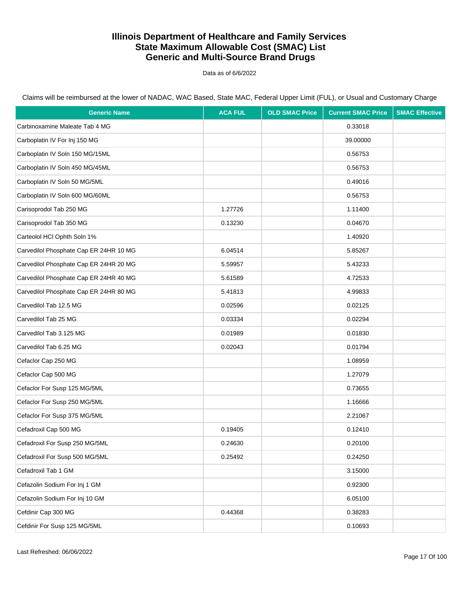Data as of 6/6/2022

| <b>Generic Name</b>                    | <b>ACA FUL</b> | <b>OLD SMAC Price</b> | <b>Current SMAC Price</b> | <b>SMAC Effective</b> |
|----------------------------------------|----------------|-----------------------|---------------------------|-----------------------|
| Carbinoxamine Maleate Tab 4 MG         |                |                       | 0.33018                   |                       |
| Carboplatin IV For Inj 150 MG          |                |                       | 39.00000                  |                       |
| Carboplatin IV Soln 150 MG/15ML        |                |                       | 0.56753                   |                       |
| Carboplatin IV Soln 450 MG/45ML        |                |                       | 0.56753                   |                       |
| Carboplatin IV Soln 50 MG/5ML          |                |                       | 0.49016                   |                       |
| Carboplatin IV Soln 600 MG/60ML        |                |                       | 0.56753                   |                       |
| Carisoprodol Tab 250 MG                | 1.27726        |                       | 1.11400                   |                       |
| Carisoprodol Tab 350 MG                | 0.13230        |                       | 0.04670                   |                       |
| Carteolol HCl Ophth Soln 1%            |                |                       | 1.40920                   |                       |
| Carvedilol Phosphate Cap ER 24HR 10 MG | 6.04514        |                       | 5.85267                   |                       |
| Carvedilol Phosphate Cap ER 24HR 20 MG | 5.59957        |                       | 5.43233                   |                       |
| Carvedilol Phosphate Cap ER 24HR 40 MG | 5.61589        |                       | 4.72533                   |                       |
| Carvedilol Phosphate Cap ER 24HR 80 MG | 5.41813        |                       | 4.99833                   |                       |
| Carvedilol Tab 12.5 MG                 | 0.02596        |                       | 0.02125                   |                       |
| Carvedilol Tab 25 MG                   | 0.03334        |                       | 0.02294                   |                       |
| Carvedilol Tab 3.125 MG                | 0.01989        |                       | 0.01830                   |                       |
| Carvedilol Tab 6.25 MG                 | 0.02043        |                       | 0.01794                   |                       |
| Cefaclor Cap 250 MG                    |                |                       | 1.08959                   |                       |
| Cefaclor Cap 500 MG                    |                |                       | 1.27079                   |                       |
| Cefaclor For Susp 125 MG/5ML           |                |                       | 0.73655                   |                       |
| Cefaclor For Susp 250 MG/5ML           |                |                       | 1.16666                   |                       |
| Cefaclor For Susp 375 MG/5ML           |                |                       | 2.21067                   |                       |
| Cefadroxil Cap 500 MG                  | 0.19405        |                       | 0.12410                   |                       |
| Cefadroxil For Susp 250 MG/5ML         | 0.24630        |                       | 0.20100                   |                       |
| Cefadroxil For Susp 500 MG/5ML         | 0.25492        |                       | 0.24250                   |                       |
| Cefadroxil Tab 1 GM                    |                |                       | 3.15000                   |                       |
| Cefazolin Sodium For Inj 1 GM          |                |                       | 0.92300                   |                       |
| Cefazolin Sodium For Inj 10 GM         |                |                       | 6.05100                   |                       |
| Cefdinir Cap 300 MG                    | 0.44368        |                       | 0.38283                   |                       |
| Cefdinir For Susp 125 MG/5ML           |                |                       | 0.10693                   |                       |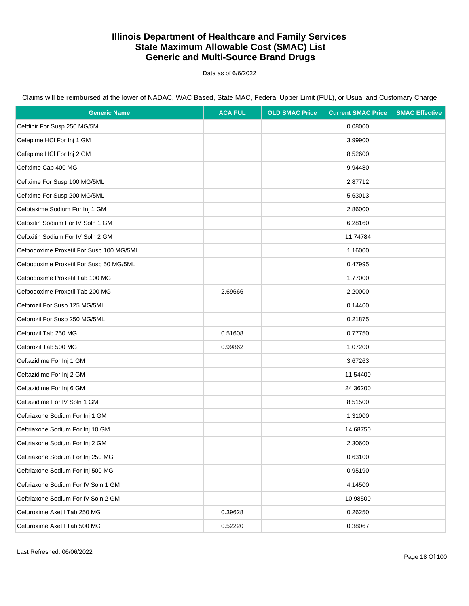Data as of 6/6/2022

| <b>Generic Name</b>                      | <b>ACA FUL</b> | <b>OLD SMAC Price</b> | <b>Current SMAC Price</b> | <b>SMAC Effective</b> |
|------------------------------------------|----------------|-----------------------|---------------------------|-----------------------|
| Cefdinir For Susp 250 MG/5ML             |                |                       | 0.08000                   |                       |
| Cefepime HCI For Inj 1 GM                |                |                       | 3.99900                   |                       |
| Cefepime HCI For Inj 2 GM                |                |                       | 8.52600                   |                       |
| Cefixime Cap 400 MG                      |                |                       | 9.94480                   |                       |
| Cefixime For Susp 100 MG/5ML             |                |                       | 2.87712                   |                       |
| Cefixime For Susp 200 MG/5ML             |                |                       | 5.63013                   |                       |
| Cefotaxime Sodium For Inj 1 GM           |                |                       | 2.86000                   |                       |
| Cefoxitin Sodium For IV Soln 1 GM        |                |                       | 6.28160                   |                       |
| Cefoxitin Sodium For IV Soln 2 GM        |                |                       | 11.74784                  |                       |
| Cefpodoxime Proxetil For Susp 100 MG/5ML |                |                       | 1.16000                   |                       |
| Cefpodoxime Proxetil For Susp 50 MG/5ML  |                |                       | 0.47995                   |                       |
| Cefpodoxime Proxetil Tab 100 MG          |                |                       | 1.77000                   |                       |
| Cefpodoxime Proxetil Tab 200 MG          | 2.69666        |                       | 2.20000                   |                       |
| Cefprozil For Susp 125 MG/5ML            |                |                       | 0.14400                   |                       |
| Cefprozil For Susp 250 MG/5ML            |                |                       | 0.21875                   |                       |
| Cefprozil Tab 250 MG                     | 0.51608        |                       | 0.77750                   |                       |
| Cefprozil Tab 500 MG                     | 0.99862        |                       | 1.07200                   |                       |
| Ceftazidime For Inj 1 GM                 |                |                       | 3.67263                   |                       |
| Ceftazidime For Inj 2 GM                 |                |                       | 11.54400                  |                       |
| Ceftazidime For Inj 6 GM                 |                |                       | 24.36200                  |                       |
| Ceftazidime For IV Soln 1 GM             |                |                       | 8.51500                   |                       |
| Ceftriaxone Sodium For Inj 1 GM          |                |                       | 1.31000                   |                       |
| Ceftriaxone Sodium For Inj 10 GM         |                |                       | 14.68750                  |                       |
| Ceftriaxone Sodium For Inj 2 GM          |                |                       | 2.30600                   |                       |
| Ceftriaxone Sodium For Inj 250 MG        |                |                       | 0.63100                   |                       |
| Ceftriaxone Sodium For Inj 500 MG        |                |                       | 0.95190                   |                       |
| Ceftriaxone Sodium For IV Soln 1 GM      |                |                       | 4.14500                   |                       |
| Ceftriaxone Sodium For IV Soln 2 GM      |                |                       | 10.98500                  |                       |
| Cefuroxime Axetil Tab 250 MG             | 0.39628        |                       | 0.26250                   |                       |
| Cefuroxime Axetil Tab 500 MG             | 0.52220        |                       | 0.38067                   |                       |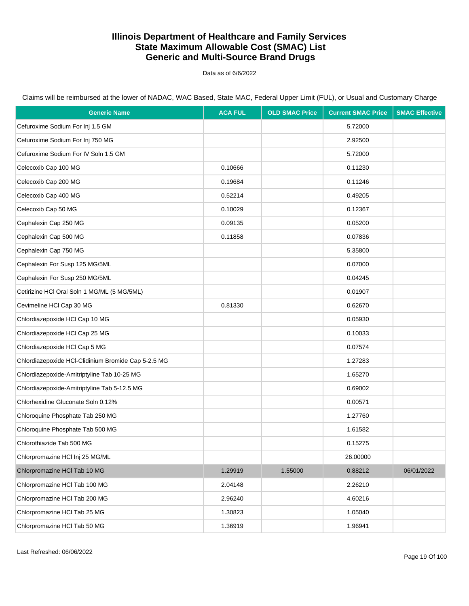Data as of 6/6/2022

| <b>Generic Name</b>                                 | <b>ACA FUL</b> | <b>OLD SMAC Price</b> | <b>Current SMAC Price</b> | <b>SMAC Effective</b> |
|-----------------------------------------------------|----------------|-----------------------|---------------------------|-----------------------|
| Cefuroxime Sodium For Inj 1.5 GM                    |                |                       | 5.72000                   |                       |
| Cefuroxime Sodium For Inj 750 MG                    |                |                       | 2.92500                   |                       |
| Cefuroxime Sodium For IV Soln 1.5 GM                |                |                       | 5.72000                   |                       |
| Celecoxib Cap 100 MG                                | 0.10666        |                       | 0.11230                   |                       |
| Celecoxib Cap 200 MG                                | 0.19684        |                       | 0.11246                   |                       |
| Celecoxib Cap 400 MG                                | 0.52214        |                       | 0.49205                   |                       |
| Celecoxib Cap 50 MG                                 | 0.10029        |                       | 0.12367                   |                       |
| Cephalexin Cap 250 MG                               | 0.09135        |                       | 0.05200                   |                       |
| Cephalexin Cap 500 MG                               | 0.11858        |                       | 0.07836                   |                       |
| Cephalexin Cap 750 MG                               |                |                       | 5.35800                   |                       |
| Cephalexin For Susp 125 MG/5ML                      |                |                       | 0.07000                   |                       |
| Cephalexin For Susp 250 MG/5ML                      |                |                       | 0.04245                   |                       |
| Cetirizine HCl Oral Soln 1 MG/ML (5 MG/5ML)         |                |                       | 0.01907                   |                       |
| Cevimeline HCl Cap 30 MG                            | 0.81330        |                       | 0.62670                   |                       |
| Chlordiazepoxide HCl Cap 10 MG                      |                |                       | 0.05930                   |                       |
| Chlordiazepoxide HCl Cap 25 MG                      |                |                       | 0.10033                   |                       |
| Chlordiazepoxide HCl Cap 5 MG                       |                |                       | 0.07574                   |                       |
| Chlordiazepoxide HCl-Clidinium Bromide Cap 5-2.5 MG |                |                       | 1.27283                   |                       |
| Chlordiazepoxide-Amitriptyline Tab 10-25 MG         |                |                       | 1.65270                   |                       |
| Chlordiazepoxide-Amitriptyline Tab 5-12.5 MG        |                |                       | 0.69002                   |                       |
| Chlorhexidine Gluconate Soln 0.12%                  |                |                       | 0.00571                   |                       |
| Chloroquine Phosphate Tab 250 MG                    |                |                       | 1.27760                   |                       |
| Chloroquine Phosphate Tab 500 MG                    |                |                       | 1.61582                   |                       |
| Chlorothiazide Tab 500 MG                           |                |                       | 0.15275                   |                       |
| Chlorpromazine HCl Inj 25 MG/ML                     |                |                       | 26.00000                  |                       |
| Chlorpromazine HCl Tab 10 MG                        | 1.29919        | 1.55000               | 0.88212                   | 06/01/2022            |
| Chlorpromazine HCl Tab 100 MG                       | 2.04148        |                       | 2.26210                   |                       |
| Chlorpromazine HCl Tab 200 MG                       | 2.96240        |                       | 4.60216                   |                       |
| Chlorpromazine HCl Tab 25 MG                        | 1.30823        |                       | 1.05040                   |                       |
| Chlorpromazine HCl Tab 50 MG                        | 1.36919        |                       | 1.96941                   |                       |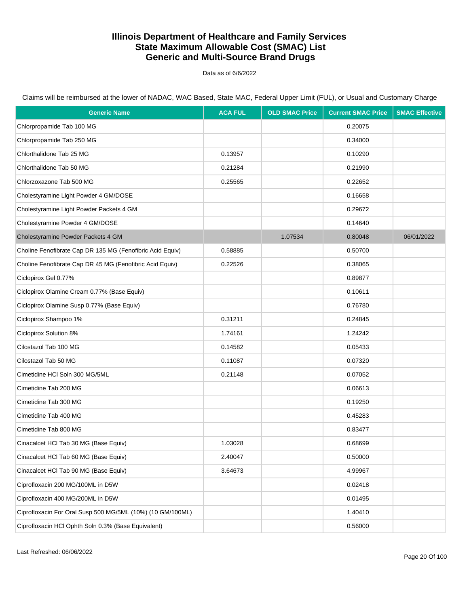Data as of 6/6/2022

Claims will be reimbursed at the lower of NADAC, WAC Based, State MAC, Federal Upper Limit (FUL), or Usual and Customary Charge

| <b>Generic Name</b>                                        | <b>ACA FUL</b> | <b>OLD SMAC Price</b> | <b>Current SMAC Price</b> | <b>SMAC Effective</b> |
|------------------------------------------------------------|----------------|-----------------------|---------------------------|-----------------------|
| Chlorpropamide Tab 100 MG                                  |                |                       | 0.20075                   |                       |
| Chlorpropamide Tab 250 MG                                  |                |                       | 0.34000                   |                       |
| Chlorthalidone Tab 25 MG                                   | 0.13957        |                       | 0.10290                   |                       |
| Chlorthalidone Tab 50 MG                                   | 0.21284        |                       | 0.21990                   |                       |
| Chlorzoxazone Tab 500 MG                                   | 0.25565        |                       | 0.22652                   |                       |
| Cholestyramine Light Powder 4 GM/DOSE                      |                |                       | 0.16658                   |                       |
| Cholestyramine Light Powder Packets 4 GM                   |                |                       | 0.29672                   |                       |
| Cholestyramine Powder 4 GM/DOSE                            |                |                       | 0.14640                   |                       |
| Cholestyramine Powder Packets 4 GM                         |                | 1.07534               | 0.80048                   | 06/01/2022            |
| Choline Fenofibrate Cap DR 135 MG (Fenofibric Acid Equiv)  | 0.58885        |                       | 0.50700                   |                       |
| Choline Fenofibrate Cap DR 45 MG (Fenofibric Acid Equiv)   | 0.22526        |                       | 0.38065                   |                       |
| Ciclopirox Gel 0.77%                                       |                |                       | 0.89877                   |                       |
| Ciclopirox Olamine Cream 0.77% (Base Equiv)                |                |                       | 0.10611                   |                       |
| Ciclopirox Olamine Susp 0.77% (Base Equiv)                 |                |                       | 0.76780                   |                       |
| Ciclopirox Shampoo 1%                                      | 0.31211        |                       | 0.24845                   |                       |
| Ciclopirox Solution 8%                                     | 1.74161        |                       | 1.24242                   |                       |
| Cilostazol Tab 100 MG                                      | 0.14582        |                       | 0.05433                   |                       |
| Cilostazol Tab 50 MG                                       | 0.11087        |                       | 0.07320                   |                       |
| Cimetidine HCI Soln 300 MG/5ML                             | 0.21148        |                       | 0.07052                   |                       |
| Cimetidine Tab 200 MG                                      |                |                       | 0.06613                   |                       |
| Cimetidine Tab 300 MG                                      |                |                       | 0.19250                   |                       |
| Cimetidine Tab 400 MG                                      |                |                       | 0.45283                   |                       |
| Cimetidine Tab 800 MG                                      |                |                       | 0.83477                   |                       |
| Cinacalcet HCl Tab 30 MG (Base Equiv)                      | 1.03028        |                       | 0.68699                   |                       |
| Cinacalcet HCl Tab 60 MG (Base Equiv)                      | 2.40047        |                       | 0.50000                   |                       |
| Cinacalcet HCl Tab 90 MG (Base Equiv)                      | 3.64673        |                       | 4.99967                   |                       |
| Ciprofloxacin 200 MG/100ML in D5W                          |                |                       | 0.02418                   |                       |
| Ciprofloxacin 400 MG/200ML in D5W                          |                |                       | 0.01495                   |                       |
| Ciprofloxacin For Oral Susp 500 MG/5ML (10%) (10 GM/100ML) |                |                       | 1.40410                   |                       |
| Ciprofloxacin HCl Ophth Soln 0.3% (Base Equivalent)        |                |                       | 0.56000                   |                       |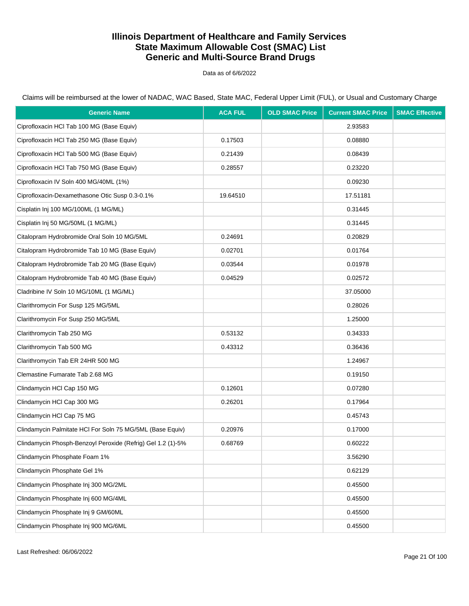Data as of 6/6/2022

| <b>Generic Name</b>                                         | <b>ACA FUL</b> | <b>OLD SMAC Price</b> | <b>Current SMAC Price</b> | <b>SMAC Effective</b> |
|-------------------------------------------------------------|----------------|-----------------------|---------------------------|-----------------------|
| Ciprofloxacin HCI Tab 100 MG (Base Equiv)                   |                |                       | 2.93583                   |                       |
| Ciprofloxacin HCl Tab 250 MG (Base Equiv)                   | 0.17503        |                       | 0.08880                   |                       |
| Ciprofloxacin HCl Tab 500 MG (Base Equiv)                   | 0.21439        |                       | 0.08439                   |                       |
| Ciprofloxacin HCl Tab 750 MG (Base Equiv)                   | 0.28557        |                       | 0.23220                   |                       |
| Ciprofloxacin IV Soln 400 MG/40ML (1%)                      |                |                       | 0.09230                   |                       |
| Ciprofloxacin-Dexamethasone Otic Susp 0.3-0.1%              | 19.64510       |                       | 17.51181                  |                       |
| Cisplatin Inj 100 MG/100ML (1 MG/ML)                        |                |                       | 0.31445                   |                       |
| Cisplatin Inj 50 MG/50ML (1 MG/ML)                          |                |                       | 0.31445                   |                       |
| Citalopram Hydrobromide Oral Soln 10 MG/5ML                 | 0.24691        |                       | 0.20829                   |                       |
| Citalopram Hydrobromide Tab 10 MG (Base Equiv)              | 0.02701        |                       | 0.01764                   |                       |
| Citalopram Hydrobromide Tab 20 MG (Base Equiv)              | 0.03544        |                       | 0.01978                   |                       |
| Citalopram Hydrobromide Tab 40 MG (Base Equiv)              | 0.04529        |                       | 0.02572                   |                       |
| Cladribine IV Soln 10 MG/10ML (1 MG/ML)                     |                |                       | 37.05000                  |                       |
| Clarithromycin For Susp 125 MG/5ML                          |                |                       | 0.28026                   |                       |
| Clarithromycin For Susp 250 MG/5ML                          |                |                       | 1.25000                   |                       |
| Clarithromycin Tab 250 MG                                   | 0.53132        |                       | 0.34333                   |                       |
| Clarithromycin Tab 500 MG                                   | 0.43312        |                       | 0.36436                   |                       |
| Clarithromycin Tab ER 24HR 500 MG                           |                |                       | 1.24967                   |                       |
| Clemastine Fumarate Tab 2.68 MG                             |                |                       | 0.19150                   |                       |
| Clindamycin HCl Cap 150 MG                                  | 0.12601        |                       | 0.07280                   |                       |
| Clindamycin HCl Cap 300 MG                                  | 0.26201        |                       | 0.17964                   |                       |
| Clindamycin HCl Cap 75 MG                                   |                |                       | 0.45743                   |                       |
| Clindamycin Palmitate HCI For Soln 75 MG/5ML (Base Equiv)   | 0.20976        |                       | 0.17000                   |                       |
| Clindamycin Phosph-Benzoyl Peroxide (Refrig) Gel 1.2 (1)-5% | 0.68769        |                       | 0.60222                   |                       |
| Clindamycin Phosphate Foam 1%                               |                |                       | 3.56290                   |                       |
| Clindamycin Phosphate Gel 1%                                |                |                       | 0.62129                   |                       |
| Clindamycin Phosphate Inj 300 MG/2ML                        |                |                       | 0.45500                   |                       |
| Clindamycin Phosphate Inj 600 MG/4ML                        |                |                       | 0.45500                   |                       |
| Clindamycin Phosphate Inj 9 GM/60ML                         |                |                       | 0.45500                   |                       |
| Clindamycin Phosphate Inj 900 MG/6ML                        |                |                       | 0.45500                   |                       |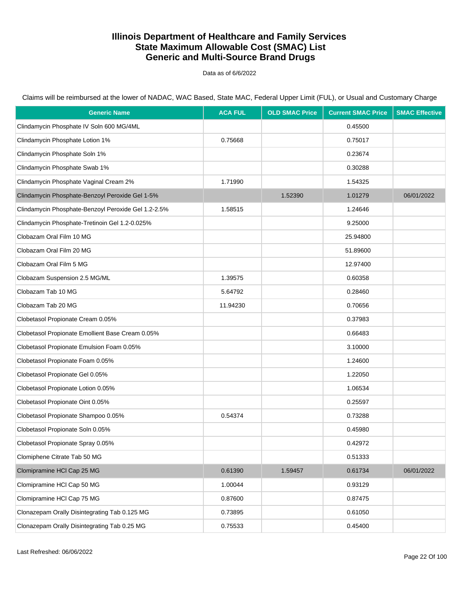Data as of 6/6/2022

Claims will be reimbursed at the lower of NADAC, WAC Based, State MAC, Federal Upper Limit (FUL), or Usual and Customary Charge

| <b>Generic Name</b>                                 | <b>ACA FUL</b> | <b>OLD SMAC Price</b> | <b>Current SMAC Price</b> | <b>SMAC Effective</b> |
|-----------------------------------------------------|----------------|-----------------------|---------------------------|-----------------------|
| Clindamycin Phosphate IV Soln 600 MG/4ML            |                |                       | 0.45500                   |                       |
| Clindamycin Phosphate Lotion 1%                     | 0.75668        |                       | 0.75017                   |                       |
| Clindamycin Phosphate Soln 1%                       |                |                       | 0.23674                   |                       |
| Clindamycin Phosphate Swab 1%                       |                |                       | 0.30288                   |                       |
| Clindamycin Phosphate Vaginal Cream 2%              | 1.71990        |                       | 1.54325                   |                       |
| Clindamycin Phosphate-Benzoyl Peroxide Gel 1-5%     |                | 1.52390               | 1.01279                   | 06/01/2022            |
| Clindamycin Phosphate-Benzoyl Peroxide Gel 1.2-2.5% | 1.58515        |                       | 1.24646                   |                       |
| Clindamycin Phosphate-Tretinoin Gel 1.2-0.025%      |                |                       | 9.25000                   |                       |
| Clobazam Oral Film 10 MG                            |                |                       | 25.94800                  |                       |
| Clobazam Oral Film 20 MG                            |                |                       | 51.89600                  |                       |
| Clobazam Oral Film 5 MG                             |                |                       | 12.97400                  |                       |
| Clobazam Suspension 2.5 MG/ML                       | 1.39575        |                       | 0.60358                   |                       |
| Clobazam Tab 10 MG                                  | 5.64792        |                       | 0.28460                   |                       |
| Clobazam Tab 20 MG                                  | 11.94230       |                       | 0.70656                   |                       |
| Clobetasol Propionate Cream 0.05%                   |                |                       | 0.37983                   |                       |
| Clobetasol Propionate Emollient Base Cream 0.05%    |                |                       | 0.66483                   |                       |
| Clobetasol Propionate Emulsion Foam 0.05%           |                |                       | 3.10000                   |                       |
| Clobetasol Propionate Foam 0.05%                    |                |                       | 1.24600                   |                       |
| Clobetasol Propionate Gel 0.05%                     |                |                       | 1.22050                   |                       |
| Clobetasol Propionate Lotion 0.05%                  |                |                       | 1.06534                   |                       |
| Clobetasol Propionate Oint 0.05%                    |                |                       | 0.25597                   |                       |
| Clobetasol Propionate Shampoo 0.05%                 | 0.54374        |                       | 0.73288                   |                       |
| Clobetasol Propionate Soln 0.05%                    |                |                       | 0.45980                   |                       |
| Clobetasol Propionate Spray 0.05%                   |                |                       | 0.42972                   |                       |
| Clomiphene Citrate Tab 50 MG                        |                |                       | 0.51333                   |                       |
| Clomipramine HCl Cap 25 MG                          | 0.61390        | 1.59457               | 0.61734                   | 06/01/2022            |
| Clomipramine HCl Cap 50 MG                          | 1.00044        |                       | 0.93129                   |                       |
| Clomipramine HCl Cap 75 MG                          | 0.87600        |                       | 0.87475                   |                       |
| Clonazepam Orally Disintegrating Tab 0.125 MG       | 0.73895        |                       | 0.61050                   |                       |
| Clonazepam Orally Disintegrating Tab 0.25 MG        | 0.75533        |                       | 0.45400                   |                       |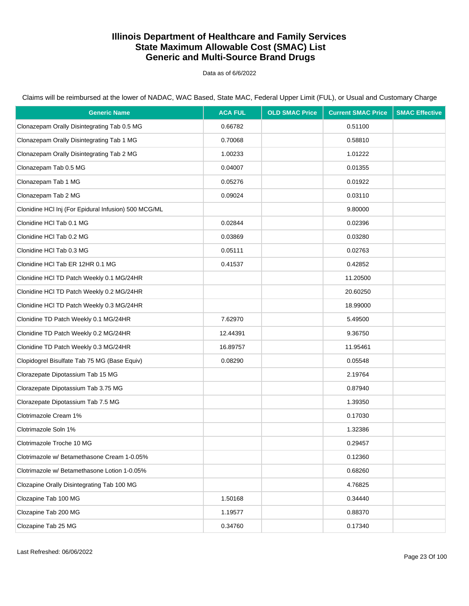Data as of 6/6/2022

| <b>Generic Name</b>                                  | <b>ACA FUL</b> | <b>OLD SMAC Price</b> | <b>Current SMAC Price</b> | <b>SMAC Effective</b> |
|------------------------------------------------------|----------------|-----------------------|---------------------------|-----------------------|
| Clonazepam Orally Disintegrating Tab 0.5 MG          | 0.66782        |                       | 0.51100                   |                       |
| Clonazepam Orally Disintegrating Tab 1 MG            | 0.70068        |                       | 0.58810                   |                       |
| Clonazepam Orally Disintegrating Tab 2 MG            | 1.00233        |                       | 1.01222                   |                       |
| Clonazepam Tab 0.5 MG                                | 0.04007        |                       | 0.01355                   |                       |
| Clonazepam Tab 1 MG                                  | 0.05276        |                       | 0.01922                   |                       |
| Clonazepam Tab 2 MG                                  | 0.09024        |                       | 0.03110                   |                       |
| Clonidine HCl Inj (For Epidural Infusion) 500 MCG/ML |                |                       | 9.80000                   |                       |
| Clonidine HCI Tab 0.1 MG                             | 0.02844        |                       | 0.02396                   |                       |
| Clonidine HCl Tab 0.2 MG                             | 0.03869        |                       | 0.03280                   |                       |
| Clonidine HCl Tab 0.3 MG                             | 0.05111        |                       | 0.02763                   |                       |
| Clonidine HCl Tab ER 12HR 0.1 MG                     | 0.41537        |                       | 0.42852                   |                       |
| Clonidine HCl TD Patch Weekly 0.1 MG/24HR            |                |                       | 11.20500                  |                       |
| Clonidine HCl TD Patch Weekly 0.2 MG/24HR            |                |                       | 20.60250                  |                       |
| Clonidine HCl TD Patch Weekly 0.3 MG/24HR            |                |                       | 18.99000                  |                       |
| Clonidine TD Patch Weekly 0.1 MG/24HR                | 7.62970        |                       | 5.49500                   |                       |
| Clonidine TD Patch Weekly 0.2 MG/24HR                | 12.44391       |                       | 9.36750                   |                       |
| Clonidine TD Patch Weekly 0.3 MG/24HR                | 16.89757       |                       | 11.95461                  |                       |
| Clopidogrel Bisulfate Tab 75 MG (Base Equiv)         | 0.08290        |                       | 0.05548                   |                       |
| Clorazepate Dipotassium Tab 15 MG                    |                |                       | 2.19764                   |                       |
| Clorazepate Dipotassium Tab 3.75 MG                  |                |                       | 0.87940                   |                       |
| Clorazepate Dipotassium Tab 7.5 MG                   |                |                       | 1.39350                   |                       |
| Clotrimazole Cream 1%                                |                |                       | 0.17030                   |                       |
| Clotrimazole Soln 1%                                 |                |                       | 1.32386                   |                       |
| Clotrimazole Troche 10 MG                            |                |                       | 0.29457                   |                       |
| Clotrimazole w/ Betamethasone Cream 1-0.05%          |                |                       | 0.12360                   |                       |
| Clotrimazole w/ Betamethasone Lotion 1-0.05%         |                |                       | 0.68260                   |                       |
| Clozapine Orally Disintegrating Tab 100 MG           |                |                       | 4.76825                   |                       |
| Clozapine Tab 100 MG                                 | 1.50168        |                       | 0.34440                   |                       |
| Clozapine Tab 200 MG                                 | 1.19577        |                       | 0.88370                   |                       |
| Clozapine Tab 25 MG                                  | 0.34760        |                       | 0.17340                   |                       |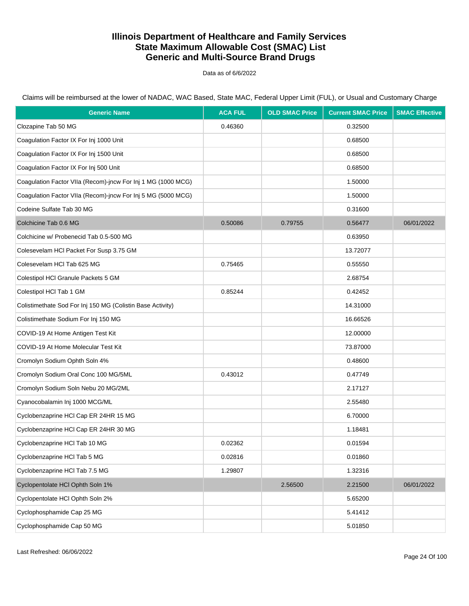Data as of 6/6/2022

Claims will be reimbursed at the lower of NADAC, WAC Based, State MAC, Federal Upper Limit (FUL), or Usual and Customary Charge

| <b>Generic Name</b>                                          | <b>ACA FUL</b> | <b>OLD SMAC Price</b> | <b>Current SMAC Price</b> | <b>SMAC Effective</b> |
|--------------------------------------------------------------|----------------|-----------------------|---------------------------|-----------------------|
| Clozapine Tab 50 MG                                          | 0.46360        |                       | 0.32500                   |                       |
| Coagulation Factor IX For Inj 1000 Unit                      |                |                       | 0.68500                   |                       |
| Coagulation Factor IX For Inj 1500 Unit                      |                |                       | 0.68500                   |                       |
| Coagulation Factor IX For Inj 500 Unit                       |                |                       | 0.68500                   |                       |
| Coagulation Factor VIIa (Recom)-jncw For Inj 1 MG (1000 MCG) |                |                       | 1.50000                   |                       |
| Coagulation Factor VIIa (Recom)-jncw For Inj 5 MG (5000 MCG) |                |                       | 1.50000                   |                       |
| Codeine Sulfate Tab 30 MG                                    |                |                       | 0.31600                   |                       |
| Colchicine Tab 0.6 MG                                        | 0.50086        | 0.79755               | 0.56477                   | 06/01/2022            |
| Colchicine w/ Probenecid Tab 0.5-500 MG                      |                |                       | 0.63950                   |                       |
| Colesevelam HCI Packet For Susp 3.75 GM                      |                |                       | 13.72077                  |                       |
| Colesevelam HCl Tab 625 MG                                   | 0.75465        |                       | 0.55550                   |                       |
| Colestipol HCl Granule Packets 5 GM                          |                |                       | 2.68754                   |                       |
| Colestipol HCI Tab 1 GM                                      | 0.85244        |                       | 0.42452                   |                       |
| Colistimethate Sod For Inj 150 MG (Colistin Base Activity)   |                |                       | 14.31000                  |                       |
| Colistimethate Sodium For Inj 150 MG                         |                |                       | 16.66526                  |                       |
| COVID-19 At Home Antigen Test Kit                            |                |                       | 12.00000                  |                       |
| COVID-19 At Home Molecular Test Kit                          |                |                       | 73.87000                  |                       |
| Cromolyn Sodium Ophth Soln 4%                                |                |                       | 0.48600                   |                       |
| Cromolyn Sodium Oral Conc 100 MG/5ML                         | 0.43012        |                       | 0.47749                   |                       |
| Cromolyn Sodium Soln Nebu 20 MG/2ML                          |                |                       | 2.17127                   |                       |
| Cyanocobalamin Inj 1000 MCG/ML                               |                |                       | 2.55480                   |                       |
| Cyclobenzaprine HCl Cap ER 24HR 15 MG                        |                |                       | 6.70000                   |                       |
| Cyclobenzaprine HCl Cap ER 24HR 30 MG                        |                |                       | 1.18481                   |                       |
| Cyclobenzaprine HCl Tab 10 MG                                | 0.02362        |                       | 0.01594                   |                       |
| Cyclobenzaprine HCl Tab 5 MG                                 | 0.02816        |                       | 0.01860                   |                       |
| Cyclobenzaprine HCl Tab 7.5 MG                               | 1.29807        |                       | 1.32316                   |                       |
| Cyclopentolate HCI Ophth Soln 1%                             |                | 2.56500               | 2.21500                   | 06/01/2022            |
| Cyclopentolate HCI Ophth Soln 2%                             |                |                       | 5.65200                   |                       |
| Cyclophosphamide Cap 25 MG                                   |                |                       | 5.41412                   |                       |
| Cyclophosphamide Cap 50 MG                                   |                |                       | 5.01850                   |                       |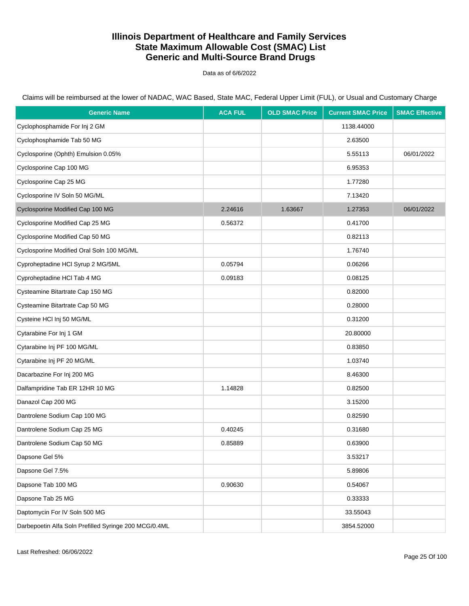Data as of 6/6/2022

Claims will be reimbursed at the lower of NADAC, WAC Based, State MAC, Federal Upper Limit (FUL), or Usual and Customary Charge

| <b>Generic Name</b>                                   | <b>ACA FUL</b> | <b>OLD SMAC Price</b> | <b>Current SMAC Price</b> | <b>SMAC Effective</b> |
|-------------------------------------------------------|----------------|-----------------------|---------------------------|-----------------------|
| Cyclophosphamide For Inj 2 GM                         |                |                       | 1138.44000                |                       |
| Cyclophosphamide Tab 50 MG                            |                |                       | 2.63500                   |                       |
| Cyclosporine (Ophth) Emulsion 0.05%                   |                |                       | 5.55113                   | 06/01/2022            |
| Cyclosporine Cap 100 MG                               |                |                       | 6.95353                   |                       |
| Cyclosporine Cap 25 MG                                |                |                       | 1.77280                   |                       |
| Cyclosporine IV Soln 50 MG/ML                         |                |                       | 7.13420                   |                       |
| Cyclosporine Modified Cap 100 MG                      | 2.24616        | 1.63667               | 1.27353                   | 06/01/2022            |
| Cyclosporine Modified Cap 25 MG                       | 0.56372        |                       | 0.41700                   |                       |
| Cyclosporine Modified Cap 50 MG                       |                |                       | 0.82113                   |                       |
| Cyclosporine Modified Oral Soln 100 MG/ML             |                |                       | 1.76740                   |                       |
| Cyproheptadine HCI Syrup 2 MG/5ML                     | 0.05794        |                       | 0.06266                   |                       |
| Cyproheptadine HCl Tab 4 MG                           | 0.09183        |                       | 0.08125                   |                       |
| Cysteamine Bitartrate Cap 150 MG                      |                |                       | 0.82000                   |                       |
| Cysteamine Bitartrate Cap 50 MG                       |                |                       | 0.28000                   |                       |
| Cysteine HCl Inj 50 MG/ML                             |                |                       | 0.31200                   |                       |
| Cytarabine For Inj 1 GM                               |                |                       | 20.80000                  |                       |
| Cytarabine Inj PF 100 MG/ML                           |                |                       | 0.83850                   |                       |
| Cytarabine Inj PF 20 MG/ML                            |                |                       | 1.03740                   |                       |
| Dacarbazine For Inj 200 MG                            |                |                       | 8.46300                   |                       |
| Dalfampridine Tab ER 12HR 10 MG                       | 1.14828        |                       | 0.82500                   |                       |
| Danazol Cap 200 MG                                    |                |                       | 3.15200                   |                       |
| Dantrolene Sodium Cap 100 MG                          |                |                       | 0.82590                   |                       |
| Dantrolene Sodium Cap 25 MG                           | 0.40245        |                       | 0.31680                   |                       |
| Dantrolene Sodium Cap 50 MG                           | 0.85889        |                       | 0.63900                   |                       |
| Dapsone Gel 5%                                        |                |                       | 3.53217                   |                       |
| Dapsone Gel 7.5%                                      |                |                       | 5.89806                   |                       |
| Dapsone Tab 100 MG                                    | 0.90630        |                       | 0.54067                   |                       |
| Dapsone Tab 25 MG                                     |                |                       | 0.33333                   |                       |
| Daptomycin For IV Soln 500 MG                         |                |                       | 33.55043                  |                       |
| Darbepoetin Alfa Soln Prefilled Syringe 200 MCG/0.4ML |                |                       | 3854.52000                |                       |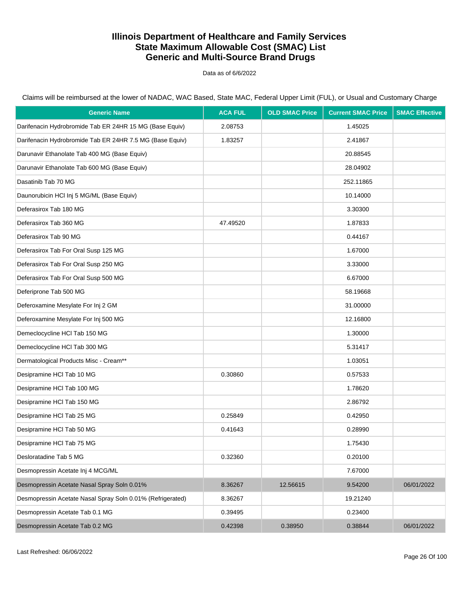Data as of 6/6/2022

Claims will be reimbursed at the lower of NADAC, WAC Based, State MAC, Federal Upper Limit (FUL), or Usual and Customary Charge

| <b>Generic Name</b>                                        | <b>ACA FUL</b> | <b>OLD SMAC Price</b> | <b>Current SMAC Price</b> | <b>SMAC Effective</b> |
|------------------------------------------------------------|----------------|-----------------------|---------------------------|-----------------------|
| Darifenacin Hydrobromide Tab ER 24HR 15 MG (Base Equiv)    | 2.08753        |                       | 1.45025                   |                       |
| Darifenacin Hydrobromide Tab ER 24HR 7.5 MG (Base Equiv)   | 1.83257        |                       | 2.41867                   |                       |
| Darunavir Ethanolate Tab 400 MG (Base Equiv)               |                |                       | 20.88545                  |                       |
| Darunavir Ethanolate Tab 600 MG (Base Equiv)               |                |                       | 28.04902                  |                       |
| Dasatinib Tab 70 MG                                        |                |                       | 252.11865                 |                       |
| Daunorubicin HCl Inj 5 MG/ML (Base Equiv)                  |                |                       | 10.14000                  |                       |
| Deferasirox Tab 180 MG                                     |                |                       | 3.30300                   |                       |
| Deferasirox Tab 360 MG                                     | 47.49520       |                       | 1.87833                   |                       |
| Deferasirox Tab 90 MG                                      |                |                       | 0.44167                   |                       |
| Deferasirox Tab For Oral Susp 125 MG                       |                |                       | 1.67000                   |                       |
| Deferasirox Tab For Oral Susp 250 MG                       |                |                       | 3.33000                   |                       |
| Deferasirox Tab For Oral Susp 500 MG                       |                |                       | 6.67000                   |                       |
| Deferiprone Tab 500 MG                                     |                |                       | 58.19668                  |                       |
| Deferoxamine Mesylate For Inj 2 GM                         |                |                       | 31.00000                  |                       |
| Deferoxamine Mesylate For Inj 500 MG                       |                |                       | 12.16800                  |                       |
| Demeclocycline HCI Tab 150 MG                              |                |                       | 1.30000                   |                       |
| Demeclocycline HCI Tab 300 MG                              |                |                       | 5.31417                   |                       |
| Dermatological Products Misc - Cream**                     |                |                       | 1.03051                   |                       |
| Desipramine HCI Tab 10 MG                                  | 0.30860        |                       | 0.57533                   |                       |
| Desipramine HCI Tab 100 MG                                 |                |                       | 1.78620                   |                       |
| Desipramine HCI Tab 150 MG                                 |                |                       | 2.86792                   |                       |
| Desipramine HCI Tab 25 MG                                  | 0.25849        |                       | 0.42950                   |                       |
| Desipramine HCI Tab 50 MG                                  | 0.41643        |                       | 0.28990                   |                       |
| Desipramine HCI Tab 75 MG                                  |                |                       | 1.75430                   |                       |
| Desloratadine Tab 5 MG                                     | 0.32360        |                       | 0.20100                   |                       |
| Desmopressin Acetate Inj 4 MCG/ML                          |                |                       | 7.67000                   |                       |
| Desmopressin Acetate Nasal Spray Soln 0.01%                | 8.36267        | 12.56615              | 9.54200                   | 06/01/2022            |
| Desmopressin Acetate Nasal Spray Soln 0.01% (Refrigerated) | 8.36267        |                       | 19.21240                  |                       |
| Desmopressin Acetate Tab 0.1 MG                            | 0.39495        |                       | 0.23400                   |                       |
| Desmopressin Acetate Tab 0.2 MG                            | 0.42398        | 0.38950               | 0.38844                   | 06/01/2022            |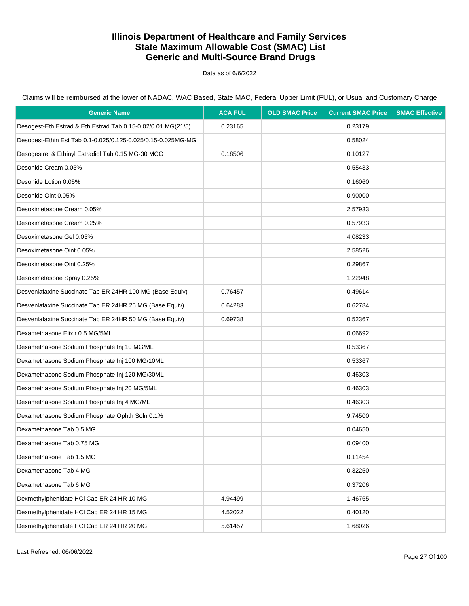Data as of 6/6/2022

Claims will be reimbursed at the lower of NADAC, WAC Based, State MAC, Federal Upper Limit (FUL), or Usual and Customary Charge

| <b>Generic Name</b>                                          | <b>ACA FUL</b> | <b>OLD SMAC Price</b> | <b>Current SMAC Price</b> | <b>SMAC Effective</b> |
|--------------------------------------------------------------|----------------|-----------------------|---------------------------|-----------------------|
| Desogest-Eth Estrad & Eth Estrad Tab 0.15-0.02/0.01 MG(21/5) | 0.23165        |                       | 0.23179                   |                       |
| Desogest-Ethin Est Tab 0.1-0.025/0.125-0.025/0.15-0.025MG-MG |                |                       | 0.58024                   |                       |
| Desogestrel & Ethinyl Estradiol Tab 0.15 MG-30 MCG           | 0.18506        |                       | 0.10127                   |                       |
| Desonide Cream 0.05%                                         |                |                       | 0.55433                   |                       |
| Desonide Lotion 0.05%                                        |                |                       | 0.16060                   |                       |
| Desonide Oint 0.05%                                          |                |                       | 0.90000                   |                       |
| Desoximetasone Cream 0.05%                                   |                |                       | 2.57933                   |                       |
| Desoximetasone Cream 0.25%                                   |                |                       | 0.57933                   |                       |
| Desoximetasone Gel 0.05%                                     |                |                       | 4.08233                   |                       |
| Desoximetasone Oint 0.05%                                    |                |                       | 2.58526                   |                       |
| Desoximetasone Oint 0.25%                                    |                |                       | 0.29867                   |                       |
| Desoximetasone Spray 0.25%                                   |                |                       | 1.22948                   |                       |
| Desvenlafaxine Succinate Tab ER 24HR 100 MG (Base Equiv)     | 0.76457        |                       | 0.49614                   |                       |
| Desvenlafaxine Succinate Tab ER 24HR 25 MG (Base Equiv)      | 0.64283        |                       | 0.62784                   |                       |
| Desvenlafaxine Succinate Tab ER 24HR 50 MG (Base Equiv)      | 0.69738        |                       | 0.52367                   |                       |
| Dexamethasone Elixir 0.5 MG/5ML                              |                |                       | 0.06692                   |                       |
| Dexamethasone Sodium Phosphate Inj 10 MG/ML                  |                |                       | 0.53367                   |                       |
| Dexamethasone Sodium Phosphate Inj 100 MG/10ML               |                |                       | 0.53367                   |                       |
| Dexamethasone Sodium Phosphate Inj 120 MG/30ML               |                |                       | 0.46303                   |                       |
| Dexamethasone Sodium Phosphate Inj 20 MG/5ML                 |                |                       | 0.46303                   |                       |
| Dexamethasone Sodium Phosphate Inj 4 MG/ML                   |                |                       | 0.46303                   |                       |
| Dexamethasone Sodium Phosphate Ophth Soln 0.1%               |                |                       | 9.74500                   |                       |
| Dexamethasone Tab 0.5 MG                                     |                |                       | 0.04650                   |                       |
| Dexamethasone Tab 0.75 MG                                    |                |                       | 0.09400                   |                       |
| Dexamethasone Tab 1.5 MG                                     |                |                       | 0.11454                   |                       |
| Dexamethasone Tab 4 MG                                       |                |                       | 0.32250                   |                       |
| Dexamethasone Tab 6 MG                                       |                |                       | 0.37206                   |                       |
| Dexmethylphenidate HCI Cap ER 24 HR 10 MG                    | 4.94499        |                       | 1.46765                   |                       |
| Dexmethylphenidate HCI Cap ER 24 HR 15 MG                    | 4.52022        |                       | 0.40120                   |                       |
| Dexmethylphenidate HCI Cap ER 24 HR 20 MG                    | 5.61457        |                       | 1.68026                   |                       |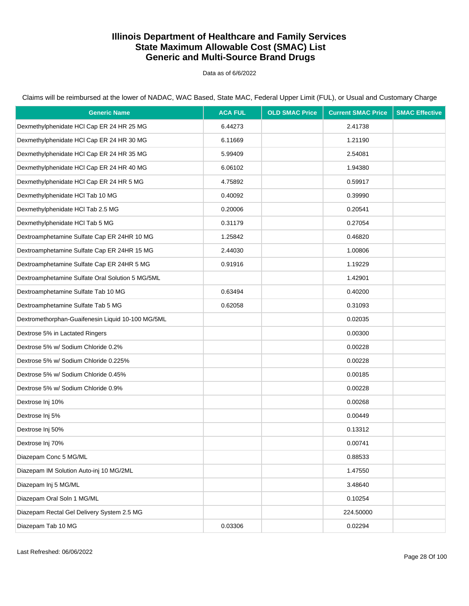Data as of 6/6/2022

Claims will be reimbursed at the lower of NADAC, WAC Based, State MAC, Federal Upper Limit (FUL), or Usual and Customary Charge

| <b>Generic Name</b>                               | <b>ACA FUL</b> | <b>OLD SMAC Price</b> | <b>Current SMAC Price</b> | <b>SMAC Effective</b> |
|---------------------------------------------------|----------------|-----------------------|---------------------------|-----------------------|
| Dexmethylphenidate HCl Cap ER 24 HR 25 MG         | 6.44273        |                       | 2.41738                   |                       |
| Dexmethylphenidate HCI Cap ER 24 HR 30 MG         | 6.11669        |                       | 1.21190                   |                       |
| Dexmethylphenidate HCI Cap ER 24 HR 35 MG         | 5.99409        |                       | 2.54081                   |                       |
| Dexmethylphenidate HCI Cap ER 24 HR 40 MG         | 6.06102        |                       | 1.94380                   |                       |
| Dexmethylphenidate HCI Cap ER 24 HR 5 MG          | 4.75892        |                       | 0.59917                   |                       |
| Dexmethylphenidate HCl Tab 10 MG                  | 0.40092        |                       | 0.39990                   |                       |
| Dexmethylphenidate HCl Tab 2.5 MG                 | 0.20006        |                       | 0.20541                   |                       |
| Dexmethylphenidate HCl Tab 5 MG                   | 0.31179        |                       | 0.27054                   |                       |
| Dextroamphetamine Sulfate Cap ER 24HR 10 MG       | 1.25842        |                       | 0.46820                   |                       |
| Dextroamphetamine Sulfate Cap ER 24HR 15 MG       | 2.44030        |                       | 1.00806                   |                       |
| Dextroamphetamine Sulfate Cap ER 24HR 5 MG        | 0.91916        |                       | 1.19229                   |                       |
| Dextroamphetamine Sulfate Oral Solution 5 MG/5ML  |                |                       | 1.42901                   |                       |
| Dextroamphetamine Sulfate Tab 10 MG               | 0.63494        |                       | 0.40200                   |                       |
| Dextroamphetamine Sulfate Tab 5 MG                | 0.62058        |                       | 0.31093                   |                       |
| Dextromethorphan-Guaifenesin Liquid 10-100 MG/5ML |                |                       | 0.02035                   |                       |
| Dextrose 5% in Lactated Ringers                   |                |                       | 0.00300                   |                       |
| Dextrose 5% w/ Sodium Chloride 0.2%               |                |                       | 0.00228                   |                       |
| Dextrose 5% w/ Sodium Chloride 0.225%             |                |                       | 0.00228                   |                       |
| Dextrose 5% w/ Sodium Chloride 0.45%              |                |                       | 0.00185                   |                       |
| Dextrose 5% w/ Sodium Chloride 0.9%               |                |                       | 0.00228                   |                       |
| Dextrose Inj 10%                                  |                |                       | 0.00268                   |                       |
| Dextrose Inj 5%                                   |                |                       | 0.00449                   |                       |
| Dextrose Inj 50%                                  |                |                       | 0.13312                   |                       |
| Dextrose Inj 70%                                  |                |                       | 0.00741                   |                       |
| Diazepam Conc 5 MG/ML                             |                |                       | 0.88533                   |                       |
| Diazepam IM Solution Auto-inj 10 MG/2ML           |                |                       | 1.47550                   |                       |
| Diazepam Inj 5 MG/ML                              |                |                       | 3.48640                   |                       |
| Diazepam Oral Soln 1 MG/ML                        |                |                       | 0.10254                   |                       |
| Diazepam Rectal Gel Delivery System 2.5 MG        |                |                       | 224.50000                 |                       |
| Diazepam Tab 10 MG                                | 0.03306        |                       | 0.02294                   |                       |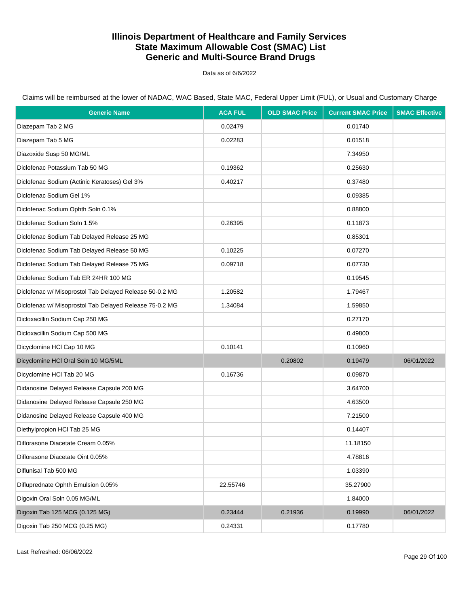Data as of 6/6/2022

| <b>Generic Name</b>                                     | <b>ACA FUL</b> | <b>OLD SMAC Price</b> | <b>Current SMAC Price</b> | <b>SMAC Effective</b> |
|---------------------------------------------------------|----------------|-----------------------|---------------------------|-----------------------|
| Diazepam Tab 2 MG                                       | 0.02479        |                       | 0.01740                   |                       |
| Diazepam Tab 5 MG                                       | 0.02283        |                       | 0.01518                   |                       |
| Diazoxide Susp 50 MG/ML                                 |                |                       | 7.34950                   |                       |
| Diclofenac Potassium Tab 50 MG                          | 0.19362        |                       | 0.25630                   |                       |
| Diclofenac Sodium (Actinic Keratoses) Gel 3%            | 0.40217        |                       | 0.37480                   |                       |
| Diclofenac Sodium Gel 1%                                |                |                       | 0.09385                   |                       |
| Diclofenac Sodium Ophth Soln 0.1%                       |                |                       | 0.88800                   |                       |
| Diclofenac Sodium Soln 1.5%                             | 0.26395        |                       | 0.11873                   |                       |
| Diclofenac Sodium Tab Delayed Release 25 MG             |                |                       | 0.85301                   |                       |
| Diclofenac Sodium Tab Delayed Release 50 MG             | 0.10225        |                       | 0.07270                   |                       |
| Diclofenac Sodium Tab Delayed Release 75 MG             | 0.09718        |                       | 0.07730                   |                       |
| Diclofenac Sodium Tab ER 24HR 100 MG                    |                |                       | 0.19545                   |                       |
| Diclofenac w/ Misoprostol Tab Delayed Release 50-0.2 MG | 1.20582        |                       | 1.79467                   |                       |
| Diclofenac w/ Misoprostol Tab Delayed Release 75-0.2 MG | 1.34084        |                       | 1.59850                   |                       |
| Dicloxacillin Sodium Cap 250 MG                         |                |                       | 0.27170                   |                       |
| Dicloxacillin Sodium Cap 500 MG                         |                |                       | 0.49800                   |                       |
| Dicyclomine HCI Cap 10 MG                               | 0.10141        |                       | 0.10960                   |                       |
| Dicyclomine HCI Oral Soln 10 MG/5ML                     |                | 0.20802               | 0.19479                   | 06/01/2022            |
| Dicyclomine HCI Tab 20 MG                               | 0.16736        |                       | 0.09870                   |                       |
| Didanosine Delayed Release Capsule 200 MG               |                |                       | 3.64700                   |                       |
| Didanosine Delayed Release Capsule 250 MG               |                |                       | 4.63500                   |                       |
| Didanosine Delayed Release Capsule 400 MG               |                |                       | 7.21500                   |                       |
| Diethylpropion HCl Tab 25 MG                            |                |                       | 0.14407                   |                       |
| Diflorasone Diacetate Cream 0.05%                       |                |                       | 11.18150                  |                       |
| Diflorasone Diacetate Oint 0.05%                        |                |                       | 4.78816                   |                       |
| Diflunisal Tab 500 MG                                   |                |                       | 1.03390                   |                       |
| Difluprednate Ophth Emulsion 0.05%                      | 22.55746       |                       | 35.27900                  |                       |
| Digoxin Oral Soln 0.05 MG/ML                            |                |                       | 1.84000                   |                       |
| Digoxin Tab 125 MCG (0.125 MG)                          | 0.23444        | 0.21936               | 0.19990                   | 06/01/2022            |
| Digoxin Tab 250 MCG (0.25 MG)                           | 0.24331        |                       | 0.17780                   |                       |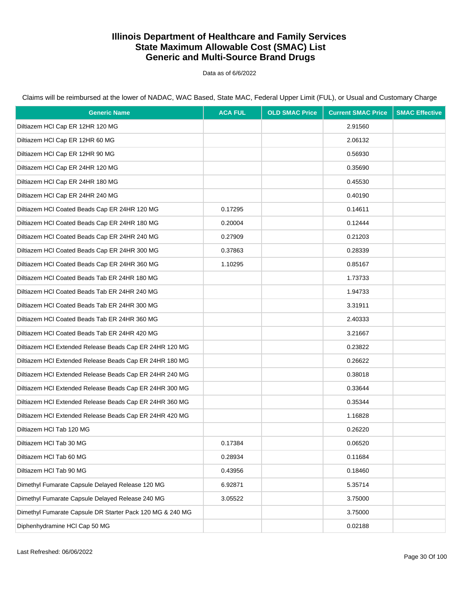Data as of 6/6/2022

| <b>Generic Name</b>                                       | <b>ACA FUL</b> | <b>OLD SMAC Price</b> | <b>Current SMAC Price</b> | <b>SMAC Effective</b> |
|-----------------------------------------------------------|----------------|-----------------------|---------------------------|-----------------------|
| Diltiazem HCl Cap ER 12HR 120 MG                          |                |                       | 2.91560                   |                       |
| Diltiazem HCI Cap ER 12HR 60 MG                           |                |                       | 2.06132                   |                       |
| Diltiazem HCI Cap ER 12HR 90 MG                           |                |                       | 0.56930                   |                       |
| Diltiazem HCl Cap ER 24HR 120 MG                          |                |                       | 0.35690                   |                       |
| Diltiazem HCl Cap ER 24HR 180 MG                          |                |                       | 0.45530                   |                       |
| Diltiazem HCl Cap ER 24HR 240 MG                          |                |                       | 0.40190                   |                       |
| Diltiazem HCI Coated Beads Cap ER 24HR 120 MG             | 0.17295        |                       | 0.14611                   |                       |
| Diltiazem HCl Coated Beads Cap ER 24HR 180 MG             | 0.20004        |                       | 0.12444                   |                       |
| Diltiazem HCl Coated Beads Cap ER 24HR 240 MG             | 0.27909        |                       | 0.21203                   |                       |
| Diltiazem HCl Coated Beads Cap ER 24HR 300 MG             | 0.37863        |                       | 0.28339                   |                       |
| Diltiazem HCl Coated Beads Cap ER 24HR 360 MG             | 1.10295        |                       | 0.85167                   |                       |
| Diltiazem HCl Coated Beads Tab ER 24HR 180 MG             |                |                       | 1.73733                   |                       |
| Diltiazem HCI Coated Beads Tab ER 24HR 240 MG             |                |                       | 1.94733                   |                       |
| Diltiazem HCl Coated Beads Tab ER 24HR 300 MG             |                |                       | 3.31911                   |                       |
| Diltiazem HCI Coated Beads Tab ER 24HR 360 MG             |                |                       | 2.40333                   |                       |
| Diltiazem HCl Coated Beads Tab ER 24HR 420 MG             |                |                       | 3.21667                   |                       |
| Diltiazem HCI Extended Release Beads Cap ER 24HR 120 MG   |                |                       | 0.23822                   |                       |
| Diltiazem HCI Extended Release Beads Cap ER 24HR 180 MG   |                |                       | 0.26622                   |                       |
| Diltiazem HCI Extended Release Beads Cap ER 24HR 240 MG   |                |                       | 0.38018                   |                       |
| Diltiazem HCI Extended Release Beads Cap ER 24HR 300 MG   |                |                       | 0.33644                   |                       |
| Diltiazem HCI Extended Release Beads Cap ER 24HR 360 MG   |                |                       | 0.35344                   |                       |
| Diltiazem HCI Extended Release Beads Cap ER 24HR 420 MG   |                |                       | 1.16828                   |                       |
| Diltiazem HCl Tab 120 MG                                  |                |                       | 0.26220                   |                       |
| Diltiazem HCl Tab 30 MG                                   | 0.17384        |                       | 0.06520                   |                       |
| Diltiazem HCl Tab 60 MG                                   | 0.28934        |                       | 0.11684                   |                       |
| Diltiazem HCl Tab 90 MG                                   | 0.43956        |                       | 0.18460                   |                       |
| Dimethyl Fumarate Capsule Delayed Release 120 MG          | 6.92871        |                       | 5.35714                   |                       |
| Dimethyl Fumarate Capsule Delayed Release 240 MG          | 3.05522        |                       | 3.75000                   |                       |
| Dimethyl Fumarate Capsule DR Starter Pack 120 MG & 240 MG |                |                       | 3.75000                   |                       |
| Diphenhydramine HCI Cap 50 MG                             |                |                       | 0.02188                   |                       |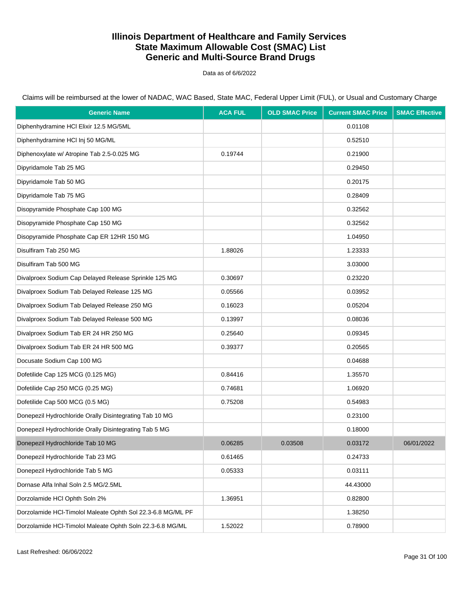Data as of 6/6/2022

Claims will be reimbursed at the lower of NADAC, WAC Based, State MAC, Federal Upper Limit (FUL), or Usual and Customary Charge

| <b>Generic Name</b>                                         | <b>ACA FUL</b> | <b>OLD SMAC Price</b> | <b>Current SMAC Price</b> | <b>SMAC Effective</b> |
|-------------------------------------------------------------|----------------|-----------------------|---------------------------|-----------------------|
| Diphenhydramine HCI Elixir 12.5 MG/5ML                      |                |                       | 0.01108                   |                       |
| Diphenhydramine HCI Inj 50 MG/ML                            |                |                       | 0.52510                   |                       |
| Diphenoxylate w/ Atropine Tab 2.5-0.025 MG                  | 0.19744        |                       | 0.21900                   |                       |
| Dipyridamole Tab 25 MG                                      |                |                       | 0.29450                   |                       |
| Dipyridamole Tab 50 MG                                      |                |                       | 0.20175                   |                       |
| Dipyridamole Tab 75 MG                                      |                |                       | 0.28409                   |                       |
| Disopyramide Phosphate Cap 100 MG                           |                |                       | 0.32562                   |                       |
| Disopyramide Phosphate Cap 150 MG                           |                |                       | 0.32562                   |                       |
| Disopyramide Phosphate Cap ER 12HR 150 MG                   |                |                       | 1.04950                   |                       |
| Disulfiram Tab 250 MG                                       | 1.88026        |                       | 1.23333                   |                       |
| Disulfiram Tab 500 MG                                       |                |                       | 3.03000                   |                       |
| Divalproex Sodium Cap Delayed Release Sprinkle 125 MG       | 0.30697        |                       | 0.23220                   |                       |
| Divalproex Sodium Tab Delayed Release 125 MG                | 0.05566        |                       | 0.03952                   |                       |
| Divalproex Sodium Tab Delayed Release 250 MG                | 0.16023        |                       | 0.05204                   |                       |
| Divalproex Sodium Tab Delayed Release 500 MG                | 0.13997        |                       | 0.08036                   |                       |
| Divalproex Sodium Tab ER 24 HR 250 MG                       | 0.25640        |                       | 0.09345                   |                       |
| Divalproex Sodium Tab ER 24 HR 500 MG                       | 0.39377        |                       | 0.20565                   |                       |
| Docusate Sodium Cap 100 MG                                  |                |                       | 0.04688                   |                       |
| Dofetilide Cap 125 MCG (0.125 MG)                           | 0.84416        |                       | 1.35570                   |                       |
| Dofetilide Cap 250 MCG (0.25 MG)                            | 0.74681        |                       | 1.06920                   |                       |
| Dofetilide Cap 500 MCG (0.5 MG)                             | 0.75208        |                       | 0.54983                   |                       |
| Donepezil Hydrochloride Orally Disintegrating Tab 10 MG     |                |                       | 0.23100                   |                       |
| Donepezil Hydrochloride Orally Disintegrating Tab 5 MG      |                |                       | 0.18000                   |                       |
| Donepezil Hydrochloride Tab 10 MG                           | 0.06285        | 0.03508               | 0.03172                   | 06/01/2022            |
| Donepezil Hydrochloride Tab 23 MG                           | 0.61465        |                       | 0.24733                   |                       |
| Donepezil Hydrochloride Tab 5 MG                            | 0.05333        |                       | 0.03111                   |                       |
| Dornase Alfa Inhal Soln 2.5 MG/2.5ML                        |                |                       | 44.43000                  |                       |
| Dorzolamide HCl Ophth Soln 2%                               | 1.36951        |                       | 0.82800                   |                       |
| Dorzolamide HCl-Timolol Maleate Ophth Sol 22.3-6.8 MG/ML PF |                |                       | 1.38250                   |                       |
| Dorzolamide HCl-Timolol Maleate Ophth Soln 22.3-6.8 MG/ML   | 1.52022        |                       | 0.78900                   |                       |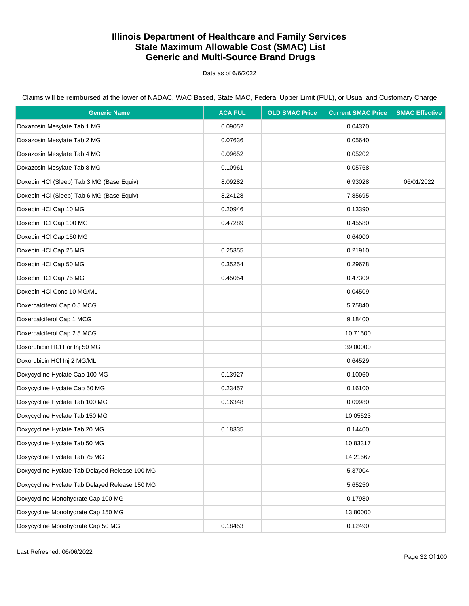Data as of 6/6/2022

| <b>Generic Name</b>                            | <b>ACA FUL</b> | <b>OLD SMAC Price</b> | <b>Current SMAC Price</b> | <b>SMAC Effective</b> |
|------------------------------------------------|----------------|-----------------------|---------------------------|-----------------------|
| Doxazosin Mesylate Tab 1 MG                    | 0.09052        |                       | 0.04370                   |                       |
| Doxazosin Mesylate Tab 2 MG                    | 0.07636        |                       | 0.05640                   |                       |
| Doxazosin Mesylate Tab 4 MG                    | 0.09652        |                       | 0.05202                   |                       |
| Doxazosin Mesylate Tab 8 MG                    | 0.10961        |                       | 0.05768                   |                       |
| Doxepin HCI (Sleep) Tab 3 MG (Base Equiv)      | 8.09282        |                       | 6.93028                   | 06/01/2022            |
| Doxepin HCI (Sleep) Tab 6 MG (Base Equiv)      | 8.24128        |                       | 7.85695                   |                       |
| Doxepin HCl Cap 10 MG                          | 0.20946        |                       | 0.13390                   |                       |
| Doxepin HCl Cap 100 MG                         | 0.47289        |                       | 0.45580                   |                       |
| Doxepin HCl Cap 150 MG                         |                |                       | 0.64000                   |                       |
| Doxepin HCl Cap 25 MG                          | 0.25355        |                       | 0.21910                   |                       |
| Doxepin HCl Cap 50 MG                          | 0.35254        |                       | 0.29678                   |                       |
| Doxepin HCl Cap 75 MG                          | 0.45054        |                       | 0.47309                   |                       |
| Doxepin HCI Conc 10 MG/ML                      |                |                       | 0.04509                   |                       |
| Doxercalciferol Cap 0.5 MCG                    |                |                       | 5.75840                   |                       |
| Doxercalciferol Cap 1 MCG                      |                |                       | 9.18400                   |                       |
| Doxercalciferol Cap 2.5 MCG                    |                |                       | 10.71500                  |                       |
| Doxorubicin HCl For Inj 50 MG                  |                |                       | 39.00000                  |                       |
| Doxorubicin HCl Inj 2 MG/ML                    |                |                       | 0.64529                   |                       |
| Doxycycline Hyclate Cap 100 MG                 | 0.13927        |                       | 0.10060                   |                       |
| Doxycycline Hyclate Cap 50 MG                  | 0.23457        |                       | 0.16100                   |                       |
| Doxycycline Hyclate Tab 100 MG                 | 0.16348        |                       | 0.09980                   |                       |
| Doxycycline Hyclate Tab 150 MG                 |                |                       | 10.05523                  |                       |
| Doxycycline Hyclate Tab 20 MG                  | 0.18335        |                       | 0.14400                   |                       |
| Doxycycline Hyclate Tab 50 MG                  |                |                       | 10.83317                  |                       |
| Doxycycline Hyclate Tab 75 MG                  |                |                       | 14.21567                  |                       |
| Doxycycline Hyclate Tab Delayed Release 100 MG |                |                       | 5.37004                   |                       |
| Doxycycline Hyclate Tab Delayed Release 150 MG |                |                       | 5.65250                   |                       |
| Doxycycline Monohydrate Cap 100 MG             |                |                       | 0.17980                   |                       |
| Doxycycline Monohydrate Cap 150 MG             |                |                       | 13.80000                  |                       |
| Doxycycline Monohydrate Cap 50 MG              | 0.18453        |                       | 0.12490                   |                       |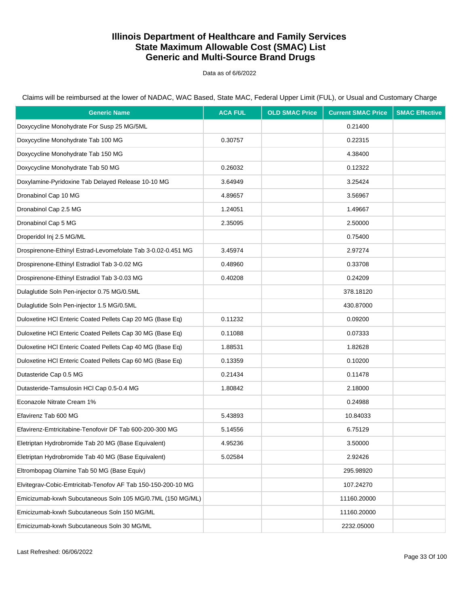Data as of 6/6/2022

Claims will be reimbursed at the lower of NADAC, WAC Based, State MAC, Federal Upper Limit (FUL), or Usual and Customary Charge

| <b>Generic Name</b>                                          | <b>ACA FUL</b> | <b>OLD SMAC Price</b> | <b>Current SMAC Price</b> | <b>SMAC Effective</b> |
|--------------------------------------------------------------|----------------|-----------------------|---------------------------|-----------------------|
| Doxycycline Monohydrate For Susp 25 MG/5ML                   |                |                       | 0.21400                   |                       |
| Doxycycline Monohydrate Tab 100 MG                           | 0.30757        |                       | 0.22315                   |                       |
| Doxycycline Monohydrate Tab 150 MG                           |                |                       | 4.38400                   |                       |
| Doxycycline Monohydrate Tab 50 MG                            | 0.26032        |                       | 0.12322                   |                       |
| Doxylamine-Pyridoxine Tab Delayed Release 10-10 MG           | 3.64949        |                       | 3.25424                   |                       |
| Dronabinol Cap 10 MG                                         | 4.89657        |                       | 3.56967                   |                       |
| Dronabinol Cap 2.5 MG                                        | 1.24051        |                       | 1.49667                   |                       |
| Dronabinol Cap 5 MG                                          | 2.35095        |                       | 2.50000                   |                       |
| Droperidol Inj 2.5 MG/ML                                     |                |                       | 0.75400                   |                       |
| Drospirenone-Ethinyl Estrad-Levomefolate Tab 3-0.02-0.451 MG | 3.45974        |                       | 2.97274                   |                       |
| Drospirenone-Ethinyl Estradiol Tab 3-0.02 MG                 | 0.48960        |                       | 0.33708                   |                       |
| Drospirenone-Ethinyl Estradiol Tab 3-0.03 MG                 | 0.40208        |                       | 0.24209                   |                       |
| Dulaglutide Soln Pen-injector 0.75 MG/0.5ML                  |                |                       | 378.18120                 |                       |
| Dulaglutide Soln Pen-injector 1.5 MG/0.5ML                   |                |                       | 430.87000                 |                       |
| Duloxetine HCI Enteric Coated Pellets Cap 20 MG (Base Eq)    | 0.11232        |                       | 0.09200                   |                       |
| Duloxetine HCI Enteric Coated Pellets Cap 30 MG (Base Eq)    | 0.11088        |                       | 0.07333                   |                       |
| Duloxetine HCI Enteric Coated Pellets Cap 40 MG (Base Eq)    | 1.88531        |                       | 1.82628                   |                       |
| Duloxetine HCI Enteric Coated Pellets Cap 60 MG (Base Eq)    | 0.13359        |                       | 0.10200                   |                       |
| Dutasteride Cap 0.5 MG                                       | 0.21434        |                       | 0.11478                   |                       |
| Dutasteride-Tamsulosin HCl Cap 0.5-0.4 MG                    | 1.80842        |                       | 2.18000                   |                       |
| Econazole Nitrate Cream 1%                                   |                |                       | 0.24988                   |                       |
| Efavirenz Tab 600 MG                                         | 5.43893        |                       | 10.84033                  |                       |
| Efavirenz-Emtricitabine-Tenofovir DF Tab 600-200-300 MG      | 5.14556        |                       | 6.75129                   |                       |
| Eletriptan Hydrobromide Tab 20 MG (Base Equivalent)          | 4.95236        |                       | 3.50000                   |                       |
| Eletriptan Hydrobromide Tab 40 MG (Base Equivalent)          | 5.02584        |                       | 2.92426                   |                       |
| Eltrombopag Olamine Tab 50 MG (Base Equiv)                   |                |                       | 295.98920                 |                       |
| Elvitegrav-Cobic-Emtricitab-Tenofov AF Tab 150-150-200-10 MG |                |                       | 107.24270                 |                       |
| Emicizumab-kxwh Subcutaneous Soln 105 MG/0.7ML (150 MG/ML)   |                |                       | 11160.20000               |                       |
| Emicizumab-kxwh Subcutaneous Soln 150 MG/ML                  |                |                       | 11160.20000               |                       |
| Emicizumab-kxwh Subcutaneous Soln 30 MG/ML                   |                |                       | 2232.05000                |                       |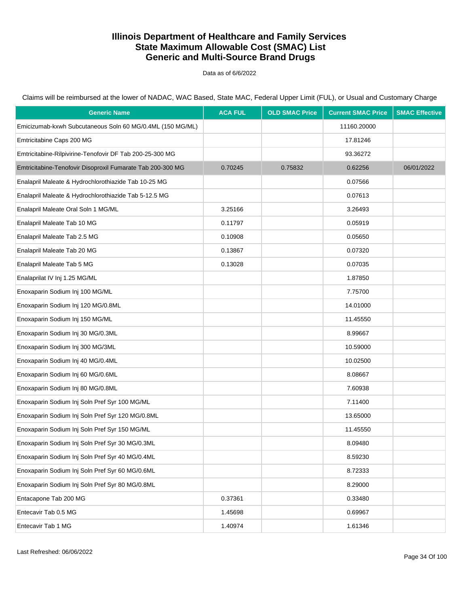Data as of 6/6/2022

| <b>Generic Name</b>                                        | <b>ACA FUL</b> | <b>OLD SMAC Price</b> | <b>Current SMAC Price</b> | <b>SMAC Effective</b> |
|------------------------------------------------------------|----------------|-----------------------|---------------------------|-----------------------|
| Emicizumab-kxwh Subcutaneous Soln 60 MG/0.4ML (150 MG/ML)  |                |                       | 11160.20000               |                       |
| Emtricitabine Caps 200 MG                                  |                |                       | 17.81246                  |                       |
| Emtricitabine-Rilpivirine-Tenofovir DF Tab 200-25-300 MG   |                |                       | 93.36272                  |                       |
| Emtricitabine-Tenofovir Disoproxil Fumarate Tab 200-300 MG | 0.70245        | 0.75832               | 0.62256                   | 06/01/2022            |
| Enalapril Maleate & Hydrochlorothiazide Tab 10-25 MG       |                |                       | 0.07566                   |                       |
| Enalapril Maleate & Hydrochlorothiazide Tab 5-12.5 MG      |                |                       | 0.07613                   |                       |
| Enalapril Maleate Oral Soln 1 MG/ML                        | 3.25166        |                       | 3.26493                   |                       |
| Enalapril Maleate Tab 10 MG                                | 0.11797        |                       | 0.05919                   |                       |
| Enalapril Maleate Tab 2.5 MG                               | 0.10908        |                       | 0.05650                   |                       |
| Enalapril Maleate Tab 20 MG                                | 0.13867        |                       | 0.07320                   |                       |
| Enalapril Maleate Tab 5 MG                                 | 0.13028        |                       | 0.07035                   |                       |
| Enalaprilat IV Inj 1.25 MG/ML                              |                |                       | 1.87850                   |                       |
| Enoxaparin Sodium Inj 100 MG/ML                            |                |                       | 7.75700                   |                       |
| Enoxaparin Sodium Inj 120 MG/0.8ML                         |                |                       | 14.01000                  |                       |
| Enoxaparin Sodium Inj 150 MG/ML                            |                |                       | 11.45550                  |                       |
| Enoxaparin Sodium Inj 30 MG/0.3ML                          |                |                       | 8.99667                   |                       |
| Enoxaparin Sodium Inj 300 MG/3ML                           |                |                       | 10.59000                  |                       |
| Enoxaparin Sodium Inj 40 MG/0.4ML                          |                |                       | 10.02500                  |                       |
| Enoxaparin Sodium Inj 60 MG/0.6ML                          |                |                       | 8.08667                   |                       |
| Enoxaparin Sodium Inj 80 MG/0.8ML                          |                |                       | 7.60938                   |                       |
| Enoxaparin Sodium Inj Soln Pref Syr 100 MG/ML              |                |                       | 7.11400                   |                       |
| Enoxaparin Sodium Inj Soln Pref Syr 120 MG/0.8ML           |                |                       | 13.65000                  |                       |
| Enoxaparin Sodium Inj Soln Pref Syr 150 MG/ML              |                |                       | 11.45550                  |                       |
| Enoxaparin Sodium Inj Soln Pref Syr 30 MG/0.3ML            |                |                       | 8.09480                   |                       |
| Enoxaparin Sodium Inj Soln Pref Syr 40 MG/0.4ML            |                |                       | 8.59230                   |                       |
| Enoxaparin Sodium Inj Soln Pref Syr 60 MG/0.6ML            |                |                       | 8.72333                   |                       |
| Enoxaparin Sodium Inj Soln Pref Syr 80 MG/0.8ML            |                |                       | 8.29000                   |                       |
| Entacapone Tab 200 MG                                      | 0.37361        |                       | 0.33480                   |                       |
| Entecavir Tab 0.5 MG                                       | 1.45698        |                       | 0.69967                   |                       |
| Entecavir Tab 1 MG                                         | 1.40974        |                       | 1.61346                   |                       |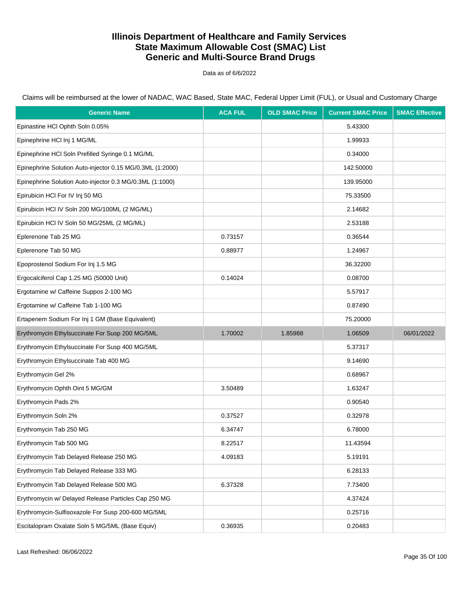Data as of 6/6/2022

Claims will be reimbursed at the lower of NADAC, WAC Based, State MAC, Federal Upper Limit (FUL), or Usual and Customary Charge

| <b>Generic Name</b>                                       | <b>ACA FUL</b> | <b>OLD SMAC Price</b> | <b>Current SMAC Price</b> | <b>SMAC Effective</b> |
|-----------------------------------------------------------|----------------|-----------------------|---------------------------|-----------------------|
| Epinastine HCI Ophth Soln 0.05%                           |                |                       | 5.43300                   |                       |
| Epinephrine HCl Inj 1 MG/ML                               |                |                       | 1.99933                   |                       |
| Epinephrine HCI Soln Prefilled Syringe 0.1 MG/ML          |                |                       | 0.34000                   |                       |
| Epinephrine Solution Auto-injector 0.15 MG/0.3ML (1:2000) |                |                       | 142.50000                 |                       |
| Epinephrine Solution Auto-injector 0.3 MG/0.3ML (1:1000)  |                |                       | 139.95000                 |                       |
| Epirubicin HCI For IV Inj 50 MG                           |                |                       | 75.33500                  |                       |
| Epirubicin HCI IV Soln 200 MG/100ML (2 MG/ML)             |                |                       | 2.14682                   |                       |
| Epirubicin HCI IV Soln 50 MG/25ML (2 MG/ML)               |                |                       | 2.53188                   |                       |
| Eplerenone Tab 25 MG                                      | 0.73157        |                       | 0.36544                   |                       |
| Eplerenone Tab 50 MG                                      | 0.88977        |                       | 1.24967                   |                       |
| Epoprostenol Sodium For Inj 1.5 MG                        |                |                       | 36.32200                  |                       |
| Ergocalciferol Cap 1.25 MG (50000 Unit)                   | 0.14024        |                       | 0.08700                   |                       |
| Ergotamine w/ Caffeine Suppos 2-100 MG                    |                |                       | 5.57917                   |                       |
| Ergotamine w/ Caffeine Tab 1-100 MG                       |                |                       | 0.87490                   |                       |
| Ertapenem Sodium For Inj 1 GM (Base Equivalent)           |                |                       | 75.20000                  |                       |
| Erythromycin Ethylsuccinate For Susp 200 MG/5ML           | 1.70002        | 1.85988               | 1.06509                   | 06/01/2022            |
| Erythromycin Ethylsuccinate For Susp 400 MG/5ML           |                |                       | 5.37317                   |                       |
| Erythromycin Ethylsuccinate Tab 400 MG                    |                |                       | 9.14690                   |                       |
| Erythromycin Gel 2%                                       |                |                       | 0.68967                   |                       |
| Erythromycin Ophth Oint 5 MG/GM                           | 3.50489        |                       | 1.63247                   |                       |
| Erythromycin Pads 2%                                      |                |                       | 0.90540                   |                       |
| Erythromycin Soln 2%                                      | 0.37527        |                       | 0.32978                   |                       |
| Erythromycin Tab 250 MG                                   | 6.34747        |                       | 6.78000                   |                       |
| Erythromycin Tab 500 MG                                   | 8.22517        |                       | 11.43594                  |                       |
| Erythromycin Tab Delayed Release 250 MG                   | 4.09183        |                       | 5.19191                   |                       |
| Erythromycin Tab Delayed Release 333 MG                   |                |                       | 6.28133                   |                       |
| Erythromycin Tab Delayed Release 500 MG                   | 6.37328        |                       | 7.73400                   |                       |
| Erythromycin w/ Delayed Release Particles Cap 250 MG      |                |                       | 4.37424                   |                       |
| Erythromycin-Sulfisoxazole For Susp 200-600 MG/5ML        |                |                       | 0.25716                   |                       |
| Escitalopram Oxalate Soln 5 MG/5ML (Base Equiv)           | 0.36935        |                       | 0.20483                   |                       |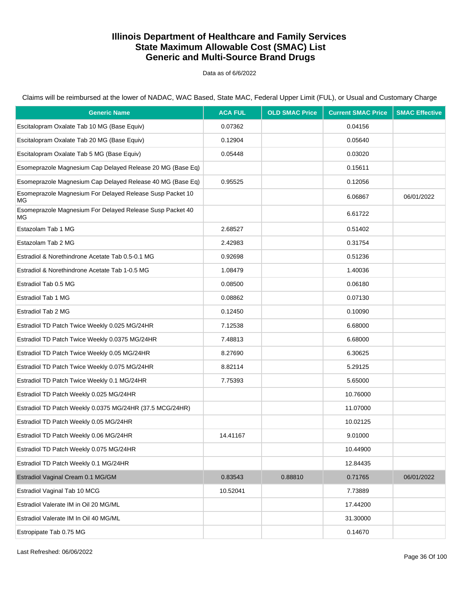Data as of 6/6/2022

Claims will be reimbursed at the lower of NADAC, WAC Based, State MAC, Federal Upper Limit (FUL), or Usual and Customary Charge

| <b>Generic Name</b>                                             | <b>ACA FUL</b> | <b>OLD SMAC Price</b> | <b>Current SMAC Price</b> | <b>SMAC Effective</b> |
|-----------------------------------------------------------------|----------------|-----------------------|---------------------------|-----------------------|
| Escitalopram Oxalate Tab 10 MG (Base Equiv)                     | 0.07362        |                       | 0.04156                   |                       |
| Escitalopram Oxalate Tab 20 MG (Base Equiv)                     | 0.12904        |                       | 0.05640                   |                       |
| Escitalopram Oxalate Tab 5 MG (Base Equiv)                      | 0.05448        |                       | 0.03020                   |                       |
| Esomeprazole Magnesium Cap Delayed Release 20 MG (Base Eq)      |                |                       | 0.15611                   |                       |
| Esomeprazole Magnesium Cap Delayed Release 40 MG (Base Eq)      | 0.95525        |                       | 0.12056                   |                       |
| Esomeprazole Magnesium For Delayed Release Susp Packet 10<br>MG |                |                       | 6.06867                   | 06/01/2022            |
| Esomeprazole Magnesium For Delayed Release Susp Packet 40<br>МG |                |                       | 6.61722                   |                       |
| Estazolam Tab 1 MG                                              | 2.68527        |                       | 0.51402                   |                       |
| Estazolam Tab 2 MG                                              | 2.42983        |                       | 0.31754                   |                       |
| Estradiol & Norethindrone Acetate Tab 0.5-0.1 MG                | 0.92698        |                       | 0.51236                   |                       |
| Estradiol & Norethindrone Acetate Tab 1-0.5 MG                  | 1.08479        |                       | 1.40036                   |                       |
| Estradiol Tab 0.5 MG                                            | 0.08500        |                       | 0.06180                   |                       |
| Estradiol Tab 1 MG                                              | 0.08862        |                       | 0.07130                   |                       |
| Estradiol Tab 2 MG                                              | 0.12450        |                       | 0.10090                   |                       |
| Estradiol TD Patch Twice Weekly 0.025 MG/24HR                   | 7.12538        |                       | 6.68000                   |                       |
| Estradiol TD Patch Twice Weekly 0.0375 MG/24HR                  | 7.48813        |                       | 6.68000                   |                       |
| Estradiol TD Patch Twice Weekly 0.05 MG/24HR                    | 8.27690        |                       | 6.30625                   |                       |
| Estradiol TD Patch Twice Weekly 0.075 MG/24HR                   | 8.82114        |                       | 5.29125                   |                       |
| Estradiol TD Patch Twice Weekly 0.1 MG/24HR                     | 7.75393        |                       | 5.65000                   |                       |
| Estradiol TD Patch Weekly 0.025 MG/24HR                         |                |                       | 10.76000                  |                       |
| Estradiol TD Patch Weekly 0.0375 MG/24HR (37.5 MCG/24HR)        |                |                       | 11.07000                  |                       |
| Estradiol TD Patch Weekly 0.05 MG/24HR                          |                |                       | 10.02125                  |                       |
| Estradiol TD Patch Weekly 0.06 MG/24HR                          | 14.41167       |                       | 9.01000                   |                       |
| Estradiol TD Patch Weekly 0.075 MG/24HR                         |                |                       | 10.44900                  |                       |
| Estradiol TD Patch Weekly 0.1 MG/24HR                           |                |                       | 12.84435                  |                       |
| Estradiol Vaginal Cream 0.1 MG/GM                               | 0.83543        | 0.88810               | 0.71765                   | 06/01/2022            |
| Estradiol Vaginal Tab 10 MCG                                    | 10.52041       |                       | 7.73889                   |                       |
| Estradiol Valerate IM in Oil 20 MG/ML                           |                |                       | 17.44200                  |                       |
| Estradiol Valerate IM In Oil 40 MG/ML                           |                |                       | 31.30000                  |                       |
| Estropipate Tab 0.75 MG                                         |                |                       | 0.14670                   |                       |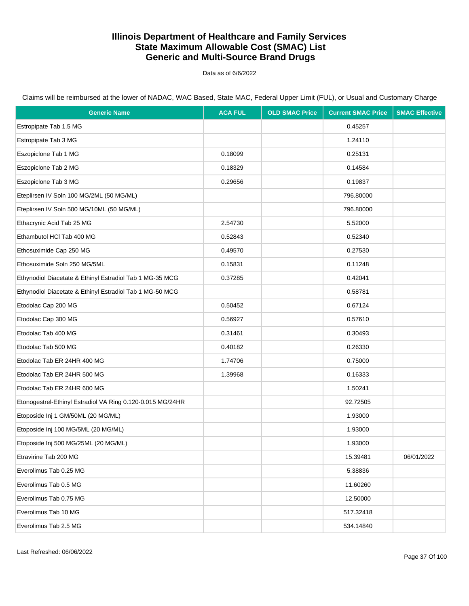Data as of 6/6/2022

| <b>Generic Name</b>                                        | <b>ACA FUL</b> | <b>OLD SMAC Price</b> | <b>Current SMAC Price</b> | <b>SMAC Effective</b> |
|------------------------------------------------------------|----------------|-----------------------|---------------------------|-----------------------|
| Estropipate Tab 1.5 MG                                     |                |                       | 0.45257                   |                       |
| Estropipate Tab 3 MG                                       |                |                       | 1.24110                   |                       |
| Eszopiclone Tab 1 MG                                       | 0.18099        |                       | 0.25131                   |                       |
| Eszopiclone Tab 2 MG                                       | 0.18329        |                       | 0.14584                   |                       |
| Eszopiclone Tab 3 MG                                       | 0.29656        |                       | 0.19837                   |                       |
| Eteplirsen IV Soln 100 MG/2ML (50 MG/ML)                   |                |                       | 796.80000                 |                       |
| Eteplirsen IV Soln 500 MG/10ML (50 MG/ML)                  |                |                       | 796.80000                 |                       |
| Ethacrynic Acid Tab 25 MG                                  | 2.54730        |                       | 5.52000                   |                       |
| Ethambutol HCI Tab 400 MG                                  | 0.52843        |                       | 0.52340                   |                       |
| Ethosuximide Cap 250 MG                                    | 0.49570        |                       | 0.27530                   |                       |
| Ethosuximide Soln 250 MG/5ML                               | 0.15831        |                       | 0.11248                   |                       |
| Ethynodiol Diacetate & Ethinyl Estradiol Tab 1 MG-35 MCG   | 0.37285        |                       | 0.42041                   |                       |
| Ethynodiol Diacetate & Ethinyl Estradiol Tab 1 MG-50 MCG   |                |                       | 0.58781                   |                       |
| Etodolac Cap 200 MG                                        | 0.50452        |                       | 0.67124                   |                       |
| Etodolac Cap 300 MG                                        | 0.56927        |                       | 0.57610                   |                       |
| Etodolac Tab 400 MG                                        | 0.31461        |                       | 0.30493                   |                       |
| Etodolac Tab 500 MG                                        | 0.40182        |                       | 0.26330                   |                       |
| Etodolac Tab ER 24HR 400 MG                                | 1.74706        |                       | 0.75000                   |                       |
| Etodolac Tab ER 24HR 500 MG                                | 1.39968        |                       | 0.16333                   |                       |
| Etodolac Tab ER 24HR 600 MG                                |                |                       | 1.50241                   |                       |
| Etonogestrel-Ethinyl Estradiol VA Ring 0.120-0.015 MG/24HR |                |                       | 92.72505                  |                       |
| Etoposide Inj 1 GM/50ML (20 MG/ML)                         |                |                       | 1.93000                   |                       |
| Etoposide Inj 100 MG/5ML (20 MG/ML)                        |                |                       | 1.93000                   |                       |
| Etoposide Inj 500 MG/25ML (20 MG/ML)                       |                |                       | 1.93000                   |                       |
| Etravirine Tab 200 MG                                      |                |                       | 15.39481                  | 06/01/2022            |
| Everolimus Tab 0.25 MG                                     |                |                       | 5.38836                   |                       |
| Everolimus Tab 0.5 MG                                      |                |                       | 11.60260                  |                       |
| Everolimus Tab 0.75 MG                                     |                |                       | 12.50000                  |                       |
| Everolimus Tab 10 MG                                       |                |                       | 517.32418                 |                       |
| Everolimus Tab 2.5 MG                                      |                |                       | 534.14840                 |                       |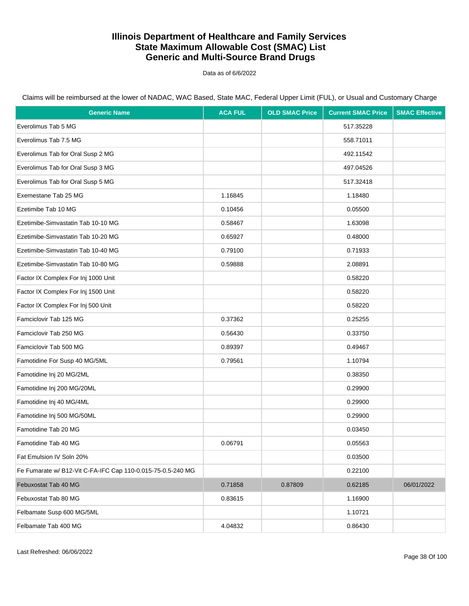Data as of 6/6/2022

| <b>Generic Name</b>                                         | <b>ACA FUL</b> | <b>OLD SMAC Price</b> | <b>Current SMAC Price</b> | <b>SMAC Effective</b> |
|-------------------------------------------------------------|----------------|-----------------------|---------------------------|-----------------------|
| Everolimus Tab 5 MG                                         |                |                       | 517.35228                 |                       |
| Everolimus Tab 7.5 MG                                       |                |                       | 558.71011                 |                       |
| Everolimus Tab for Oral Susp 2 MG                           |                |                       | 492.11542                 |                       |
| Everolimus Tab for Oral Susp 3 MG                           |                |                       | 497.04526                 |                       |
| Everolimus Tab for Oral Susp 5 MG                           |                |                       | 517.32418                 |                       |
| Exemestane Tab 25 MG                                        | 1.16845        |                       | 1.18480                   |                       |
| Ezetimibe Tab 10 MG                                         | 0.10456        |                       | 0.05500                   |                       |
| Ezetimibe-Simvastatin Tab 10-10 MG                          | 0.58467        |                       | 1.63098                   |                       |
| Ezetimibe-Simvastatin Tab 10-20 MG                          | 0.65927        |                       | 0.48000                   |                       |
| Ezetimibe-Simvastatin Tab 10-40 MG                          | 0.79100        |                       | 0.71933                   |                       |
| Ezetimibe-Simvastatin Tab 10-80 MG                          | 0.59888        |                       | 2.08891                   |                       |
| Factor IX Complex For Inj 1000 Unit                         |                |                       | 0.58220                   |                       |
| Factor IX Complex For Inj 1500 Unit                         |                |                       | 0.58220                   |                       |
| Factor IX Complex For Inj 500 Unit                          |                |                       | 0.58220                   |                       |
| Famciclovir Tab 125 MG                                      | 0.37362        |                       | 0.25255                   |                       |
| Famciclovir Tab 250 MG                                      | 0.56430        |                       | 0.33750                   |                       |
| Famciclovir Tab 500 MG                                      | 0.89397        |                       | 0.49467                   |                       |
| Famotidine For Susp 40 MG/5ML                               | 0.79561        |                       | 1.10794                   |                       |
| Famotidine Inj 20 MG/2ML                                    |                |                       | 0.38350                   |                       |
| Famotidine Inj 200 MG/20ML                                  |                |                       | 0.29900                   |                       |
| Famotidine Inj 40 MG/4ML                                    |                |                       | 0.29900                   |                       |
| Famotidine Inj 500 MG/50ML                                  |                |                       | 0.29900                   |                       |
| Famotidine Tab 20 MG                                        |                |                       | 0.03450                   |                       |
| Famotidine Tab 40 MG                                        | 0.06791        |                       | 0.05563                   |                       |
| Fat Emulsion IV Soln 20%                                    |                |                       | 0.03500                   |                       |
| Fe Fumarate w/ B12-Vit C-FA-IFC Cap 110-0.015-75-0.5-240 MG |                |                       | 0.22100                   |                       |
| Febuxostat Tab 40 MG                                        | 0.71858        | 0.87809               | 0.62185                   | 06/01/2022            |
| Febuxostat Tab 80 MG                                        | 0.83615        |                       | 1.16900                   |                       |
| Felbamate Susp 600 MG/5ML                                   |                |                       | 1.10721                   |                       |
| Felbamate Tab 400 MG                                        | 4.04832        |                       | 0.86430                   |                       |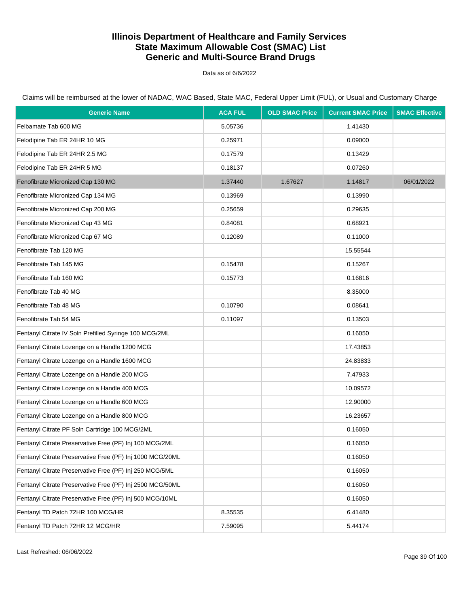Data as of 6/6/2022

| <b>Generic Name</b>                                       | <b>ACA FUL</b> | <b>OLD SMAC Price</b> | <b>Current SMAC Price</b> | <b>SMAC Effective</b> |
|-----------------------------------------------------------|----------------|-----------------------|---------------------------|-----------------------|
| Felbamate Tab 600 MG                                      | 5.05736        |                       | 1.41430                   |                       |
| Felodipine Tab ER 24HR 10 MG                              | 0.25971        |                       | 0.09000                   |                       |
| Felodipine Tab ER 24HR 2.5 MG                             | 0.17579        |                       | 0.13429                   |                       |
| Felodipine Tab ER 24HR 5 MG                               | 0.18137        |                       | 0.07260                   |                       |
| Fenofibrate Micronized Cap 130 MG                         | 1.37440        | 1.67627               | 1.14817                   | 06/01/2022            |
| Fenofibrate Micronized Cap 134 MG                         | 0.13969        |                       | 0.13990                   |                       |
| Fenofibrate Micronized Cap 200 MG                         | 0.25659        |                       | 0.29635                   |                       |
| Fenofibrate Micronized Cap 43 MG                          | 0.84081        |                       | 0.68921                   |                       |
| Fenofibrate Micronized Cap 67 MG                          | 0.12089        |                       | 0.11000                   |                       |
| Fenofibrate Tab 120 MG                                    |                |                       | 15.55544                  |                       |
| Fenofibrate Tab 145 MG                                    | 0.15478        |                       | 0.15267                   |                       |
| Fenofibrate Tab 160 MG                                    | 0.15773        |                       | 0.16816                   |                       |
| Fenofibrate Tab 40 MG                                     |                |                       | 8.35000                   |                       |
| Fenofibrate Tab 48 MG                                     | 0.10790        |                       | 0.08641                   |                       |
| Fenofibrate Tab 54 MG                                     | 0.11097        |                       | 0.13503                   |                       |
| Fentanyl Citrate IV Soln Prefilled Syringe 100 MCG/2ML    |                |                       | 0.16050                   |                       |
| Fentanyl Citrate Lozenge on a Handle 1200 MCG             |                |                       | 17.43853                  |                       |
| Fentanyl Citrate Lozenge on a Handle 1600 MCG             |                |                       | 24.83833                  |                       |
| Fentanyl Citrate Lozenge on a Handle 200 MCG              |                |                       | 7.47933                   |                       |
| Fentanyl Citrate Lozenge on a Handle 400 MCG              |                |                       | 10.09572                  |                       |
| Fentanyl Citrate Lozenge on a Handle 600 MCG              |                |                       | 12.90000                  |                       |
| Fentanyl Citrate Lozenge on a Handle 800 MCG              |                |                       | 16.23657                  |                       |
| Fentanyl Citrate PF Soln Cartridge 100 MCG/2ML            |                |                       | 0.16050                   |                       |
| Fentanyl Citrate Preservative Free (PF) Inj 100 MCG/2ML   |                |                       | 0.16050                   |                       |
| Fentanyl Citrate Preservative Free (PF) Inj 1000 MCG/20ML |                |                       | 0.16050                   |                       |
| Fentanyl Citrate Preservative Free (PF) Inj 250 MCG/5ML   |                |                       | 0.16050                   |                       |
| Fentanyl Citrate Preservative Free (PF) Inj 2500 MCG/50ML |                |                       | 0.16050                   |                       |
| Fentanyl Citrate Preservative Free (PF) Inj 500 MCG/10ML  |                |                       | 0.16050                   |                       |
| Fentanyl TD Patch 72HR 100 MCG/HR                         | 8.35535        |                       | 6.41480                   |                       |
| Fentanyl TD Patch 72HR 12 MCG/HR                          | 7.59095        |                       | 5.44174                   |                       |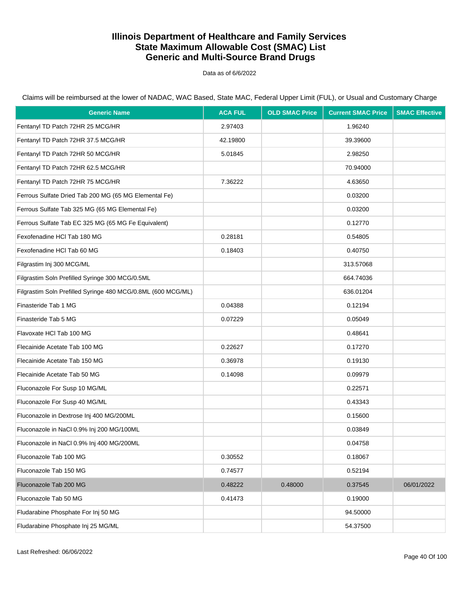Data as of 6/6/2022

| <b>Generic Name</b>                                          | <b>ACA FUL</b> | <b>OLD SMAC Price</b> | <b>Current SMAC Price</b> | <b>SMAC Effective</b> |
|--------------------------------------------------------------|----------------|-----------------------|---------------------------|-----------------------|
| Fentanyl TD Patch 72HR 25 MCG/HR                             | 2.97403        |                       | 1.96240                   |                       |
| Fentanyl TD Patch 72HR 37.5 MCG/HR                           | 42.19800       |                       | 39.39600                  |                       |
| Fentanyl TD Patch 72HR 50 MCG/HR                             | 5.01845        |                       | 2.98250                   |                       |
| Fentanyl TD Patch 72HR 62.5 MCG/HR                           |                |                       | 70.94000                  |                       |
| Fentanyl TD Patch 72HR 75 MCG/HR                             | 7.36222        |                       | 4.63650                   |                       |
| Ferrous Sulfate Dried Tab 200 MG (65 MG Elemental Fe)        |                |                       | 0.03200                   |                       |
| Ferrous Sulfate Tab 325 MG (65 MG Elemental Fe)              |                |                       | 0.03200                   |                       |
| Ferrous Sulfate Tab EC 325 MG (65 MG Fe Equivalent)          |                |                       | 0.12770                   |                       |
| Fexofenadine HCI Tab 180 MG                                  | 0.28181        |                       | 0.54805                   |                       |
| Fexofenadine HCl Tab 60 MG                                   | 0.18403        |                       | 0.40750                   |                       |
| Filgrastim Inj 300 MCG/ML                                    |                |                       | 313.57068                 |                       |
| Filgrastim Soln Prefilled Syringe 300 MCG/0.5ML              |                |                       | 664.74036                 |                       |
| Filgrastim Soln Prefilled Syringe 480 MCG/0.8ML (600 MCG/ML) |                |                       | 636.01204                 |                       |
| Finasteride Tab 1 MG                                         | 0.04388        |                       | 0.12194                   |                       |
| Finasteride Tab 5 MG                                         | 0.07229        |                       | 0.05049                   |                       |
| Flavoxate HCl Tab 100 MG                                     |                |                       | 0.48641                   |                       |
| Flecainide Acetate Tab 100 MG                                | 0.22627        |                       | 0.17270                   |                       |
| Flecainide Acetate Tab 150 MG                                | 0.36978        |                       | 0.19130                   |                       |
| Flecainide Acetate Tab 50 MG                                 | 0.14098        |                       | 0.09979                   |                       |
| Fluconazole For Susp 10 MG/ML                                |                |                       | 0.22571                   |                       |
| Fluconazole For Susp 40 MG/ML                                |                |                       | 0.43343                   |                       |
| Fluconazole in Dextrose Inj 400 MG/200ML                     |                |                       | 0.15600                   |                       |
| Fluconazole in NaCl 0.9% Inj 200 MG/100ML                    |                |                       | 0.03849                   |                       |
| Fluconazole in NaCl 0.9% Inj 400 MG/200ML                    |                |                       | 0.04758                   |                       |
| Fluconazole Tab 100 MG                                       | 0.30552        |                       | 0.18067                   |                       |
| Fluconazole Tab 150 MG                                       | 0.74577        |                       | 0.52194                   |                       |
| Fluconazole Tab 200 MG                                       | 0.48222        | 0.48000               | 0.37545                   | 06/01/2022            |
| Fluconazole Tab 50 MG                                        | 0.41473        |                       | 0.19000                   |                       |
| Fludarabine Phosphate For Inj 50 MG                          |                |                       | 94.50000                  |                       |
| Fludarabine Phosphate Inj 25 MG/ML                           |                |                       | 54.37500                  |                       |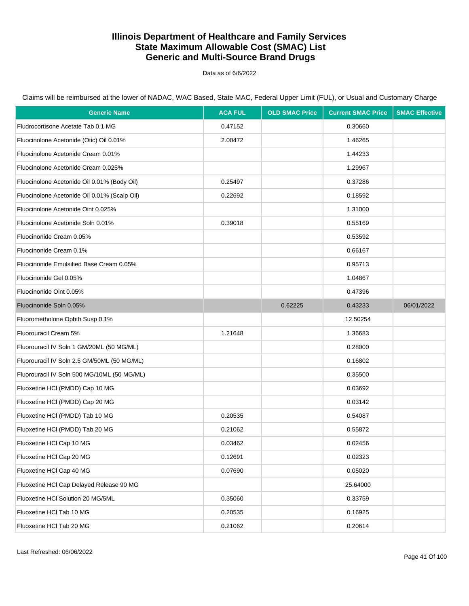Data as of 6/6/2022

Claims will be reimbursed at the lower of NADAC, WAC Based, State MAC, Federal Upper Limit (FUL), or Usual and Customary Charge

| <b>Generic Name</b>                          | <b>ACA FUL</b> | <b>OLD SMAC Price</b> | <b>Current SMAC Price</b> | <b>SMAC Effective</b> |
|----------------------------------------------|----------------|-----------------------|---------------------------|-----------------------|
| Fludrocortisone Acetate Tab 0.1 MG           | 0.47152        |                       | 0.30660                   |                       |
| Fluocinolone Acetonide (Otic) Oil 0.01%      | 2.00472        |                       | 1.46265                   |                       |
| Fluocinolone Acetonide Cream 0.01%           |                |                       | 1.44233                   |                       |
| Fluocinolone Acetonide Cream 0.025%          |                |                       | 1.29967                   |                       |
| Fluocinolone Acetonide Oil 0.01% (Body Oil)  | 0.25497        |                       | 0.37286                   |                       |
| Fluocinolone Acetonide Oil 0.01% (Scalp Oil) | 0.22692        |                       | 0.18592                   |                       |
| Fluocinolone Acetonide Oint 0.025%           |                |                       | 1.31000                   |                       |
| Fluocinolone Acetonide Soln 0.01%            | 0.39018        |                       | 0.55169                   |                       |
| Fluocinonide Cream 0.05%                     |                |                       | 0.53592                   |                       |
| Fluocinonide Cream 0.1%                      |                |                       | 0.66167                   |                       |
| Fluocinonide Emulsified Base Cream 0.05%     |                |                       | 0.95713                   |                       |
| Fluocinonide Gel 0.05%                       |                |                       | 1.04867                   |                       |
| Fluocinonide Oint 0.05%                      |                |                       | 0.47396                   |                       |
| Fluocinonide Soln 0.05%                      |                | 0.62225               | 0.43233                   | 06/01/2022            |
| Fluorometholone Ophth Susp 0.1%              |                |                       | 12.50254                  |                       |
| Fluorouracil Cream 5%                        | 1.21648        |                       | 1.36683                   |                       |
| Fluorouracil IV Soln 1 GM/20ML (50 MG/ML)    |                |                       | 0.28000                   |                       |
| Fluorouracil IV Soln 2.5 GM/50ML (50 MG/ML)  |                |                       | 0.16802                   |                       |
| Fluorouracil IV Soln 500 MG/10ML (50 MG/ML)  |                |                       | 0.35500                   |                       |
| Fluoxetine HCI (PMDD) Cap 10 MG              |                |                       | 0.03692                   |                       |
| Fluoxetine HCI (PMDD) Cap 20 MG              |                |                       | 0.03142                   |                       |
| Fluoxetine HCI (PMDD) Tab 10 MG              | 0.20535        |                       | 0.54087                   |                       |
| Fluoxetine HCI (PMDD) Tab 20 MG              | 0.21062        |                       | 0.55872                   |                       |
| Fluoxetine HCl Cap 10 MG                     | 0.03462        |                       | 0.02456                   |                       |
| Fluoxetine HCl Cap 20 MG                     | 0.12691        |                       | 0.02323                   |                       |
| Fluoxetine HCl Cap 40 MG                     | 0.07690        |                       | 0.05020                   |                       |
| Fluoxetine HCl Cap Delayed Release 90 MG     |                |                       | 25.64000                  |                       |
| Fluoxetine HCl Solution 20 MG/5ML            | 0.35060        |                       | 0.33759                   |                       |
| Fluoxetine HCl Tab 10 MG                     | 0.20535        |                       | 0.16925                   |                       |
| Fluoxetine HCl Tab 20 MG                     | 0.21062        |                       | 0.20614                   |                       |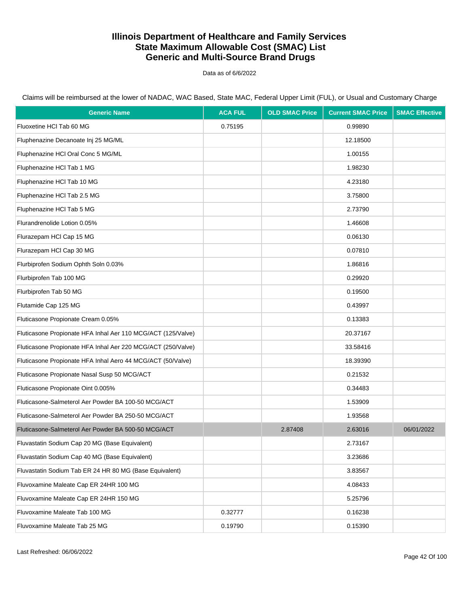Data as of 6/6/2022

Claims will be reimbursed at the lower of NADAC, WAC Based, State MAC, Federal Upper Limit (FUL), or Usual and Customary Charge

| <b>Generic Name</b>                                          | <b>ACA FUL</b> | <b>OLD SMAC Price</b> | <b>Current SMAC Price</b> | <b>SMAC Effective</b> |
|--------------------------------------------------------------|----------------|-----------------------|---------------------------|-----------------------|
| Fluoxetine HCI Tab 60 MG                                     | 0.75195        |                       | 0.99890                   |                       |
| Fluphenazine Decanoate Inj 25 MG/ML                          |                |                       | 12.18500                  |                       |
| Fluphenazine HCI Oral Conc 5 MG/ML                           |                |                       | 1.00155                   |                       |
| Fluphenazine HCl Tab 1 MG                                    |                |                       | 1.98230                   |                       |
| Fluphenazine HCl Tab 10 MG                                   |                |                       | 4.23180                   |                       |
| Fluphenazine HCl Tab 2.5 MG                                  |                |                       | 3.75800                   |                       |
| Fluphenazine HCl Tab 5 MG                                    |                |                       | 2.73790                   |                       |
| Flurandrenolide Lotion 0.05%                                 |                |                       | 1.46608                   |                       |
| Flurazepam HCl Cap 15 MG                                     |                |                       | 0.06130                   |                       |
| Flurazepam HCl Cap 30 MG                                     |                |                       | 0.07810                   |                       |
| Flurbiprofen Sodium Ophth Soln 0.03%                         |                |                       | 1.86816                   |                       |
| Flurbiprofen Tab 100 MG                                      |                |                       | 0.29920                   |                       |
| Flurbiprofen Tab 50 MG                                       |                |                       | 0.19500                   |                       |
| Flutamide Cap 125 MG                                         |                |                       | 0.43997                   |                       |
| Fluticasone Propionate Cream 0.05%                           |                |                       | 0.13383                   |                       |
| Fluticasone Propionate HFA Inhal Aer 110 MCG/ACT (125/Valve) |                |                       | 20.37167                  |                       |
| Fluticasone Propionate HFA Inhal Aer 220 MCG/ACT (250/Valve) |                |                       | 33.58416                  |                       |
| Fluticasone Propionate HFA Inhal Aero 44 MCG/ACT (50/Valve)  |                |                       | 18.39390                  |                       |
| Fluticasone Propionate Nasal Susp 50 MCG/ACT                 |                |                       | 0.21532                   |                       |
| Fluticasone Propionate Oint 0.005%                           |                |                       | 0.34483                   |                       |
| Fluticasone-Salmeterol Aer Powder BA 100-50 MCG/ACT          |                |                       | 1.53909                   |                       |
| Fluticasone-Salmeterol Aer Powder BA 250-50 MCG/ACT          |                |                       | 1.93568                   |                       |
| Fluticasone-Salmeterol Aer Powder BA 500-50 MCG/ACT          |                | 2.87408               | 2.63016                   | 06/01/2022            |
| Fluvastatin Sodium Cap 20 MG (Base Equivalent)               |                |                       | 2.73167                   |                       |
| Fluvastatin Sodium Cap 40 MG (Base Equivalent)               |                |                       | 3.23686                   |                       |
| Fluvastatin Sodium Tab ER 24 HR 80 MG (Base Equivalent)      |                |                       | 3.83567                   |                       |
| Fluvoxamine Maleate Cap ER 24HR 100 MG                       |                |                       | 4.08433                   |                       |
| Fluvoxamine Maleate Cap ER 24HR 150 MG                       |                |                       | 5.25796                   |                       |
| Fluvoxamine Maleate Tab 100 MG                               | 0.32777        |                       | 0.16238                   |                       |
| Fluvoxamine Maleate Tab 25 MG                                | 0.19790        |                       | 0.15390                   |                       |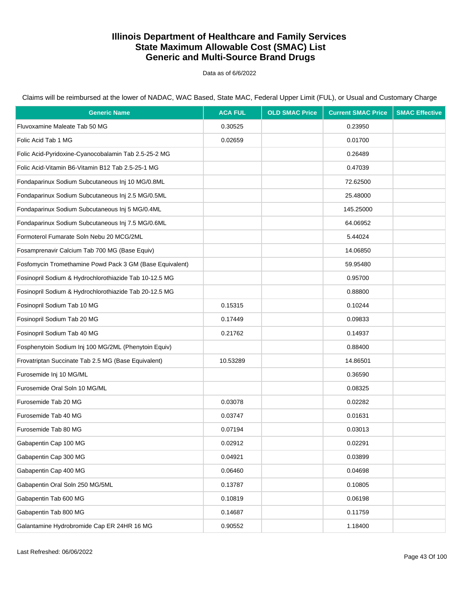Data as of 6/6/2022

Claims will be reimbursed at the lower of NADAC, WAC Based, State MAC, Federal Upper Limit (FUL), or Usual and Customary Charge

| <b>Generic Name</b>                                      | <b>ACA FUL</b> | <b>OLD SMAC Price</b> | <b>Current SMAC Price</b> | <b>SMAC Effective</b> |
|----------------------------------------------------------|----------------|-----------------------|---------------------------|-----------------------|
| Fluvoxamine Maleate Tab 50 MG                            | 0.30525        |                       | 0.23950                   |                       |
| Folic Acid Tab 1 MG                                      | 0.02659        |                       | 0.01700                   |                       |
| Folic Acid-Pyridoxine-Cyanocobalamin Tab 2.5-25-2 MG     |                |                       | 0.26489                   |                       |
| Folic Acid-Vitamin B6-Vitamin B12 Tab 2.5-25-1 MG        |                |                       | 0.47039                   |                       |
| Fondaparinux Sodium Subcutaneous Inj 10 MG/0.8ML         |                |                       | 72.62500                  |                       |
| Fondaparinux Sodium Subcutaneous Inj 2.5 MG/0.5ML        |                |                       | 25.48000                  |                       |
| Fondaparinux Sodium Subcutaneous Inj 5 MG/0.4ML          |                |                       | 145.25000                 |                       |
| Fondaparinux Sodium Subcutaneous Inj 7.5 MG/0.6ML        |                |                       | 64.06952                  |                       |
| Formoterol Fumarate Soln Nebu 20 MCG/2ML                 |                |                       | 5.44024                   |                       |
| Fosamprenavir Calcium Tab 700 MG (Base Equiv)            |                |                       | 14.06850                  |                       |
| Fosfomycin Tromethamine Powd Pack 3 GM (Base Equivalent) |                |                       | 59.95480                  |                       |
| Fosinopril Sodium & Hydrochlorothiazide Tab 10-12.5 MG   |                |                       | 0.95700                   |                       |
| Fosinopril Sodium & Hydrochlorothiazide Tab 20-12.5 MG   |                |                       | 0.88800                   |                       |
| Fosinopril Sodium Tab 10 MG                              | 0.15315        |                       | 0.10244                   |                       |
| Fosinopril Sodium Tab 20 MG                              | 0.17449        |                       | 0.09833                   |                       |
| Fosinopril Sodium Tab 40 MG                              | 0.21762        |                       | 0.14937                   |                       |
| Fosphenytoin Sodium Inj 100 MG/2ML (Phenytoin Equiv)     |                |                       | 0.88400                   |                       |
| Frovatriptan Succinate Tab 2.5 MG (Base Equivalent)      | 10.53289       |                       | 14.86501                  |                       |
| Furosemide Inj 10 MG/ML                                  |                |                       | 0.36590                   |                       |
| Furosemide Oral Soln 10 MG/ML                            |                |                       | 0.08325                   |                       |
| Furosemide Tab 20 MG                                     | 0.03078        |                       | 0.02282                   |                       |
| Furosemide Tab 40 MG                                     | 0.03747        |                       | 0.01631                   |                       |
| Furosemide Tab 80 MG                                     | 0.07194        |                       | 0.03013                   |                       |
| Gabapentin Cap 100 MG                                    | 0.02912        |                       | 0.02291                   |                       |
| Gabapentin Cap 300 MG                                    | 0.04921        |                       | 0.03899                   |                       |
| Gabapentin Cap 400 MG                                    | 0.06460        |                       | 0.04698                   |                       |
| Gabapentin Oral Soln 250 MG/5ML                          | 0.13787        |                       | 0.10805                   |                       |
| Gabapentin Tab 600 MG                                    | 0.10819        |                       | 0.06198                   |                       |
| Gabapentin Tab 800 MG                                    | 0.14687        |                       | 0.11759                   |                       |
| Galantamine Hydrobromide Cap ER 24HR 16 MG               | 0.90552        |                       | 1.18400                   |                       |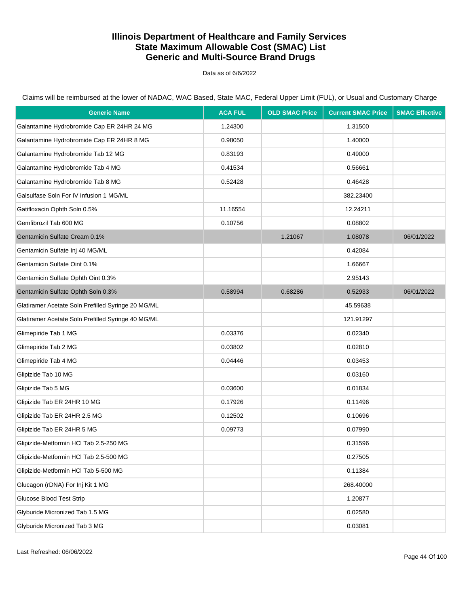Data as of 6/6/2022

| <b>Generic Name</b>                                | <b>ACA FUL</b> | <b>OLD SMAC Price</b> | <b>Current SMAC Price</b> | <b>SMAC Effective</b> |
|----------------------------------------------------|----------------|-----------------------|---------------------------|-----------------------|
| Galantamine Hydrobromide Cap ER 24HR 24 MG         | 1.24300        |                       | 1.31500                   |                       |
| Galantamine Hydrobromide Cap ER 24HR 8 MG          | 0.98050        |                       | 1.40000                   |                       |
| Galantamine Hydrobromide Tab 12 MG                 | 0.83193        |                       | 0.49000                   |                       |
| Galantamine Hydrobromide Tab 4 MG                  | 0.41534        |                       | 0.56661                   |                       |
| Galantamine Hydrobromide Tab 8 MG                  | 0.52428        |                       | 0.46428                   |                       |
| Galsulfase Soln For IV Infusion 1 MG/ML            |                |                       | 382.23400                 |                       |
| Gatifloxacin Ophth Soln 0.5%                       | 11.16554       |                       | 12.24211                  |                       |
| Gemfibrozil Tab 600 MG                             | 0.10756        |                       | 0.08802                   |                       |
| Gentamicin Sulfate Cream 0.1%                      |                | 1.21067               | 1.08078                   | 06/01/2022            |
| Gentamicin Sulfate Inj 40 MG/ML                    |                |                       | 0.42084                   |                       |
| Gentamicin Sulfate Oint 0.1%                       |                |                       | 1.66667                   |                       |
| Gentamicin Sulfate Ophth Oint 0.3%                 |                |                       | 2.95143                   |                       |
| Gentamicin Sulfate Ophth Soln 0.3%                 | 0.58994        | 0.68286               | 0.52933                   | 06/01/2022            |
| Glatiramer Acetate Soln Prefilled Syringe 20 MG/ML |                |                       | 45.59638                  |                       |
| Glatiramer Acetate Soln Prefilled Syringe 40 MG/ML |                |                       | 121.91297                 |                       |
| Glimepiride Tab 1 MG                               | 0.03376        |                       | 0.02340                   |                       |
| Glimepiride Tab 2 MG                               | 0.03802        |                       | 0.02810                   |                       |
| Glimepiride Tab 4 MG                               | 0.04446        |                       | 0.03453                   |                       |
| Glipizide Tab 10 MG                                |                |                       | 0.03160                   |                       |
| Glipizide Tab 5 MG                                 | 0.03600        |                       | 0.01834                   |                       |
| Glipizide Tab ER 24HR 10 MG                        | 0.17926        |                       | 0.11496                   |                       |
| Glipizide Tab ER 24HR 2.5 MG                       | 0.12502        |                       | 0.10696                   |                       |
| Glipizide Tab ER 24HR 5 MG                         | 0.09773        |                       | 0.07990                   |                       |
| Glipizide-Metformin HCI Tab 2.5-250 MG             |                |                       | 0.31596                   |                       |
| Glipizide-Metformin HCl Tab 2.5-500 MG             |                |                       | 0.27505                   |                       |
| Glipizide-Metformin HCl Tab 5-500 MG               |                |                       | 0.11384                   |                       |
| Glucagon (rDNA) For Inj Kit 1 MG                   |                |                       | 268.40000                 |                       |
| <b>Glucose Blood Test Strip</b>                    |                |                       | 1.20877                   |                       |
| Glyburide Micronized Tab 1.5 MG                    |                |                       | 0.02580                   |                       |
| Glyburide Micronized Tab 3 MG                      |                |                       | 0.03081                   |                       |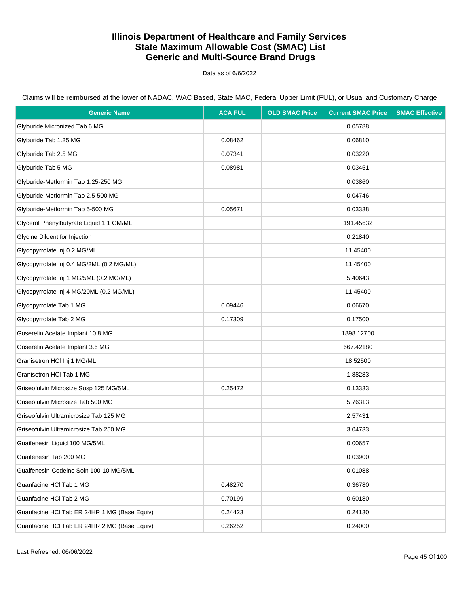Data as of 6/6/2022

Claims will be reimbursed at the lower of NADAC, WAC Based, State MAC, Federal Upper Limit (FUL), or Usual and Customary Charge

| <b>Generic Name</b>                          | <b>ACA FUL</b> | <b>OLD SMAC Price</b> | <b>Current SMAC Price</b> | <b>SMAC Effective</b> |
|----------------------------------------------|----------------|-----------------------|---------------------------|-----------------------|
| Glyburide Micronized Tab 6 MG                |                |                       | 0.05788                   |                       |
| Glyburide Tab 1.25 MG                        | 0.08462        |                       | 0.06810                   |                       |
| Glyburide Tab 2.5 MG                         | 0.07341        |                       | 0.03220                   |                       |
| Glyburide Tab 5 MG                           | 0.08981        |                       | 0.03451                   |                       |
| Glyburide-Metformin Tab 1.25-250 MG          |                |                       | 0.03860                   |                       |
| Glyburide-Metformin Tab 2.5-500 MG           |                |                       | 0.04746                   |                       |
| Glyburide-Metformin Tab 5-500 MG             | 0.05671        |                       | 0.03338                   |                       |
| Glycerol Phenylbutyrate Liquid 1.1 GM/ML     |                |                       | 191.45632                 |                       |
| Glycine Diluent for Injection                |                |                       | 0.21840                   |                       |
| Glycopyrrolate Inj 0.2 MG/ML                 |                |                       | 11.45400                  |                       |
| Glycopyrrolate Inj 0.4 MG/2ML (0.2 MG/ML)    |                |                       | 11.45400                  |                       |
| Glycopyrrolate Inj 1 MG/5ML (0.2 MG/ML)      |                |                       | 5.40643                   |                       |
| Glycopyrrolate Inj 4 MG/20ML (0.2 MG/ML)     |                |                       | 11.45400                  |                       |
| Glycopyrrolate Tab 1 MG                      | 0.09446        |                       | 0.06670                   |                       |
| Glycopyrrolate Tab 2 MG                      | 0.17309        |                       | 0.17500                   |                       |
| Goserelin Acetate Implant 10.8 MG            |                |                       | 1898.12700                |                       |
| Goserelin Acetate Implant 3.6 MG             |                |                       | 667.42180                 |                       |
| Granisetron HCl Inj 1 MG/ML                  |                |                       | 18.52500                  |                       |
| Granisetron HCl Tab 1 MG                     |                |                       | 1.88283                   |                       |
| Griseofulvin Microsize Susp 125 MG/5ML       | 0.25472        |                       | 0.13333                   |                       |
| Griseofulvin Microsize Tab 500 MG            |                |                       | 5.76313                   |                       |
| Griseofulvin Ultramicrosize Tab 125 MG       |                |                       | 2.57431                   |                       |
| Griseofulvin Ultramicrosize Tab 250 MG       |                |                       | 3.04733                   |                       |
| Guaifenesin Liquid 100 MG/5ML                |                |                       | 0.00657                   |                       |
| Guaifenesin Tab 200 MG                       |                |                       | 0.03900                   |                       |
| Guaifenesin-Codeine Soln 100-10 MG/5ML       |                |                       | 0.01088                   |                       |
| Guanfacine HCI Tab 1 MG                      | 0.48270        |                       | 0.36780                   |                       |
| Guanfacine HCI Tab 2 MG                      | 0.70199        |                       | 0.60180                   |                       |
| Guanfacine HCI Tab ER 24HR 1 MG (Base Equiv) | 0.24423        |                       | 0.24130                   |                       |
| Guanfacine HCI Tab ER 24HR 2 MG (Base Equiv) | 0.26252        |                       | 0.24000                   |                       |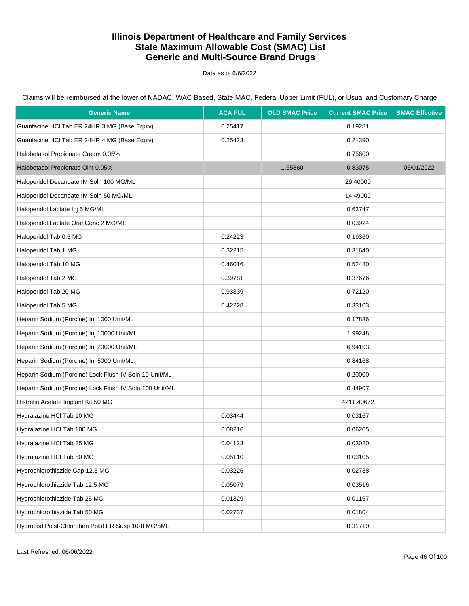Data as of 6/6/2022

| <b>Generic Name</b>                                     | <b>ACA FUL</b> | <b>OLD SMAC Price</b> | <b>Current SMAC Price</b> | <b>SMAC Effective</b> |
|---------------------------------------------------------|----------------|-----------------------|---------------------------|-----------------------|
| Guanfacine HCI Tab ER 24HR 3 MG (Base Equiv)            | 0.25417        |                       | 0.19281                   |                       |
| Guanfacine HCI Tab ER 24HR 4 MG (Base Equiv)            | 0.25423        |                       | 0.21390                   |                       |
| Halobetasol Propionate Cream 0.05%                      |                |                       | 0.75600                   |                       |
| Halobetasol Propionate Oint 0.05%                       |                | 1.65860               | 0.83075                   | 06/01/2022            |
| Haloperidol Decanoate IM Soln 100 MG/ML                 |                |                       | 29.40000                  |                       |
| Haloperidol Decanoate IM Soln 50 MG/ML                  |                |                       | 14.49000                  |                       |
| Haloperidol Lactate Inj 5 MG/ML                         |                |                       | 0.63747                   |                       |
| Haloperidol Lactate Oral Conc 2 MG/ML                   |                |                       | 0.03924                   |                       |
| Haloperidol Tab 0.5 MG                                  | 0.24223        |                       | 0.19360                   |                       |
| Haloperidol Tab 1 MG                                    | 0.32215        |                       | 0.31640                   |                       |
| Haloperidol Tab 10 MG                                   | 0.46016        |                       | 0.52480                   |                       |
| Haloperidol Tab 2 MG                                    | 0.39781        |                       | 0.37676                   |                       |
| Haloperidol Tab 20 MG                                   | 0.93339        |                       | 0.72120                   |                       |
| Haloperidol Tab 5 MG                                    | 0.42228        |                       | 0.33103                   |                       |
| Heparin Sodium (Porcine) Inj 1000 Unit/ML               |                |                       | 0.17836                   |                       |
| Heparin Sodium (Porcine) Inj 10000 Unit/ML              |                |                       | 1.99248                   |                       |
| Heparin Sodium (Porcine) Inj 20000 Unit/ML              |                |                       | 6.94193                   |                       |
| Heparin Sodium (Porcine) Inj 5000 Unit/ML               |                |                       | 0.84168                   |                       |
| Heparin Sodium (Porcine) Lock Flush IV Soln 10 Unit/ML  |                |                       | 0.20000                   |                       |
| Heparin Sodium (Porcine) Lock Flush IV Soln 100 Unit/ML |                |                       | 0.44907                   |                       |
| Histrelin Acetate Implant Kit 50 MG                     |                |                       | 4211.40672                |                       |
| Hydralazine HCl Tab 10 MG                               | 0.03444        |                       | 0.03167                   |                       |
| Hydralazine HCl Tab 100 MG                              | 0.08216        |                       | 0.06205                   |                       |
| Hydralazine HCI Tab 25 MG                               | 0.04123        |                       | 0.03020                   |                       |
| Hydralazine HCl Tab 50 MG                               | 0.05110        |                       | 0.03105                   |                       |
| Hydrochlorothiazide Cap 12.5 MG                         | 0.03226        |                       | 0.02738                   |                       |
| Hydrochlorothiazide Tab 12.5 MG                         | 0.05079        |                       | 0.03516                   |                       |
| Hydrochlorothiazide Tab 25 MG                           | 0.01329        |                       | 0.01157                   |                       |
| Hydrochlorothiazide Tab 50 MG                           | 0.02737        |                       | 0.01804                   |                       |
| Hydrocod Polst-Chlorphen Polst ER Susp 10-8 MG/5ML      |                |                       | 0.31710                   |                       |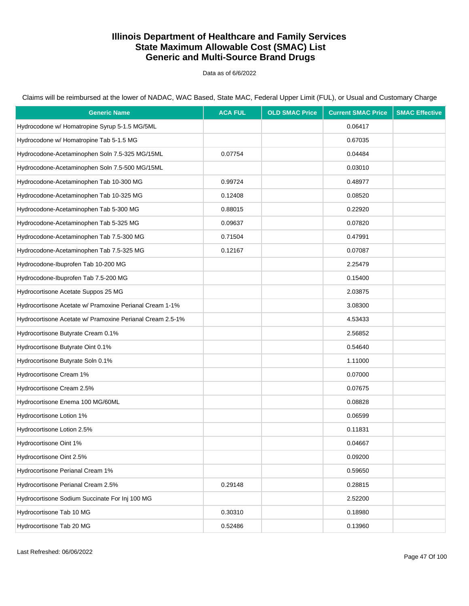Data as of 6/6/2022

| <b>Generic Name</b>                                       | <b>ACA FUL</b> | <b>OLD SMAC Price</b> | <b>Current SMAC Price</b> | <b>SMAC Effective</b> |
|-----------------------------------------------------------|----------------|-----------------------|---------------------------|-----------------------|
| Hydrocodone w/ Homatropine Syrup 5-1.5 MG/5ML             |                |                       | 0.06417                   |                       |
| Hydrocodone w/ Homatropine Tab 5-1.5 MG                   |                |                       | 0.67035                   |                       |
| Hydrocodone-Acetaminophen Soln 7.5-325 MG/15ML            | 0.07754        |                       | 0.04484                   |                       |
| Hydrocodone-Acetaminophen Soln 7.5-500 MG/15ML            |                |                       | 0.03010                   |                       |
| Hydrocodone-Acetaminophen Tab 10-300 MG                   | 0.99724        |                       | 0.48977                   |                       |
| Hydrocodone-Acetaminophen Tab 10-325 MG                   | 0.12408        |                       | 0.08520                   |                       |
| Hydrocodone-Acetaminophen Tab 5-300 MG                    | 0.88015        |                       | 0.22920                   |                       |
| Hydrocodone-Acetaminophen Tab 5-325 MG                    | 0.09637        |                       | 0.07820                   |                       |
| Hydrocodone-Acetaminophen Tab 7.5-300 MG                  | 0.71504        |                       | 0.47991                   |                       |
| Hydrocodone-Acetaminophen Tab 7.5-325 MG                  | 0.12167        |                       | 0.07087                   |                       |
| Hydrocodone-Ibuprofen Tab 10-200 MG                       |                |                       | 2.25479                   |                       |
| Hydrocodone-Ibuprofen Tab 7.5-200 MG                      |                |                       | 0.15400                   |                       |
| Hydrocortisone Acetate Suppos 25 MG                       |                |                       | 2.03875                   |                       |
| Hydrocortisone Acetate w/ Pramoxine Perianal Cream 1-1%   |                |                       | 3.08300                   |                       |
| Hydrocortisone Acetate w/ Pramoxine Perianal Cream 2.5-1% |                |                       | 4.53433                   |                       |
| Hydrocortisone Butyrate Cream 0.1%                        |                |                       | 2.56852                   |                       |
| Hydrocortisone Butyrate Oint 0.1%                         |                |                       | 0.54640                   |                       |
| Hydrocortisone Butyrate Soln 0.1%                         |                |                       | 1.11000                   |                       |
| Hydrocortisone Cream 1%                                   |                |                       | 0.07000                   |                       |
| Hydrocortisone Cream 2.5%                                 |                |                       | 0.07675                   |                       |
| Hydrocortisone Enema 100 MG/60ML                          |                |                       | 0.08828                   |                       |
| Hydrocortisone Lotion 1%                                  |                |                       | 0.06599                   |                       |
| Hydrocortisone Lotion 2.5%                                |                |                       | 0.11831                   |                       |
| Hydrocortisone Oint 1%                                    |                |                       | 0.04667                   |                       |
| Hydrocortisone Oint 2.5%                                  |                |                       | 0.09200                   |                       |
| Hydrocortisone Perianal Cream 1%                          |                |                       | 0.59650                   |                       |
| Hydrocortisone Perianal Cream 2.5%                        | 0.29148        |                       | 0.28815                   |                       |
| Hydrocortisone Sodium Succinate For Inj 100 MG            |                |                       | 2.52200                   |                       |
| Hydrocortisone Tab 10 MG                                  | 0.30310        |                       | 0.18980                   |                       |
| Hydrocortisone Tab 20 MG                                  | 0.52486        |                       | 0.13960                   |                       |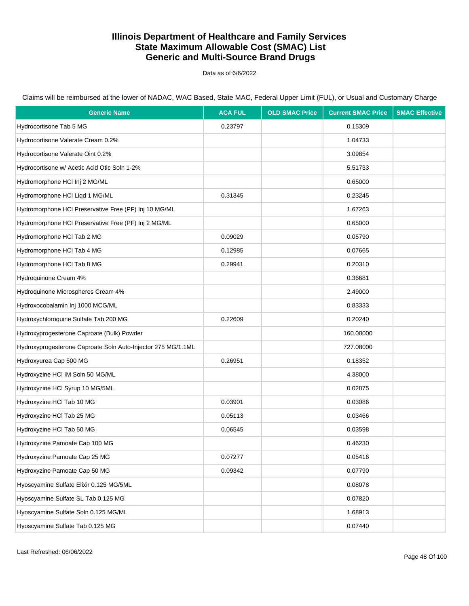Data as of 6/6/2022

| <b>Generic Name</b>                                          | <b>ACA FUL</b> | <b>OLD SMAC Price</b> | <b>Current SMAC Price</b> | <b>SMAC Effective</b> |
|--------------------------------------------------------------|----------------|-----------------------|---------------------------|-----------------------|
| Hydrocortisone Tab 5 MG                                      | 0.23797        |                       | 0.15309                   |                       |
| Hydrocortisone Valerate Cream 0.2%                           |                |                       | 1.04733                   |                       |
| Hydrocortisone Valerate Oint 0.2%                            |                |                       | 3.09854                   |                       |
| Hydrocortisone w/ Acetic Acid Otic Soln 1-2%                 |                |                       | 5.51733                   |                       |
| Hydromorphone HCl Inj 2 MG/ML                                |                |                       | 0.65000                   |                       |
| Hydromorphone HCI Liqd 1 MG/ML                               | 0.31345        |                       | 0.23245                   |                       |
| Hydromorphone HCI Preservative Free (PF) Inj 10 MG/ML        |                |                       | 1.67263                   |                       |
| Hydromorphone HCI Preservative Free (PF) Inj 2 MG/ML         |                |                       | 0.65000                   |                       |
| Hydromorphone HCI Tab 2 MG                                   | 0.09029        |                       | 0.05790                   |                       |
| Hydromorphone HCl Tab 4 MG                                   | 0.12985        |                       | 0.07665                   |                       |
| Hydromorphone HCI Tab 8 MG                                   | 0.29941        |                       | 0.20310                   |                       |
| Hydroquinone Cream 4%                                        |                |                       | 0.36681                   |                       |
| Hydroquinone Microspheres Cream 4%                           |                |                       | 2.49000                   |                       |
| Hydroxocobalamin Inj 1000 MCG/ML                             |                |                       | 0.83333                   |                       |
| Hydroxychloroquine Sulfate Tab 200 MG                        | 0.22609        |                       | 0.20240                   |                       |
| Hydroxyprogesterone Caproate (Bulk) Powder                   |                |                       | 160.00000                 |                       |
| Hydroxyprogesterone Caproate Soln Auto-Injector 275 MG/1.1ML |                |                       | 727.08000                 |                       |
| Hydroxyurea Cap 500 MG                                       | 0.26951        |                       | 0.18352                   |                       |
| Hydroxyzine HCI IM Soln 50 MG/ML                             |                |                       | 4.38000                   |                       |
| Hydroxyzine HCI Syrup 10 MG/5ML                              |                |                       | 0.02875                   |                       |
| Hydroxyzine HCI Tab 10 MG                                    | 0.03901        |                       | 0.03086                   |                       |
| Hydroxyzine HCl Tab 25 MG                                    | 0.05113        |                       | 0.03466                   |                       |
| Hydroxyzine HCI Tab 50 MG                                    | 0.06545        |                       | 0.03598                   |                       |
| Hydroxyzine Pamoate Cap 100 MG                               |                |                       | 0.46230                   |                       |
| Hydroxyzine Pamoate Cap 25 MG                                | 0.07277        |                       | 0.05416                   |                       |
| Hydroxyzine Pamoate Cap 50 MG                                | 0.09342        |                       | 0.07790                   |                       |
| Hyoscyamine Sulfate Elixir 0.125 MG/5ML                      |                |                       | 0.08078                   |                       |
| Hyoscyamine Sulfate SL Tab 0.125 MG                          |                |                       | 0.07820                   |                       |
| Hyoscyamine Sulfate Soln 0.125 MG/ML                         |                |                       | 1.68913                   |                       |
| Hyoscyamine Sulfate Tab 0.125 MG                             |                |                       | 0.07440                   |                       |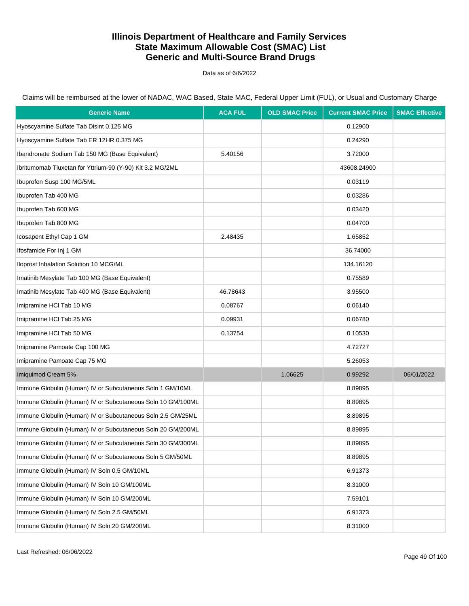Data as of 6/6/2022

Claims will be reimbursed at the lower of NADAC, WAC Based, State MAC, Federal Upper Limit (FUL), or Usual and Customary Charge

| <b>Generic Name</b>                                         | <b>ACA FUL</b> | <b>OLD SMAC Price</b> | <b>Current SMAC Price</b> | <b>SMAC Effective</b> |
|-------------------------------------------------------------|----------------|-----------------------|---------------------------|-----------------------|
| Hyoscyamine Sulfate Tab Disint 0.125 MG                     |                |                       | 0.12900                   |                       |
| Hyoscyamine Sulfate Tab ER 12HR 0.375 MG                    |                |                       | 0.24290                   |                       |
| Ibandronate Sodium Tab 150 MG (Base Equivalent)             | 5.40156        |                       | 3.72000                   |                       |
| Ibritumomab Tiuxetan for Yttrium-90 (Y-90) Kit 3.2 MG/2ML   |                |                       | 43608.24900               |                       |
| Ibuprofen Susp 100 MG/5ML                                   |                |                       | 0.03119                   |                       |
| Ibuprofen Tab 400 MG                                        |                |                       | 0.03286                   |                       |
| Ibuprofen Tab 600 MG                                        |                |                       | 0.03420                   |                       |
| Ibuprofen Tab 800 MG                                        |                |                       | 0.04700                   |                       |
| Icosapent Ethyl Cap 1 GM                                    | 2.48435        |                       | 1.65852                   |                       |
| Ifosfamide For Inj 1 GM                                     |                |                       | 36.74000                  |                       |
| Iloprost Inhalation Solution 10 MCG/ML                      |                |                       | 134.16120                 |                       |
| Imatinib Mesylate Tab 100 MG (Base Equivalent)              |                |                       | 0.75589                   |                       |
| Imatinib Mesylate Tab 400 MG (Base Equivalent)              | 46.78643       |                       | 3.95500                   |                       |
| Imipramine HCI Tab 10 MG                                    | 0.08767        |                       | 0.06140                   |                       |
| Imipramine HCI Tab 25 MG                                    | 0.09931        |                       | 0.06780                   |                       |
| Imipramine HCI Tab 50 MG                                    | 0.13754        |                       | 0.10530                   |                       |
| Imipramine Pamoate Cap 100 MG                               |                |                       | 4.72727                   |                       |
| Imipramine Pamoate Cap 75 MG                                |                |                       | 5.26053                   |                       |
| Imiquimod Cream 5%                                          |                | 1.06625               | 0.99292                   | 06/01/2022            |
| Immune Globulin (Human) IV or Subcutaneous Soln 1 GM/10ML   |                |                       | 8.89895                   |                       |
| Immune Globulin (Human) IV or Subcutaneous Soln 10 GM/100ML |                |                       | 8.89895                   |                       |
| Immune Globulin (Human) IV or Subcutaneous Soln 2.5 GM/25ML |                |                       | 8.89895                   |                       |
| Immune Globulin (Human) IV or Subcutaneous Soln 20 GM/200ML |                |                       | 8.89895                   |                       |
| Immune Globulin (Human) IV or Subcutaneous Soln 30 GM/300ML |                |                       | 8.89895                   |                       |
| Immune Globulin (Human) IV or Subcutaneous Soln 5 GM/50ML   |                |                       | 8.89895                   |                       |
| Immune Globulin (Human) IV Soln 0.5 GM/10ML                 |                |                       | 6.91373                   |                       |
| Immune Globulin (Human) IV Soln 10 GM/100ML                 |                |                       | 8.31000                   |                       |
| Immune Globulin (Human) IV Soln 10 GM/200ML                 |                |                       | 7.59101                   |                       |
| Immune Globulin (Human) IV Soln 2.5 GM/50ML                 |                |                       | 6.91373                   |                       |
| Immune Globulin (Human) IV Soln 20 GM/200ML                 |                |                       | 8.31000                   |                       |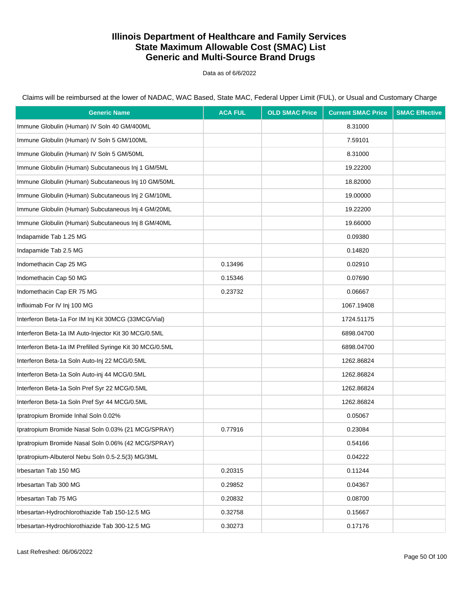Data as of 6/6/2022

Claims will be reimbursed at the lower of NADAC, WAC Based, State MAC, Federal Upper Limit (FUL), or Usual and Customary Charge

| <b>Generic Name</b>                                      | <b>ACA FUL</b> | <b>OLD SMAC Price</b> | <b>Current SMAC Price</b> | <b>SMAC Effective</b> |
|----------------------------------------------------------|----------------|-----------------------|---------------------------|-----------------------|
| Immune Globulin (Human) IV Soln 40 GM/400ML              |                |                       | 8.31000                   |                       |
| Immune Globulin (Human) IV Soln 5 GM/100ML               |                |                       | 7.59101                   |                       |
| Immune Globulin (Human) IV Soln 5 GM/50ML                |                |                       | 8.31000                   |                       |
| Immune Globulin (Human) Subcutaneous Inj 1 GM/5ML        |                |                       | 19.22200                  |                       |
| Immune Globulin (Human) Subcutaneous Inj 10 GM/50ML      |                |                       | 18.82000                  |                       |
| Immune Globulin (Human) Subcutaneous Inj 2 GM/10ML       |                |                       | 19.00000                  |                       |
| Immune Globulin (Human) Subcutaneous Inj 4 GM/20ML       |                |                       | 19.22200                  |                       |
| Immune Globulin (Human) Subcutaneous Inj 8 GM/40ML       |                |                       | 19.66000                  |                       |
| Indapamide Tab 1.25 MG                                   |                |                       | 0.09380                   |                       |
| Indapamide Tab 2.5 MG                                    |                |                       | 0.14820                   |                       |
| Indomethacin Cap 25 MG                                   | 0.13496        |                       | 0.02910                   |                       |
| Indomethacin Cap 50 MG                                   | 0.15346        |                       | 0.07690                   |                       |
| Indomethacin Cap ER 75 MG                                | 0.23732        |                       | 0.06667                   |                       |
| Infliximab For IV Inj 100 MG                             |                |                       | 1067.19408                |                       |
| Interferon Beta-1a For IM Inj Kit 30MCG (33MCG/Vial)     |                |                       | 1724.51175                |                       |
| Interferon Beta-1a IM Auto-Injector Kit 30 MCG/0.5ML     |                |                       | 6898.04700                |                       |
| Interferon Beta-1a IM Prefilled Syringe Kit 30 MCG/0.5ML |                |                       | 6898.04700                |                       |
| Interferon Beta-1a Soln Auto-Inj 22 MCG/0.5ML            |                |                       | 1262.86824                |                       |
| Interferon Beta-1a Soln Auto-inj 44 MCG/0.5ML            |                |                       | 1262.86824                |                       |
| Interferon Beta-1a Soln Pref Syr 22 MCG/0.5ML            |                |                       | 1262.86824                |                       |
| Interferon Beta-1a Soln Pref Syr 44 MCG/0.5ML            |                |                       | 1262.86824                |                       |
| Ipratropium Bromide Inhal Soln 0.02%                     |                |                       | 0.05067                   |                       |
| Ipratropium Bromide Nasal Soln 0.03% (21 MCG/SPRAY)      | 0.77916        |                       | 0.23084                   |                       |
| Ipratropium Bromide Nasal Soln 0.06% (42 MCG/SPRAY)      |                |                       | 0.54166                   |                       |
| Ipratropium-Albuterol Nebu Soln 0.5-2.5(3) MG/3ML        |                |                       | 0.04222                   |                       |
| Irbesartan Tab 150 MG                                    | 0.20315        |                       | 0.11244                   |                       |
| Irbesartan Tab 300 MG                                    | 0.29852        |                       | 0.04367                   |                       |
| Irbesartan Tab 75 MG                                     | 0.20832        |                       | 0.08700                   |                       |
| Irbesartan-Hydrochlorothiazide Tab 150-12.5 MG           | 0.32758        |                       | 0.15667                   |                       |
| Irbesartan-Hydrochlorothiazide Tab 300-12.5 MG           | 0.30273        |                       | 0.17176                   |                       |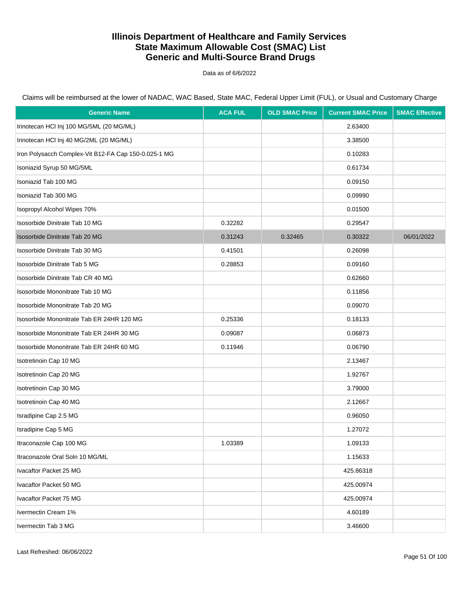Data as of 6/6/2022

| <b>Generic Name</b>                                  | <b>ACA FUL</b> | <b>OLD SMAC Price</b> | <b>Current SMAC Price</b> | <b>SMAC Effective</b> |
|------------------------------------------------------|----------------|-----------------------|---------------------------|-----------------------|
| Irinotecan HCI Inj 100 MG/5ML (20 MG/ML)             |                |                       | 2.63400                   |                       |
| Irinotecan HCI Inj 40 MG/2ML (20 MG/ML)              |                |                       | 3.38500                   |                       |
| Iron Polysacch Complex-Vit B12-FA Cap 150-0.025-1 MG |                |                       | 0.10283                   |                       |
| Isoniazid Syrup 50 MG/5ML                            |                |                       | 0.61734                   |                       |
| Isoniazid Tab 100 MG                                 |                |                       | 0.09150                   |                       |
| Isoniazid Tab 300 MG                                 |                |                       | 0.09990                   |                       |
| Isopropyl Alcohol Wipes 70%                          |                |                       | 0.01500                   |                       |
| Isosorbide Dinitrate Tab 10 MG                       | 0.32282        |                       | 0.29547                   |                       |
| Isosorbide Dinitrate Tab 20 MG                       | 0.31243        | 0.32465               | 0.30322                   | 06/01/2022            |
| Isosorbide Dinitrate Tab 30 MG                       | 0.41501        |                       | 0.26098                   |                       |
| Isosorbide Dinitrate Tab 5 MG                        | 0.28853        |                       | 0.09160                   |                       |
| Isosorbide Dinitrate Tab CR 40 MG                    |                |                       | 0.62660                   |                       |
| Isosorbide Mononitrate Tab 10 MG                     |                |                       | 0.11856                   |                       |
| Isosorbide Mononitrate Tab 20 MG                     |                |                       | 0.09070                   |                       |
| Isosorbide Mononitrate Tab ER 24HR 120 MG            | 0.25336        |                       | 0.18133                   |                       |
| Isosorbide Mononitrate Tab ER 24HR 30 MG             | 0.09087        |                       | 0.06873                   |                       |
| Isosorbide Mononitrate Tab ER 24HR 60 MG             | 0.11946        |                       | 0.06790                   |                       |
| Isotretinoin Cap 10 MG                               |                |                       | 2.13467                   |                       |
| Isotretinoin Cap 20 MG                               |                |                       | 1.92767                   |                       |
| Isotretinoin Cap 30 MG                               |                |                       | 3.79000                   |                       |
| Isotretinoin Cap 40 MG                               |                |                       | 2.12667                   |                       |
| Isradipine Cap 2.5 MG                                |                |                       | 0.96050                   |                       |
| Isradipine Cap 5 MG                                  |                |                       | 1.27072                   |                       |
| Itraconazole Cap 100 MG                              | 1.03389        |                       | 1.09133                   |                       |
| Itraconazole Oral Soln 10 MG/ML                      |                |                       | 1.15633                   |                       |
| Ivacaftor Packet 25 MG                               |                |                       | 425.86318                 |                       |
| Ivacaftor Packet 50 MG                               |                |                       | 425.00974                 |                       |
| Ivacaftor Packet 75 MG                               |                |                       | 425.00974                 |                       |
| Ivermectin Cream 1%                                  |                |                       | 4.60189                   |                       |
| Ivermectin Tab 3 MG                                  |                |                       | 3.46600                   |                       |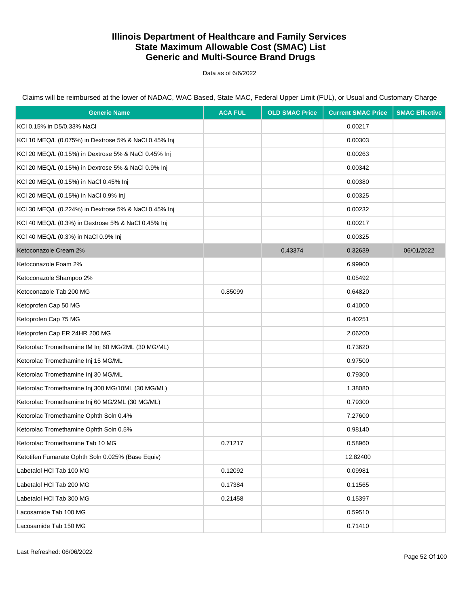Data as of 6/6/2022

| <b>Generic Name</b>                                   | <b>ACA FUL</b> | <b>OLD SMAC Price</b> | <b>Current SMAC Price</b> | <b>SMAC Effective</b> |
|-------------------------------------------------------|----------------|-----------------------|---------------------------|-----------------------|
| KCI 0.15% in D5/0.33% NaCl                            |                |                       | 0.00217                   |                       |
| KCI 10 MEQ/L (0.075%) in Dextrose 5% & NaCl 0.45% Inj |                |                       | 0.00303                   |                       |
| KCI 20 MEQ/L (0.15%) in Dextrose 5% & NaCl 0.45% Inj  |                |                       | 0.00263                   |                       |
| KCI 20 MEQ/L (0.15%) in Dextrose 5% & NaCl 0.9% Inj   |                |                       | 0.00342                   |                       |
| KCI 20 MEQ/L (0.15%) in NaCl 0.45% Inj                |                |                       | 0.00380                   |                       |
| KCI 20 MEQ/L (0.15%) in NaCl 0.9% Inj                 |                |                       | 0.00325                   |                       |
| KCI 30 MEQ/L (0.224%) in Dextrose 5% & NaCl 0.45% Inj |                |                       | 0.00232                   |                       |
| KCI 40 MEQ/L (0.3%) in Dextrose 5% & NaCl 0.45% Inj   |                |                       | 0.00217                   |                       |
| KCI 40 MEQ/L (0.3%) in NaCl 0.9% Inj                  |                |                       | 0.00325                   |                       |
| Ketoconazole Cream 2%                                 |                | 0.43374               | 0.32639                   | 06/01/2022            |
| Ketoconazole Foam 2%                                  |                |                       | 6.99900                   |                       |
| Ketoconazole Shampoo 2%                               |                |                       | 0.05492                   |                       |
| Ketoconazole Tab 200 MG                               | 0.85099        |                       | 0.64820                   |                       |
| Ketoprofen Cap 50 MG                                  |                |                       | 0.41000                   |                       |
| Ketoprofen Cap 75 MG                                  |                |                       | 0.40251                   |                       |
| Ketoprofen Cap ER 24HR 200 MG                         |                |                       | 2.06200                   |                       |
| Ketorolac Tromethamine IM Inj 60 MG/2ML (30 MG/ML)    |                |                       | 0.73620                   |                       |
| Ketorolac Tromethamine Inj 15 MG/ML                   |                |                       | 0.97500                   |                       |
| Ketorolac Tromethamine Inj 30 MG/ML                   |                |                       | 0.79300                   |                       |
| Ketorolac Tromethamine Inj 300 MG/10ML (30 MG/ML)     |                |                       | 1.38080                   |                       |
| Ketorolac Tromethamine Inj 60 MG/2ML (30 MG/ML)       |                |                       | 0.79300                   |                       |
| Ketorolac Tromethamine Ophth Soln 0.4%                |                |                       | 7.27600                   |                       |
| Ketorolac Tromethamine Ophth Soln 0.5%                |                |                       | 0.98140                   |                       |
| Ketorolac Tromethamine Tab 10 MG                      | 0.71217        |                       | 0.58960                   |                       |
| Ketotifen Fumarate Ophth Soln 0.025% (Base Equiv)     |                |                       | 12.82400                  |                       |
| Labetalol HCI Tab 100 MG                              | 0.12092        |                       | 0.09981                   |                       |
| Labetalol HCl Tab 200 MG                              | 0.17384        |                       | 0.11565                   |                       |
| Labetalol HCl Tab 300 MG                              | 0.21458        |                       | 0.15397                   |                       |
| Lacosamide Tab 100 MG                                 |                |                       | 0.59510                   |                       |
| Lacosamide Tab 150 MG                                 |                |                       | 0.71410                   |                       |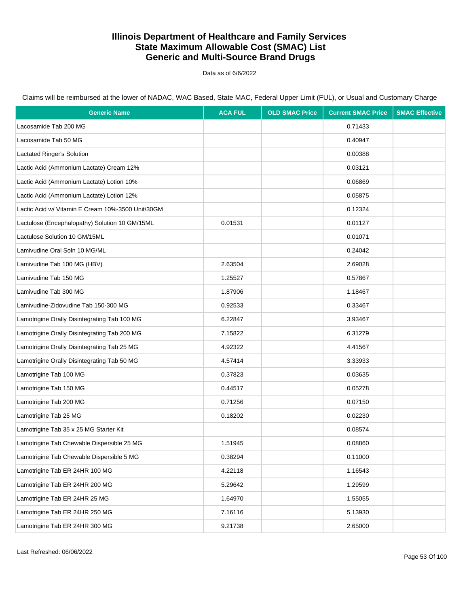Data as of 6/6/2022

| <b>Generic Name</b>                               | <b>ACA FUL</b> | <b>OLD SMAC Price</b> | <b>Current SMAC Price</b> | <b>SMAC Effective</b> |
|---------------------------------------------------|----------------|-----------------------|---------------------------|-----------------------|
| Lacosamide Tab 200 MG                             |                |                       | 0.71433                   |                       |
| Lacosamide Tab 50 MG                              |                |                       | 0.40947                   |                       |
| Lactated Ringer's Solution                        |                |                       | 0.00388                   |                       |
| Lactic Acid (Ammonium Lactate) Cream 12%          |                |                       | 0.03121                   |                       |
| Lactic Acid (Ammonium Lactate) Lotion 10%         |                |                       | 0.06869                   |                       |
| Lactic Acid (Ammonium Lactate) Lotion 12%         |                |                       | 0.05875                   |                       |
| Lactic Acid w/ Vitamin E Cream 10%-3500 Unit/30GM |                |                       | 0.12324                   |                       |
| Lactulose (Encephalopathy) Solution 10 GM/15ML    | 0.01531        |                       | 0.01127                   |                       |
| Lactulose Solution 10 GM/15ML                     |                |                       | 0.01071                   |                       |
| Lamivudine Oral Soln 10 MG/ML                     |                |                       | 0.24042                   |                       |
| Lamivudine Tab 100 MG (HBV)                       | 2.63504        |                       | 2.69028                   |                       |
| Lamivudine Tab 150 MG                             | 1.25527        |                       | 0.57867                   |                       |
| Lamivudine Tab 300 MG                             | 1.87906        |                       | 1.18467                   |                       |
| Lamivudine-Zidovudine Tab 150-300 MG              | 0.92533        |                       | 0.33467                   |                       |
| Lamotrigine Orally Disintegrating Tab 100 MG      | 6.22847        |                       | 3.93467                   |                       |
| Lamotrigine Orally Disintegrating Tab 200 MG      | 7.15822        |                       | 6.31279                   |                       |
| Lamotrigine Orally Disintegrating Tab 25 MG       | 4.92322        |                       | 4.41567                   |                       |
| Lamotrigine Orally Disintegrating Tab 50 MG       | 4.57414        |                       | 3.33933                   |                       |
| Lamotrigine Tab 100 MG                            | 0.37823        |                       | 0.03635                   |                       |
| Lamotrigine Tab 150 MG                            | 0.44517        |                       | 0.05278                   |                       |
| Lamotrigine Tab 200 MG                            | 0.71256        |                       | 0.07150                   |                       |
| Lamotrigine Tab 25 MG                             | 0.18202        |                       | 0.02230                   |                       |
| Lamotrigine Tab 35 x 25 MG Starter Kit            |                |                       | 0.08574                   |                       |
| Lamotrigine Tab Chewable Dispersible 25 MG        | 1.51945        |                       | 0.08860                   |                       |
| Lamotrigine Tab Chewable Dispersible 5 MG         | 0.38294        |                       | 0.11000                   |                       |
| Lamotrigine Tab ER 24HR 100 MG                    | 4.22118        |                       | 1.16543                   |                       |
| Lamotrigine Tab ER 24HR 200 MG                    | 5.29642        |                       | 1.29599                   |                       |
| Lamotrigine Tab ER 24HR 25 MG                     | 1.64970        |                       | 1.55055                   |                       |
| Lamotrigine Tab ER 24HR 250 MG                    | 7.16116        |                       | 5.13930                   |                       |
| Lamotrigine Tab ER 24HR 300 MG                    | 9.21738        |                       | 2.65000                   |                       |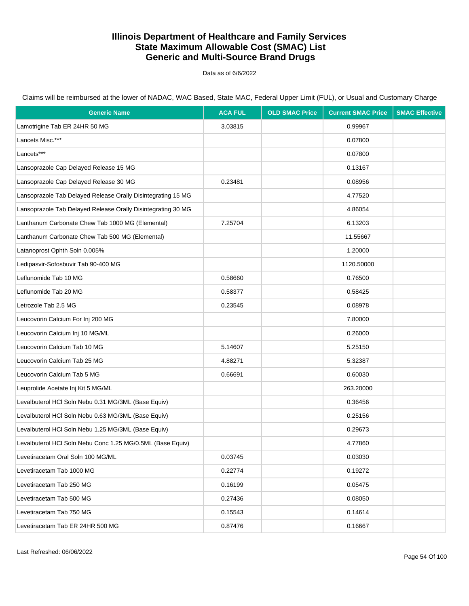Data as of 6/6/2022

Claims will be reimbursed at the lower of NADAC, WAC Based, State MAC, Federal Upper Limit (FUL), or Usual and Customary Charge

| <b>Generic Name</b>                                          | <b>ACA FUL</b> | <b>OLD SMAC Price</b> | <b>Current SMAC Price</b> | <b>SMAC Effective</b> |
|--------------------------------------------------------------|----------------|-----------------------|---------------------------|-----------------------|
| Lamotrigine Tab ER 24HR 50 MG                                | 3.03815        |                       | 0.99967                   |                       |
| Lancets Misc.***                                             |                |                       | 0.07800                   |                       |
| Lancets***                                                   |                |                       | 0.07800                   |                       |
| Lansoprazole Cap Delayed Release 15 MG                       |                |                       | 0.13167                   |                       |
| Lansoprazole Cap Delayed Release 30 MG                       | 0.23481        |                       | 0.08956                   |                       |
| Lansoprazole Tab Delayed Release Orally Disintegrating 15 MG |                |                       | 4.77520                   |                       |
| Lansoprazole Tab Delayed Release Orally Disintegrating 30 MG |                |                       | 4.86054                   |                       |
| Lanthanum Carbonate Chew Tab 1000 MG (Elemental)             | 7.25704        |                       | 6.13203                   |                       |
| Lanthanum Carbonate Chew Tab 500 MG (Elemental)              |                |                       | 11.55667                  |                       |
| Latanoprost Ophth Soln 0.005%                                |                |                       | 1.20000                   |                       |
| Ledipasvir-Sofosbuvir Tab 90-400 MG                          |                |                       | 1120.50000                |                       |
| Leflunomide Tab 10 MG                                        | 0.58660        |                       | 0.76500                   |                       |
| Leflunomide Tab 20 MG                                        | 0.58377        |                       | 0.58425                   |                       |
| Letrozole Tab 2.5 MG                                         | 0.23545        |                       | 0.08978                   |                       |
| Leucovorin Calcium For Inj 200 MG                            |                |                       | 7.80000                   |                       |
| Leucovorin Calcium Inj 10 MG/ML                              |                |                       | 0.26000                   |                       |
| Leucovorin Calcium Tab 10 MG                                 | 5.14607        |                       | 5.25150                   |                       |
| Leucovorin Calcium Tab 25 MG                                 | 4.88271        |                       | 5.32387                   |                       |
| Leucovorin Calcium Tab 5 MG                                  | 0.66691        |                       | 0.60030                   |                       |
| Leuprolide Acetate Inj Kit 5 MG/ML                           |                |                       | 263.20000                 |                       |
| Levalbuterol HCl Soln Nebu 0.31 MG/3ML (Base Equiv)          |                |                       | 0.36456                   |                       |
| Levalbuterol HCI Soln Nebu 0.63 MG/3ML (Base Equiv)          |                |                       | 0.25156                   |                       |
| Levalbuterol HCl Soln Nebu 1.25 MG/3ML (Base Equiv)          |                |                       | 0.29673                   |                       |
| Levalbuterol HCI Soln Nebu Conc 1.25 MG/0.5ML (Base Equiv)   |                |                       | 4.77860                   |                       |
| Levetiracetam Oral Soln 100 MG/ML                            | 0.03745        |                       | 0.03030                   |                       |
| Levetiracetam Tab 1000 MG                                    | 0.22774        |                       | 0.19272                   |                       |
| Levetiracetam Tab 250 MG                                     | 0.16199        |                       | 0.05475                   |                       |
| Levetiracetam Tab 500 MG                                     | 0.27436        |                       | 0.08050                   |                       |
| Levetiracetam Tab 750 MG                                     | 0.15543        |                       | 0.14614                   |                       |
| Levetiracetam Tab ER 24HR 500 MG                             | 0.87476        |                       | 0.16667                   |                       |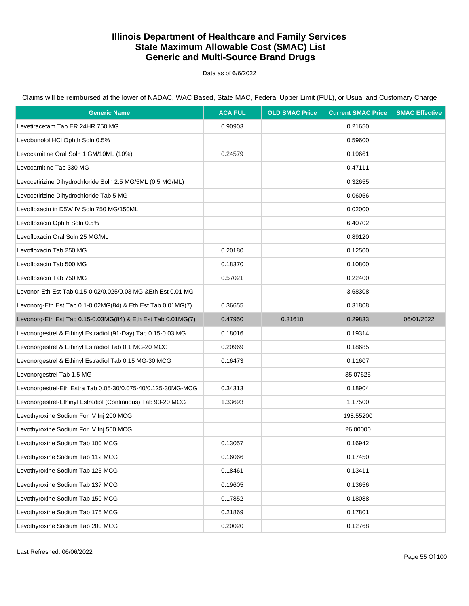Data as of 6/6/2022

| <b>Generic Name</b>                                           | <b>ACA FUL</b> | <b>OLD SMAC Price</b> | <b>Current SMAC Price</b> | <b>SMAC Effective</b> |
|---------------------------------------------------------------|----------------|-----------------------|---------------------------|-----------------------|
| Levetiracetam Tab ER 24HR 750 MG                              | 0.90903        |                       | 0.21650                   |                       |
| Levobunolol HCl Ophth Soln 0.5%                               |                |                       | 0.59600                   |                       |
| Levocarnitine Oral Soln 1 GM/10ML (10%)                       | 0.24579        |                       | 0.19661                   |                       |
| Levocarnitine Tab 330 MG                                      |                |                       | 0.47111                   |                       |
| Levocetirizine Dihydrochloride Soln 2.5 MG/5ML (0.5 MG/ML)    |                |                       | 0.32655                   |                       |
| Levocetirizine Dihydrochloride Tab 5 MG                       |                |                       | 0.06056                   |                       |
| Levofloxacin in D5W IV Soln 750 MG/150ML                      |                |                       | 0.02000                   |                       |
| Levofloxacin Ophth Soln 0.5%                                  |                |                       | 6.40702                   |                       |
| Levofloxacin Oral Soln 25 MG/ML                               |                |                       | 0.89120                   |                       |
| Levofloxacin Tab 250 MG                                       | 0.20180        |                       | 0.12500                   |                       |
| Levofloxacin Tab 500 MG                                       | 0.18370        |                       | 0.10800                   |                       |
| Levofloxacin Tab 750 MG                                       | 0.57021        |                       | 0.22400                   |                       |
| Levonor-Eth Est Tab 0.15-0.02/0.025/0.03 MG & Eth Est 0.01 MG |                |                       | 3.68308                   |                       |
| Levonorg-Eth Est Tab 0.1-0.02MG(84) & Eth Est Tab 0.01MG(7)   | 0.36655        |                       | 0.31808                   |                       |
| Levonorg-Eth Est Tab 0.15-0.03MG(84) & Eth Est Tab 0.01MG(7)  | 0.47950        | 0.31610               | 0.29833                   | 06/01/2022            |
| Levonorgestrel & Ethinyl Estradiol (91-Day) Tab 0.15-0.03 MG  | 0.18016        |                       | 0.19314                   |                       |
| Levonorgestrel & Ethinyl Estradiol Tab 0.1 MG-20 MCG          | 0.20969        |                       | 0.18685                   |                       |
| Levonorgestrel & Ethinyl Estradiol Tab 0.15 MG-30 MCG         | 0.16473        |                       | 0.11607                   |                       |
| Levonorgestrel Tab 1.5 MG                                     |                |                       | 35.07625                  |                       |
| Levonorgestrel-Eth Estra Tab 0.05-30/0.075-40/0.125-30MG-MCG  | 0.34313        |                       | 0.18904                   |                       |
| Levonorgestrel-Ethinyl Estradiol (Continuous) Tab 90-20 MCG   | 1.33693        |                       | 1.17500                   |                       |
| Levothyroxine Sodium For IV Inj 200 MCG                       |                |                       | 198.55200                 |                       |
| Levothyroxine Sodium For IV Inj 500 MCG                       |                |                       | 26.00000                  |                       |
| Levothyroxine Sodium Tab 100 MCG                              | 0.13057        |                       | 0.16942                   |                       |
| Levothyroxine Sodium Tab 112 MCG                              | 0.16066        |                       | 0.17450                   |                       |
| Levothyroxine Sodium Tab 125 MCG                              | 0.18461        |                       | 0.13411                   |                       |
| Levothyroxine Sodium Tab 137 MCG                              | 0.19605        |                       | 0.13656                   |                       |
| Levothyroxine Sodium Tab 150 MCG                              | 0.17852        |                       | 0.18088                   |                       |
| Levothyroxine Sodium Tab 175 MCG                              | 0.21869        |                       | 0.17801                   |                       |
| Levothyroxine Sodium Tab 200 MCG                              | 0.20020        |                       | 0.12768                   |                       |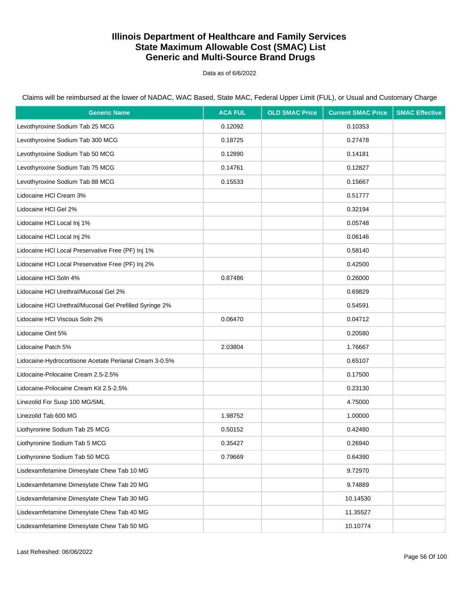Data as of 6/6/2022

| <b>Generic Name</b>                                     | <b>ACA FUL</b> | <b>OLD SMAC Price</b> | <b>Current SMAC Price</b> | <b>SMAC Effective</b> |
|---------------------------------------------------------|----------------|-----------------------|---------------------------|-----------------------|
| Levothyroxine Sodium Tab 25 MCG                         | 0.12092        |                       | 0.10353                   |                       |
| Levothyroxine Sodium Tab 300 MCG                        | 0.18725        |                       | 0.27478                   |                       |
| Levothyroxine Sodium Tab 50 MCG                         | 0.12890        |                       | 0.14181                   |                       |
| Levothyroxine Sodium Tab 75 MCG                         | 0.14761        |                       | 0.12827                   |                       |
| Levothyroxine Sodium Tab 88 MCG                         | 0.15533        |                       | 0.15667                   |                       |
| Lidocaine HCI Cream 3%                                  |                |                       | 0.51777                   |                       |
| Lidocaine HCI Gel 2%                                    |                |                       | 0.32194                   |                       |
| Lidocaine HCI Local Inj 1%                              |                |                       | 0.05748                   |                       |
| Lidocaine HCI Local Inj 2%                              |                |                       | 0.06146                   |                       |
| Lidocaine HCI Local Preservative Free (PF) Inj 1%       |                |                       | 0.58140                   |                       |
| Lidocaine HCI Local Preservative Free (PF) Inj 2%       |                |                       | 0.42500                   |                       |
| Lidocaine HCI Soln 4%                                   | 0.87486        |                       | 0.26000                   |                       |
| Lidocaine HCI Urethral/Mucosal Gel 2%                   |                |                       | 0.69829                   |                       |
| Lidocaine HCI Urethral/Mucosal Gel Prefilled Syringe 2% |                |                       | 0.54591                   |                       |
| Lidocaine HCI Viscous Soln 2%                           | 0.06470        |                       | 0.04712                   |                       |
| Lidocaine Oint 5%                                       |                |                       | 0.20580                   |                       |
| Lidocaine Patch 5%                                      | 2.03804        |                       | 1.76667                   |                       |
| Lidocaine-Hydrocortisone Acetate Perianal Cream 3-0.5%  |                |                       | 0.65107                   |                       |
| Lidocaine-Prilocaine Cream 2.5-2.5%                     |                |                       | 0.17500                   |                       |
| Lidocaine-Prilocaine Cream Kit 2.5-2.5%                 |                |                       | 0.23130                   |                       |
| Linezolid For Susp 100 MG/5ML                           |                |                       | 4.75000                   |                       |
| Linezolid Tab 600 MG                                    | 1.98752        |                       | 1.00000                   |                       |
| Liothyronine Sodium Tab 25 MCG                          | 0.50152        |                       | 0.42480                   |                       |
| Liothyronine Sodium Tab 5 MCG                           | 0.35427        |                       | 0.26940                   |                       |
| Liothyronine Sodium Tab 50 MCG                          | 0.79669        |                       | 0.64390                   |                       |
| Lisdexamfetamine Dimesylate Chew Tab 10 MG              |                |                       | 9.72970                   |                       |
| Lisdexamfetamine Dimesylate Chew Tab 20 MG              |                |                       | 9.74889                   |                       |
| Lisdexamfetamine Dimesylate Chew Tab 30 MG              |                |                       | 10.14530                  |                       |
| Lisdexamfetamine Dimesylate Chew Tab 40 MG              |                |                       | 11.35527                  |                       |
| Lisdexamfetamine Dimesylate Chew Tab 50 MG              |                |                       | 10.10774                  |                       |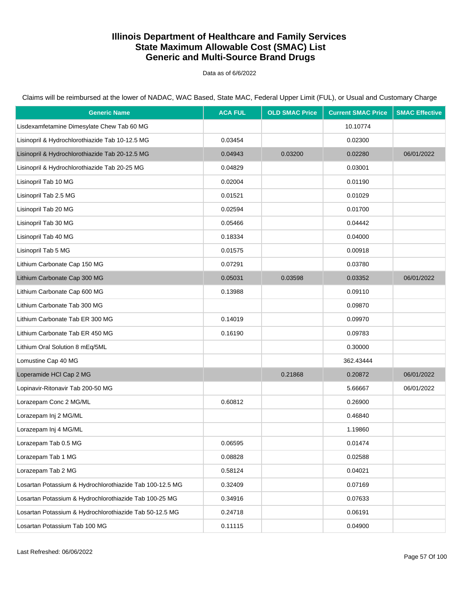Data as of 6/6/2022

Claims will be reimbursed at the lower of NADAC, WAC Based, State MAC, Federal Upper Limit (FUL), or Usual and Customary Charge

| <b>Generic Name</b>                                      | <b>ACA FUL</b> | <b>OLD SMAC Price</b> | <b>Current SMAC Price</b> | <b>SMAC Effective</b> |
|----------------------------------------------------------|----------------|-----------------------|---------------------------|-----------------------|
| Lisdexamfetamine Dimesylate Chew Tab 60 MG               |                |                       | 10.10774                  |                       |
| Lisinopril & Hydrochlorothiazide Tab 10-12.5 MG          | 0.03454        |                       | 0.02300                   |                       |
| Lisinopril & Hydrochlorothiazide Tab 20-12.5 MG          | 0.04943        | 0.03200               | 0.02280                   | 06/01/2022            |
| Lisinopril & Hydrochlorothiazide Tab 20-25 MG            | 0.04829        |                       | 0.03001                   |                       |
| Lisinopril Tab 10 MG                                     | 0.02004        |                       | 0.01190                   |                       |
| Lisinopril Tab 2.5 MG                                    | 0.01521        |                       | 0.01029                   |                       |
| Lisinopril Tab 20 MG                                     | 0.02594        |                       | 0.01700                   |                       |
| Lisinopril Tab 30 MG                                     | 0.05466        |                       | 0.04442                   |                       |
| Lisinopril Tab 40 MG                                     | 0.18334        |                       | 0.04000                   |                       |
| Lisinopril Tab 5 MG                                      | 0.01575        |                       | 0.00918                   |                       |
| Lithium Carbonate Cap 150 MG                             | 0.07291        |                       | 0.03780                   |                       |
| Lithium Carbonate Cap 300 MG                             | 0.05031        | 0.03598               | 0.03352                   | 06/01/2022            |
| Lithium Carbonate Cap 600 MG                             | 0.13988        |                       | 0.09110                   |                       |
| Lithium Carbonate Tab 300 MG                             |                |                       | 0.09870                   |                       |
| Lithium Carbonate Tab ER 300 MG                          | 0.14019        |                       | 0.09970                   |                       |
| Lithium Carbonate Tab ER 450 MG                          | 0.16190        |                       | 0.09783                   |                       |
| Lithium Oral Solution 8 mEq/5ML                          |                |                       | 0.30000                   |                       |
| Lomustine Cap 40 MG                                      |                |                       | 362.43444                 |                       |
| Loperamide HCl Cap 2 MG                                  |                | 0.21868               | 0.20872                   | 06/01/2022            |
| Lopinavir-Ritonavir Tab 200-50 MG                        |                |                       | 5.66667                   | 06/01/2022            |
| Lorazepam Conc 2 MG/ML                                   | 0.60812        |                       | 0.26900                   |                       |
| Lorazepam Inj 2 MG/ML                                    |                |                       | 0.46840                   |                       |
| Lorazepam Inj 4 MG/ML                                    |                |                       | 1.19860                   |                       |
| Lorazepam Tab 0.5 MG                                     | 0.06595        |                       | 0.01474                   |                       |
| Lorazepam Tab 1 MG                                       | 0.08828        |                       | 0.02588                   |                       |
| Lorazepam Tab 2 MG                                       | 0.58124        |                       | 0.04021                   |                       |
| Losartan Potassium & Hydrochlorothiazide Tab 100-12.5 MG | 0.32409        |                       | 0.07169                   |                       |
| Losartan Potassium & Hydrochlorothiazide Tab 100-25 MG   | 0.34916        |                       | 0.07633                   |                       |
| Losartan Potassium & Hydrochlorothiazide Tab 50-12.5 MG  | 0.24718        |                       | 0.06191                   |                       |
| Losartan Potassium Tab 100 MG                            | 0.11115        |                       | 0.04900                   |                       |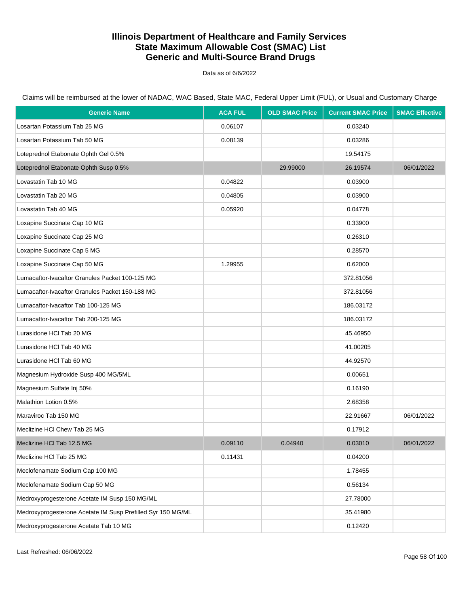Data as of 6/6/2022

Claims will be reimbursed at the lower of NADAC, WAC Based, State MAC, Federal Upper Limit (FUL), or Usual and Customary Charge

| <b>Generic Name</b>                                         | <b>ACA FUL</b> | <b>OLD SMAC Price</b> | <b>Current SMAC Price</b> | <b>SMAC Effective</b> |
|-------------------------------------------------------------|----------------|-----------------------|---------------------------|-----------------------|
| Losartan Potassium Tab 25 MG                                | 0.06107        |                       | 0.03240                   |                       |
| Losartan Potassium Tab 50 MG                                | 0.08139        |                       | 0.03286                   |                       |
| Loteprednol Etabonate Ophth Gel 0.5%                        |                |                       | 19.54175                  |                       |
| Loteprednol Etabonate Ophth Susp 0.5%                       |                | 29.99000              | 26.19574                  | 06/01/2022            |
| Lovastatin Tab 10 MG                                        | 0.04822        |                       | 0.03900                   |                       |
| Lovastatin Tab 20 MG                                        | 0.04805        |                       | 0.03900                   |                       |
| Lovastatin Tab 40 MG                                        | 0.05920        |                       | 0.04778                   |                       |
| Loxapine Succinate Cap 10 MG                                |                |                       | 0.33900                   |                       |
| Loxapine Succinate Cap 25 MG                                |                |                       | 0.26310                   |                       |
| Loxapine Succinate Cap 5 MG                                 |                |                       | 0.28570                   |                       |
| Loxapine Succinate Cap 50 MG                                | 1.29955        |                       | 0.62000                   |                       |
| Lumacaftor-Ivacaftor Granules Packet 100-125 MG             |                |                       | 372.81056                 |                       |
| Lumacaftor-Ivacaftor Granules Packet 150-188 MG             |                |                       | 372.81056                 |                       |
| Lumacaftor-Ivacaftor Tab 100-125 MG                         |                |                       | 186.03172                 |                       |
| Lumacaftor-Ivacaftor Tab 200-125 MG                         |                |                       | 186.03172                 |                       |
| Lurasidone HCI Tab 20 MG                                    |                |                       | 45.46950                  |                       |
| Lurasidone HCI Tab 40 MG                                    |                |                       | 41.00205                  |                       |
| Lurasidone HCI Tab 60 MG                                    |                |                       | 44.92570                  |                       |
| Magnesium Hydroxide Susp 400 MG/5ML                         |                |                       | 0.00651                   |                       |
| Magnesium Sulfate Inj 50%                                   |                |                       | 0.16190                   |                       |
| Malathion Lotion 0.5%                                       |                |                       | 2.68358                   |                       |
| Maraviroc Tab 150 MG                                        |                |                       | 22.91667                  | 06/01/2022            |
| Meclizine HCI Chew Tab 25 MG                                |                |                       | 0.17912                   |                       |
| Meclizine HCl Tab 12.5 MG                                   | 0.09110        | 0.04940               | 0.03010                   | 06/01/2022            |
| Meclizine HCl Tab 25 MG                                     | 0.11431        |                       | 0.04200                   |                       |
| Meclofenamate Sodium Cap 100 MG                             |                |                       | 1.78455                   |                       |
| Meclofenamate Sodium Cap 50 MG                              |                |                       | 0.56134                   |                       |
| Medroxyprogesterone Acetate IM Susp 150 MG/ML               |                |                       | 27.78000                  |                       |
| Medroxyprogesterone Acetate IM Susp Prefilled Syr 150 MG/ML |                |                       | 35.41980                  |                       |
| Medroxyprogesterone Acetate Tab 10 MG                       |                |                       | 0.12420                   |                       |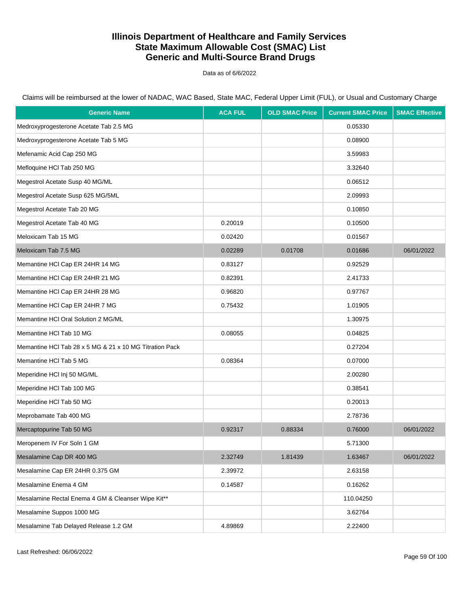Data as of 6/6/2022

Claims will be reimbursed at the lower of NADAC, WAC Based, State MAC, Federal Upper Limit (FUL), or Usual and Customary Charge

| <b>Generic Name</b>                                     | <b>ACA FUL</b> | <b>OLD SMAC Price</b> | <b>Current SMAC Price</b> | <b>SMAC Effective</b> |
|---------------------------------------------------------|----------------|-----------------------|---------------------------|-----------------------|
| Medroxyprogesterone Acetate Tab 2.5 MG                  |                |                       | 0.05330                   |                       |
| Medroxyprogesterone Acetate Tab 5 MG                    |                |                       | 0.08900                   |                       |
| Mefenamic Acid Cap 250 MG                               |                |                       | 3.59983                   |                       |
| Mefloquine HCI Tab 250 MG                               |                |                       | 3.32640                   |                       |
| Megestrol Acetate Susp 40 MG/ML                         |                |                       | 0.06512                   |                       |
| Megestrol Acetate Susp 625 MG/5ML                       |                |                       | 2.09993                   |                       |
| Megestrol Acetate Tab 20 MG                             |                |                       | 0.10850                   |                       |
| Megestrol Acetate Tab 40 MG                             | 0.20019        |                       | 0.10500                   |                       |
| Meloxicam Tab 15 MG                                     | 0.02420        |                       | 0.01567                   |                       |
| Meloxicam Tab 7.5 MG                                    | 0.02289        | 0.01708               | 0.01686                   | 06/01/2022            |
| Memantine HCI Cap ER 24HR 14 MG                         | 0.83127        |                       | 0.92529                   |                       |
| Memantine HCI Cap ER 24HR 21 MG                         | 0.82391        |                       | 2.41733                   |                       |
| Memantine HCI Cap ER 24HR 28 MG                         | 0.96820        |                       | 0.97767                   |                       |
| Memantine HCI Cap ER 24HR 7 MG                          | 0.75432        |                       | 1.01905                   |                       |
| Memantine HCI Oral Solution 2 MG/ML                     |                |                       | 1.30975                   |                       |
| Memantine HCI Tab 10 MG                                 | 0.08055        |                       | 0.04825                   |                       |
| Memantine HCl Tab 28 x 5 MG & 21 x 10 MG Titration Pack |                |                       | 0.27204                   |                       |
| Memantine HCI Tab 5 MG                                  | 0.08364        |                       | 0.07000                   |                       |
| Meperidine HCI Inj 50 MG/ML                             |                |                       | 2.00280                   |                       |
| Meperidine HCI Tab 100 MG                               |                |                       | 0.38541                   |                       |
| Meperidine HCI Tab 50 MG                                |                |                       | 0.20013                   |                       |
| Meprobamate Tab 400 MG                                  |                |                       | 2.78736                   |                       |
| Mercaptopurine Tab 50 MG                                | 0.92317        | 0.88334               | 0.76000                   | 06/01/2022            |
| Meropenem IV For Soln 1 GM                              |                |                       | 5.71300                   |                       |
| Mesalamine Cap DR 400 MG                                | 2.32749        | 1.81439               | 1.63467                   | 06/01/2022            |
| Mesalamine Cap ER 24HR 0.375 GM                         | 2.39972        |                       | 2.63158                   |                       |
| Mesalamine Enema 4 GM                                   | 0.14587        |                       | 0.16262                   |                       |
| Mesalamine Rectal Enema 4 GM & Cleanser Wipe Kit**      |                |                       | 110.04250                 |                       |
| Mesalamine Suppos 1000 MG                               |                |                       | 3.62764                   |                       |
| Mesalamine Tab Delayed Release 1.2 GM                   | 4.89869        |                       | 2.22400                   |                       |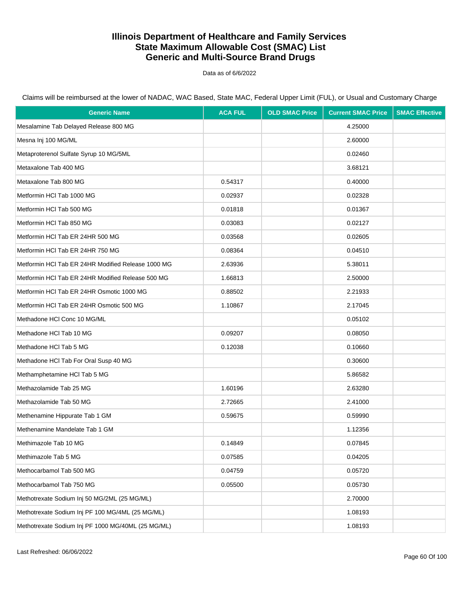Data as of 6/6/2022

Claims will be reimbursed at the lower of NADAC, WAC Based, State MAC, Federal Upper Limit (FUL), or Usual and Customary Charge

| <b>Generic Name</b>                                | <b>ACA FUL</b> | <b>OLD SMAC Price</b> | <b>Current SMAC Price</b> | <b>SMAC Effective</b> |
|----------------------------------------------------|----------------|-----------------------|---------------------------|-----------------------|
| Mesalamine Tab Delayed Release 800 MG              |                |                       | 4.25000                   |                       |
| Mesna Inj 100 MG/ML                                |                |                       | 2.60000                   |                       |
| Metaproterenol Sulfate Syrup 10 MG/5ML             |                |                       | 0.02460                   |                       |
| Metaxalone Tab 400 MG                              |                |                       | 3.68121                   |                       |
| Metaxalone Tab 800 MG                              | 0.54317        |                       | 0.40000                   |                       |
| Metformin HCI Tab 1000 MG                          | 0.02937        |                       | 0.02328                   |                       |
| Metformin HCI Tab 500 MG                           | 0.01818        |                       | 0.01367                   |                       |
| Metformin HCI Tab 850 MG                           | 0.03083        |                       | 0.02127                   |                       |
| Metformin HCI Tab ER 24HR 500 MG                   | 0.03568        |                       | 0.02605                   |                       |
| Metformin HCI Tab ER 24HR 750 MG                   | 0.08364        |                       | 0.04510                   |                       |
| Metformin HCI Tab ER 24HR Modified Release 1000 MG | 2.63936        |                       | 5.38011                   |                       |
| Metformin HCI Tab ER 24HR Modified Release 500 MG  | 1.66813        |                       | 2.50000                   |                       |
| Metformin HCI Tab ER 24HR Osmotic 1000 MG          | 0.88502        |                       | 2.21933                   |                       |
| Metformin HCI Tab ER 24HR Osmotic 500 MG           | 1.10867        |                       | 2.17045                   |                       |
| Methadone HCI Conc 10 MG/ML                        |                |                       | 0.05102                   |                       |
| Methadone HCI Tab 10 MG                            | 0.09207        |                       | 0.08050                   |                       |
| Methadone HCI Tab 5 MG                             | 0.12038        |                       | 0.10660                   |                       |
| Methadone HCl Tab For Oral Susp 40 MG              |                |                       | 0.30600                   |                       |
| Methamphetamine HCI Tab 5 MG                       |                |                       | 5.86582                   |                       |
| Methazolamide Tab 25 MG                            | 1.60196        |                       | 2.63280                   |                       |
| Methazolamide Tab 50 MG                            | 2.72665        |                       | 2.41000                   |                       |
| Methenamine Hippurate Tab 1 GM                     | 0.59675        |                       | 0.59990                   |                       |
| Methenamine Mandelate Tab 1 GM                     |                |                       | 1.12356                   |                       |
| Methimazole Tab 10 MG                              | 0.14849        |                       | 0.07845                   |                       |
| Methimazole Tab 5 MG                               | 0.07585        |                       | 0.04205                   |                       |
| Methocarbamol Tab 500 MG                           | 0.04759        |                       | 0.05720                   |                       |
| Methocarbamol Tab 750 MG                           | 0.05500        |                       | 0.05730                   |                       |
| Methotrexate Sodium Inj 50 MG/2ML (25 MG/ML)       |                |                       | 2.70000                   |                       |
| Methotrexate Sodium Inj PF 100 MG/4ML (25 MG/ML)   |                |                       | 1.08193                   |                       |
| Methotrexate Sodium Inj PF 1000 MG/40ML (25 MG/ML) |                |                       | 1.08193                   |                       |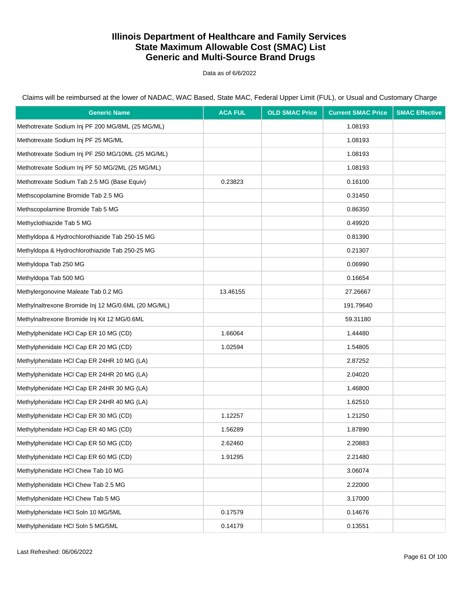Data as of 6/6/2022

| <b>Generic Name</b>                                 | <b>ACA FUL</b> | <b>OLD SMAC Price</b> | <b>Current SMAC Price</b> | <b>SMAC Effective</b> |
|-----------------------------------------------------|----------------|-----------------------|---------------------------|-----------------------|
| Methotrexate Sodium Inj PF 200 MG/8ML (25 MG/ML)    |                |                       | 1.08193                   |                       |
| Methotrexate Sodium Inj PF 25 MG/ML                 |                |                       | 1.08193                   |                       |
| Methotrexate Sodium Inj PF 250 MG/10ML (25 MG/ML)   |                |                       | 1.08193                   |                       |
| Methotrexate Sodium Inj PF 50 MG/2ML (25 MG/ML)     |                |                       | 1.08193                   |                       |
| Methotrexate Sodium Tab 2.5 MG (Base Equiv)         | 0.23823        |                       | 0.16100                   |                       |
| Methscopolamine Bromide Tab 2.5 MG                  |                |                       | 0.31450                   |                       |
| Methscopolamine Bromide Tab 5 MG                    |                |                       | 0.86350                   |                       |
| Methyclothiazide Tab 5 MG                           |                |                       | 0.49920                   |                       |
| Methyldopa & Hydrochlorothiazide Tab 250-15 MG      |                |                       | 0.81390                   |                       |
| Methyldopa & Hydrochlorothiazide Tab 250-25 MG      |                |                       | 0.21307                   |                       |
| Methyldopa Tab 250 MG                               |                |                       | 0.06990                   |                       |
| Methyldopa Tab 500 MG                               |                |                       | 0.16654                   |                       |
| Methylergonovine Maleate Tab 0.2 MG                 | 13.46155       |                       | 27.26667                  |                       |
| Methylnaltrexone Bromide Inj 12 MG/0.6ML (20 MG/ML) |                |                       | 191.79640                 |                       |
| Methylnaltrexone Bromide Inj Kit 12 MG/0.6ML        |                |                       | 59.31180                  |                       |
| Methylphenidate HCI Cap ER 10 MG (CD)               | 1.66064        |                       | 1.44480                   |                       |
| Methylphenidate HCI Cap ER 20 MG (CD)               | 1.02594        |                       | 1.54805                   |                       |
| Methylphenidate HCl Cap ER 24HR 10 MG (LA)          |                |                       | 2.87252                   |                       |
| Methylphenidate HCl Cap ER 24HR 20 MG (LA)          |                |                       | 2.04020                   |                       |
| Methylphenidate HCl Cap ER 24HR 30 MG (LA)          |                |                       | 1.46800                   |                       |
| Methylphenidate HCl Cap ER 24HR 40 MG (LA)          |                |                       | 1.62510                   |                       |
| Methylphenidate HCI Cap ER 30 MG (CD)               | 1.12257        |                       | 1.21250                   |                       |
| Methylphenidate HCI Cap ER 40 MG (CD)               | 1.56289        |                       | 1.87890                   |                       |
| Methylphenidate HCI Cap ER 50 MG (CD)               | 2.62460        |                       | 2.20883                   |                       |
| Methylphenidate HCI Cap ER 60 MG (CD)               | 1.91295        |                       | 2.21480                   |                       |
| Methylphenidate HCI Chew Tab 10 MG                  |                |                       | 3.06074                   |                       |
| Methylphenidate HCI Chew Tab 2.5 MG                 |                |                       | 2.22000                   |                       |
| Methylphenidate HCl Chew Tab 5 MG                   |                |                       | 3.17000                   |                       |
| Methylphenidate HCI Soln 10 MG/5ML                  | 0.17579        |                       | 0.14676                   |                       |
| Methylphenidate HCl Soln 5 MG/5ML                   | 0.14179        |                       | 0.13551                   |                       |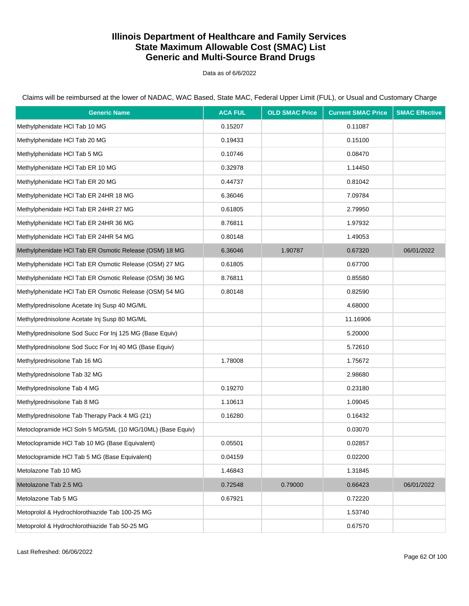Data as of 6/6/2022

Claims will be reimbursed at the lower of NADAC, WAC Based, State MAC, Federal Upper Limit (FUL), or Usual and Customary Charge

| <b>Generic Name</b>                                        | <b>ACA FUL</b> | <b>OLD SMAC Price</b> | <b>Current SMAC Price</b> | <b>SMAC Effective</b> |
|------------------------------------------------------------|----------------|-----------------------|---------------------------|-----------------------|
| Methylphenidate HCI Tab 10 MG                              | 0.15207        |                       | 0.11087                   |                       |
| Methylphenidate HCl Tab 20 MG                              | 0.19433        |                       | 0.15100                   |                       |
| Methylphenidate HCI Tab 5 MG                               | 0.10746        |                       | 0.08470                   |                       |
| Methylphenidate HCI Tab ER 10 MG                           | 0.32978        |                       | 1.14450                   |                       |
| Methylphenidate HCI Tab ER 20 MG                           | 0.44737        |                       | 0.81042                   |                       |
| Methylphenidate HCI Tab ER 24HR 18 MG                      | 6.36046        |                       | 7.09784                   |                       |
| Methylphenidate HCI Tab ER 24HR 27 MG                      | 0.61805        |                       | 2.79950                   |                       |
| Methylphenidate HCI Tab ER 24HR 36 MG                      | 8.76811        |                       | 1.97932                   |                       |
| Methylphenidate HCI Tab ER 24HR 54 MG                      | 0.80148        |                       | 1.49053                   |                       |
| Methylphenidate HCI Tab ER Osmotic Release (OSM) 18 MG     | 6.36046        | 1.90787               | 0.67320                   | 06/01/2022            |
| Methylphenidate HCl Tab ER Osmotic Release (OSM) 27 MG     | 0.61805        |                       | 0.67700                   |                       |
| Methylphenidate HCI Tab ER Osmotic Release (OSM) 36 MG     | 8.76811        |                       | 0.85580                   |                       |
| Methylphenidate HCl Tab ER Osmotic Release (OSM) 54 MG     | 0.80148        |                       | 0.82590                   |                       |
| Methylprednisolone Acetate Inj Susp 40 MG/ML               |                |                       | 4.68000                   |                       |
| Methylprednisolone Acetate Inj Susp 80 MG/ML               |                |                       | 11.16906                  |                       |
| Methylprednisolone Sod Succ For Inj 125 MG (Base Equiv)    |                |                       | 5.20000                   |                       |
| Methylprednisolone Sod Succ For Inj 40 MG (Base Equiv)     |                |                       | 5.72610                   |                       |
| Methylprednisolone Tab 16 MG                               | 1.78008        |                       | 1.75672                   |                       |
| Methylprednisolone Tab 32 MG                               |                |                       | 2.98680                   |                       |
| Methylprednisolone Tab 4 MG                                | 0.19270        |                       | 0.23180                   |                       |
| Methylprednisolone Tab 8 MG                                | 1.10613        |                       | 1.09045                   |                       |
| Methylprednisolone Tab Therapy Pack 4 MG (21)              | 0.16280        |                       | 0.16432                   |                       |
| Metoclopramide HCl Soln 5 MG/5ML (10 MG/10ML) (Base Equiv) |                |                       | 0.03070                   |                       |
| Metoclopramide HCI Tab 10 MG (Base Equivalent)             | 0.05501        |                       | 0.02857                   |                       |
| Metoclopramide HCI Tab 5 MG (Base Equivalent)              | 0.04159        |                       | 0.02200                   |                       |
| Metolazone Tab 10 MG                                       | 1.46843        |                       | 1.31845                   |                       |
| Metolazone Tab 2.5 MG                                      | 0.72548        | 0.79000               | 0.66423                   | 06/01/2022            |
| Metolazone Tab 5 MG                                        | 0.67921        |                       | 0.72220                   |                       |
| Metoprolol & Hydrochlorothiazide Tab 100-25 MG             |                |                       | 1.53740                   |                       |
| Metoprolol & Hydrochlorothiazide Tab 50-25 MG              |                |                       | 0.67570                   |                       |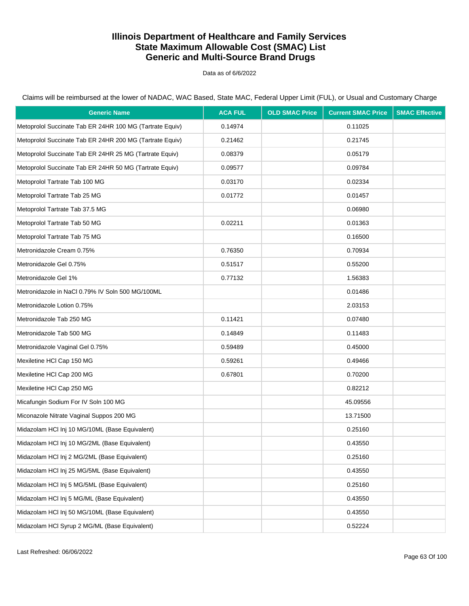Data as of 6/6/2022

Claims will be reimbursed at the lower of NADAC, WAC Based, State MAC, Federal Upper Limit (FUL), or Usual and Customary Charge

| <b>Generic Name</b>                                      | <b>ACA FUL</b> | <b>OLD SMAC Price</b> | <b>Current SMAC Price</b> | <b>SMAC Effective</b> |
|----------------------------------------------------------|----------------|-----------------------|---------------------------|-----------------------|
| Metoprolol Succinate Tab ER 24HR 100 MG (Tartrate Equiv) | 0.14974        |                       | 0.11025                   |                       |
| Metoprolol Succinate Tab ER 24HR 200 MG (Tartrate Equiv) | 0.21462        |                       | 0.21745                   |                       |
| Metoprolol Succinate Tab ER 24HR 25 MG (Tartrate Equiv)  | 0.08379        |                       | 0.05179                   |                       |
| Metoprolol Succinate Tab ER 24HR 50 MG (Tartrate Equiv)  | 0.09577        |                       | 0.09784                   |                       |
| Metoprolol Tartrate Tab 100 MG                           | 0.03170        |                       | 0.02334                   |                       |
| Metoprolol Tartrate Tab 25 MG                            | 0.01772        |                       | 0.01457                   |                       |
| Metoprolol Tartrate Tab 37.5 MG                          |                |                       | 0.06980                   |                       |
| Metoprolol Tartrate Tab 50 MG                            | 0.02211        |                       | 0.01363                   |                       |
| Metoprolol Tartrate Tab 75 MG                            |                |                       | 0.16500                   |                       |
| Metronidazole Cream 0.75%                                | 0.76350        |                       | 0.70934                   |                       |
| Metronidazole Gel 0.75%                                  | 0.51517        |                       | 0.55200                   |                       |
| Metronidazole Gel 1%                                     | 0.77132        |                       | 1.56383                   |                       |
| Metronidazole in NaCl 0.79% IV Soln 500 MG/100ML         |                |                       | 0.01486                   |                       |
| Metronidazole Lotion 0.75%                               |                |                       | 2.03153                   |                       |
| Metronidazole Tab 250 MG                                 | 0.11421        |                       | 0.07480                   |                       |
| Metronidazole Tab 500 MG                                 | 0.14849        |                       | 0.11483                   |                       |
| Metronidazole Vaginal Gel 0.75%                          | 0.59489        |                       | 0.45000                   |                       |
| Mexiletine HCI Cap 150 MG                                | 0.59261        |                       | 0.49466                   |                       |
| Mexiletine HCI Cap 200 MG                                | 0.67801        |                       | 0.70200                   |                       |
| Mexiletine HCI Cap 250 MG                                |                |                       | 0.82212                   |                       |
| Micafungin Sodium For IV Soln 100 MG                     |                |                       | 45.09556                  |                       |
| Miconazole Nitrate Vaginal Suppos 200 MG                 |                |                       | 13.71500                  |                       |
| Midazolam HCl Inj 10 MG/10ML (Base Equivalent)           |                |                       | 0.25160                   |                       |
| Midazolam HCl Inj 10 MG/2ML (Base Equivalent)            |                |                       | 0.43550                   |                       |
| Midazolam HCl Inj 2 MG/2ML (Base Equivalent)             |                |                       | 0.25160                   |                       |
| Midazolam HCl Inj 25 MG/5ML (Base Equivalent)            |                |                       | 0.43550                   |                       |
| Midazolam HCl Inj 5 MG/5ML (Base Equivalent)             |                |                       | 0.25160                   |                       |
| Midazolam HCl Inj 5 MG/ML (Base Equivalent)              |                |                       | 0.43550                   |                       |
| Midazolam HCl Inj 50 MG/10ML (Base Equivalent)           |                |                       | 0.43550                   |                       |
| Midazolam HCl Syrup 2 MG/ML (Base Equivalent)            |                |                       | 0.52224                   |                       |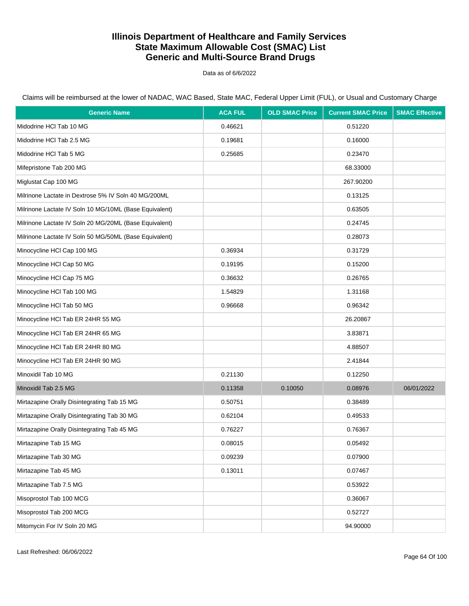Data as of 6/6/2022

| <b>Generic Name</b>                                    | <b>ACA FUL</b> | <b>OLD SMAC Price</b> | <b>Current SMAC Price</b> | <b>SMAC Effective</b> |
|--------------------------------------------------------|----------------|-----------------------|---------------------------|-----------------------|
| Midodrine HCI Tab 10 MG                                | 0.46621        |                       | 0.51220                   |                       |
| Midodrine HCl Tab 2.5 MG                               | 0.19681        |                       | 0.16000                   |                       |
| Midodrine HCI Tab 5 MG                                 | 0.25685        |                       | 0.23470                   |                       |
| Mifepristone Tab 200 MG                                |                |                       | 68.33000                  |                       |
| Miglustat Cap 100 MG                                   |                |                       | 267.90200                 |                       |
| Milrinone Lactate in Dextrose 5% IV Soln 40 MG/200ML   |                |                       | 0.13125                   |                       |
| Milrinone Lactate IV Soln 10 MG/10ML (Base Equivalent) |                |                       | 0.63505                   |                       |
| Milrinone Lactate IV Soln 20 MG/20ML (Base Equivalent) |                |                       | 0.24745                   |                       |
| Milrinone Lactate IV Soln 50 MG/50ML (Base Equivalent) |                |                       | 0.28073                   |                       |
| Minocycline HCI Cap 100 MG                             | 0.36934        |                       | 0.31729                   |                       |
| Minocycline HCl Cap 50 MG                              | 0.19195        |                       | 0.15200                   |                       |
| Minocycline HCI Cap 75 MG                              | 0.36632        |                       | 0.26765                   |                       |
| Minocycline HCI Tab 100 MG                             | 1.54829        |                       | 1.31168                   |                       |
| Minocycline HCl Tab 50 MG                              | 0.96668        |                       | 0.96342                   |                       |
| Minocycline HCI Tab ER 24HR 55 MG                      |                |                       | 26.20867                  |                       |
| Minocycline HCI Tab ER 24HR 65 MG                      |                |                       | 3.83871                   |                       |
| Minocycline HCI Tab ER 24HR 80 MG                      |                |                       | 4.88507                   |                       |
| Minocycline HCI Tab ER 24HR 90 MG                      |                |                       | 2.41844                   |                       |
| Minoxidil Tab 10 MG                                    | 0.21130        |                       | 0.12250                   |                       |
| Minoxidil Tab 2.5 MG                                   | 0.11358        | 0.10050               | 0.08976                   | 06/01/2022            |
| Mirtazapine Orally Disintegrating Tab 15 MG            | 0.50751        |                       | 0.38489                   |                       |
| Mirtazapine Orally Disintegrating Tab 30 MG            | 0.62104        |                       | 0.49533                   |                       |
| Mirtazapine Orally Disintegrating Tab 45 MG            | 0.76227        |                       | 0.76367                   |                       |
| Mirtazapine Tab 15 MG                                  | 0.08015        |                       | 0.05492                   |                       |
| Mirtazapine Tab 30 MG                                  | 0.09239        |                       | 0.07900                   |                       |
| Mirtazapine Tab 45 MG                                  | 0.13011        |                       | 0.07467                   |                       |
| Mirtazapine Tab 7.5 MG                                 |                |                       | 0.53922                   |                       |
| Misoprostol Tab 100 MCG                                |                |                       | 0.36067                   |                       |
| Misoprostol Tab 200 MCG                                |                |                       | 0.52727                   |                       |
| Mitomycin For IV Soln 20 MG                            |                |                       | 94.90000                  |                       |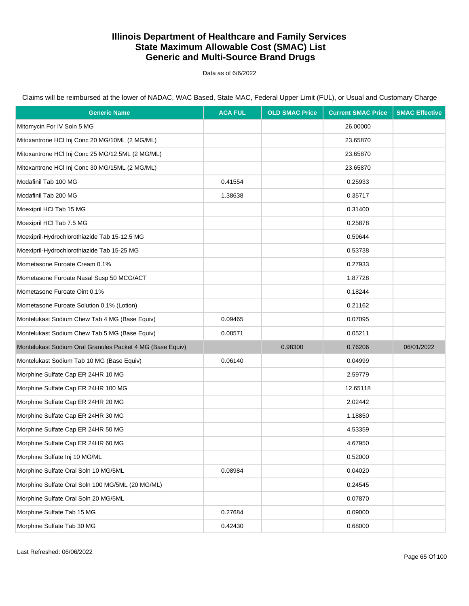Data as of 6/6/2022

| <b>Generic Name</b>                                       | <b>ACA FUL</b> | <b>OLD SMAC Price</b> | <b>Current SMAC Price</b> | <b>SMAC Effective</b> |
|-----------------------------------------------------------|----------------|-----------------------|---------------------------|-----------------------|
| Mitomycin For IV Soln 5 MG                                |                |                       | 26.00000                  |                       |
| Mitoxantrone HCI Inj Conc 20 MG/10ML (2 MG/ML)            |                |                       | 23.65870                  |                       |
| Mitoxantrone HCl Inj Conc 25 MG/12.5ML (2 MG/ML)          |                |                       | 23.65870                  |                       |
| Mitoxantrone HCI Inj Conc 30 MG/15ML (2 MG/ML)            |                |                       | 23.65870                  |                       |
| Modafinil Tab 100 MG                                      | 0.41554        |                       | 0.25933                   |                       |
| Modafinil Tab 200 MG                                      | 1.38638        |                       | 0.35717                   |                       |
| Moexipril HCI Tab 15 MG                                   |                |                       | 0.31400                   |                       |
| Moexipril HCI Tab 7.5 MG                                  |                |                       | 0.25878                   |                       |
| Moexipril-Hydrochlorothiazide Tab 15-12.5 MG              |                |                       | 0.59644                   |                       |
| Moexipril-Hydrochlorothiazide Tab 15-25 MG                |                |                       | 0.53738                   |                       |
| Mometasone Furoate Cream 0.1%                             |                |                       | 0.27933                   |                       |
| Mometasone Furoate Nasal Susp 50 MCG/ACT                  |                |                       | 1.87728                   |                       |
| Mometasone Furoate Oint 0.1%                              |                |                       | 0.18244                   |                       |
| Mometasone Furoate Solution 0.1% (Lotion)                 |                |                       | 0.21162                   |                       |
| Montelukast Sodium Chew Tab 4 MG (Base Equiv)             | 0.09465        |                       | 0.07095                   |                       |
| Montelukast Sodium Chew Tab 5 MG (Base Equiv)             | 0.08571        |                       | 0.05211                   |                       |
| Montelukast Sodium Oral Granules Packet 4 MG (Base Equiv) |                | 0.98300               | 0.76206                   | 06/01/2022            |
| Montelukast Sodium Tab 10 MG (Base Equiv)                 | 0.06140        |                       | 0.04999                   |                       |
| Morphine Sulfate Cap ER 24HR 10 MG                        |                |                       | 2.59779                   |                       |
| Morphine Sulfate Cap ER 24HR 100 MG                       |                |                       | 12.65118                  |                       |
| Morphine Sulfate Cap ER 24HR 20 MG                        |                |                       | 2.02442                   |                       |
| Morphine Sulfate Cap ER 24HR 30 MG                        |                |                       | 1.18850                   |                       |
| Morphine Sulfate Cap ER 24HR 50 MG                        |                |                       | 4.53359                   |                       |
| Morphine Sulfate Cap ER 24HR 60 MG                        |                |                       | 4.67950                   |                       |
| Morphine Sulfate Inj 10 MG/ML                             |                |                       | 0.52000                   |                       |
| Morphine Sulfate Oral Soln 10 MG/5ML                      | 0.08984        |                       | 0.04020                   |                       |
| Morphine Sulfate Oral Soln 100 MG/5ML (20 MG/ML)          |                |                       | 0.24545                   |                       |
| Morphine Sulfate Oral Soln 20 MG/5ML                      |                |                       | 0.07870                   |                       |
| Morphine Sulfate Tab 15 MG                                | 0.27684        |                       | 0.09000                   |                       |
| Morphine Sulfate Tab 30 MG                                | 0.42430        |                       | 0.68000                   |                       |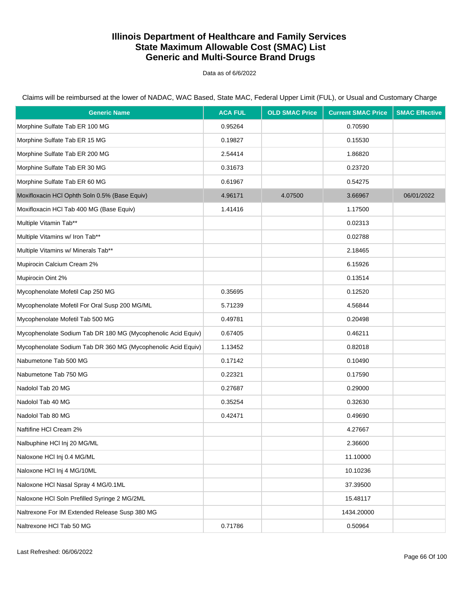Data as of 6/6/2022

Claims will be reimbursed at the lower of NADAC, WAC Based, State MAC, Federal Upper Limit (FUL), or Usual and Customary Charge

| <b>Generic Name</b>                                          | <b>ACA FUL</b> | <b>OLD SMAC Price</b> | <b>Current SMAC Price</b> | <b>SMAC Effective</b> |
|--------------------------------------------------------------|----------------|-----------------------|---------------------------|-----------------------|
| Morphine Sulfate Tab ER 100 MG                               | 0.95264        |                       | 0.70590                   |                       |
| Morphine Sulfate Tab ER 15 MG                                | 0.19827        |                       | 0.15530                   |                       |
| Morphine Sulfate Tab ER 200 MG                               | 2.54414        |                       | 1.86820                   |                       |
| Morphine Sulfate Tab ER 30 MG                                | 0.31673        |                       | 0.23720                   |                       |
| Morphine Sulfate Tab ER 60 MG                                | 0.61967        |                       | 0.54275                   |                       |
| Moxifloxacin HCl Ophth Soln 0.5% (Base Equiv)                | 4.96171        | 4.07500               | 3.66967                   | 06/01/2022            |
| Moxifloxacin HCl Tab 400 MG (Base Equiv)                     | 1.41416        |                       | 1.17500                   |                       |
| Multiple Vitamin Tab**                                       |                |                       | 0.02313                   |                       |
| Multiple Vitamins w/ Iron Tab**                              |                |                       | 0.02788                   |                       |
| Multiple Vitamins w/ Minerals Tab**                          |                |                       | 2.18465                   |                       |
| Mupirocin Calcium Cream 2%                                   |                |                       | 6.15926                   |                       |
| Mupirocin Oint 2%                                            |                |                       | 0.13514                   |                       |
| Mycophenolate Mofetil Cap 250 MG                             | 0.35695        |                       | 0.12520                   |                       |
| Mycophenolate Mofetil For Oral Susp 200 MG/ML                | 5.71239        |                       | 4.56844                   |                       |
| Mycophenolate Mofetil Tab 500 MG                             | 0.49781        |                       | 0.20498                   |                       |
| Mycophenolate Sodium Tab DR 180 MG (Mycophenolic Acid Equiv) | 0.67405        |                       | 0.46211                   |                       |
| Mycophenolate Sodium Tab DR 360 MG (Mycophenolic Acid Equiv) | 1.13452        |                       | 0.82018                   |                       |
| Nabumetone Tab 500 MG                                        | 0.17142        |                       | 0.10490                   |                       |
| Nabumetone Tab 750 MG                                        | 0.22321        |                       | 0.17590                   |                       |
| Nadolol Tab 20 MG                                            | 0.27687        |                       | 0.29000                   |                       |
| Nadolol Tab 40 MG                                            | 0.35254        |                       | 0.32630                   |                       |
| Nadolol Tab 80 MG                                            | 0.42471        |                       | 0.49690                   |                       |
| Naftifine HCI Cream 2%                                       |                |                       | 4.27667                   |                       |
| Nalbuphine HCl Inj 20 MG/ML                                  |                |                       | 2.36600                   |                       |
| Naloxone HCl Inj 0.4 MG/ML                                   |                |                       | 11.10000                  |                       |
| Naloxone HCl Inj 4 MG/10ML                                   |                |                       | 10.10236                  |                       |
| Naloxone HCl Nasal Spray 4 MG/0.1ML                          |                |                       | 37.39500                  |                       |
| Naloxone HCl Soln Prefilled Syringe 2 MG/2ML                 |                |                       | 15.48117                  |                       |
| Naltrexone For IM Extended Release Susp 380 MG               |                |                       | 1434.20000                |                       |
| Naltrexone HCI Tab 50 MG                                     | 0.71786        |                       | 0.50964                   |                       |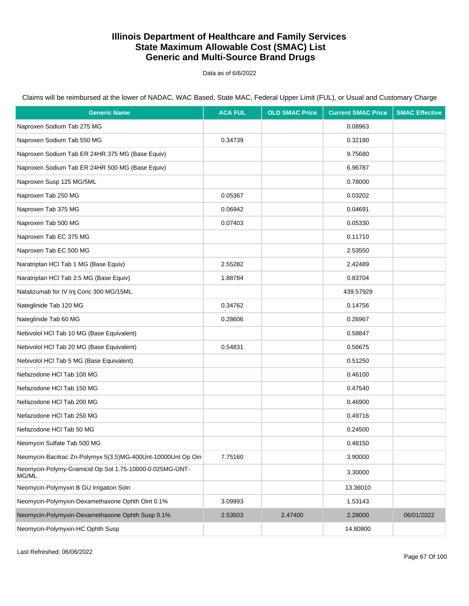Data as of 6/6/2022

Claims will be reimbursed at the lower of NADAC, WAC Based, State MAC, Federal Upper Limit (FUL), or Usual and Customary Charge

| <b>Generic Name</b>                                              | <b>ACA FUL</b> | <b>OLD SMAC Price</b> | <b>Current SMAC Price</b> | <b>SMAC Effective</b> |
|------------------------------------------------------------------|----------------|-----------------------|---------------------------|-----------------------|
| Naproxen Sodium Tab 275 MG                                       |                |                       | 0.08963                   |                       |
| Naproxen Sodium Tab 550 MG                                       | 0.34739        |                       | 0.32180                   |                       |
| Naproxen Sodium Tab ER 24HR 375 MG (Base Equiv)                  |                |                       | 9.75680                   |                       |
| Naproxen Sodium Tab ER 24HR 500 MG (Base Equiv)                  |                |                       | 6.96787                   |                       |
| Naproxen Susp 125 MG/5ML                                         |                |                       | 0.78000                   |                       |
| Naproxen Tab 250 MG                                              | 0.05367        |                       | 0.03202                   |                       |
| Naproxen Tab 375 MG                                              | 0.06942        |                       | 0.04691                   |                       |
| Naproxen Tab 500 MG                                              | 0.07403        |                       | 0.05330                   |                       |
| Naproxen Tab EC 375 MG                                           |                |                       | 0.11710                   |                       |
| Naproxen Tab EC 500 MG                                           |                |                       | 2.53550                   |                       |
| Naratriptan HCI Tab 1 MG (Base Equiv)                            | 2.55282        |                       | 2.42489                   |                       |
| Naratriptan HCl Tab 2.5 MG (Base Equiv)                          | 1.88784        |                       | 0.83704                   |                       |
| Natalizumab for IV Inj Conc 300 MG/15ML                          |                |                       | 439.57929                 |                       |
| Nateglinide Tab 120 MG                                           | 0.34762        |                       | 0.14756                   |                       |
| Nateglinide Tab 60 MG                                            | 0.28606        |                       | 0.26967                   |                       |
| Nebivolol HCl Tab 10 MG (Base Equivalent)                        |                |                       | 0.58847                   |                       |
| Nebivolol HCl Tab 20 MG (Base Equivalent)                        | 0.54831        |                       | 0.56675                   |                       |
| Nebivolol HCl Tab 5 MG (Base Equivalent)                         |                |                       | 0.51250                   |                       |
| Nefazodone HCI Tab 100 MG                                        |                |                       | 0.46100                   |                       |
| Nefazodone HCI Tab 150 MG                                        |                |                       | 0.47540                   |                       |
| Nefazodone HCI Tab 200 MG                                        |                |                       | 0.46900                   |                       |
| Nefazodone HCI Tab 250 MG                                        |                |                       | 0.49716                   |                       |
| Nefazodone HCI Tab 50 MG                                         |                |                       | 0.24500                   |                       |
| Neomycin Sulfate Tab 500 MG                                      |                |                       | 0.48150                   |                       |
| Neomycin-Bacitrac Zn-Polymyx 5(3.5)MG-400Unt-10000Unt Op Oin     | 7.75160        |                       | 3.90000                   |                       |
| Neomycin-Polymy-Gramicid Op Sol 1.75-10000-0.025MG-UNT-<br>MG/ML |                |                       | 3.30000                   |                       |
| Neomycin-Polymyxin B GU Irrigation Soln                          |                |                       | 13.36010                  |                       |
| Neomycin-Polymyxin-Dexamethasone Ophth Oint 0.1%                 | 3.09993        |                       | 1.53143                   |                       |
| Neomycin-Polymyxin-Dexamethasone Ophth Susp 0.1%                 | 2.53503        | 2.47400               | 2.28000                   | 06/01/2022            |
| Neomycin-Polymyxin-HC Ophth Susp                                 |                |                       | 14.80800                  |                       |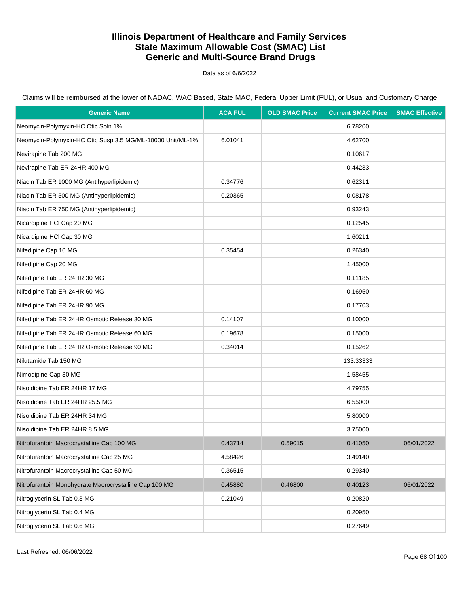Data as of 6/6/2022

| <b>Generic Name</b>                                        | <b>ACA FUL</b> | <b>OLD SMAC Price</b> | <b>Current SMAC Price</b> | <b>SMAC Effective</b> |
|------------------------------------------------------------|----------------|-----------------------|---------------------------|-----------------------|
| Neomycin-Polymyxin-HC Otic Soln 1%                         |                |                       | 6.78200                   |                       |
| Neomycin-Polymyxin-HC Otic Susp 3.5 MG/ML-10000 Unit/ML-1% | 6.01041        |                       | 4.62700                   |                       |
| Nevirapine Tab 200 MG                                      |                |                       | 0.10617                   |                       |
| Nevirapine Tab ER 24HR 400 MG                              |                |                       | 0.44233                   |                       |
| Niacin Tab ER 1000 MG (Antihyperlipidemic)                 | 0.34776        |                       | 0.62311                   |                       |
| Niacin Tab ER 500 MG (Antihyperlipidemic)                  | 0.20365        |                       | 0.08178                   |                       |
| Niacin Tab ER 750 MG (Antihyperlipidemic)                  |                |                       | 0.93243                   |                       |
| Nicardipine HCI Cap 20 MG                                  |                |                       | 0.12545                   |                       |
| Nicardipine HCI Cap 30 MG                                  |                |                       | 1.60211                   |                       |
| Nifedipine Cap 10 MG                                       | 0.35454        |                       | 0.26340                   |                       |
| Nifedipine Cap 20 MG                                       |                |                       | 1.45000                   |                       |
| Nifedipine Tab ER 24HR 30 MG                               |                |                       | 0.11185                   |                       |
| Nifedipine Tab ER 24HR 60 MG                               |                |                       | 0.16950                   |                       |
| Nifedipine Tab ER 24HR 90 MG                               |                |                       | 0.17703                   |                       |
| Nifedipine Tab ER 24HR Osmotic Release 30 MG               | 0.14107        |                       | 0.10000                   |                       |
| Nifedipine Tab ER 24HR Osmotic Release 60 MG               | 0.19678        |                       | 0.15000                   |                       |
| Nifedipine Tab ER 24HR Osmotic Release 90 MG               | 0.34014        |                       | 0.15262                   |                       |
| Nilutamide Tab 150 MG                                      |                |                       | 133.33333                 |                       |
| Nimodipine Cap 30 MG                                       |                |                       | 1.58455                   |                       |
| Nisoldipine Tab ER 24HR 17 MG                              |                |                       | 4.79755                   |                       |
| Nisoldipine Tab ER 24HR 25.5 MG                            |                |                       | 6.55000                   |                       |
| Nisoldipine Tab ER 24HR 34 MG                              |                |                       | 5.80000                   |                       |
| Nisoldipine Tab ER 24HR 8.5 MG                             |                |                       | 3.75000                   |                       |
| Nitrofurantoin Macrocrystalline Cap 100 MG                 | 0.43714        | 0.59015               | 0.41050                   | 06/01/2022            |
| Nitrofurantoin Macrocrystalline Cap 25 MG                  | 4.58426        |                       | 3.49140                   |                       |
| Nitrofurantoin Macrocrystalline Cap 50 MG                  | 0.36515        |                       | 0.29340                   |                       |
| Nitrofurantoin Monohydrate Macrocrystalline Cap 100 MG     | 0.45880        | 0.46800               | 0.40123                   | 06/01/2022            |
| Nitroglycerin SL Tab 0.3 MG                                | 0.21049        |                       | 0.20820                   |                       |
| Nitroglycerin SL Tab 0.4 MG                                |                |                       | 0.20950                   |                       |
| Nitroglycerin SL Tab 0.6 MG                                |                |                       | 0.27649                   |                       |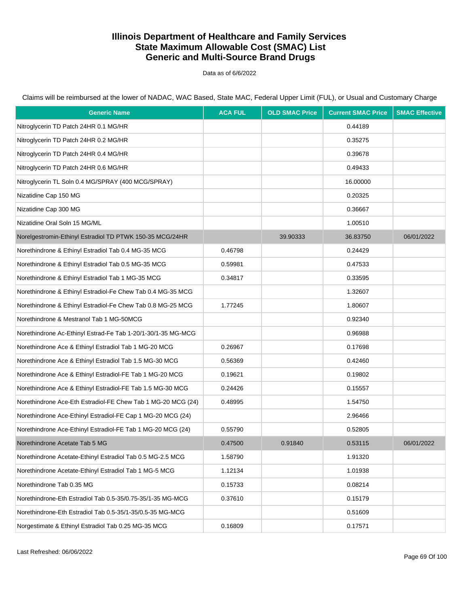Data as of 6/6/2022

Claims will be reimbursed at the lower of NADAC, WAC Based, State MAC, Federal Upper Limit (FUL), or Usual and Customary Charge

| <b>Generic Name</b>                                          | <b>ACA FUL</b> | <b>OLD SMAC Price</b> | <b>Current SMAC Price</b> | <b>SMAC Effective</b> |
|--------------------------------------------------------------|----------------|-----------------------|---------------------------|-----------------------|
| Nitroglycerin TD Patch 24HR 0.1 MG/HR                        |                |                       | 0.44189                   |                       |
| Nitroglycerin TD Patch 24HR 0.2 MG/HR                        |                |                       | 0.35275                   |                       |
| Nitroglycerin TD Patch 24HR 0.4 MG/HR                        |                |                       | 0.39678                   |                       |
| Nitroglycerin TD Patch 24HR 0.6 MG/HR                        |                |                       | 0.49433                   |                       |
| Nitroglycerin TL Soln 0.4 MG/SPRAY (400 MCG/SPRAY)           |                |                       | 16.00000                  |                       |
| Nizatidine Cap 150 MG                                        |                |                       | 0.20325                   |                       |
| Nizatidine Cap 300 MG                                        |                |                       | 0.36667                   |                       |
| Nizatidine Oral Soln 15 MG/ML                                |                |                       | 1.00510                   |                       |
| Norelgestromin-Ethinyl Estradiol TD PTWK 150-35 MCG/24HR     |                | 39.90333              | 36.83750                  | 06/01/2022            |
| Norethindrone & Ethinyl Estradiol Tab 0.4 MG-35 MCG          | 0.46798        |                       | 0.24429                   |                       |
| Norethindrone & Ethinyl Estradiol Tab 0.5 MG-35 MCG          | 0.59981        |                       | 0.47533                   |                       |
| Norethindrone & Ethinyl Estradiol Tab 1 MG-35 MCG            | 0.34817        |                       | 0.33595                   |                       |
| Norethindrone & Ethinyl Estradiol-Fe Chew Tab 0.4 MG-35 MCG  |                |                       | 1.32607                   |                       |
| Norethindrone & Ethinyl Estradiol-Fe Chew Tab 0.8 MG-25 MCG  | 1.77245        |                       | 1.80607                   |                       |
| Norethindrone & Mestranol Tab 1 MG-50MCG                     |                |                       | 0.92340                   |                       |
| Norethindrone Ac-Ethinyl Estrad-Fe Tab 1-20/1-30/1-35 MG-MCG |                |                       | 0.96988                   |                       |
| Norethindrone Ace & Ethinyl Estradiol Tab 1 MG-20 MCG        | 0.26967        |                       | 0.17698                   |                       |
| Norethindrone Ace & Ethinyl Estradiol Tab 1.5 MG-30 MCG      | 0.56369        |                       | 0.42460                   |                       |
| Norethindrone Ace & Ethinyl Estradiol-FE Tab 1 MG-20 MCG     | 0.19621        |                       | 0.19802                   |                       |
| Norethindrone Ace & Ethinyl Estradiol-FE Tab 1.5 MG-30 MCG   | 0.24426        |                       | 0.15557                   |                       |
| Norethindrone Ace-Eth Estradiol-FE Chew Tab 1 MG-20 MCG (24) | 0.48995        |                       | 1.54750                   |                       |
| Norethindrone Ace-Ethinyl Estradiol-FE Cap 1 MG-20 MCG (24)  |                |                       | 2.96466                   |                       |
| Norethindrone Ace-Ethinyl Estradiol-FE Tab 1 MG-20 MCG (24)  | 0.55790        |                       | 0.52805                   |                       |
| Norethindrone Acetate Tab 5 MG                               | 0.47500        | 0.91840               | 0.53115                   | 06/01/2022            |
| Norethindrone Acetate-Ethinyl Estradiol Tab 0.5 MG-2.5 MCG   | 1.58790        |                       | 1.91320                   |                       |
| Norethindrone Acetate-Ethinyl Estradiol Tab 1 MG-5 MCG       | 1.12134        |                       | 1.01938                   |                       |
| Norethindrone Tab 0.35 MG                                    | 0.15733        |                       | 0.08214                   |                       |
| Norethindrone-Eth Estradiol Tab 0.5-35/0.75-35/1-35 MG-MCG   | 0.37610        |                       | 0.15179                   |                       |
| Norethindrone-Eth Estradiol Tab 0.5-35/1-35/0.5-35 MG-MCG    |                |                       | 0.51609                   |                       |
| Norgestimate & Ethinyl Estradiol Tab 0.25 MG-35 MCG          | 0.16809        |                       | 0.17571                   |                       |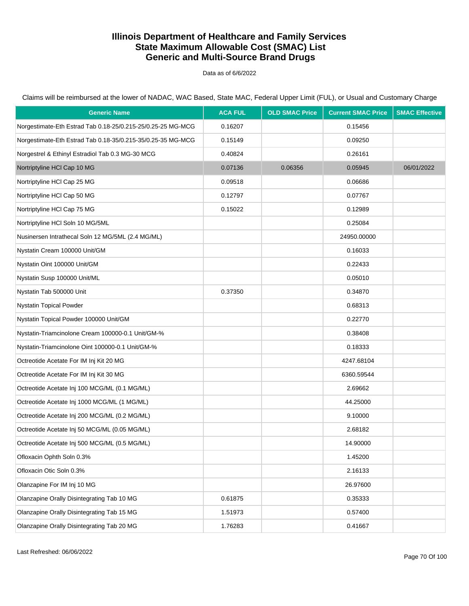Data as of 6/6/2022

Claims will be reimbursed at the lower of NADAC, WAC Based, State MAC, Federal Upper Limit (FUL), or Usual and Customary Charge

| <b>Generic Name</b>                                         | <b>ACA FUL</b> | <b>OLD SMAC Price</b> | <b>Current SMAC Price</b> | <b>SMAC Effective</b> |
|-------------------------------------------------------------|----------------|-----------------------|---------------------------|-----------------------|
| Norgestimate-Eth Estrad Tab 0.18-25/0.215-25/0.25-25 MG-MCG | 0.16207        |                       | 0.15456                   |                       |
| Norgestimate-Eth Estrad Tab 0.18-35/0.215-35/0.25-35 MG-MCG | 0.15149        |                       | 0.09250                   |                       |
| Norgestrel & Ethinyl Estradiol Tab 0.3 MG-30 MCG            | 0.40824        |                       | 0.26161                   |                       |
| Nortriptyline HCl Cap 10 MG                                 | 0.07136        | 0.06356               | 0.05945                   | 06/01/2022            |
| Nortriptyline HCI Cap 25 MG                                 | 0.09518        |                       | 0.06686                   |                       |
| Nortriptyline HCl Cap 50 MG                                 | 0.12797        |                       | 0.07767                   |                       |
| Nortriptyline HCI Cap 75 MG                                 | 0.15022        |                       | 0.12989                   |                       |
| Nortriptyline HCI Soln 10 MG/5ML                            |                |                       | 0.25084                   |                       |
| Nusinersen Intrathecal Soln 12 MG/5ML (2.4 MG/ML)           |                |                       | 24950.00000               |                       |
| Nystatin Cream 100000 Unit/GM                               |                |                       | 0.16033                   |                       |
| Nystatin Oint 100000 Unit/GM                                |                |                       | 0.22433                   |                       |
| Nystatin Susp 100000 Unit/ML                                |                |                       | 0.05010                   |                       |
| Nystatin Tab 500000 Unit                                    | 0.37350        |                       | 0.34870                   |                       |
| <b>Nystatin Topical Powder</b>                              |                |                       | 0.68313                   |                       |
| Nystatin Topical Powder 100000 Unit/GM                      |                |                       | 0.22770                   |                       |
| Nystatin-Triamcinolone Cream 100000-0.1 Unit/GM-%           |                |                       | 0.38408                   |                       |
| Nystatin-Triamcinolone Oint 100000-0.1 Unit/GM-%            |                |                       | 0.18333                   |                       |
| Octreotide Acetate For IM Inj Kit 20 MG                     |                |                       | 4247.68104                |                       |
| Octreotide Acetate For IM Inj Kit 30 MG                     |                |                       | 6360.59544                |                       |
| Octreotide Acetate Inj 100 MCG/ML (0.1 MG/ML)               |                |                       | 2.69662                   |                       |
| Octreotide Acetate Inj 1000 MCG/ML (1 MG/ML)                |                |                       | 44.25000                  |                       |
| Octreotide Acetate Inj 200 MCG/ML (0.2 MG/ML)               |                |                       | 9.10000                   |                       |
| Octreotide Acetate Inj 50 MCG/ML (0.05 MG/ML)               |                |                       | 2.68182                   |                       |
| Octreotide Acetate Inj 500 MCG/ML (0.5 MG/ML)               |                |                       | 14.90000                  |                       |
| Ofloxacin Ophth Soln 0.3%                                   |                |                       | 1.45200                   |                       |
| Ofloxacin Otic Soln 0.3%                                    |                |                       | 2.16133                   |                       |
| Olanzapine For IM Inj 10 MG                                 |                |                       | 26.97600                  |                       |
| Olanzapine Orally Disintegrating Tab 10 MG                  | 0.61875        |                       | 0.35333                   |                       |
| Olanzapine Orally Disintegrating Tab 15 MG                  | 1.51973        |                       | 0.57400                   |                       |
| Olanzapine Orally Disintegrating Tab 20 MG                  | 1.76283        |                       | 0.41667                   |                       |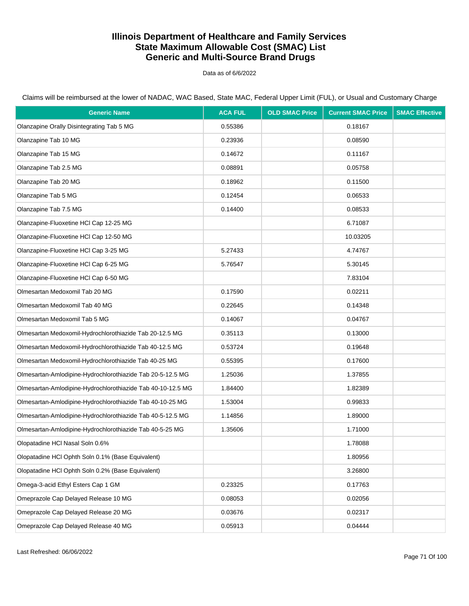Data as of 6/6/2022

| <b>Generic Name</b>                                         | <b>ACA FUL</b> | <b>OLD SMAC Price</b> | <b>Current SMAC Price</b> | <b>SMAC Effective</b> |
|-------------------------------------------------------------|----------------|-----------------------|---------------------------|-----------------------|
| Olanzapine Orally Disintegrating Tab 5 MG                   | 0.55386        |                       | 0.18167                   |                       |
| Olanzapine Tab 10 MG                                        | 0.23936        |                       | 0.08590                   |                       |
| Olanzapine Tab 15 MG                                        | 0.14672        |                       | 0.11167                   |                       |
| Olanzapine Tab 2.5 MG                                       | 0.08891        |                       | 0.05758                   |                       |
| Olanzapine Tab 20 MG                                        | 0.18962        |                       | 0.11500                   |                       |
| Olanzapine Tab 5 MG                                         | 0.12454        |                       | 0.06533                   |                       |
| Olanzapine Tab 7.5 MG                                       | 0.14400        |                       | 0.08533                   |                       |
| Olanzapine-Fluoxetine HCl Cap 12-25 MG                      |                |                       | 6.71087                   |                       |
| Olanzapine-Fluoxetine HCl Cap 12-50 MG                      |                |                       | 10.03205                  |                       |
| Olanzapine-Fluoxetine HCl Cap 3-25 MG                       | 5.27433        |                       | 4.74767                   |                       |
| Olanzapine-Fluoxetine HCl Cap 6-25 MG                       | 5.76547        |                       | 5.30145                   |                       |
| Olanzapine-Fluoxetine HCl Cap 6-50 MG                       |                |                       | 7.83104                   |                       |
| Olmesartan Medoxomil Tab 20 MG                              | 0.17590        |                       | 0.02211                   |                       |
| Olmesartan Medoxomil Tab 40 MG                              | 0.22645        |                       | 0.14348                   |                       |
| Olmesartan Medoxomil Tab 5 MG                               | 0.14067        |                       | 0.04767                   |                       |
| Olmesartan Medoxomil-Hydrochlorothiazide Tab 20-12.5 MG     | 0.35113        |                       | 0.13000                   |                       |
| Olmesartan Medoxomil-Hydrochlorothiazide Tab 40-12.5 MG     | 0.53724        |                       | 0.19648                   |                       |
| Olmesartan Medoxomil-Hydrochlorothiazide Tab 40-25 MG       | 0.55395        |                       | 0.17600                   |                       |
| Olmesartan-Amlodipine-Hydrochlorothiazide Tab 20-5-12.5 MG  | 1.25036        |                       | 1.37855                   |                       |
| Olmesartan-Amlodipine-Hydrochlorothiazide Tab 40-10-12.5 MG | 1.84400        |                       | 1.82389                   |                       |
| Olmesartan-Amlodipine-Hydrochlorothiazide Tab 40-10-25 MG   | 1.53004        |                       | 0.99833                   |                       |
| Olmesartan-Amlodipine-Hydrochlorothiazide Tab 40-5-12.5 MG  | 1.14856        |                       | 1.89000                   |                       |
| Olmesartan-Amlodipine-Hydrochlorothiazide Tab 40-5-25 MG    | 1.35606        |                       | 1.71000                   |                       |
| Olopatadine HCl Nasal Soln 0.6%                             |                |                       | 1.78088                   |                       |
| Olopatadine HCl Ophth Soln 0.1% (Base Equivalent)           |                |                       | 1.80956                   |                       |
| Olopatadine HCl Ophth Soln 0.2% (Base Equivalent)           |                |                       | 3.26800                   |                       |
| Omega-3-acid Ethyl Esters Cap 1 GM                          | 0.23325        |                       | 0.17763                   |                       |
| Omeprazole Cap Delayed Release 10 MG                        | 0.08053        |                       | 0.02056                   |                       |
| Omeprazole Cap Delayed Release 20 MG                        | 0.03676        |                       | 0.02317                   |                       |
| Omeprazole Cap Delayed Release 40 MG                        | 0.05913        |                       | 0.04444                   |                       |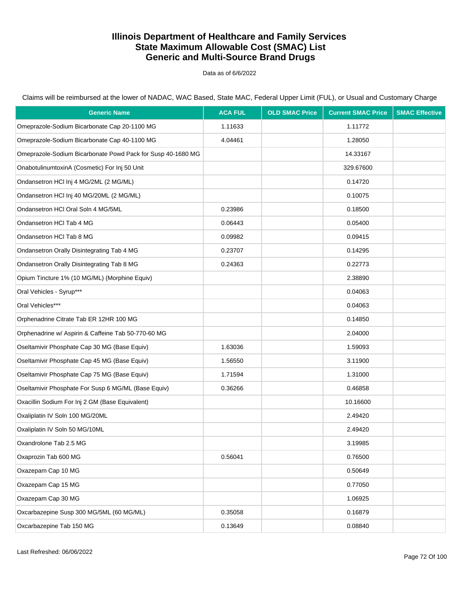Data as of 6/6/2022

Claims will be reimbursed at the lower of NADAC, WAC Based, State MAC, Federal Upper Limit (FUL), or Usual and Customary Charge

| <b>Generic Name</b>                                         | <b>ACA FUL</b> | <b>OLD SMAC Price</b> | <b>Current SMAC Price</b> | <b>SMAC Effective</b> |
|-------------------------------------------------------------|----------------|-----------------------|---------------------------|-----------------------|
| Omeprazole-Sodium Bicarbonate Cap 20-1100 MG                | 1.11633        |                       | 1.11772                   |                       |
| Omeprazole-Sodium Bicarbonate Cap 40-1100 MG                | 4.04461        |                       | 1.28050                   |                       |
| Omeprazole-Sodium Bicarbonate Powd Pack for Susp 40-1680 MG |                |                       | 14.33167                  |                       |
| OnabotulinumtoxinA (Cosmetic) For Inj 50 Unit               |                |                       | 329.67600                 |                       |
| Ondansetron HCI Inj 4 MG/2ML (2 MG/ML)                      |                |                       | 0.14720                   |                       |
| Ondansetron HCI Inj 40 MG/20ML (2 MG/ML)                    |                |                       | 0.10075                   |                       |
| Ondansetron HCI Oral Soln 4 MG/5ML                          | 0.23986        |                       | 0.18500                   |                       |
| Ondansetron HCI Tab 4 MG                                    | 0.06443        |                       | 0.05400                   |                       |
| Ondansetron HCI Tab 8 MG                                    | 0.09982        |                       | 0.09415                   |                       |
| Ondansetron Orally Disintegrating Tab 4 MG                  | 0.23707        |                       | 0.14295                   |                       |
| Ondansetron Orally Disintegrating Tab 8 MG                  | 0.24363        |                       | 0.22773                   |                       |
| Opium Tincture 1% (10 MG/ML) (Morphine Equiv)               |                |                       | 2.38890                   |                       |
| Oral Vehicles - Syrup***                                    |                |                       | 0.04063                   |                       |
| Oral Vehicles***                                            |                |                       | 0.04063                   |                       |
| Orphenadrine Citrate Tab ER 12HR 100 MG                     |                |                       | 0.14850                   |                       |
| Orphenadrine w/ Aspirin & Caffeine Tab 50-770-60 MG         |                |                       | 2.04000                   |                       |
| Oseltamivir Phosphate Cap 30 MG (Base Equiv)                | 1.63036        |                       | 1.59093                   |                       |
| Oseltamivir Phosphate Cap 45 MG (Base Equiv)                | 1.56550        |                       | 3.11900                   |                       |
| Oseltamivir Phosphate Cap 75 MG (Base Equiv)                | 1.71594        |                       | 1.31000                   |                       |
| Oseltamivir Phosphate For Susp 6 MG/ML (Base Equiv)         | 0.36266        |                       | 0.46858                   |                       |
| Oxacillin Sodium For Inj 2 GM (Base Equivalent)             |                |                       | 10.16600                  |                       |
| Oxaliplatin IV Soln 100 MG/20ML                             |                |                       | 2.49420                   |                       |
| Oxaliplatin IV Soln 50 MG/10ML                              |                |                       | 2.49420                   |                       |
| Oxandrolone Tab 2.5 MG                                      |                |                       | 3.19985                   |                       |
| Oxaprozin Tab 600 MG                                        | 0.56041        |                       | 0.76500                   |                       |
| Oxazepam Cap 10 MG                                          |                |                       | 0.50649                   |                       |
| Oxazepam Cap 15 MG                                          |                |                       | 0.77050                   |                       |
| Oxazepam Cap 30 MG                                          |                |                       | 1.06925                   |                       |
| Oxcarbazepine Susp 300 MG/5ML (60 MG/ML)                    | 0.35058        |                       | 0.16879                   |                       |
| Oxcarbazepine Tab 150 MG                                    | 0.13649        |                       | 0.08840                   |                       |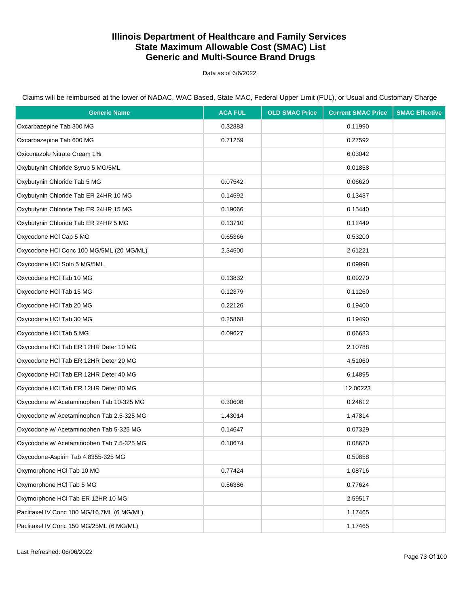Data as of 6/6/2022

Claims will be reimbursed at the lower of NADAC, WAC Based, State MAC, Federal Upper Limit (FUL), or Usual and Customary Charge

| <b>Generic Name</b>                        | <b>ACA FUL</b> | <b>OLD SMAC Price</b> | <b>Current SMAC Price</b> | <b>SMAC Effective</b> |
|--------------------------------------------|----------------|-----------------------|---------------------------|-----------------------|
| Oxcarbazepine Tab 300 MG                   | 0.32883        |                       | 0.11990                   |                       |
| Oxcarbazepine Tab 600 MG                   | 0.71259        |                       | 0.27592                   |                       |
| Oxiconazole Nitrate Cream 1%               |                |                       | 6.03042                   |                       |
| Oxybutynin Chloride Syrup 5 MG/5ML         |                |                       | 0.01858                   |                       |
| Oxybutynin Chloride Tab 5 MG               | 0.07542        |                       | 0.06620                   |                       |
| Oxybutynin Chloride Tab ER 24HR 10 MG      | 0.14592        |                       | 0.13437                   |                       |
| Oxybutynin Chloride Tab ER 24HR 15 MG      | 0.19066        |                       | 0.15440                   |                       |
| Oxybutynin Chloride Tab ER 24HR 5 MG       | 0.13710        |                       | 0.12449                   |                       |
| Oxycodone HCl Cap 5 MG                     | 0.65366        |                       | 0.53200                   |                       |
| Oxycodone HCl Conc 100 MG/5ML (20 MG/ML)   | 2.34500        |                       | 2.61221                   |                       |
| Oxycodone HCI Soln 5 MG/5ML                |                |                       | 0.09998                   |                       |
| Oxycodone HCI Tab 10 MG                    | 0.13832        |                       | 0.09270                   |                       |
| Oxycodone HCI Tab 15 MG                    | 0.12379        |                       | 0.11260                   |                       |
| Oxycodone HCI Tab 20 MG                    | 0.22126        |                       | 0.19400                   |                       |
| Oxycodone HCI Tab 30 MG                    | 0.25868        |                       | 0.19490                   |                       |
| Oxycodone HCI Tab 5 MG                     | 0.09627        |                       | 0.06683                   |                       |
| Oxycodone HCI Tab ER 12HR Deter 10 MG      |                |                       | 2.10788                   |                       |
| Oxycodone HCI Tab ER 12HR Deter 20 MG      |                |                       | 4.51060                   |                       |
| Oxycodone HCI Tab ER 12HR Deter 40 MG      |                |                       | 6.14895                   |                       |
| Oxycodone HCI Tab ER 12HR Deter 80 MG      |                |                       | 12.00223                  |                       |
| Oxycodone w/ Acetaminophen Tab 10-325 MG   | 0.30608        |                       | 0.24612                   |                       |
| Oxycodone w/ Acetaminophen Tab 2.5-325 MG  | 1.43014        |                       | 1.47814                   |                       |
| Oxycodone w/ Acetaminophen Tab 5-325 MG    | 0.14647        |                       | 0.07329                   |                       |
| Oxycodone w/ Acetaminophen Tab 7.5-325 MG  | 0.18674        |                       | 0.08620                   |                       |
| Oxycodone-Aspirin Tab 4.8355-325 MG        |                |                       | 0.59858                   |                       |
| Oxymorphone HCI Tab 10 MG                  | 0.77424        |                       | 1.08716                   |                       |
| Oxymorphone HCI Tab 5 MG                   | 0.56386        |                       | 0.77624                   |                       |
| Oxymorphone HCI Tab ER 12HR 10 MG          |                |                       | 2.59517                   |                       |
| Paclitaxel IV Conc 100 MG/16.7ML (6 MG/ML) |                |                       | 1.17465                   |                       |
| Paclitaxel IV Conc 150 MG/25ML (6 MG/ML)   |                |                       | 1.17465                   |                       |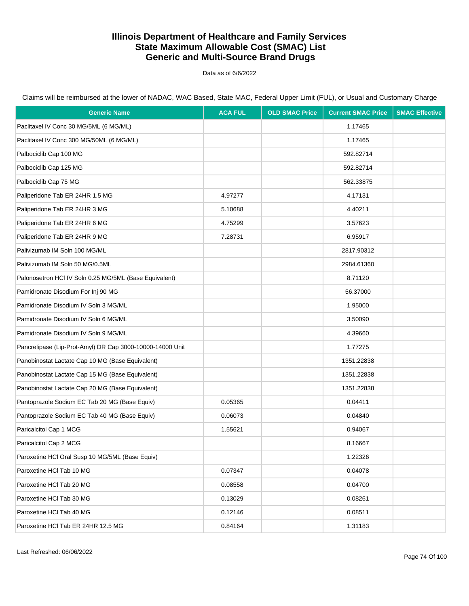Data as of 6/6/2022

Claims will be reimbursed at the lower of NADAC, WAC Based, State MAC, Federal Upper Limit (FUL), or Usual and Customary Charge

| <b>Generic Name</b>                                       | <b>ACA FUL</b> | <b>OLD SMAC Price</b> | <b>Current SMAC Price</b> | <b>SMAC Effective</b> |
|-----------------------------------------------------------|----------------|-----------------------|---------------------------|-----------------------|
| Paclitaxel IV Conc 30 MG/5ML (6 MG/ML)                    |                |                       | 1.17465                   |                       |
| Paclitaxel IV Conc 300 MG/50ML (6 MG/ML)                  |                |                       | 1.17465                   |                       |
| Palbociclib Cap 100 MG                                    |                |                       | 592.82714                 |                       |
| Palbociclib Cap 125 MG                                    |                |                       | 592.82714                 |                       |
| Palbociclib Cap 75 MG                                     |                |                       | 562.33875                 |                       |
| Paliperidone Tab ER 24HR 1.5 MG                           | 4.97277        |                       | 4.17131                   |                       |
| Paliperidone Tab ER 24HR 3 MG                             | 5.10688        |                       | 4.40211                   |                       |
| Paliperidone Tab ER 24HR 6 MG                             | 4.75299        |                       | 3.57623                   |                       |
| Paliperidone Tab ER 24HR 9 MG                             | 7.28731        |                       | 6.95917                   |                       |
| Palivizumab IM Soln 100 MG/ML                             |                |                       | 2817.90312                |                       |
| Palivizumab IM Soln 50 MG/0.5ML                           |                |                       | 2984.61360                |                       |
| Palonosetron HCI IV Soln 0.25 MG/5ML (Base Equivalent)    |                |                       | 8.71120                   |                       |
| Pamidronate Disodium For Inj 90 MG                        |                |                       | 56.37000                  |                       |
| Pamidronate Disodium IV Soln 3 MG/ML                      |                |                       | 1.95000                   |                       |
| Pamidronate Disodium IV Soln 6 MG/ML                      |                |                       | 3.50090                   |                       |
| Pamidronate Disodium IV Soln 9 MG/ML                      |                |                       | 4.39660                   |                       |
| Pancrelipase (Lip-Prot-Amyl) DR Cap 3000-10000-14000 Unit |                |                       | 1.77275                   |                       |
| Panobinostat Lactate Cap 10 MG (Base Equivalent)          |                |                       | 1351.22838                |                       |
| Panobinostat Lactate Cap 15 MG (Base Equivalent)          |                |                       | 1351.22838                |                       |
| Panobinostat Lactate Cap 20 MG (Base Equivalent)          |                |                       | 1351.22838                |                       |
| Pantoprazole Sodium EC Tab 20 MG (Base Equiv)             | 0.05365        |                       | 0.04411                   |                       |
| Pantoprazole Sodium EC Tab 40 MG (Base Equiv)             | 0.06073        |                       | 0.04840                   |                       |
| Paricalcitol Cap 1 MCG                                    | 1.55621        |                       | 0.94067                   |                       |
| Paricalcitol Cap 2 MCG                                    |                |                       | 8.16667                   |                       |
| Paroxetine HCI Oral Susp 10 MG/5ML (Base Equiv)           |                |                       | 1.22326                   |                       |
| Paroxetine HCI Tab 10 MG                                  | 0.07347        |                       | 0.04078                   |                       |
| Paroxetine HCI Tab 20 MG                                  | 0.08558        |                       | 0.04700                   |                       |
| Paroxetine HCI Tab 30 MG                                  | 0.13029        |                       | 0.08261                   |                       |
| Paroxetine HCI Tab 40 MG                                  | 0.12146        |                       | 0.08511                   |                       |
| Paroxetine HCI Tab ER 24HR 12.5 MG                        | 0.84164        |                       | 1.31183                   |                       |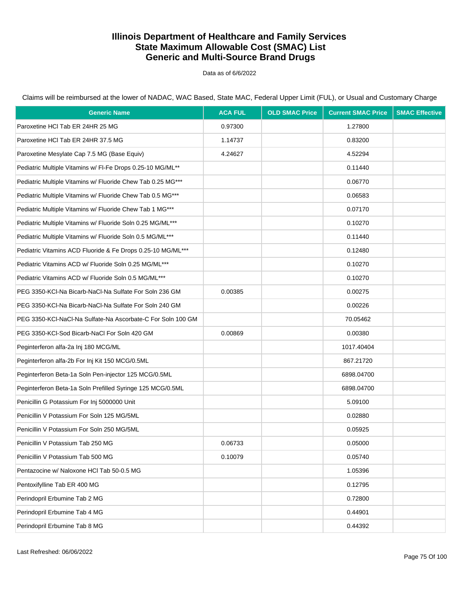Data as of 6/6/2022

Claims will be reimbursed at the lower of NADAC, WAC Based, State MAC, Federal Upper Limit (FUL), or Usual and Customary Charge

| <b>Generic Name</b>                                         | <b>ACA FUL</b> | <b>OLD SMAC Price</b> | <b>Current SMAC Price</b> | <b>SMAC Effective</b> |
|-------------------------------------------------------------|----------------|-----------------------|---------------------------|-----------------------|
| Paroxetine HCI Tab ER 24HR 25 MG                            | 0.97300        |                       | 1.27800                   |                       |
| Paroxetine HCI Tab ER 24HR 37.5 MG                          | 1.14737        |                       | 0.83200                   |                       |
| Paroxetine Mesylate Cap 7.5 MG (Base Equiv)                 | 4.24627        |                       | 4.52294                   |                       |
| Pediatric Multiple Vitamins w/ FI-Fe Drops 0.25-10 MG/ML**  |                |                       | 0.11440                   |                       |
| Pediatric Multiple Vitamins w/ Fluoride Chew Tab 0.25 MG*** |                |                       | 0.06770                   |                       |
| Pediatric Multiple Vitamins w/ Fluoride Chew Tab 0.5 MG***  |                |                       | 0.06583                   |                       |
| Pediatric Multiple Vitamins w/ Fluoride Chew Tab 1 MG***    |                |                       | 0.07170                   |                       |
| Pediatric Multiple Vitamins w/ Fluoride Soln 0.25 MG/ML***  |                |                       | 0.10270                   |                       |
| Pediatric Multiple Vitamins w/ Fluoride Soln 0.5 MG/ML***   |                |                       | 0.11440                   |                       |
| Pediatric Vitamins ACD Fluoride & Fe Drops 0.25-10 MG/ML*** |                |                       | 0.12480                   |                       |
| Pediatric Vitamins ACD w/ Fluoride Soln 0.25 MG/ML***       |                |                       | 0.10270                   |                       |
| Pediatric Vitamins ACD w/ Fluoride Soln 0.5 MG/ML***        |                |                       | 0.10270                   |                       |
| PEG 3350-KCI-Na Bicarb-NaCI-Na Sulfate For Soln 236 GM      | 0.00385        |                       | 0.00275                   |                       |
| PEG 3350-KCI-Na Bicarb-NaCI-Na Sulfate For Soln 240 GM      |                |                       | 0.00226                   |                       |
| PEG 3350-KCI-NaCI-Na Sulfate-Na Ascorbate-C For Soln 100 GM |                |                       | 70.05462                  |                       |
| PEG 3350-KCI-Sod Bicarb-NaCl For Soln 420 GM                | 0.00869        |                       | 0.00380                   |                       |
| Peginterferon alfa-2a Inj 180 MCG/ML                        |                |                       | 1017.40404                |                       |
| Peginterferon alfa-2b For Inj Kit 150 MCG/0.5ML             |                |                       | 867.21720                 |                       |
| Peginterferon Beta-1a Soln Pen-injector 125 MCG/0.5ML       |                |                       | 6898.04700                |                       |
| Peginterferon Beta-1a Soln Prefilled Syringe 125 MCG/0.5ML  |                |                       | 6898.04700                |                       |
| Penicillin G Potassium For Inj 5000000 Unit                 |                |                       | 5.09100                   |                       |
| Penicillin V Potassium For Soln 125 MG/5ML                  |                |                       | 0.02880                   |                       |
| Penicillin V Potassium For Soln 250 MG/5ML                  |                |                       | 0.05925                   |                       |
| Penicillin V Potassium Tab 250 MG                           | 0.06733        |                       | 0.05000                   |                       |
| Penicillin V Potassium Tab 500 MG                           | 0.10079        |                       | 0.05740                   |                       |
| Pentazocine w/ Naloxone HCl Tab 50-0.5 MG                   |                |                       | 1.05396                   |                       |
| Pentoxifylline Tab ER 400 MG                                |                |                       | 0.12795                   |                       |
| Perindopril Erbumine Tab 2 MG                               |                |                       | 0.72800                   |                       |
| Perindopril Erbumine Tab 4 MG                               |                |                       | 0.44901                   |                       |
| Perindopril Erbumine Tab 8 MG                               |                |                       | 0.44392                   |                       |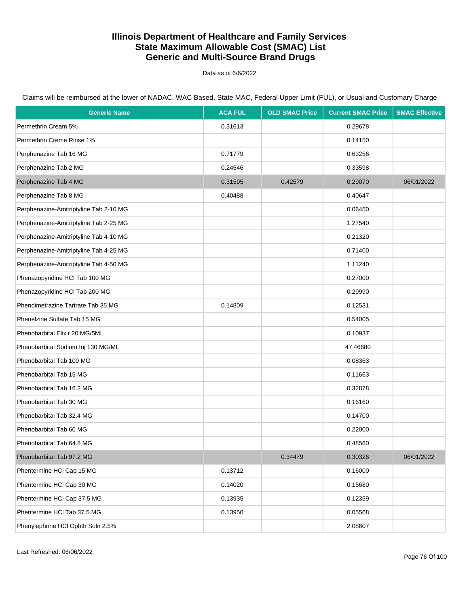Data as of 6/6/2022

| <b>Generic Name</b>                    | <b>ACA FUL</b> | <b>OLD SMAC Price</b> | <b>Current SMAC Price</b> | <b>SMAC Effective</b> |
|----------------------------------------|----------------|-----------------------|---------------------------|-----------------------|
| Permethrin Cream 5%                    | 0.31613        |                       | 0.29678                   |                       |
| Permethrin Creme Rinse 1%              |                |                       | 0.14150                   |                       |
| Perphenazine Tab 16 MG                 | 0.71779        |                       | 0.63256                   |                       |
| Perphenazine Tab 2 MG                  | 0.24546        |                       | 0.33598                   |                       |
| Perphenazine Tab 4 MG                  | 0.31595        | 0.42579               | 0.29070                   | 06/01/2022            |
| Perphenazine Tab 8 MG                  | 0.40488        |                       | 0.40647                   |                       |
| Perphenazine-Amitriptyline Tab 2-10 MG |                |                       | 0.06450                   |                       |
| Perphenazine-Amitriptyline Tab 2-25 MG |                |                       | 1.27540                   |                       |
| Perphenazine-Amitriptyline Tab 4-10 MG |                |                       | 0.21320                   |                       |
| Perphenazine-Amitriptyline Tab 4-25 MG |                |                       | 0.71400                   |                       |
| Perphenazine-Amitriptyline Tab 4-50 MG |                |                       | 1.11240                   |                       |
| Phenazopyridine HCl Tab 100 MG         |                |                       | 0.27000                   |                       |
| Phenazopyridine HCl Tab 200 MG         |                |                       | 0.29990                   |                       |
| Phendimetrazine Tartrate Tab 35 MG     | 0.14809        |                       | 0.12531                   |                       |
| Phenelzine Sulfate Tab 15 MG           |                |                       | 0.54005                   |                       |
| Phenobarbital Elixir 20 MG/5ML         |                |                       | 0.10937                   |                       |
| Phenobarbital Sodium Inj 130 MG/ML     |                |                       | 47.46680                  |                       |
| Phenobarbital Tab 100 MG               |                |                       | 0.08363                   |                       |
| Phenobarbital Tab 15 MG                |                |                       | 0.11663                   |                       |
| Phenobarbital Tab 16.2 MG              |                |                       | 0.32878                   |                       |
| Phenobarbital Tab 30 MG                |                |                       | 0.16160                   |                       |
| Phenobarbital Tab 32.4 MG              |                |                       | 0.14700                   |                       |
| Phenobarbital Tab 60 MG                |                |                       | 0.22000                   |                       |
| Phenobarbital Tab 64.8 MG              |                |                       | 0.48560                   |                       |
| Phenobarbital Tab 97.2 MG              |                | 0.34479               | 0.30326                   | 06/01/2022            |
| Phentermine HCl Cap 15 MG              | 0.13712        |                       | 0.16000                   |                       |
| Phentermine HCl Cap 30 MG              | 0.14020        |                       | 0.15680                   |                       |
| Phentermine HCl Cap 37.5 MG            | 0.13935        |                       | 0.12359                   |                       |
| Phentermine HCl Tab 37.5 MG            | 0.13950        |                       | 0.05568                   |                       |
| Phenylephrine HCI Ophth Soln 2.5%      |                |                       | 2.08607                   |                       |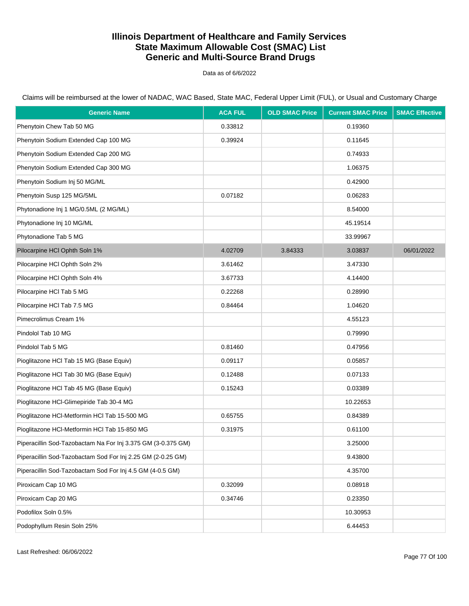Data as of 6/6/2022

| <b>Generic Name</b>                                          | <b>ACA FUL</b> | <b>OLD SMAC Price</b> | <b>Current SMAC Price</b> | <b>SMAC Effective</b> |
|--------------------------------------------------------------|----------------|-----------------------|---------------------------|-----------------------|
| Phenytoin Chew Tab 50 MG                                     | 0.33812        |                       | 0.19360                   |                       |
| Phenytoin Sodium Extended Cap 100 MG                         | 0.39924        |                       | 0.11645                   |                       |
| Phenytoin Sodium Extended Cap 200 MG                         |                |                       | 0.74933                   |                       |
| Phenytoin Sodium Extended Cap 300 MG                         |                |                       | 1.06375                   |                       |
| Phenytoin Sodium Inj 50 MG/ML                                |                |                       | 0.42900                   |                       |
| Phenytoin Susp 125 MG/5ML                                    | 0.07182        |                       | 0.06283                   |                       |
| Phytonadione Inj 1 MG/0.5ML (2 MG/ML)                        |                |                       | 8.54000                   |                       |
| Phytonadione Inj 10 MG/ML                                    |                |                       | 45.19514                  |                       |
| Phytonadione Tab 5 MG                                        |                |                       | 33.99967                  |                       |
| Pilocarpine HCI Ophth Soln 1%                                | 4.02709        | 3.84333               | 3.03837                   | 06/01/2022            |
| Pilocarpine HCI Ophth Soln 2%                                | 3.61462        |                       | 3.47330                   |                       |
| Pilocarpine HCI Ophth Soln 4%                                | 3.67733        |                       | 4.14400                   |                       |
| Pilocarpine HCI Tab 5 MG                                     | 0.22268        |                       | 0.28990                   |                       |
| Pilocarpine HCl Tab 7.5 MG                                   | 0.84464        |                       | 1.04620                   |                       |
| Pimecrolimus Cream 1%                                        |                |                       | 4.55123                   |                       |
| Pindolol Tab 10 MG                                           |                |                       | 0.79990                   |                       |
| Pindolol Tab 5 MG                                            | 0.81460        |                       | 0.47956                   |                       |
| Pioglitazone HCl Tab 15 MG (Base Equiv)                      | 0.09117        |                       | 0.05857                   |                       |
| Pioglitazone HCl Tab 30 MG (Base Equiv)                      | 0.12488        |                       | 0.07133                   |                       |
| Pioglitazone HCl Tab 45 MG (Base Equiv)                      | 0.15243        |                       | 0.03389                   |                       |
| Pioglitazone HCI-Glimepiride Tab 30-4 MG                     |                |                       | 10.22653                  |                       |
| Pioglitazone HCl-Metformin HCl Tab 15-500 MG                 | 0.65755        |                       | 0.84389                   |                       |
| Pioglitazone HCl-Metformin HCl Tab 15-850 MG                 | 0.31975        |                       | 0.61100                   |                       |
| Piperacillin Sod-Tazobactam Na For Inj 3.375 GM (3-0.375 GM) |                |                       | 3.25000                   |                       |
| Piperacillin Sod-Tazobactam Sod For Inj 2.25 GM (2-0.25 GM)  |                |                       | 9.43800                   |                       |
| Piperacillin Sod-Tazobactam Sod For Inj 4.5 GM (4-0.5 GM)    |                |                       | 4.35700                   |                       |
| Piroxicam Cap 10 MG                                          | 0.32099        |                       | 0.08918                   |                       |
| Piroxicam Cap 20 MG                                          | 0.34746        |                       | 0.23350                   |                       |
| Podofilox Soln 0.5%                                          |                |                       | 10.30953                  |                       |
| Podophyllum Resin Soln 25%                                   |                |                       | 6.44453                   |                       |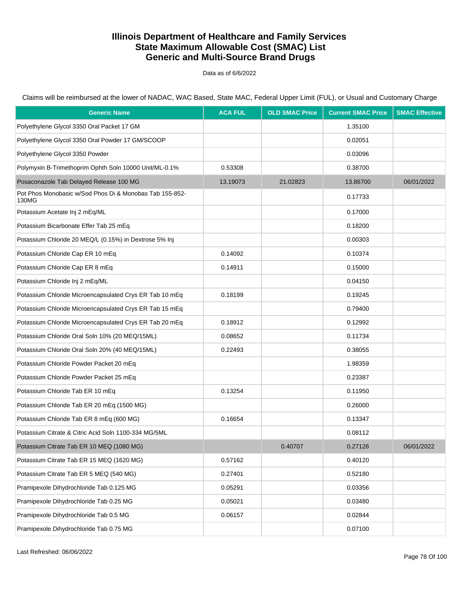Data as of 6/6/2022

Claims will be reimbursed at the lower of NADAC, WAC Based, State MAC, Federal Upper Limit (FUL), or Usual and Customary Charge

| <b>Generic Name</b>                                              | <b>ACA FUL</b> | <b>OLD SMAC Price</b> | <b>Current SMAC Price</b> | <b>SMAC Effective</b> |
|------------------------------------------------------------------|----------------|-----------------------|---------------------------|-----------------------|
| Polyethylene Glycol 3350 Oral Packet 17 GM                       |                |                       | 1.35100                   |                       |
| Polyethylene Glycol 3350 Oral Powder 17 GM/SCOOP                 |                |                       | 0.02051                   |                       |
| Polyethylene Glycol 3350 Powder                                  |                |                       | 0.03096                   |                       |
| Polymyxin B-Trimethoprim Ophth Soln 10000 Unit/ML-0.1%           | 0.53308        |                       | 0.38700                   |                       |
| Posaconazole Tab Delayed Release 100 MG                          | 13.19073       | 21.02823              | 13.86700                  | 06/01/2022            |
| Pot Phos Monobasic w/Sod Phos Di & Monobas Tab 155-852-<br>130MG |                |                       | 0.17733                   |                       |
| Potassium Acetate Inj 2 mEq/ML                                   |                |                       | 0.17000                   |                       |
| Potassium Bicarbonate Effer Tab 25 mEq                           |                |                       | 0.18200                   |                       |
| Potassium Chloride 20 MEQ/L (0.15%) in Dextrose 5% Inj           |                |                       | 0.00303                   |                       |
| Potassium Chloride Cap ER 10 mEq                                 | 0.14092        |                       | 0.10374                   |                       |
| Potassium Chloride Cap ER 8 mEq                                  | 0.14911        |                       | 0.15000                   |                       |
| Potassium Chloride Inj 2 mEq/ML                                  |                |                       | 0.04150                   |                       |
| Potassium Chloride Microencapsulated Crys ER Tab 10 mEq          | 0.18199        |                       | 0.19245                   |                       |
| Potassium Chloride Microencapsulated Crys ER Tab 15 mEq          |                |                       | 0.79400                   |                       |
| Potassium Chloride Microencapsulated Crys ER Tab 20 mEq          | 0.18912        |                       | 0.12992                   |                       |
| Potassium Chloride Oral Soln 10% (20 MEQ/15ML)                   | 0.08652        |                       | 0.11734                   |                       |
| Potassium Chloride Oral Soln 20% (40 MEQ/15ML)                   | 0.22493        |                       | 0.38055                   |                       |
| Potassium Chloride Powder Packet 20 mEq                          |                |                       | 1.98359                   |                       |
| Potassium Chloride Powder Packet 25 mEq                          |                |                       | 0.23387                   |                       |
| Potassium Chloride Tab ER 10 mEq                                 | 0.13254        |                       | 0.11950                   |                       |
| Potassium Chloride Tab ER 20 mEq (1500 MG)                       |                |                       | 0.26000                   |                       |
| Potassium Chloride Tab ER 8 mEq (600 MG)                         | 0.16654        |                       | 0.13347                   |                       |
| Potassium Citrate & Citric Acid Soln 1100-334 MG/5ML             |                |                       | 0.08112                   |                       |
| Potassium Citrate Tab ER 10 MEQ (1080 MG)                        |                | 0.40707               | 0.27126                   | 06/01/2022            |
| Potassium Citrate Tab ER 15 MEQ (1620 MG)                        | 0.57162        |                       | 0.40120                   |                       |
| Potassium Citrate Tab ER 5 MEQ (540 MG)                          | 0.27401        |                       | 0.52180                   |                       |
| Pramipexole Dihydrochloride Tab 0.125 MG                         | 0.05291        |                       | 0.03356                   |                       |
| Pramipexole Dihydrochloride Tab 0.25 MG                          | 0.05021        |                       | 0.03480                   |                       |
| Pramipexole Dihydrochloride Tab 0.5 MG                           | 0.06157        |                       | 0.02844                   |                       |
| Pramipexole Dihydrochloride Tab 0.75 MG                          |                |                       | 0.07100                   |                       |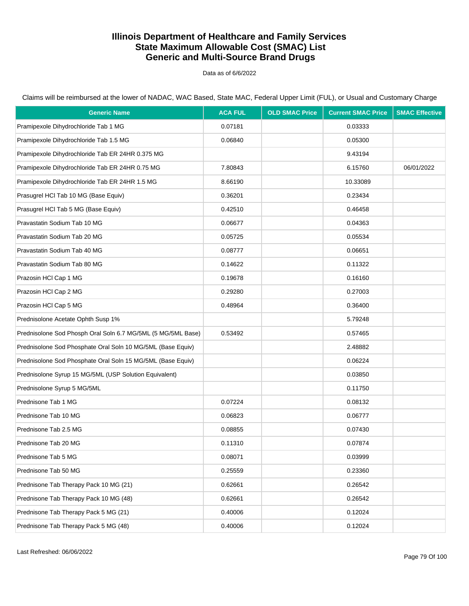Data as of 6/6/2022

Claims will be reimbursed at the lower of NADAC, WAC Based, State MAC, Federal Upper Limit (FUL), or Usual and Customary Charge

| <b>Generic Name</b>                                          | <b>ACA FUL</b> | <b>OLD SMAC Price</b> | <b>Current SMAC Price</b> | <b>SMAC Effective</b> |
|--------------------------------------------------------------|----------------|-----------------------|---------------------------|-----------------------|
| Pramipexole Dihydrochloride Tab 1 MG                         | 0.07181        |                       | 0.03333                   |                       |
| Pramipexole Dihydrochloride Tab 1.5 MG                       | 0.06840        |                       | 0.05300                   |                       |
| Pramipexole Dihydrochloride Tab ER 24HR 0.375 MG             |                |                       | 9.43194                   |                       |
| Pramipexole Dihydrochloride Tab ER 24HR 0.75 MG              | 7.80843        |                       | 6.15760                   | 06/01/2022            |
| Pramipexole Dihydrochloride Tab ER 24HR 1.5 MG               | 8.66190        |                       | 10.33089                  |                       |
| Prasugrel HCl Tab 10 MG (Base Equiv)                         | 0.36201        |                       | 0.23434                   |                       |
| Prasugrel HCl Tab 5 MG (Base Equiv)                          | 0.42510        |                       | 0.46458                   |                       |
| Pravastatin Sodium Tab 10 MG                                 | 0.06677        |                       | 0.04363                   |                       |
| Pravastatin Sodium Tab 20 MG                                 | 0.05725        |                       | 0.05534                   |                       |
| Pravastatin Sodium Tab 40 MG                                 | 0.08777        |                       | 0.06651                   |                       |
| Pravastatin Sodium Tab 80 MG                                 | 0.14622        |                       | 0.11322                   |                       |
| Prazosin HCI Cap 1 MG                                        | 0.19678        |                       | 0.16160                   |                       |
| Prazosin HCI Cap 2 MG                                        | 0.29280        |                       | 0.27003                   |                       |
| Prazosin HCI Cap 5 MG                                        | 0.48964        |                       | 0.36400                   |                       |
| Prednisolone Acetate Ophth Susp 1%                           |                |                       | 5.79248                   |                       |
| Prednisolone Sod Phosph Oral Soln 6.7 MG/5ML (5 MG/5ML Base) | 0.53492        |                       | 0.57465                   |                       |
| Prednisolone Sod Phosphate Oral Soln 10 MG/5ML (Base Equiv)  |                |                       | 2.48882                   |                       |
| Prednisolone Sod Phosphate Oral Soln 15 MG/5ML (Base Equiv)  |                |                       | 0.06224                   |                       |
| Prednisolone Syrup 15 MG/5ML (USP Solution Equivalent)       |                |                       | 0.03850                   |                       |
| Prednisolone Syrup 5 MG/5ML                                  |                |                       | 0.11750                   |                       |
| Prednisone Tab 1 MG                                          | 0.07224        |                       | 0.08132                   |                       |
| Prednisone Tab 10 MG                                         | 0.06823        |                       | 0.06777                   |                       |
| Prednisone Tab 2.5 MG                                        | 0.08855        |                       | 0.07430                   |                       |
| Prednisone Tab 20 MG                                         | 0.11310        |                       | 0.07874                   |                       |
| Prednisone Tab 5 MG                                          | 0.08071        |                       | 0.03999                   |                       |
| Prednisone Tab 50 MG                                         | 0.25559        |                       | 0.23360                   |                       |
| Prednisone Tab Therapy Pack 10 MG (21)                       | 0.62661        |                       | 0.26542                   |                       |
| Prednisone Tab Therapy Pack 10 MG (48)                       | 0.62661        |                       | 0.26542                   |                       |
| Prednisone Tab Therapy Pack 5 MG (21)                        | 0.40006        |                       | 0.12024                   |                       |
| Prednisone Tab Therapy Pack 5 MG (48)                        | 0.40006        |                       | 0.12024                   |                       |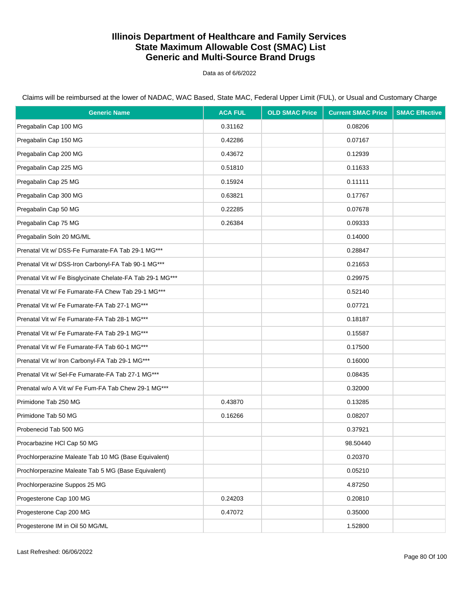Data as of 6/6/2022

| <b>Generic Name</b>                                       | <b>ACA FUL</b> | <b>OLD SMAC Price</b> | <b>Current SMAC Price</b> | <b>SMAC Effective</b> |
|-----------------------------------------------------------|----------------|-----------------------|---------------------------|-----------------------|
| Pregabalin Cap 100 MG                                     | 0.31162        |                       | 0.08206                   |                       |
| Pregabalin Cap 150 MG                                     | 0.42286        |                       | 0.07167                   |                       |
| Pregabalin Cap 200 MG                                     | 0.43672        |                       | 0.12939                   |                       |
| Pregabalin Cap 225 MG                                     | 0.51810        |                       | 0.11633                   |                       |
| Pregabalin Cap 25 MG                                      | 0.15924        |                       | 0.11111                   |                       |
| Pregabalin Cap 300 MG                                     | 0.63821        |                       | 0.17767                   |                       |
| Pregabalin Cap 50 MG                                      | 0.22285        |                       | 0.07678                   |                       |
| Pregabalin Cap 75 MG                                      | 0.26384        |                       | 0.09333                   |                       |
| Pregabalin Soln 20 MG/ML                                  |                |                       | 0.14000                   |                       |
| Prenatal Vit w/ DSS-Fe Fumarate-FA Tab 29-1 MG***         |                |                       | 0.28847                   |                       |
| Prenatal Vit w/ DSS-Iron Carbonyl-FA Tab 90-1 MG***       |                |                       | 0.21653                   |                       |
| Prenatal Vit w/ Fe Bisglycinate Chelate-FA Tab 29-1 MG*** |                |                       | 0.29975                   |                       |
| Prenatal Vit w/ Fe Fumarate-FA Chew Tab 29-1 MG***        |                |                       | 0.52140                   |                       |
| Prenatal Vit w/ Fe Fumarate-FA Tab 27-1 MG***             |                |                       | 0.07721                   |                       |
| Prenatal Vit w/ Fe Fumarate-FA Tab 28-1 MG***             |                |                       | 0.18187                   |                       |
| Prenatal Vit w/ Fe Fumarate-FA Tab 29-1 MG***             |                |                       | 0.15587                   |                       |
| Prenatal Vit w/ Fe Fumarate-FA Tab 60-1 MG***             |                |                       | 0.17500                   |                       |
| Prenatal Vit w/ Iron Carbonyl-FA Tab 29-1 MG***           |                |                       | 0.16000                   |                       |
| Prenatal Vit w/ Sel-Fe Fumarate-FA Tab 27-1 MG***         |                |                       | 0.08435                   |                       |
| Prenatal w/o A Vit w/ Fe Fum-FA Tab Chew 29-1 MG***       |                |                       | 0.32000                   |                       |
| Primidone Tab 250 MG                                      | 0.43870        |                       | 0.13285                   |                       |
| Primidone Tab 50 MG                                       | 0.16266        |                       | 0.08207                   |                       |
| Probenecid Tab 500 MG                                     |                |                       | 0.37921                   |                       |
| Procarbazine HCI Cap 50 MG                                |                |                       | 98.50440                  |                       |
| Prochlorperazine Maleate Tab 10 MG (Base Equivalent)      |                |                       | 0.20370                   |                       |
| Prochlorperazine Maleate Tab 5 MG (Base Equivalent)       |                |                       | 0.05210                   |                       |
| Prochlorperazine Suppos 25 MG                             |                |                       | 4.87250                   |                       |
| Progesterone Cap 100 MG                                   | 0.24203        |                       | 0.20810                   |                       |
| Progesterone Cap 200 MG                                   | 0.47072        |                       | 0.35000                   |                       |
| Progesterone IM in Oil 50 MG/ML                           |                |                       | 1.52800                   |                       |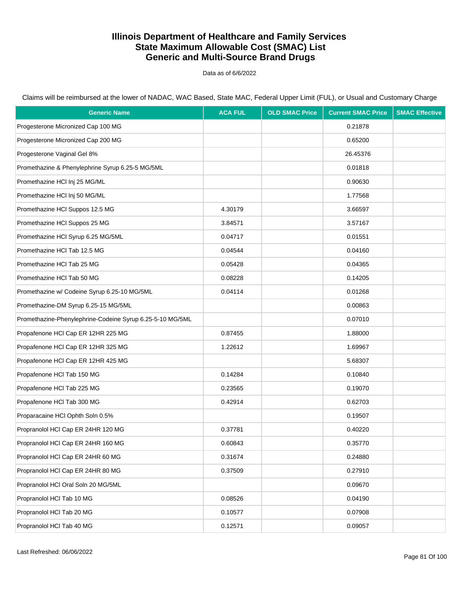Data as of 6/6/2022

| <b>Generic Name</b>                                       | <b>ACA FUL</b> | <b>OLD SMAC Price</b> | <b>Current SMAC Price</b> | <b>SMAC Effective</b> |
|-----------------------------------------------------------|----------------|-----------------------|---------------------------|-----------------------|
| Progesterone Micronized Cap 100 MG                        |                |                       | 0.21878                   |                       |
| Progesterone Micronized Cap 200 MG                        |                |                       | 0.65200                   |                       |
| Progesterone Vaginal Gel 8%                               |                |                       | 26.45376                  |                       |
| Promethazine & Phenylephrine Syrup 6.25-5 MG/5ML          |                |                       | 0.01818                   |                       |
| Promethazine HCl Inj 25 MG/ML                             |                |                       | 0.90630                   |                       |
| Promethazine HCl Inj 50 MG/ML                             |                |                       | 1.77568                   |                       |
| Promethazine HCl Suppos 12.5 MG                           | 4.30179        |                       | 3.66597                   |                       |
| Promethazine HCI Suppos 25 MG                             | 3.84571        |                       | 3.57167                   |                       |
| Promethazine HCl Syrup 6.25 MG/5ML                        | 0.04717        |                       | 0.01551                   |                       |
| Promethazine HCl Tab 12.5 MG                              | 0.04544        |                       | 0.04160                   |                       |
| Promethazine HCI Tab 25 MG                                | 0.05428        |                       | 0.04365                   |                       |
| Promethazine HCI Tab 50 MG                                | 0.08228        |                       | 0.14205                   |                       |
| Promethazine w/ Codeine Syrup 6.25-10 MG/5ML              | 0.04114        |                       | 0.01268                   |                       |
| Promethazine-DM Syrup 6.25-15 MG/5ML                      |                |                       | 0.00863                   |                       |
| Promethazine-Phenylephrine-Codeine Syrup 6.25-5-10 MG/5ML |                |                       | 0.07010                   |                       |
| Propafenone HCI Cap ER 12HR 225 MG                        | 0.87455        |                       | 1.88000                   |                       |
| Propafenone HCI Cap ER 12HR 325 MG                        | 1.22612        |                       | 1.69967                   |                       |
| Propafenone HCI Cap ER 12HR 425 MG                        |                |                       | 5.68307                   |                       |
| Propafenone HCI Tab 150 MG                                | 0.14284        |                       | 0.10840                   |                       |
| Propafenone HCI Tab 225 MG                                | 0.23565        |                       | 0.19070                   |                       |
| Propafenone HCI Tab 300 MG                                | 0.42914        |                       | 0.62703                   |                       |
| Proparacaine HCl Ophth Soln 0.5%                          |                |                       | 0.19507                   |                       |
| Propranolol HCl Cap ER 24HR 120 MG                        | 0.37781        |                       | 0.40220                   |                       |
| Propranolol HCl Cap ER 24HR 160 MG                        | 0.60843        |                       | 0.35770                   |                       |
| Propranolol HCI Cap ER 24HR 60 MG                         | 0.31674        |                       | 0.24880                   |                       |
| Propranolol HCI Cap ER 24HR 80 MG                         | 0.37509        |                       | 0.27910                   |                       |
| Propranolol HCI Oral Soln 20 MG/5ML                       |                |                       | 0.09670                   |                       |
| Propranolol HCl Tab 10 MG                                 | 0.08526        |                       | 0.04190                   |                       |
| Propranolol HCl Tab 20 MG                                 | 0.10577        |                       | 0.07908                   |                       |
| Propranolol HCl Tab 40 MG                                 | 0.12571        |                       | 0.09057                   |                       |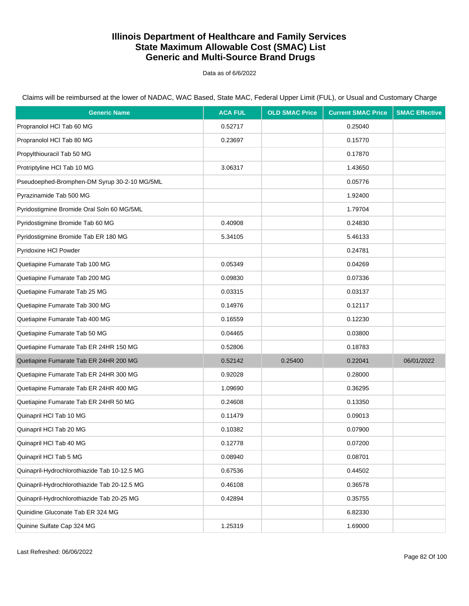Data as of 6/6/2022

Claims will be reimbursed at the lower of NADAC, WAC Based, State MAC, Federal Upper Limit (FUL), or Usual and Customary Charge

| <b>Generic Name</b>                          | <b>ACA FUL</b> | <b>OLD SMAC Price</b> | <b>Current SMAC Price</b> | <b>SMAC Effective</b> |
|----------------------------------------------|----------------|-----------------------|---------------------------|-----------------------|
| Propranolol HCl Tab 60 MG                    | 0.52717        |                       | 0.25040                   |                       |
| Propranolol HCl Tab 80 MG                    | 0.23697        |                       | 0.15770                   |                       |
| Propylthiouracil Tab 50 MG                   |                |                       | 0.17870                   |                       |
| Protriptyline HCI Tab 10 MG                  | 3.06317        |                       | 1.43650                   |                       |
| Pseudoephed-Bromphen-DM Syrup 30-2-10 MG/5ML |                |                       | 0.05776                   |                       |
| Pyrazinamide Tab 500 MG                      |                |                       | 1.92400                   |                       |
| Pyridostigmine Bromide Oral Soln 60 MG/5ML   |                |                       | 1.79704                   |                       |
| Pyridostigmine Bromide Tab 60 MG             | 0.40908        |                       | 0.24830                   |                       |
| Pyridostigmine Bromide Tab ER 180 MG         | 5.34105        |                       | 5.46133                   |                       |
| Pyridoxine HCI Powder                        |                |                       | 0.24781                   |                       |
| Quetiapine Fumarate Tab 100 MG               | 0.05349        |                       | 0.04269                   |                       |
| Quetiapine Fumarate Tab 200 MG               | 0.09830        |                       | 0.07336                   |                       |
| Quetiapine Fumarate Tab 25 MG                | 0.03315        |                       | 0.03137                   |                       |
| Quetiapine Fumarate Tab 300 MG               | 0.14976        |                       | 0.12117                   |                       |
| Quetiapine Fumarate Tab 400 MG               | 0.16559        |                       | 0.12230                   |                       |
| Quetiapine Fumarate Tab 50 MG                | 0.04465        |                       | 0.03800                   |                       |
| Quetiapine Fumarate Tab ER 24HR 150 MG       | 0.52806        |                       | 0.18783                   |                       |
| Quetiapine Fumarate Tab ER 24HR 200 MG       | 0.52142        | 0.25400               | 0.22041                   | 06/01/2022            |
| Quetiapine Fumarate Tab ER 24HR 300 MG       | 0.92028        |                       | 0.28000                   |                       |
| Quetiapine Fumarate Tab ER 24HR 400 MG       | 1.09690        |                       | 0.36295                   |                       |
| Quetiapine Fumarate Tab ER 24HR 50 MG        | 0.24608        |                       | 0.13350                   |                       |
| Quinapril HCl Tab 10 MG                      | 0.11479        |                       | 0.09013                   |                       |
| Quinapril HCl Tab 20 MG                      | 0.10382        |                       | 0.07900                   |                       |
| Quinapril HCl Tab 40 MG                      | 0.12778        |                       | 0.07200                   |                       |
| Quinapril HCl Tab 5 MG                       | 0.08940        |                       | 0.08701                   |                       |
| Quinapril-Hydrochlorothiazide Tab 10-12.5 MG | 0.67536        |                       | 0.44502                   |                       |
| Quinapril-Hydrochlorothiazide Tab 20-12.5 MG | 0.46108        |                       | 0.36578                   |                       |
| Quinapril-Hydrochlorothiazide Tab 20-25 MG   | 0.42894        |                       | 0.35755                   |                       |
| Quinidine Gluconate Tab ER 324 MG            |                |                       | 6.82330                   |                       |
| Quinine Sulfate Cap 324 MG                   | 1.25319        |                       | 1.69000                   |                       |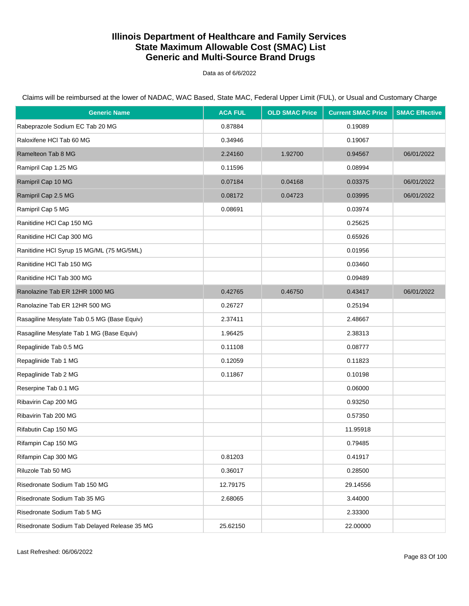Data as of 6/6/2022

| <b>Generic Name</b>                          | <b>ACA FUL</b> | <b>OLD SMAC Price</b> | <b>Current SMAC Price</b> | <b>SMAC Effective</b> |
|----------------------------------------------|----------------|-----------------------|---------------------------|-----------------------|
| Rabeprazole Sodium EC Tab 20 MG              | 0.87884        |                       | 0.19089                   |                       |
| Raloxifene HCl Tab 60 MG                     | 0.34946        |                       | 0.19067                   |                       |
| Ramelteon Tab 8 MG                           | 2.24160        | 1.92700               | 0.94567                   | 06/01/2022            |
| Ramipril Cap 1.25 MG                         | 0.11596        |                       | 0.08994                   |                       |
| Ramipril Cap 10 MG                           | 0.07184        | 0.04168               | 0.03375                   | 06/01/2022            |
| Ramipril Cap 2.5 MG                          | 0.08172        | 0.04723               | 0.03995                   | 06/01/2022            |
| Ramipril Cap 5 MG                            | 0.08691        |                       | 0.03974                   |                       |
| Ranitidine HCl Cap 150 MG                    |                |                       | 0.25625                   |                       |
| Ranitidine HCl Cap 300 MG                    |                |                       | 0.65926                   |                       |
| Ranitidine HCl Syrup 15 MG/ML (75 MG/5ML)    |                |                       | 0.01956                   |                       |
| Ranitidine HCI Tab 150 MG                    |                |                       | 0.03460                   |                       |
| Ranitidine HCI Tab 300 MG                    |                |                       | 0.09489                   |                       |
| Ranolazine Tab ER 12HR 1000 MG               | 0.42765        | 0.46750               | 0.43417                   | 06/01/2022            |
| Ranolazine Tab ER 12HR 500 MG                | 0.26727        |                       | 0.25194                   |                       |
| Rasagiline Mesylate Tab 0.5 MG (Base Equiv)  | 2.37411        |                       | 2.48667                   |                       |
| Rasagiline Mesylate Tab 1 MG (Base Equiv)    | 1.96425        |                       | 2.38313                   |                       |
| Repaglinide Tab 0.5 MG                       | 0.11108        |                       | 0.08777                   |                       |
| Repaglinide Tab 1 MG                         | 0.12059        |                       | 0.11823                   |                       |
| Repaglinide Tab 2 MG                         | 0.11867        |                       | 0.10198                   |                       |
| Reserpine Tab 0.1 MG                         |                |                       | 0.06000                   |                       |
| Ribavirin Cap 200 MG                         |                |                       | 0.93250                   |                       |
| Ribavirin Tab 200 MG                         |                |                       | 0.57350                   |                       |
| Rifabutin Cap 150 MG                         |                |                       | 11.95918                  |                       |
| Rifampin Cap 150 MG                          |                |                       | 0.79485                   |                       |
| Rifampin Cap 300 MG                          | 0.81203        |                       | 0.41917                   |                       |
| Riluzole Tab 50 MG                           | 0.36017        |                       | 0.28500                   |                       |
| Risedronate Sodium Tab 150 MG                | 12.79175       |                       | 29.14556                  |                       |
| Risedronate Sodium Tab 35 MG                 | 2.68065        |                       | 3.44000                   |                       |
| Risedronate Sodium Tab 5 MG                  |                |                       | 2.33300                   |                       |
| Risedronate Sodium Tab Delayed Release 35 MG | 25.62150       |                       | 22.00000                  |                       |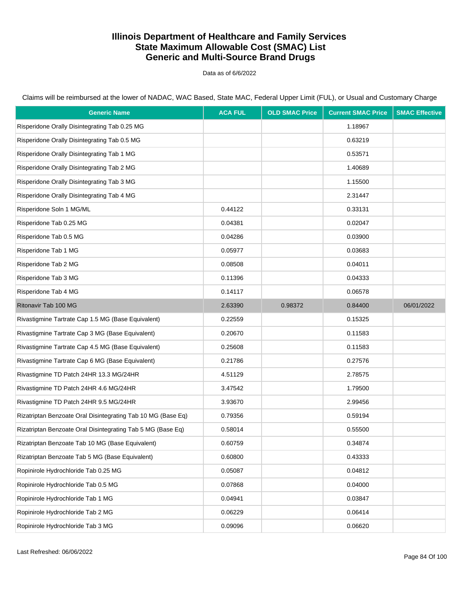Data as of 6/6/2022

| <b>Generic Name</b>                                          | <b>ACA FUL</b> | <b>OLD SMAC Price</b> | <b>Current SMAC Price</b> | <b>SMAC Effective</b> |
|--------------------------------------------------------------|----------------|-----------------------|---------------------------|-----------------------|
| Risperidone Orally Disintegrating Tab 0.25 MG                |                |                       | 1.18967                   |                       |
| Risperidone Orally Disintegrating Tab 0.5 MG                 |                |                       | 0.63219                   |                       |
| Risperidone Orally Disintegrating Tab 1 MG                   |                |                       | 0.53571                   |                       |
| Risperidone Orally Disintegrating Tab 2 MG                   |                |                       | 1.40689                   |                       |
| Risperidone Orally Disintegrating Tab 3 MG                   |                |                       | 1.15500                   |                       |
| Risperidone Orally Disintegrating Tab 4 MG                   |                |                       | 2.31447                   |                       |
| Risperidone Soln 1 MG/ML                                     | 0.44122        |                       | 0.33131                   |                       |
| Risperidone Tab 0.25 MG                                      | 0.04381        |                       | 0.02047                   |                       |
| Risperidone Tab 0.5 MG                                       | 0.04286        |                       | 0.03900                   |                       |
| Risperidone Tab 1 MG                                         | 0.05977        |                       | 0.03683                   |                       |
| Risperidone Tab 2 MG                                         | 0.08508        |                       | 0.04011                   |                       |
| Risperidone Tab 3 MG                                         | 0.11396        |                       | 0.04333                   |                       |
| Risperidone Tab 4 MG                                         | 0.14117        |                       | 0.06578                   |                       |
| Ritonavir Tab 100 MG                                         | 2.63390        | 0.98372               | 0.84400                   | 06/01/2022            |
| Rivastigmine Tartrate Cap 1.5 MG (Base Equivalent)           | 0.22559        |                       | 0.15325                   |                       |
| Rivastigmine Tartrate Cap 3 MG (Base Equivalent)             | 0.20670        |                       | 0.11583                   |                       |
| Rivastigmine Tartrate Cap 4.5 MG (Base Equivalent)           | 0.25608        |                       | 0.11583                   |                       |
| Rivastigmine Tartrate Cap 6 MG (Base Equivalent)             | 0.21786        |                       | 0.27576                   |                       |
| Rivastigmine TD Patch 24HR 13.3 MG/24HR                      | 4.51129        |                       | 2.78575                   |                       |
| Rivastigmine TD Patch 24HR 4.6 MG/24HR                       | 3.47542        |                       | 1.79500                   |                       |
| Rivastigmine TD Patch 24HR 9.5 MG/24HR                       | 3.93670        |                       | 2.99456                   |                       |
| Rizatriptan Benzoate Oral Disintegrating Tab 10 MG (Base Eq) | 0.79356        |                       | 0.59194                   |                       |
| Rizatriptan Benzoate Oral Disintegrating Tab 5 MG (Base Eq)  | 0.58014        |                       | 0.55500                   |                       |
| Rizatriptan Benzoate Tab 10 MG (Base Equivalent)             | 0.60759        |                       | 0.34874                   |                       |
| Rizatriptan Benzoate Tab 5 MG (Base Equivalent)              | 0.60800        |                       | 0.43333                   |                       |
| Ropinirole Hydrochloride Tab 0.25 MG                         | 0.05087        |                       | 0.04812                   |                       |
| Ropinirole Hydrochloride Tab 0.5 MG                          | 0.07868        |                       | 0.04000                   |                       |
| Ropinirole Hydrochloride Tab 1 MG                            | 0.04941        |                       | 0.03847                   |                       |
| Ropinirole Hydrochloride Tab 2 MG                            | 0.06229        |                       | 0.06414                   |                       |
| Ropinirole Hydrochloride Tab 3 MG                            | 0.09096        |                       | 0.06620                   |                       |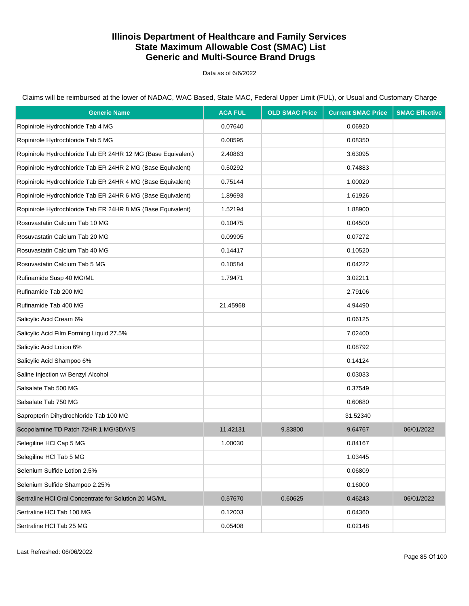Data as of 6/6/2022

| <b>Generic Name</b>                                          | <b>ACA FUL</b> | <b>OLD SMAC Price</b> | <b>Current SMAC Price</b> | <b>SMAC Effective</b> |
|--------------------------------------------------------------|----------------|-----------------------|---------------------------|-----------------------|
| Ropinirole Hydrochloride Tab 4 MG                            | 0.07640        |                       | 0.06920                   |                       |
| Ropinirole Hydrochloride Tab 5 MG                            | 0.08595        |                       | 0.08350                   |                       |
| Ropinirole Hydrochloride Tab ER 24HR 12 MG (Base Equivalent) | 2.40863        |                       | 3.63095                   |                       |
| Ropinirole Hydrochloride Tab ER 24HR 2 MG (Base Equivalent)  | 0.50292        |                       | 0.74883                   |                       |
| Ropinirole Hydrochloride Tab ER 24HR 4 MG (Base Equivalent)  | 0.75144        |                       | 1.00020                   |                       |
| Ropinirole Hydrochloride Tab ER 24HR 6 MG (Base Equivalent)  | 1.89693        |                       | 1.61926                   |                       |
| Ropinirole Hydrochloride Tab ER 24HR 8 MG (Base Equivalent)  | 1.52194        |                       | 1.88900                   |                       |
| Rosuvastatin Calcium Tab 10 MG                               | 0.10475        |                       | 0.04500                   |                       |
| Rosuvastatin Calcium Tab 20 MG                               | 0.09905        |                       | 0.07272                   |                       |
| Rosuvastatin Calcium Tab 40 MG                               | 0.14417        |                       | 0.10520                   |                       |
| Rosuvastatin Calcium Tab 5 MG                                | 0.10584        |                       | 0.04222                   |                       |
| Rufinamide Susp 40 MG/ML                                     | 1.79471        |                       | 3.02211                   |                       |
| Rufinamide Tab 200 MG                                        |                |                       | 2.79106                   |                       |
| Rufinamide Tab 400 MG                                        | 21.45968       |                       | 4.94490                   |                       |
| Salicylic Acid Cream 6%                                      |                |                       | 0.06125                   |                       |
| Salicylic Acid Film Forming Liquid 27.5%                     |                |                       | 7.02400                   |                       |
| Salicylic Acid Lotion 6%                                     |                |                       | 0.08792                   |                       |
| Salicylic Acid Shampoo 6%                                    |                |                       | 0.14124                   |                       |
| Saline Injection w/ Benzyl Alcohol                           |                |                       | 0.03033                   |                       |
| Salsalate Tab 500 MG                                         |                |                       | 0.37549                   |                       |
| Salsalate Tab 750 MG                                         |                |                       | 0.60680                   |                       |
| Sapropterin Dihydrochloride Tab 100 MG                       |                |                       | 31.52340                  |                       |
| Scopolamine TD Patch 72HR 1 MG/3DAYS                         | 11.42131       | 9.83800               | 9.64767                   | 06/01/2022            |
| Selegiline HCI Cap 5 MG                                      | 1.00030        |                       | 0.84167                   |                       |
| Selegiline HCI Tab 5 MG                                      |                |                       | 1.03445                   |                       |
| Selenium Sulfide Lotion 2.5%                                 |                |                       | 0.06809                   |                       |
| Selenium Sulfide Shampoo 2.25%                               |                |                       | 0.16000                   |                       |
| Sertraline HCI Oral Concentrate for Solution 20 MG/ML        | 0.57670        | 0.60625               | 0.46243                   | 06/01/2022            |
| Sertraline HCI Tab 100 MG                                    | 0.12003        |                       | 0.04360                   |                       |
| Sertraline HCl Tab 25 MG                                     | 0.05408        |                       | 0.02148                   |                       |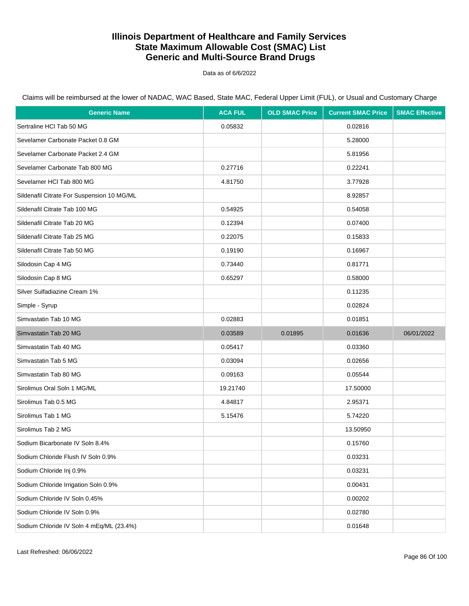Data as of 6/6/2022

Claims will be reimbursed at the lower of NADAC, WAC Based, State MAC, Federal Upper Limit (FUL), or Usual and Customary Charge

| <b>Generic Name</b>                        | <b>ACA FUL</b> | <b>OLD SMAC Price</b> | <b>Current SMAC Price</b> | <b>SMAC Effective</b> |
|--------------------------------------------|----------------|-----------------------|---------------------------|-----------------------|
| Sertraline HCI Tab 50 MG                   | 0.05832        |                       | 0.02816                   |                       |
| Sevelamer Carbonate Packet 0.8 GM          |                |                       | 5.28000                   |                       |
| Sevelamer Carbonate Packet 2.4 GM          |                |                       | 5.81956                   |                       |
| Sevelamer Carbonate Tab 800 MG             | 0.27716        |                       | 0.22241                   |                       |
| Sevelamer HCI Tab 800 MG                   | 4.81750        |                       | 3.77928                   |                       |
| Sildenafil Citrate For Suspension 10 MG/ML |                |                       | 8.92857                   |                       |
| Sildenafil Citrate Tab 100 MG              | 0.54925        |                       | 0.54058                   |                       |
| Sildenafil Citrate Tab 20 MG               | 0.12394        |                       | 0.07400                   |                       |
| Sildenafil Citrate Tab 25 MG               | 0.22075        |                       | 0.15833                   |                       |
| Sildenafil Citrate Tab 50 MG               | 0.19190        |                       | 0.16967                   |                       |
| Silodosin Cap 4 MG                         | 0.73440        |                       | 0.81771                   |                       |
| Silodosin Cap 8 MG                         | 0.65297        |                       | 0.58000                   |                       |
| Silver Sulfadiazine Cream 1%               |                |                       | 0.11235                   |                       |
| Simple - Syrup                             |                |                       | 0.02824                   |                       |
| Simvastatin Tab 10 MG                      | 0.02883        |                       | 0.01851                   |                       |
| Simvastatin Tab 20 MG                      | 0.03589        | 0.01895               | 0.01636                   | 06/01/2022            |
| Simvastatin Tab 40 MG                      | 0.05417        |                       | 0.03360                   |                       |
| Simvastatin Tab 5 MG                       | 0.03094        |                       | 0.02656                   |                       |
| Simvastatin Tab 80 MG                      | 0.09163        |                       | 0.05544                   |                       |
| Sirolimus Oral Soln 1 MG/ML                | 19.21740       |                       | 17.50000                  |                       |
| Sirolimus Tab 0.5 MG                       | 4.84817        |                       | 2.95371                   |                       |
| Sirolimus Tab 1 MG                         | 5.15476        |                       | 5.74220                   |                       |
| Sirolimus Tab 2 MG                         |                |                       | 13.50950                  |                       |
| Sodium Bicarbonate IV Soln 8.4%            |                |                       | 0.15760                   |                       |
| Sodium Chloride Flush IV Soln 0.9%         |                |                       | 0.03231                   |                       |
| Sodium Chloride Inj 0.9%                   |                |                       | 0.03231                   |                       |
| Sodium Chloride Irrigation Soln 0.9%       |                |                       | 0.00431                   |                       |
| Sodium Chloride IV Soln 0.45%              |                |                       | 0.00202                   |                       |
| Sodium Chloride IV Soln 0.9%               |                |                       | 0.02780                   |                       |
| Sodium Chloride IV Soln 4 mEq/ML (23.4%)   |                |                       | 0.01648                   |                       |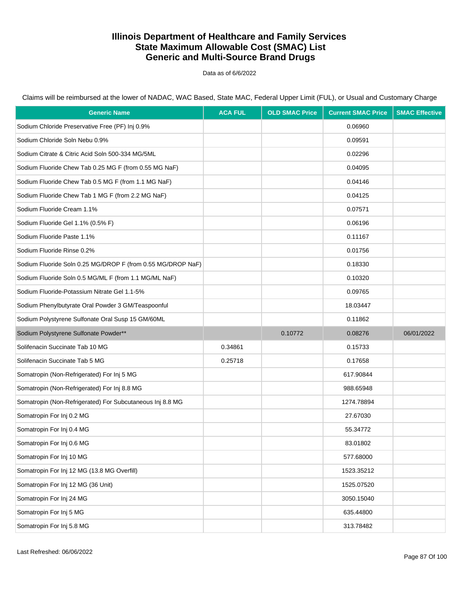Data as of 6/6/2022

Claims will be reimbursed at the lower of NADAC, WAC Based, State MAC, Federal Upper Limit (FUL), or Usual and Customary Charge

| <b>Generic Name</b>                                         | <b>ACA FUL</b> | <b>OLD SMAC Price</b> | <b>Current SMAC Price</b> | <b>SMAC Effective</b> |
|-------------------------------------------------------------|----------------|-----------------------|---------------------------|-----------------------|
| Sodium Chloride Preservative Free (PF) Inj 0.9%             |                |                       | 0.06960                   |                       |
| Sodium Chloride Soln Nebu 0.9%                              |                |                       | 0.09591                   |                       |
| Sodium Citrate & Citric Acid Soln 500-334 MG/5ML            |                |                       | 0.02296                   |                       |
| Sodium Fluoride Chew Tab 0.25 MG F (from 0.55 MG NaF)       |                |                       | 0.04095                   |                       |
| Sodium Fluoride Chew Tab 0.5 MG F (from 1.1 MG NaF)         |                |                       | 0.04146                   |                       |
| Sodium Fluoride Chew Tab 1 MG F (from 2.2 MG NaF)           |                |                       | 0.04125                   |                       |
| Sodium Fluoride Cream 1.1%                                  |                |                       | 0.07571                   |                       |
| Sodium Fluoride Gel 1.1% (0.5% F)                           |                |                       | 0.06196                   |                       |
| Sodium Fluoride Paste 1.1%                                  |                |                       | 0.11167                   |                       |
| Sodium Fluoride Rinse 0.2%                                  |                |                       | 0.01756                   |                       |
| Sodium Fluoride Soln 0.25 MG/DROP F (from 0.55 MG/DROP NaF) |                |                       | 0.18330                   |                       |
| Sodium Fluoride Soln 0.5 MG/ML F (from 1.1 MG/ML NaF)       |                |                       | 0.10320                   |                       |
| Sodium Fluoride-Potassium Nitrate Gel 1.1-5%                |                |                       | 0.09765                   |                       |
| Sodium Phenylbutyrate Oral Powder 3 GM/Teaspoonful          |                |                       | 18.03447                  |                       |
| Sodium Polystyrene Sulfonate Oral Susp 15 GM/60ML           |                |                       | 0.11862                   |                       |
| Sodium Polystyrene Sulfonate Powder**                       |                | 0.10772               | 0.08276                   | 06/01/2022            |
| Solifenacin Succinate Tab 10 MG                             | 0.34861        |                       | 0.15733                   |                       |
| Solifenacin Succinate Tab 5 MG                              | 0.25718        |                       | 0.17658                   |                       |
| Somatropin (Non-Refrigerated) For Inj 5 MG                  |                |                       | 617.90844                 |                       |
| Somatropin (Non-Refrigerated) For Inj 8.8 MG                |                |                       | 988.65948                 |                       |
| Somatropin (Non-Refrigerated) For Subcutaneous Inj 8.8 MG   |                |                       | 1274.78894                |                       |
| Somatropin For Inj 0.2 MG                                   |                |                       | 27.67030                  |                       |
| Somatropin For Inj 0.4 MG                                   |                |                       | 55.34772                  |                       |
| Somatropin For Inj 0.6 MG                                   |                |                       | 83.01802                  |                       |
| Somatropin For Inj 10 MG                                    |                |                       | 577.68000                 |                       |
| Somatropin For Inj 12 MG (13.8 MG Overfill)                 |                |                       | 1523.35212                |                       |
| Somatropin For Inj 12 MG (36 Unit)                          |                |                       | 1525.07520                |                       |
| Somatropin For Inj 24 MG                                    |                |                       | 3050.15040                |                       |
| Somatropin For Inj 5 MG                                     |                |                       | 635.44800                 |                       |
| Somatropin For Inj 5.8 MG                                   |                |                       | 313.78482                 |                       |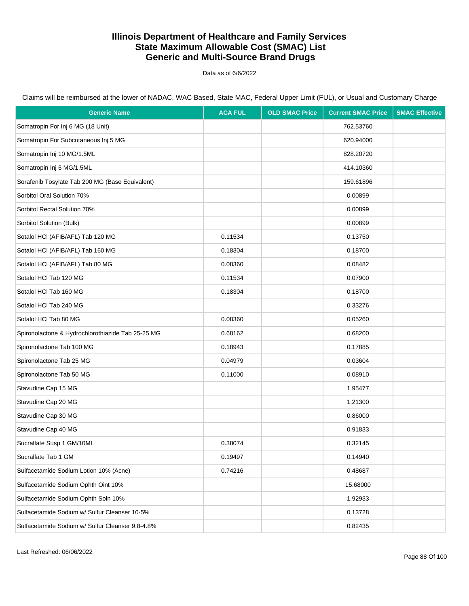Data as of 6/6/2022

Claims will be reimbursed at the lower of NADAC, WAC Based, State MAC, Federal Upper Limit (FUL), or Usual and Customary Charge

| <b>Generic Name</b>                               | <b>ACA FUL</b> | <b>OLD SMAC Price</b> | <b>Current SMAC Price</b> | <b>SMAC Effective</b> |
|---------------------------------------------------|----------------|-----------------------|---------------------------|-----------------------|
| Somatropin For Inj 6 MG (18 Unit)                 |                |                       | 762.53760                 |                       |
| Somatropin For Subcutaneous Inj 5 MG              |                |                       | 620.94000                 |                       |
| Somatropin Inj 10 MG/1.5ML                        |                |                       | 828.20720                 |                       |
| Somatropin Inj 5 MG/1.5ML                         |                |                       | 414.10360                 |                       |
| Sorafenib Tosylate Tab 200 MG (Base Equivalent)   |                |                       | 159.61896                 |                       |
| Sorbitol Oral Solution 70%                        |                |                       | 0.00899                   |                       |
| Sorbitol Rectal Solution 70%                      |                |                       | 0.00899                   |                       |
| Sorbitol Solution (Bulk)                          |                |                       | 0.00899                   |                       |
| Sotalol HCI (AFIB/AFL) Tab 120 MG                 | 0.11534        |                       | 0.13750                   |                       |
| Sotalol HCI (AFIB/AFL) Tab 160 MG                 | 0.18304        |                       | 0.18700                   |                       |
| Sotalol HCI (AFIB/AFL) Tab 80 MG                  | 0.08360        |                       | 0.08482                   |                       |
| Sotalol HCl Tab 120 MG                            | 0.11534        |                       | 0.07900                   |                       |
| Sotalol HCl Tab 160 MG                            | 0.18304        |                       | 0.18700                   |                       |
| Sotalol HCl Tab 240 MG                            |                |                       | 0.33276                   |                       |
| Sotalol HCl Tab 80 MG                             | 0.08360        |                       | 0.05260                   |                       |
| Spironolactone & Hydrochlorothiazide Tab 25-25 MG | 0.68162        |                       | 0.68200                   |                       |
| Spironolactone Tab 100 MG                         | 0.18943        |                       | 0.17885                   |                       |
| Spironolactone Tab 25 MG                          | 0.04979        |                       | 0.03604                   |                       |
| Spironolactone Tab 50 MG                          | 0.11000        |                       | 0.08910                   |                       |
| Stavudine Cap 15 MG                               |                |                       | 1.95477                   |                       |
| Stavudine Cap 20 MG                               |                |                       | 1.21300                   |                       |
| Stavudine Cap 30 MG                               |                |                       | 0.86000                   |                       |
| Stavudine Cap 40 MG                               |                |                       | 0.91833                   |                       |
| Sucralfate Susp 1 GM/10ML                         | 0.38074        |                       | 0.32145                   |                       |
| Sucralfate Tab 1 GM                               | 0.19497        |                       | 0.14940                   |                       |
| Sulfacetamide Sodium Lotion 10% (Acne)            | 0.74216        |                       | 0.48687                   |                       |
| Sulfacetamide Sodium Ophth Oint 10%               |                |                       | 15.68000                  |                       |
| Sulfacetamide Sodium Ophth Soln 10%               |                |                       | 1.92933                   |                       |
| Sulfacetamide Sodium w/ Sulfur Cleanser 10-5%     |                |                       | 0.13728                   |                       |
| Sulfacetamide Sodium w/ Sulfur Cleanser 9.8-4.8%  |                |                       | 0.82435                   |                       |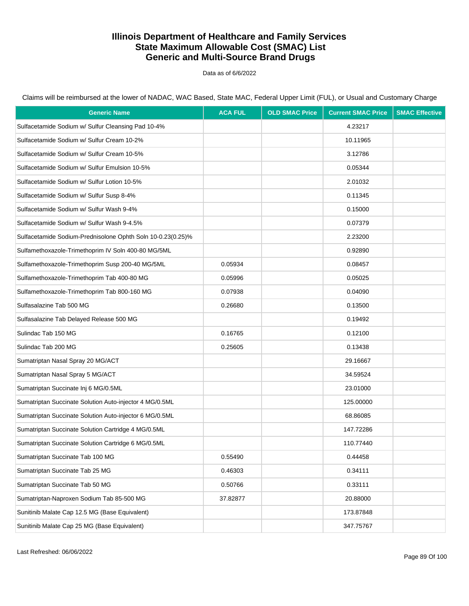Data as of 6/6/2022

Claims will be reimbursed at the lower of NADAC, WAC Based, State MAC, Federal Upper Limit (FUL), or Usual and Customary Charge

| <b>Generic Name</b>                                         | <b>ACA FUL</b> | <b>OLD SMAC Price</b> | <b>Current SMAC Price</b> | <b>SMAC Effective</b> |
|-------------------------------------------------------------|----------------|-----------------------|---------------------------|-----------------------|
| Sulfacetamide Sodium w/ Sulfur Cleansing Pad 10-4%          |                |                       | 4.23217                   |                       |
| Sulfacetamide Sodium w/ Sulfur Cream 10-2%                  |                |                       | 10.11965                  |                       |
| Sulfacetamide Sodium w/ Sulfur Cream 10-5%                  |                |                       | 3.12786                   |                       |
| Sulfacetamide Sodium w/ Sulfur Emulsion 10-5%               |                |                       | 0.05344                   |                       |
| Sulfacetamide Sodium w/ Sulfur Lotion 10-5%                 |                |                       | 2.01032                   |                       |
| Sulfacetamide Sodium w/ Sulfur Susp 8-4%                    |                |                       | 0.11345                   |                       |
| Sulfacetamide Sodium w/ Sulfur Wash 9-4%                    |                |                       | 0.15000                   |                       |
| Sulfacetamide Sodium w/ Sulfur Wash 9-4.5%                  |                |                       | 0.07379                   |                       |
| Sulfacetamide Sodium-Prednisolone Ophth Soln 10-0.23(0.25)% |                |                       | 2.23200                   |                       |
| Sulfamethoxazole-Trimethoprim IV Soln 400-80 MG/5ML         |                |                       | 0.92890                   |                       |
| Sulfamethoxazole-Trimethoprim Susp 200-40 MG/5ML            | 0.05934        |                       | 0.08457                   |                       |
| Sulfamethoxazole-Trimethoprim Tab 400-80 MG                 | 0.05996        |                       | 0.05025                   |                       |
| Sulfamethoxazole-Trimethoprim Tab 800-160 MG                | 0.07938        |                       | 0.04090                   |                       |
| Sulfasalazine Tab 500 MG                                    | 0.26680        |                       | 0.13500                   |                       |
| Sulfasalazine Tab Delayed Release 500 MG                    |                |                       | 0.19492                   |                       |
| Sulindac Tab 150 MG                                         | 0.16765        |                       | 0.12100                   |                       |
| Sulindac Tab 200 MG                                         | 0.25605        |                       | 0.13438                   |                       |
| Sumatriptan Nasal Spray 20 MG/ACT                           |                |                       | 29.16667                  |                       |
| Sumatriptan Nasal Spray 5 MG/ACT                            |                |                       | 34.59524                  |                       |
| Sumatriptan Succinate Inj 6 MG/0.5ML                        |                |                       | 23.01000                  |                       |
| Sumatriptan Succinate Solution Auto-injector 4 MG/0.5ML     |                |                       | 125.00000                 |                       |
| Sumatriptan Succinate Solution Auto-injector 6 MG/0.5ML     |                |                       | 68.86085                  |                       |
| Sumatriptan Succinate Solution Cartridge 4 MG/0.5ML         |                |                       | 147.72286                 |                       |
| Sumatriptan Succinate Solution Cartridge 6 MG/0.5ML         |                |                       | 110.77440                 |                       |
| Sumatriptan Succinate Tab 100 MG                            | 0.55490        |                       | 0.44458                   |                       |
| Sumatriptan Succinate Tab 25 MG                             | 0.46303        |                       | 0.34111                   |                       |
| Sumatriptan Succinate Tab 50 MG                             | 0.50766        |                       | 0.33111                   |                       |
| Sumatriptan-Naproxen Sodium Tab 85-500 MG                   | 37.82877       |                       | 20.88000                  |                       |
| Sunitinib Malate Cap 12.5 MG (Base Equivalent)              |                |                       | 173.87848                 |                       |
| Sunitinib Malate Cap 25 MG (Base Equivalent)                |                |                       | 347.75767                 |                       |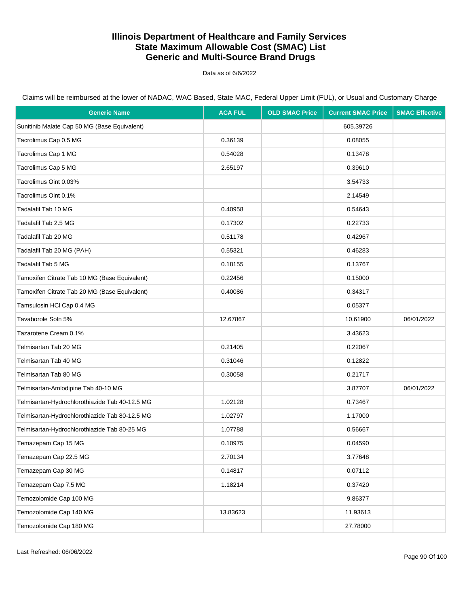Data as of 6/6/2022

| <b>Generic Name</b>                            | <b>ACA FUL</b> | <b>OLD SMAC Price</b> | <b>Current SMAC Price</b> | <b>SMAC Effective</b> |
|------------------------------------------------|----------------|-----------------------|---------------------------|-----------------------|
| Sunitinib Malate Cap 50 MG (Base Equivalent)   |                |                       | 605.39726                 |                       |
| Tacrolimus Cap 0.5 MG                          | 0.36139        |                       | 0.08055                   |                       |
| Tacrolimus Cap 1 MG                            | 0.54028        |                       | 0.13478                   |                       |
| Tacrolimus Cap 5 MG                            | 2.65197        |                       | 0.39610                   |                       |
| Tacrolimus Oint 0.03%                          |                |                       | 3.54733                   |                       |
| Tacrolimus Oint 0.1%                           |                |                       | 2.14549                   |                       |
| Tadalafil Tab 10 MG                            | 0.40958        |                       | 0.54643                   |                       |
| Tadalafil Tab 2.5 MG                           | 0.17302        |                       | 0.22733                   |                       |
| Tadalafil Tab 20 MG                            | 0.51178        |                       | 0.42967                   |                       |
| Tadalafil Tab 20 MG (PAH)                      | 0.55321        |                       | 0.46283                   |                       |
| Tadalafil Tab 5 MG                             | 0.18155        |                       | 0.13767                   |                       |
| Tamoxifen Citrate Tab 10 MG (Base Equivalent)  | 0.22456        |                       | 0.15000                   |                       |
| Tamoxifen Citrate Tab 20 MG (Base Equivalent)  | 0.40086        |                       | 0.34317                   |                       |
| Tamsulosin HCl Cap 0.4 MG                      |                |                       | 0.05377                   |                       |
| Tavaborole Soln 5%                             | 12.67867       |                       | 10.61900                  | 06/01/2022            |
| Tazarotene Cream 0.1%                          |                |                       | 3.43623                   |                       |
| Telmisartan Tab 20 MG                          | 0.21405        |                       | 0.22067                   |                       |
| Telmisartan Tab 40 MG                          | 0.31046        |                       | 0.12822                   |                       |
| Telmisartan Tab 80 MG                          | 0.30058        |                       | 0.21717                   |                       |
| Telmisartan-Amlodipine Tab 40-10 MG            |                |                       | 3.87707                   | 06/01/2022            |
| Telmisartan-Hydrochlorothiazide Tab 40-12.5 MG | 1.02128        |                       | 0.73467                   |                       |
| Telmisartan-Hydrochlorothiazide Tab 80-12.5 MG | 1.02797        |                       | 1.17000                   |                       |
| Telmisartan-Hydrochlorothiazide Tab 80-25 MG   | 1.07788        |                       | 0.56667                   |                       |
| Temazepam Cap 15 MG                            | 0.10975        |                       | 0.04590                   |                       |
| Temazepam Cap 22.5 MG                          | 2.70134        |                       | 3.77648                   |                       |
| Temazepam Cap 30 MG                            | 0.14817        |                       | 0.07112                   |                       |
| Temazepam Cap 7.5 MG                           | 1.18214        |                       | 0.37420                   |                       |
| Temozolomide Cap 100 MG                        |                |                       | 9.86377                   |                       |
| Temozolomide Cap 140 MG                        | 13.83623       |                       | 11.93613                  |                       |
| Temozolomide Cap 180 MG                        |                |                       | 27.78000                  |                       |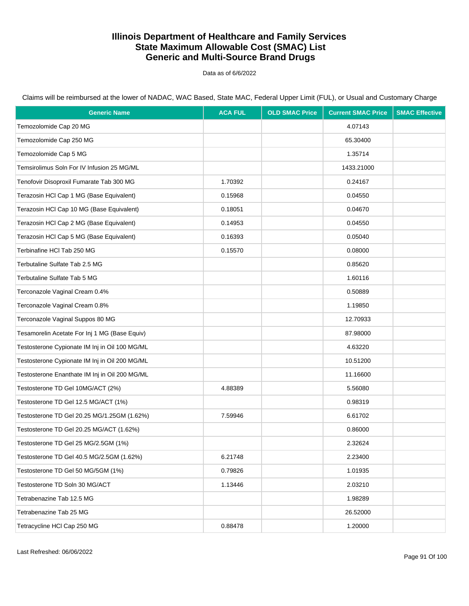Data as of 6/6/2022

Claims will be reimbursed at the lower of NADAC, WAC Based, State MAC, Federal Upper Limit (FUL), or Usual and Customary Charge

| <b>Generic Name</b>                            | <b>ACA FUL</b> | <b>OLD SMAC Price</b> | <b>Current SMAC Price</b> | <b>SMAC Effective</b> |
|------------------------------------------------|----------------|-----------------------|---------------------------|-----------------------|
| Temozolomide Cap 20 MG                         |                |                       | 4.07143                   |                       |
| Temozolomide Cap 250 MG                        |                |                       | 65.30400                  |                       |
| Temozolomide Cap 5 MG                          |                |                       | 1.35714                   |                       |
| Temsirolimus Soln For IV Infusion 25 MG/ML     |                |                       | 1433.21000                |                       |
| Tenofovir Disoproxil Fumarate Tab 300 MG       | 1.70392        |                       | 0.24167                   |                       |
| Terazosin HCl Cap 1 MG (Base Equivalent)       | 0.15968        |                       | 0.04550                   |                       |
| Terazosin HCl Cap 10 MG (Base Equivalent)      | 0.18051        |                       | 0.04670                   |                       |
| Terazosin HCI Cap 2 MG (Base Equivalent)       | 0.14953        |                       | 0.04550                   |                       |
| Terazosin HCl Cap 5 MG (Base Equivalent)       | 0.16393        |                       | 0.05040                   |                       |
| Terbinafine HCI Tab 250 MG                     | 0.15570        |                       | 0.08000                   |                       |
| Terbutaline Sulfate Tab 2.5 MG                 |                |                       | 0.85620                   |                       |
| Terbutaline Sulfate Tab 5 MG                   |                |                       | 1.60116                   |                       |
| Terconazole Vaginal Cream 0.4%                 |                |                       | 0.50889                   |                       |
| Terconazole Vaginal Cream 0.8%                 |                |                       | 1.19850                   |                       |
| Terconazole Vaginal Suppos 80 MG               |                |                       | 12.70933                  |                       |
| Tesamorelin Acetate For Inj 1 MG (Base Equiv)  |                |                       | 87.98000                  |                       |
| Testosterone Cypionate IM Inj in Oil 100 MG/ML |                |                       | 4.63220                   |                       |
| Testosterone Cypionate IM Inj in Oil 200 MG/ML |                |                       | 10.51200                  |                       |
| Testosterone Enanthate IM Inj in Oil 200 MG/ML |                |                       | 11.16600                  |                       |
| Testosterone TD Gel 10MG/ACT (2%)              | 4.88389        |                       | 5.56080                   |                       |
| Testosterone TD Gel 12.5 MG/ACT (1%)           |                |                       | 0.98319                   |                       |
| Testosterone TD Gel 20.25 MG/1.25GM (1.62%)    | 7.59946        |                       | 6.61702                   |                       |
| Testosterone TD Gel 20.25 MG/ACT (1.62%)       |                |                       | 0.86000                   |                       |
| Testosterone TD Gel 25 MG/2.5GM (1%)           |                |                       | 2.32624                   |                       |
| Testosterone TD Gel 40.5 MG/2.5GM (1.62%)      | 6.21748        |                       | 2.23400                   |                       |
| Testosterone TD Gel 50 MG/5GM (1%)             | 0.79826        |                       | 1.01935                   |                       |
| Testosterone TD Soln 30 MG/ACT                 | 1.13446        |                       | 2.03210                   |                       |
| Tetrabenazine Tab 12.5 MG                      |                |                       | 1.98289                   |                       |
| Tetrabenazine Tab 25 MG                        |                |                       | 26.52000                  |                       |
| Tetracycline HCI Cap 250 MG                    | 0.88478        |                       | 1.20000                   |                       |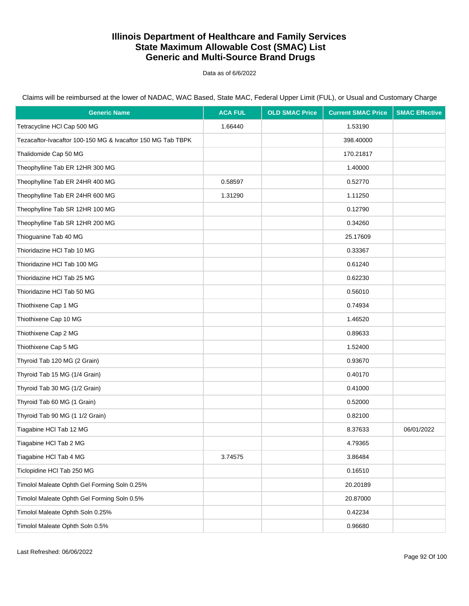Data as of 6/6/2022

| <b>Generic Name</b>                                         | <b>ACA FUL</b> | <b>OLD SMAC Price</b> | <b>Current SMAC Price</b> | <b>SMAC Effective</b> |
|-------------------------------------------------------------|----------------|-----------------------|---------------------------|-----------------------|
| Tetracycline HCl Cap 500 MG                                 | 1.66440        |                       | 1.53190                   |                       |
| Tezacaftor-Ivacaftor 100-150 MG & Ivacaftor 150 MG Tab TBPK |                |                       | 398.40000                 |                       |
| Thalidomide Cap 50 MG                                       |                |                       | 170.21817                 |                       |
| Theophylline Tab ER 12HR 300 MG                             |                |                       | 1.40000                   |                       |
| Theophylline Tab ER 24HR 400 MG                             | 0.58597        |                       | 0.52770                   |                       |
| Theophylline Tab ER 24HR 600 MG                             | 1.31290        |                       | 1.11250                   |                       |
| Theophylline Tab SR 12HR 100 MG                             |                |                       | 0.12790                   |                       |
| Theophylline Tab SR 12HR 200 MG                             |                |                       | 0.34260                   |                       |
| Thioguanine Tab 40 MG                                       |                |                       | 25.17609                  |                       |
| Thioridazine HCI Tab 10 MG                                  |                |                       | 0.33367                   |                       |
| Thioridazine HCI Tab 100 MG                                 |                |                       | 0.61240                   |                       |
| Thioridazine HCI Tab 25 MG                                  |                |                       | 0.62230                   |                       |
| Thioridazine HCI Tab 50 MG                                  |                |                       | 0.56010                   |                       |
| Thiothixene Cap 1 MG                                        |                |                       | 0.74934                   |                       |
| Thiothixene Cap 10 MG                                       |                |                       | 1.46520                   |                       |
| Thiothixene Cap 2 MG                                        |                |                       | 0.89633                   |                       |
| Thiothixene Cap 5 MG                                        |                |                       | 1.52400                   |                       |
| Thyroid Tab 120 MG (2 Grain)                                |                |                       | 0.93670                   |                       |
| Thyroid Tab 15 MG (1/4 Grain)                               |                |                       | 0.40170                   |                       |
| Thyroid Tab 30 MG (1/2 Grain)                               |                |                       | 0.41000                   |                       |
| Thyroid Tab 60 MG (1 Grain)                                 |                |                       | 0.52000                   |                       |
| Thyroid Tab 90 MG (1 1/2 Grain)                             |                |                       | 0.82100                   |                       |
| Tiagabine HCI Tab 12 MG                                     |                |                       | 8.37633                   | 06/01/2022            |
| Tiagabine HCI Tab 2 MG                                      |                |                       | 4.79365                   |                       |
| Tiagabine HCl Tab 4 MG                                      | 3.74575        |                       | 3.86484                   |                       |
| Ticlopidine HCl Tab 250 MG                                  |                |                       | 0.16510                   |                       |
| Timolol Maleate Ophth Gel Forming Soln 0.25%                |                |                       | 20.20189                  |                       |
| Timolol Maleate Ophth Gel Forming Soln 0.5%                 |                |                       | 20.87000                  |                       |
| Timolol Maleate Ophth Soln 0.25%                            |                |                       | 0.42234                   |                       |
| Timolol Maleate Ophth Soln 0.5%                             |                |                       | 0.96680                   |                       |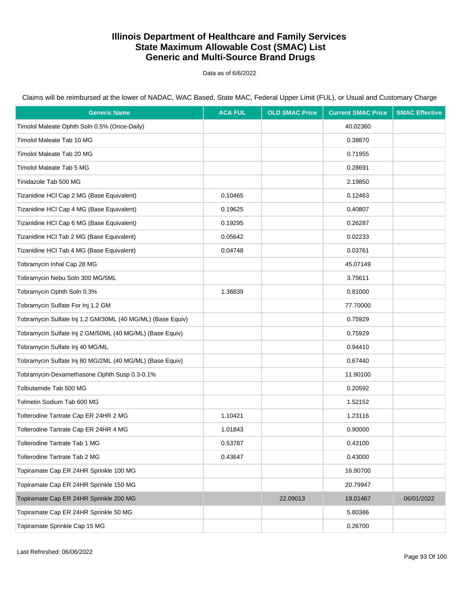Data as of 6/6/2022

| <b>Generic Name</b>                                        | <b>ACA FUL</b> | <b>OLD SMAC Price</b> | <b>Current SMAC Price</b> | <b>SMAC Effective</b> |
|------------------------------------------------------------|----------------|-----------------------|---------------------------|-----------------------|
| Timolol Maleate Ophth Soln 0.5% (Once-Daily)               |                |                       | 40.02360                  |                       |
| Timolol Maleate Tab 10 MG                                  |                |                       | 0.38870                   |                       |
| Timolol Maleate Tab 20 MG                                  |                |                       | 0.71955                   |                       |
| Timolol Maleate Tab 5 MG                                   |                |                       | 0.28691                   |                       |
| Tinidazole Tab 500 MG                                      |                |                       | 2.19850                   |                       |
| Tizanidine HCl Cap 2 MG (Base Equivalent)                  | 0.10465        |                       | 0.12463                   |                       |
| Tizanidine HCl Cap 4 MG (Base Equivalent)                  | 0.19625        |                       | 0.40807                   |                       |
| Tizanidine HCl Cap 6 MG (Base Equivalent)                  | 0.19295        |                       | 0.26287                   |                       |
| Tizanidine HCl Tab 2 MG (Base Equivalent)                  | 0.05642        |                       | 0.02233                   |                       |
| Tizanidine HCl Tab 4 MG (Base Equivalent)                  | 0.04748        |                       | 0.03761                   |                       |
| Tobramycin Inhal Cap 28 MG                                 |                |                       | 45.07149                  |                       |
| Tobramycin Nebu Soln 300 MG/5ML                            |                |                       | 3.75611                   |                       |
| Tobramycin Ophth Soln 0.3%                                 | 1.36839        |                       | 0.81000                   |                       |
| Tobramycin Sulfate For Inj 1.2 GM                          |                |                       | 77.70000                  |                       |
| Tobramycin Sulfate Inj 1.2 GM/30ML (40 MG/ML) (Base Equiv) |                |                       | 0.75929                   |                       |
| Tobramycin Sulfate Inj 2 GM/50ML (40 MG/ML) (Base Equiv)   |                |                       | 0.75929                   |                       |
| Tobramycin Sulfate Inj 40 MG/ML                            |                |                       | 0.94410                   |                       |
| Tobramycin Sulfate Inj 80 MG/2ML (40 MG/ML) (Base Equiv)   |                |                       | 0.67440                   |                       |
| Tobramycin-Dexamethasone Ophth Susp 0.3-0.1%               |                |                       | 11.90100                  |                       |
| Tolbutamide Tab 500 MG                                     |                |                       | 0.20592                   |                       |
| Tolmetin Sodium Tab 600 MG                                 |                |                       | 1.52152                   |                       |
| Tolterodine Tartrate Cap ER 24HR 2 MG                      | 1.10421        |                       | 1.23116                   |                       |
| Tolterodine Tartrate Cap ER 24HR 4 MG                      | 1.01843        |                       | 0.90000                   |                       |
| Tolterodine Tartrate Tab 1 MG                              | 0.53787        |                       | 0.43100                   |                       |
| Tolterodine Tartrate Tab 2 MG                              | 0.43647        |                       | 0.43000                   |                       |
| Topiramate Cap ER 24HR Sprinkle 100 MG                     |                |                       | 16.90700                  |                       |
| Topiramate Cap ER 24HR Sprinkle 150 MG                     |                |                       | 20.79947                  |                       |
| Topiramate Cap ER 24HR Sprinkle 200 MG                     |                | 22.09013              | 19.01467                  | 06/01/2022            |
| Topiramate Cap ER 24HR Sprinkle 50 MG                      |                |                       | 5.80386                   |                       |
| Topiramate Sprinkle Cap 15 MG                              |                |                       | 0.26700                   |                       |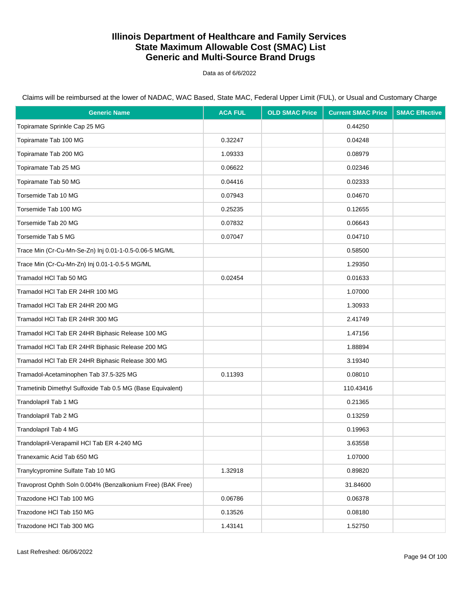Data as of 6/6/2022

| <b>Generic Name</b>                                         | <b>ACA FUL</b> | <b>OLD SMAC Price</b> | <b>Current SMAC Price</b> | <b>SMAC Effective</b> |
|-------------------------------------------------------------|----------------|-----------------------|---------------------------|-----------------------|
| Topiramate Sprinkle Cap 25 MG                               |                |                       | 0.44250                   |                       |
| Topiramate Tab 100 MG                                       | 0.32247        |                       | 0.04248                   |                       |
| Topiramate Tab 200 MG                                       | 1.09333        |                       | 0.08979                   |                       |
| Topiramate Tab 25 MG                                        | 0.06622        |                       | 0.02346                   |                       |
| Topiramate Tab 50 MG                                        | 0.04416        |                       | 0.02333                   |                       |
| Torsemide Tab 10 MG                                         | 0.07943        |                       | 0.04670                   |                       |
| Torsemide Tab 100 MG                                        | 0.25235        |                       | 0.12655                   |                       |
| Torsemide Tab 20 MG                                         | 0.07832        |                       | 0.06643                   |                       |
| Torsemide Tab 5 MG                                          | 0.07047        |                       | 0.04710                   |                       |
| Trace Min (Cr-Cu-Mn-Se-Zn) Inj 0.01-1-0.5-0.06-5 MG/ML      |                |                       | 0.58500                   |                       |
| Trace Min (Cr-Cu-Mn-Zn) Inj 0.01-1-0.5-5 MG/ML              |                |                       | 1.29350                   |                       |
| Tramadol HCl Tab 50 MG                                      | 0.02454        |                       | 0.01633                   |                       |
| Tramadol HCI Tab ER 24HR 100 MG                             |                |                       | 1.07000                   |                       |
| Tramadol HCI Tab ER 24HR 200 MG                             |                |                       | 1.30933                   |                       |
| Tramadol HCI Tab ER 24HR 300 MG                             |                |                       | 2.41749                   |                       |
| Tramadol HCl Tab ER 24HR Biphasic Release 100 MG            |                |                       | 1.47156                   |                       |
| Tramadol HCI Tab ER 24HR Biphasic Release 200 MG            |                |                       | 1.88894                   |                       |
| Tramadol HCI Tab ER 24HR Biphasic Release 300 MG            |                |                       | 3.19340                   |                       |
| Tramadol-Acetaminophen Tab 37.5-325 MG                      | 0.11393        |                       | 0.08010                   |                       |
| Trametinib Dimethyl Sulfoxide Tab 0.5 MG (Base Equivalent)  |                |                       | 110.43416                 |                       |
| Trandolapril Tab 1 MG                                       |                |                       | 0.21365                   |                       |
| Trandolapril Tab 2 MG                                       |                |                       | 0.13259                   |                       |
| Trandolapril Tab 4 MG                                       |                |                       | 0.19963                   |                       |
| Trandolapril-Verapamil HCl Tab ER 4-240 MG                  |                |                       | 3.63558                   |                       |
| Tranexamic Acid Tab 650 MG                                  |                |                       | 1.07000                   |                       |
| Tranylcypromine Sulfate Tab 10 MG                           | 1.32918        |                       | 0.89820                   |                       |
| Travoprost Ophth Soln 0.004% (Benzalkonium Free) (BAK Free) |                |                       | 31.84600                  |                       |
| Trazodone HCl Tab 100 MG                                    | 0.06786        |                       | 0.06378                   |                       |
| Trazodone HCl Tab 150 MG                                    | 0.13526        |                       | 0.08180                   |                       |
| Trazodone HCI Tab 300 MG                                    | 1.43141        |                       | 1.52750                   |                       |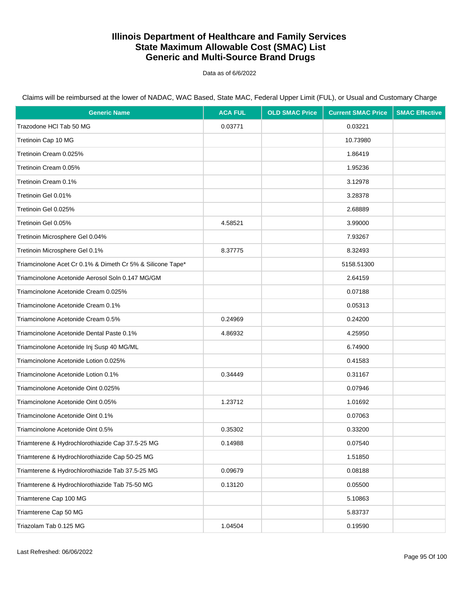Data as of 6/6/2022

| <b>Generic Name</b>                                        | <b>ACA FUL</b> | <b>OLD SMAC Price</b> | <b>Current SMAC Price</b> | <b>SMAC Effective</b> |
|------------------------------------------------------------|----------------|-----------------------|---------------------------|-----------------------|
| Trazodone HCI Tab 50 MG                                    | 0.03771        |                       | 0.03221                   |                       |
| Tretinoin Cap 10 MG                                        |                |                       | 10.73980                  |                       |
| Tretinoin Cream 0.025%                                     |                |                       | 1.86419                   |                       |
| Tretinoin Cream 0.05%                                      |                |                       | 1.95236                   |                       |
| Tretinoin Cream 0.1%                                       |                |                       | 3.12978                   |                       |
| Tretinoin Gel 0.01%                                        |                |                       | 3.28378                   |                       |
| Tretinoin Gel 0.025%                                       |                |                       | 2.68889                   |                       |
| Tretinoin Gel 0.05%                                        | 4.58521        |                       | 3.99000                   |                       |
| Tretinoin Microsphere Gel 0.04%                            |                |                       | 7.93267                   |                       |
| Tretinoin Microsphere Gel 0.1%                             | 8.37775        |                       | 8.32493                   |                       |
| Triamcinolone Acet Cr 0.1% & Dimeth Cr 5% & Silicone Tape* |                |                       | 5158.51300                |                       |
| Triamcinolone Acetonide Aerosol Soln 0.147 MG/GM           |                |                       | 2.64159                   |                       |
| Triamcinolone Acetonide Cream 0.025%                       |                |                       | 0.07188                   |                       |
| Triamcinolone Acetonide Cream 0.1%                         |                |                       | 0.05313                   |                       |
| Triamcinolone Acetonide Cream 0.5%                         | 0.24969        |                       | 0.24200                   |                       |
| Triamcinolone Acetonide Dental Paste 0.1%                  | 4.86932        |                       | 4.25950                   |                       |
| Triamcinolone Acetonide Inj Susp 40 MG/ML                  |                |                       | 6.74900                   |                       |
| Triamcinolone Acetonide Lotion 0.025%                      |                |                       | 0.41583                   |                       |
| Triamcinolone Acetonide Lotion 0.1%                        | 0.34449        |                       | 0.31167                   |                       |
| Triamcinolone Acetonide Oint 0.025%                        |                |                       | 0.07946                   |                       |
| Triamcinolone Acetonide Oint 0.05%                         | 1.23712        |                       | 1.01692                   |                       |
| Triamcinolone Acetonide Oint 0.1%                          |                |                       | 0.07063                   |                       |
| Triamcinolone Acetonide Oint 0.5%                          | 0.35302        |                       | 0.33200                   |                       |
| Triamterene & Hydrochlorothiazide Cap 37.5-25 MG           | 0.14988        |                       | 0.07540                   |                       |
| Triamterene & Hydrochlorothiazide Cap 50-25 MG             |                |                       | 1.51850                   |                       |
| Triamterene & Hydrochlorothiazide Tab 37.5-25 MG           | 0.09679        |                       | 0.08188                   |                       |
| Triamterene & Hydrochlorothiazide Tab 75-50 MG             | 0.13120        |                       | 0.05500                   |                       |
| Triamterene Cap 100 MG                                     |                |                       | 5.10863                   |                       |
| Triamterene Cap 50 MG                                      |                |                       | 5.83737                   |                       |
| Triazolam Tab 0.125 MG                                     | 1.04504        |                       | 0.19590                   |                       |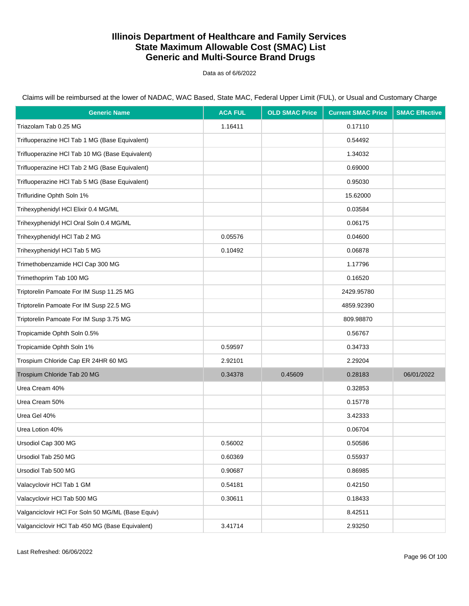Data as of 6/6/2022

Claims will be reimbursed at the lower of NADAC, WAC Based, State MAC, Federal Upper Limit (FUL), or Usual and Customary Charge

| <b>Generic Name</b>                               | <b>ACA FUL</b> | <b>OLD SMAC Price</b> | <b>Current SMAC Price</b> | <b>SMAC Effective</b> |
|---------------------------------------------------|----------------|-----------------------|---------------------------|-----------------------|
| Triazolam Tab 0.25 MG                             | 1.16411        |                       | 0.17110                   |                       |
| Trifluoperazine HCl Tab 1 MG (Base Equivalent)    |                |                       | 0.54492                   |                       |
| Trifluoperazine HCl Tab 10 MG (Base Equivalent)   |                |                       | 1.34032                   |                       |
| Trifluoperazine HCl Tab 2 MG (Base Equivalent)    |                |                       | 0.69000                   |                       |
| Trifluoperazine HCl Tab 5 MG (Base Equivalent)    |                |                       | 0.95030                   |                       |
| Trifluridine Ophth Soln 1%                        |                |                       | 15.62000                  |                       |
| Trihexyphenidyl HCI Elixir 0.4 MG/ML              |                |                       | 0.03584                   |                       |
| Trihexyphenidyl HCl Oral Soln 0.4 MG/ML           |                |                       | 0.06175                   |                       |
| Trihexyphenidyl HCl Tab 2 MG                      | 0.05576        |                       | 0.04600                   |                       |
| Trihexyphenidyl HCl Tab 5 MG                      | 0.10492        |                       | 0.06878                   |                       |
| Trimethobenzamide HCl Cap 300 MG                  |                |                       | 1.17796                   |                       |
| Trimethoprim Tab 100 MG                           |                |                       | 0.16520                   |                       |
| Triptorelin Pamoate For IM Susp 11.25 MG          |                |                       | 2429.95780                |                       |
| Triptorelin Pamoate For IM Susp 22.5 MG           |                |                       | 4859.92390                |                       |
| Triptorelin Pamoate For IM Susp 3.75 MG           |                |                       | 809.98870                 |                       |
| Tropicamide Ophth Soln 0.5%                       |                |                       | 0.56767                   |                       |
| Tropicamide Ophth Soln 1%                         | 0.59597        |                       | 0.34733                   |                       |
| Trospium Chloride Cap ER 24HR 60 MG               | 2.92101        |                       | 2.29204                   |                       |
| Trospium Chloride Tab 20 MG                       | 0.34378        | 0.45609               | 0.28183                   | 06/01/2022            |
| Urea Cream 40%                                    |                |                       | 0.32853                   |                       |
| Urea Cream 50%                                    |                |                       | 0.15778                   |                       |
| Urea Gel 40%                                      |                |                       | 3.42333                   |                       |
| Urea Lotion 40%                                   |                |                       | 0.06704                   |                       |
| Ursodiol Cap 300 MG                               | 0.56002        |                       | 0.50586                   |                       |
| Ursodiol Tab 250 MG                               | 0.60369        |                       | 0.55937                   |                       |
| Ursodiol Tab 500 MG                               | 0.90687        |                       | 0.86985                   |                       |
| Valacyclovir HCl Tab 1 GM                         | 0.54181        |                       | 0.42150                   |                       |
| Valacyclovir HCl Tab 500 MG                       | 0.30611        |                       | 0.18433                   |                       |
| Valganciclovir HCI For Soln 50 MG/ML (Base Equiv) |                |                       | 8.42511                   |                       |
| Valganciclovir HCI Tab 450 MG (Base Equivalent)   | 3.41714        |                       | 2.93250                   |                       |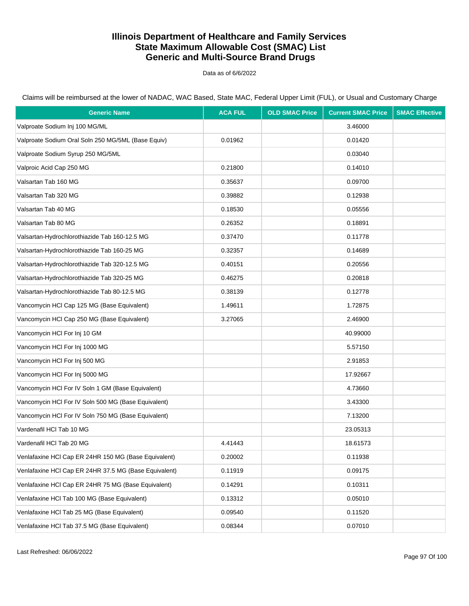Data as of 6/6/2022

Claims will be reimbursed at the lower of NADAC, WAC Based, State MAC, Federal Upper Limit (FUL), or Usual and Customary Charge

| <b>Generic Name</b>                                   | <b>ACA FUL</b> | <b>OLD SMAC Price</b> | <b>Current SMAC Price</b> | <b>SMAC Effective</b> |
|-------------------------------------------------------|----------------|-----------------------|---------------------------|-----------------------|
| Valproate Sodium Inj 100 MG/ML                        |                |                       | 3.46000                   |                       |
| Valproate Sodium Oral Soln 250 MG/5ML (Base Equiv)    | 0.01962        |                       | 0.01420                   |                       |
| Valproate Sodium Syrup 250 MG/5ML                     |                |                       | 0.03040                   |                       |
| Valproic Acid Cap 250 MG                              | 0.21800        |                       | 0.14010                   |                       |
| Valsartan Tab 160 MG                                  | 0.35637        |                       | 0.09700                   |                       |
| Valsartan Tab 320 MG                                  | 0.39882        |                       | 0.12938                   |                       |
| Valsartan Tab 40 MG                                   | 0.18530        |                       | 0.05556                   |                       |
| Valsartan Tab 80 MG                                   | 0.26352        |                       | 0.18891                   |                       |
| Valsartan-Hydrochlorothiazide Tab 160-12.5 MG         | 0.37470        |                       | 0.11778                   |                       |
| Valsartan-Hydrochlorothiazide Tab 160-25 MG           | 0.32357        |                       | 0.14689                   |                       |
| Valsartan-Hydrochlorothiazide Tab 320-12.5 MG         | 0.40151        |                       | 0.20556                   |                       |
| Valsartan-Hydrochlorothiazide Tab 320-25 MG           | 0.46275        |                       | 0.20818                   |                       |
| Valsartan-Hydrochlorothiazide Tab 80-12.5 MG          | 0.38139        |                       | 0.12778                   |                       |
| Vancomycin HCI Cap 125 MG (Base Equivalent)           | 1.49611        |                       | 1.72875                   |                       |
| Vancomycin HCl Cap 250 MG (Base Equivalent)           | 3.27065        |                       | 2.46900                   |                       |
| Vancomycin HCI For Inj 10 GM                          |                |                       | 40.99000                  |                       |
| Vancomycin HCI For Inj 1000 MG                        |                |                       | 5.57150                   |                       |
| Vancomycin HCI For Inj 500 MG                         |                |                       | 2.91853                   |                       |
| Vancomycin HCI For Inj 5000 MG                        |                |                       | 17.92667                  |                       |
| Vancomycin HCI For IV Soln 1 GM (Base Equivalent)     |                |                       | 4.73660                   |                       |
| Vancomycin HCI For IV Soln 500 MG (Base Equivalent)   |                |                       | 3.43300                   |                       |
| Vancomycin HCI For IV Soln 750 MG (Base Equivalent)   |                |                       | 7.13200                   |                       |
| Vardenafil HCI Tab 10 MG                              |                |                       | 23.05313                  |                       |
| Vardenafil HCl Tab 20 MG                              | 4.41443        |                       | 18.61573                  |                       |
| Venlafaxine HCI Cap ER 24HR 150 MG (Base Equivalent)  | 0.20002        |                       | 0.11938                   |                       |
| Venlafaxine HCI Cap ER 24HR 37.5 MG (Base Equivalent) | 0.11919        |                       | 0.09175                   |                       |
| Venlafaxine HCI Cap ER 24HR 75 MG (Base Equivalent)   | 0.14291        |                       | 0.10311                   |                       |
| Venlafaxine HCl Tab 100 MG (Base Equivalent)          | 0.13312        |                       | 0.05010                   |                       |
| Venlafaxine HCl Tab 25 MG (Base Equivalent)           | 0.09540        |                       | 0.11520                   |                       |
| Venlafaxine HCl Tab 37.5 MG (Base Equivalent)         | 0.08344        |                       | 0.07010                   |                       |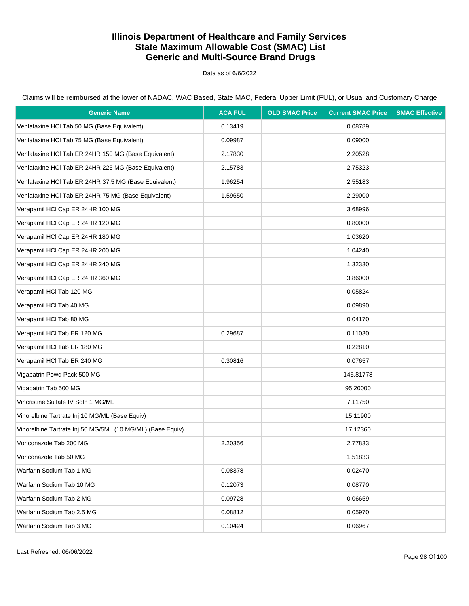Data as of 6/6/2022

| <b>Generic Name</b>                                        | <b>ACA FUL</b> | <b>OLD SMAC Price</b> | <b>Current SMAC Price</b> | <b>SMAC Effective</b> |
|------------------------------------------------------------|----------------|-----------------------|---------------------------|-----------------------|
| Venlafaxine HCl Tab 50 MG (Base Equivalent)                | 0.13419        |                       | 0.08789                   |                       |
| Venlafaxine HCl Tab 75 MG (Base Equivalent)                | 0.09987        |                       | 0.09000                   |                       |
| Venlafaxine HCI Tab ER 24HR 150 MG (Base Equivalent)       | 2.17830        |                       | 2.20528                   |                       |
| Venlafaxine HCI Tab ER 24HR 225 MG (Base Equivalent)       | 2.15783        |                       | 2.75323                   |                       |
| Venlafaxine HCI Tab ER 24HR 37.5 MG (Base Equivalent)      | 1.96254        |                       | 2.55183                   |                       |
| Venlafaxine HCI Tab ER 24HR 75 MG (Base Equivalent)        | 1.59650        |                       | 2.29000                   |                       |
| Verapamil HCl Cap ER 24HR 100 MG                           |                |                       | 3.68996                   |                       |
| Verapamil HCl Cap ER 24HR 120 MG                           |                |                       | 0.80000                   |                       |
| Verapamil HCl Cap ER 24HR 180 MG                           |                |                       | 1.03620                   |                       |
| Verapamil HCl Cap ER 24HR 200 MG                           |                |                       | 1.04240                   |                       |
| Verapamil HCl Cap ER 24HR 240 MG                           |                |                       | 1.32330                   |                       |
| Verapamil HCl Cap ER 24HR 360 MG                           |                |                       | 3.86000                   |                       |
| Verapamil HCl Tab 120 MG                                   |                |                       | 0.05824                   |                       |
| Verapamil HCl Tab 40 MG                                    |                |                       | 0.09890                   |                       |
| Verapamil HCI Tab 80 MG                                    |                |                       | 0.04170                   |                       |
| Verapamil HCI Tab ER 120 MG                                | 0.29687        |                       | 0.11030                   |                       |
| Verapamil HCI Tab ER 180 MG                                |                |                       | 0.22810                   |                       |
| Verapamil HCI Tab ER 240 MG                                | 0.30816        |                       | 0.07657                   |                       |
| Vigabatrin Powd Pack 500 MG                                |                |                       | 145.81778                 |                       |
| Vigabatrin Tab 500 MG                                      |                |                       | 95.20000                  |                       |
| Vincristine Sulfate IV Soln 1 MG/ML                        |                |                       | 7.11750                   |                       |
| Vinorelbine Tartrate Inj 10 MG/ML (Base Equiv)             |                |                       | 15.11900                  |                       |
| Vinorelbine Tartrate Inj 50 MG/5ML (10 MG/ML) (Base Equiv) |                |                       | 17.12360                  |                       |
| Voriconazole Tab 200 MG                                    | 2.20356        |                       | 2.77833                   |                       |
| Voriconazole Tab 50 MG                                     |                |                       | 1.51833                   |                       |
| Warfarin Sodium Tab 1 MG                                   | 0.08378        |                       | 0.02470                   |                       |
| Warfarin Sodium Tab 10 MG                                  | 0.12073        |                       | 0.08770                   |                       |
| Warfarin Sodium Tab 2 MG                                   | 0.09728        |                       | 0.06659                   |                       |
| Warfarin Sodium Tab 2.5 MG                                 | 0.08812        |                       | 0.05970                   |                       |
| Warfarin Sodium Tab 3 MG                                   | 0.10424        |                       | 0.06967                   |                       |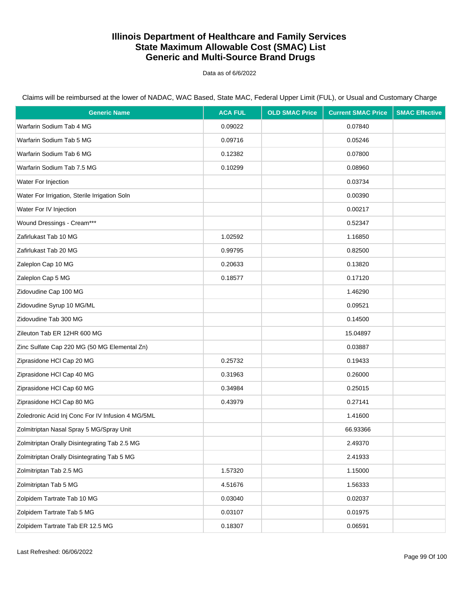Data as of 6/6/2022

| <b>Generic Name</b>                               | <b>ACA FUL</b> | <b>OLD SMAC Price</b> | <b>Current SMAC Price</b> | <b>SMAC Effective</b> |
|---------------------------------------------------|----------------|-----------------------|---------------------------|-----------------------|
| Warfarin Sodium Tab 4 MG                          | 0.09022        |                       | 0.07840                   |                       |
| Warfarin Sodium Tab 5 MG                          | 0.09716        |                       | 0.05246                   |                       |
| Warfarin Sodium Tab 6 MG                          | 0.12382        |                       | 0.07800                   |                       |
| Warfarin Sodium Tab 7.5 MG                        | 0.10299        |                       | 0.08960                   |                       |
| Water For Injection                               |                |                       | 0.03734                   |                       |
| Water For Irrigation, Sterile Irrigation Soln     |                |                       | 0.00390                   |                       |
| Water For IV Injection                            |                |                       | 0.00217                   |                       |
| Wound Dressings - Cream***                        |                |                       | 0.52347                   |                       |
| Zafirlukast Tab 10 MG                             | 1.02592        |                       | 1.16850                   |                       |
| Zafirlukast Tab 20 MG                             | 0.99795        |                       | 0.82500                   |                       |
| Zaleplon Cap 10 MG                                | 0.20633        |                       | 0.13820                   |                       |
| Zaleplon Cap 5 MG                                 | 0.18577        |                       | 0.17120                   |                       |
| Zidovudine Cap 100 MG                             |                |                       | 1.46290                   |                       |
| Zidovudine Syrup 10 MG/ML                         |                |                       | 0.09521                   |                       |
| Zidovudine Tab 300 MG                             |                |                       | 0.14500                   |                       |
| Zileuton Tab ER 12HR 600 MG                       |                |                       | 15.04897                  |                       |
| Zinc Sulfate Cap 220 MG (50 MG Elemental Zn)      |                |                       | 0.03887                   |                       |
| Ziprasidone HCI Cap 20 MG                         | 0.25732        |                       | 0.19433                   |                       |
| Ziprasidone HCI Cap 40 MG                         | 0.31963        |                       | 0.26000                   |                       |
| Ziprasidone HCI Cap 60 MG                         | 0.34984        |                       | 0.25015                   |                       |
| Ziprasidone HCI Cap 80 MG                         | 0.43979        |                       | 0.27141                   |                       |
| Zoledronic Acid Inj Conc For IV Infusion 4 MG/5ML |                |                       | 1.41600                   |                       |
| Zolmitriptan Nasal Spray 5 MG/Spray Unit          |                |                       | 66.93366                  |                       |
| Zolmitriptan Orally Disintegrating Tab 2.5 MG     |                |                       | 2.49370                   |                       |
| Zolmitriptan Orally Disintegrating Tab 5 MG       |                |                       | 2.41933                   |                       |
| Zolmitriptan Tab 2.5 MG                           | 1.57320        |                       | 1.15000                   |                       |
| Zolmitriptan Tab 5 MG                             | 4.51676        |                       | 1.56333                   |                       |
| Zolpidem Tartrate Tab 10 MG                       | 0.03040        |                       | 0.02037                   |                       |
| Zolpidem Tartrate Tab 5 MG                        | 0.03107        |                       | 0.01975                   |                       |
| Zolpidem Tartrate Tab ER 12.5 MG                  | 0.18307        |                       | 0.06591                   |                       |